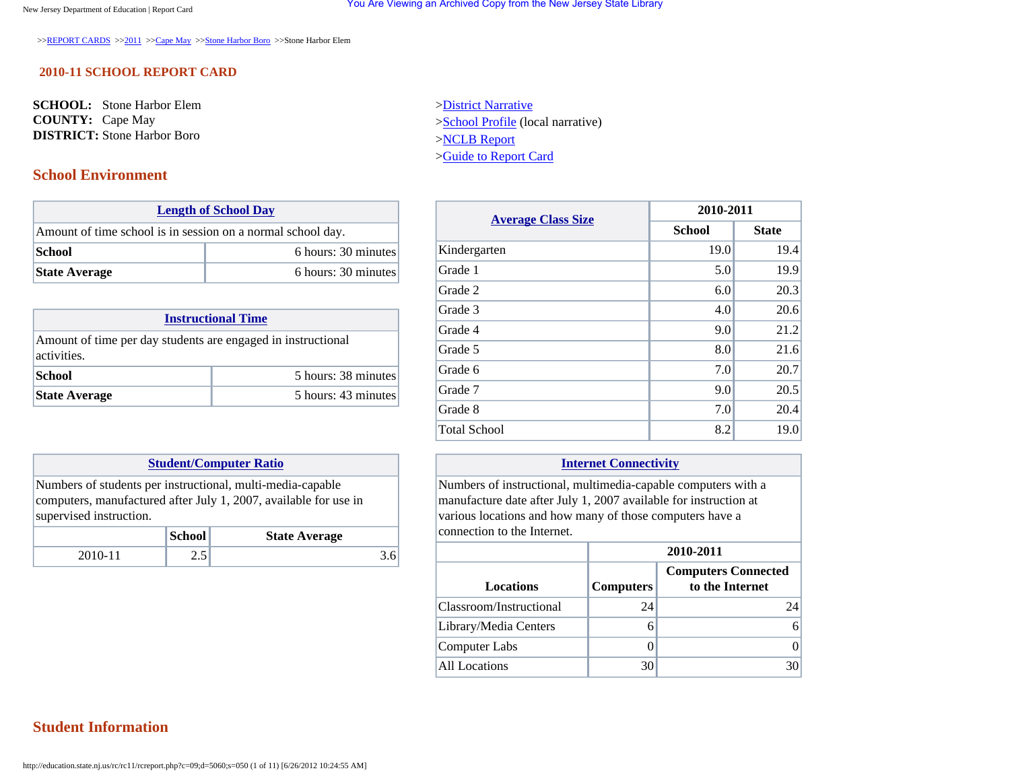>>[REPORT CARDS](http://education.state.nj.us/rc/index.html) >>[2011](http://education.state.nj.us/rc/rc11/) >[>Cape May](http://education.state.nj.us/rc/rc11/nav.php?c=09) >>[Stone Harbor Boro](http://education.state.nj.us/rc/rc11/nav.php?c=09;d=5060) >>Stone Harbor Elem

### **2010-11 SCHOOL REPORT CARD**

**SCHOOL:** Stone Harbor Elem **COUNTY:** Cape May **DISTRICT:** Stone Harbor Boro

### **School Environment**

| <b>Length of School Day</b><br>Amount of time school is in session on a normal school day.<br> School |                      |                     |
|-------------------------------------------------------------------------------------------------------|----------------------|---------------------|
|                                                                                                       |                      |                     |
|                                                                                                       |                      | 6 hours: 30 minutes |
|                                                                                                       | <b>State Average</b> | 6 hours: 30 minutes |

| <b>Instructional Time</b>                                                   |                     |  |
|-----------------------------------------------------------------------------|---------------------|--|
| Amount of time per day students are engaged in instructional<br>activities. |                     |  |
| School<br>5 hours: 38 minutes                                               |                     |  |
| <b>State Average</b>                                                        | 5 hours: 43 minutes |  |

### **[Student/Computer Ratio](javascript:void(0))**

Numbers of students per instructional, multi-media-capable computers, manufactured after July 1, 2007, available for use in supervised instruction.

|         | School | <b>State Average</b> |
|---------|--------|----------------------|
| 2010-11 | ر…     |                      |

[>District Narrative](http://education.state.nj.us/rc/rc11/narrative/09/5060/09-5060-000.html) [>School Profile](http://education.state.nj.us/rc/rc11/narrative/09/5060/09-5060-050.html) (local narrative) [>NCLB Report](http://education.state.nj.us/rc/nclb/index.html) [>Guide to Report Card](http://education.state.nj.us/rc/rc11/guide.htm)

| <b>Average Class Size</b> | 2010-2011     |              |
|---------------------------|---------------|--------------|
|                           | <b>School</b> | <b>State</b> |
| Kindergarten              | 19.0          | 19.4         |
| Grade 1                   | 5.0           | 19.9         |
| Grade 2                   | 6.0           | 20.3         |
| Grade 3                   | 4.0           | 20.6         |
| Grade 4                   | 9.0           | 21.2         |
| Grade 5                   | 8.0           | 21.6         |
| Grade 6                   | 7.0           | 20.7         |
| Grade 7                   | 9.0           | 20.5         |
| Grade 8                   | 7.0           | 20.4         |
| <b>Total School</b>       | 8.2           | 19.0         |

### **[Internet Connectivity](javascript:void(0))**

Numbers of instructional, multimedia-capable computers with a manufacture date after July 1, 2007 available for instruction at various locations and how many of those computers have a connection to the Internet.

### **2010-2011**

| Locations               | <b>Computers</b> | <b>Computers Connected</b><br>to the Internet |
|-------------------------|------------------|-----------------------------------------------|
| Classroom/Instructional | 24               | 24                                            |
| Library/Media Centers   |                  | 6                                             |
| Computer Labs           |                  |                                               |
| All Locations           |                  |                                               |

### **Student Information**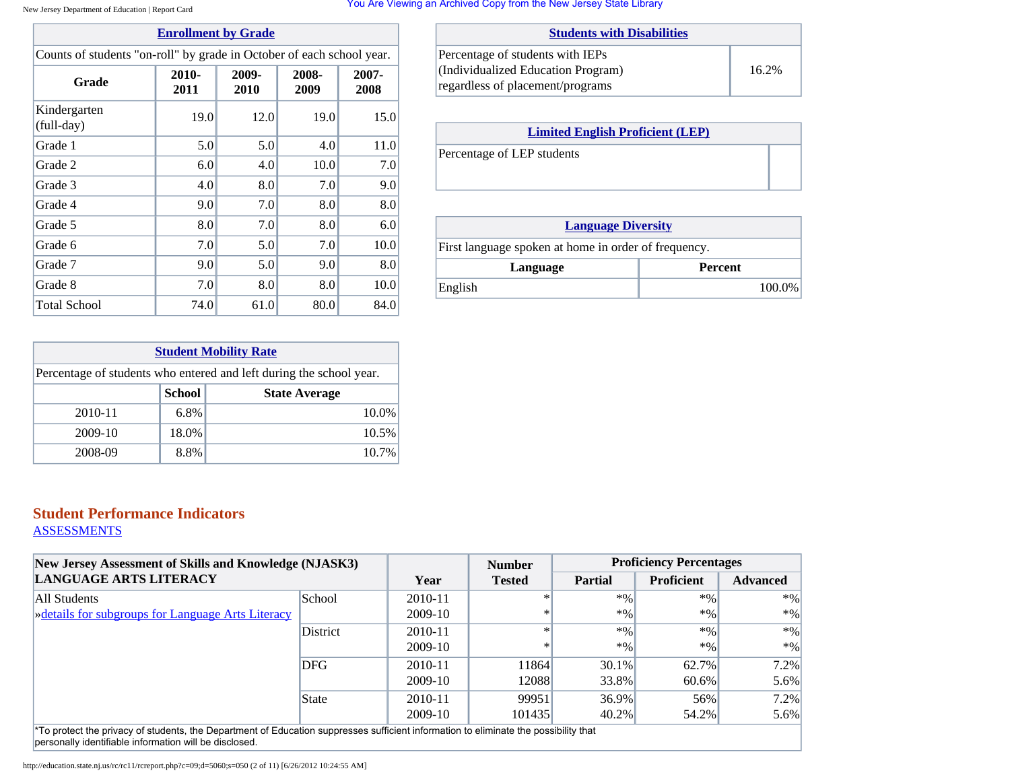You Are Viewing an Archived Copy from the New Jersey State Library

| <b>Enrollment by Grade</b> |
|----------------------------|
|----------------------------|

| Counts of students "on-roll" by grade in October of each school year. |  |  |
|-----------------------------------------------------------------------|--|--|
|-----------------------------------------------------------------------|--|--|

| Grade                      | $2010 -$<br>2011 | 2009-<br>2010 | 2008-<br>2009 | 2007-<br>2008 |
|----------------------------|------------------|---------------|---------------|---------------|
| Kindergarten<br>(full-day) | 19.0             | 12.0          | 19.0          | 15.0          |
| Grade 1                    | 5.0              | 5.0           | 4.0           | 11.0          |
| Grade 2                    | 6.0              | 4.0           | 10.0          | 7.0           |
| Grade 3                    | 4.0              | 8.0           | 7.0           | 9.0           |
| Grade 4                    | 9.0              | 7.0           | 8.0           | 8.0           |
| Grade 5                    | 8.0              | 7.0           | 8.0           | 6.0           |
| Grade 6                    | 7.0              | 5.0           | 7.0           | 10.0          |
| Grade 7                    | 9.0              | 5.0           | 9.0           | 8.0           |
| Grade 8                    | 7.0              | 8.0           | 8.0           | 10.0          |
| <b>Total School</b>        | 74.0             | 61.0          | 80.0          | 84.0          |

| <b>Students with Disabilities</b>  |       |
|------------------------------------|-------|
| Percentage of students with IEPs   |       |
| (Individualized Education Program) | 16.2% |
| regardless of placement/programs   |       |

| <b>Limited English Proficient (LEP)</b> |  |
|-----------------------------------------|--|
| Percentage of LEP students              |  |
|                                         |  |

| <b>Language Diversity</b>                            |                |
|------------------------------------------------------|----------------|
| First language spoken at home in order of frequency. |                |
| Language                                             | <b>Percent</b> |
| English                                              | 100.0%         |

| <b>Student Mobility Rate</b>                                        |               |                      |
|---------------------------------------------------------------------|---------------|----------------------|
| Percentage of students who entered and left during the school year. |               |                      |
|                                                                     | <b>School</b> | <b>State Average</b> |
| 2010-11                                                             | 6.8%          | 10.0%                |
| 2009-10                                                             | 18.0%         | 10.5%                |
| 2008-09                                                             | 8.8%          | 10.7%                |

# **Student Performance Indicators**

**[ASSESSMENTS](javascript:void(0))** 

| New Jersey Assessment of Skills and Knowledge (NJASK3)<br><b>LANGUAGE ARTS LITERACY</b>                                                          |            |         | <b>Number</b> | <b>Proficiency Percentages</b> |                   |                 |  |
|--------------------------------------------------------------------------------------------------------------------------------------------------|------------|---------|---------------|--------------------------------|-------------------|-----------------|--|
|                                                                                                                                                  |            | Year    | <b>Tested</b> | <b>Partial</b>                 | <b>Proficient</b> | <b>Advanced</b> |  |
| All Students                                                                                                                                     | School     | 2010-11 |               | $*$ %                          | $*9/0$            | $*96$           |  |
| » details for subgroups for Language Arts Literacy                                                                                               |            | 2009-10 | ∗             | $*9/0$                         | $*9/0$            | $*9/0$          |  |
|                                                                                                                                                  | District   | 2010-11 |               | $*$ %                          | $*9/0$            | $*0/0$          |  |
|                                                                                                                                                  |            | 2009-10 | ∗             | $*9/0$                         | $*0/0$            | $*0/0$          |  |
|                                                                                                                                                  | <b>DFG</b> | 2010-11 | 11864         | $30.1\%$                       | 62.7%             | 7.2%            |  |
|                                                                                                                                                  |            | 2009-10 | 12088         | 33.8%                          | 60.6%             | 5.6%            |  |
|                                                                                                                                                  | State      | 2010-11 | 99951         | 36.9%                          | 56%               | 7.2%            |  |
|                                                                                                                                                  |            | 2009-10 | 101435        | 40.2%                          | 54.2%             | 5.6%            |  |
| <sup>*</sup> To protect the privacy of students, the Department of Education suppresses sufficient information to eliminate the possibility that |            |         |               |                                |                   |                 |  |

personally identifiable information will be disclosed.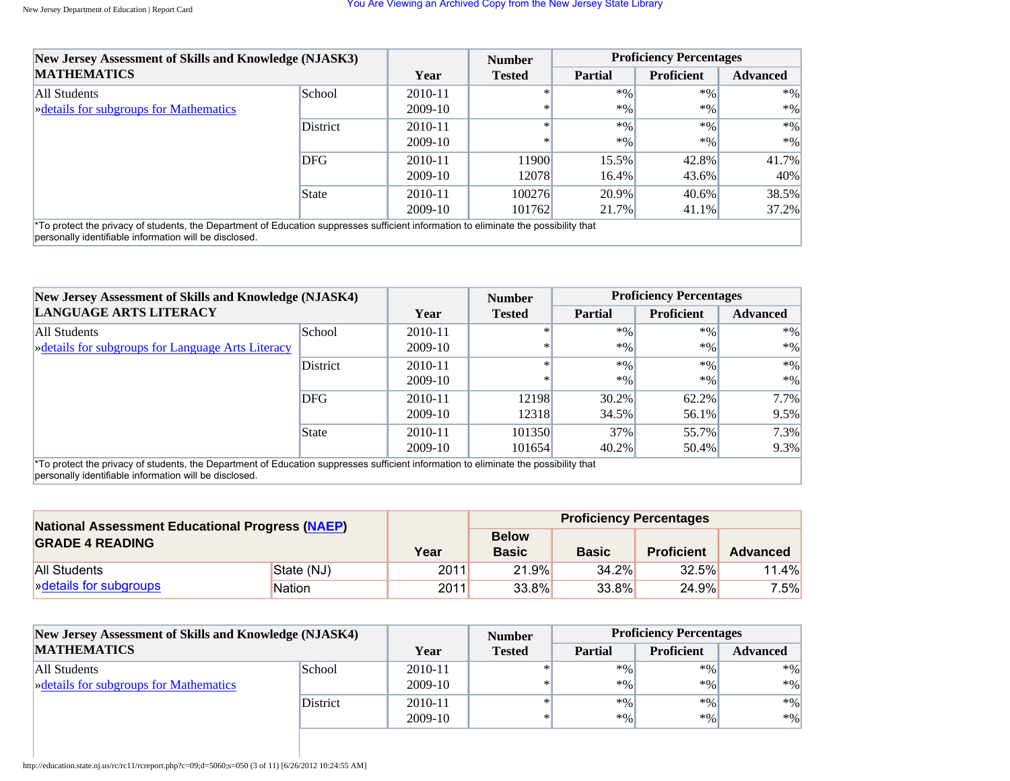| New Jersey Assessment of Skills and Knowledge (NJASK3)                                                                                                                                         |          |             | <b>Number</b> | <b>Proficiency Percentages</b> |                   |                 |
|------------------------------------------------------------------------------------------------------------------------------------------------------------------------------------------------|----------|-------------|---------------|--------------------------------|-------------------|-----------------|
| <b>MATHEMATICS</b>                                                                                                                                                                             |          | Year        | <b>Tested</b> | <b>Partial</b>                 | <b>Proficient</b> | <b>Advanced</b> |
| All Students                                                                                                                                                                                   | School   | $2010 - 11$ |               | $*$ %                          | $*9/0$            | $*9/0$          |
| » details for subgroups for Mathematics                                                                                                                                                        |          | 2009-10     |               | $*0/0$                         | $*9/0$            | $*9/0$          |
|                                                                                                                                                                                                | District | 2010-11     |               | $*0/0$                         | $*0/0$            | $*9/0$          |
|                                                                                                                                                                                                |          | $2009-10$   | $\ast$        | $*0/0$                         | $*9/0$            | $*9/0$          |
|                                                                                                                                                                                                | DFG      | 2010-11     | 11900         | 15.5%                          | 42.8%             | 41.7%           |
|                                                                                                                                                                                                |          | $2009-10$   | 12078         | $16.4\%$                       | 43.6%             | 40%             |
|                                                                                                                                                                                                | State    | $2010 - 11$ | 100276        | $20.9\%$                       | $40.6\%$          | 38.5%           |
|                                                                                                                                                                                                |          | $2009-10$   | 101762        | 21.7%                          | $41.1\%$          | $37.2\%$        |
| *To protect the privacy of students, the Department of Education suppresses sufficient information to eliminate the possibility that<br>personally identifiable information will be disclosed. |          |             |               |                                |                   |                 |

| New Jersey Assessment of Skills and Knowledge (NJASK4)<br><b>LANGUAGE ARTS LITERACY</b>                                              |          |         | <b>Number</b> | <b>Proficiency Percentages</b> |                   |                 |  |
|--------------------------------------------------------------------------------------------------------------------------------------|----------|---------|---------------|--------------------------------|-------------------|-----------------|--|
|                                                                                                                                      |          | Year    | <b>Tested</b> | <b>Partial</b>                 | <b>Proficient</b> | <b>Advanced</b> |  |
| All Students                                                                                                                         | School   | 2010-11 | $\ast$        | $*$ %                          | $*96$             | $*0/0$          |  |
| » details for subgroups for Language Arts Literacy                                                                                   |          | 2009-10 | $\ast$        | $*96$                          | $*9/0$            | $*9/0$          |  |
|                                                                                                                                      | District | 2010-11 |               | $*96$                          | $*96$             | $*0/0$          |  |
|                                                                                                                                      |          | 2009-10 | $\ast$        | $*96$                          | $*9/0$            | $*0/0$          |  |
|                                                                                                                                      | DFG      | 2010-11 | 12198         | $30.2\%$                       | 62.2%             | 7.7%            |  |
|                                                                                                                                      |          | 2009-10 | 12318         | 34.5%                          | 56.1%             | 9.5%            |  |
|                                                                                                                                      | State    | 2010-11 | 101350        | 37%                            | 55.7%             | 7.3%            |  |
|                                                                                                                                      |          | 2009-10 | 101654        | $40.2\%$                       | 50.4%             | 9.3%            |  |
| *To protect the privacy of students, the Department of Education suppresses sufficient information to eliminate the possibility that |          |         |               |                                |                   |                 |  |

\*To protect the privacy of students, the Department of Education suppresses sufficient information to eliminate the possibility that personally identifiable information will be disclosed.

| <b>National Assessment Educational Progress (NAEP)</b> |               |      | <b>Proficiency Percentages</b> |              |                   |                 |  |
|--------------------------------------------------------|---------------|------|--------------------------------|--------------|-------------------|-----------------|--|
| <b>GRADE 4 READING</b>                                 |               | Year | <b>Below</b><br><b>Basic</b>   | <b>Basic</b> | <b>Proficient</b> | <b>Advanced</b> |  |
| <b>All Students</b>                                    | State (NJ)    | 2011 | 21.9%                          | 34.2%        | 32.5%             | 11.4%           |  |
| <b>»</b> details for subgroups                         | <b>Nation</b> | 2011 | 33.8%                          | 33.8%        | 24.9%             | $7.5\%$         |  |

| New Jersey Assessment of Skills and Knowledge (NJASK4) |                 | <b>Number</b> |               |                | <b>Proficiency Percentages</b> |                 |  |
|--------------------------------------------------------|-----------------|---------------|---------------|----------------|--------------------------------|-----------------|--|
| <b>MATHEMATICS</b>                                     |                 | Year          | <b>Tested</b> | <b>Partial</b> | <b>Proficient</b>              | <b>Advanced</b> |  |
| All Students                                           | School          | 2010-11       |               | $*96$          | $*96$                          | $*96$           |  |
| <b>Example 3</b> Setails for subgroups for Mathematics |                 | $2009-10$     | $\ast$        | $*0/0$         | $*0/0$                         | $*96$           |  |
|                                                        | <b>District</b> | 2010-11       |               | $*$ %          | $*9/6$                         | $*96$           |  |
|                                                        |                 | 2009-10       | $\ast$        | $*0/0$         | $*9/6$                         | $*96$           |  |
|                                                        |                 |               |               |                |                                |                 |  |

http://education.state.nj.us/rc/rc11/rcreport.php?c=09;d=5060;s=050 (3 of 11) [6/26/2012 10:24:55 AM]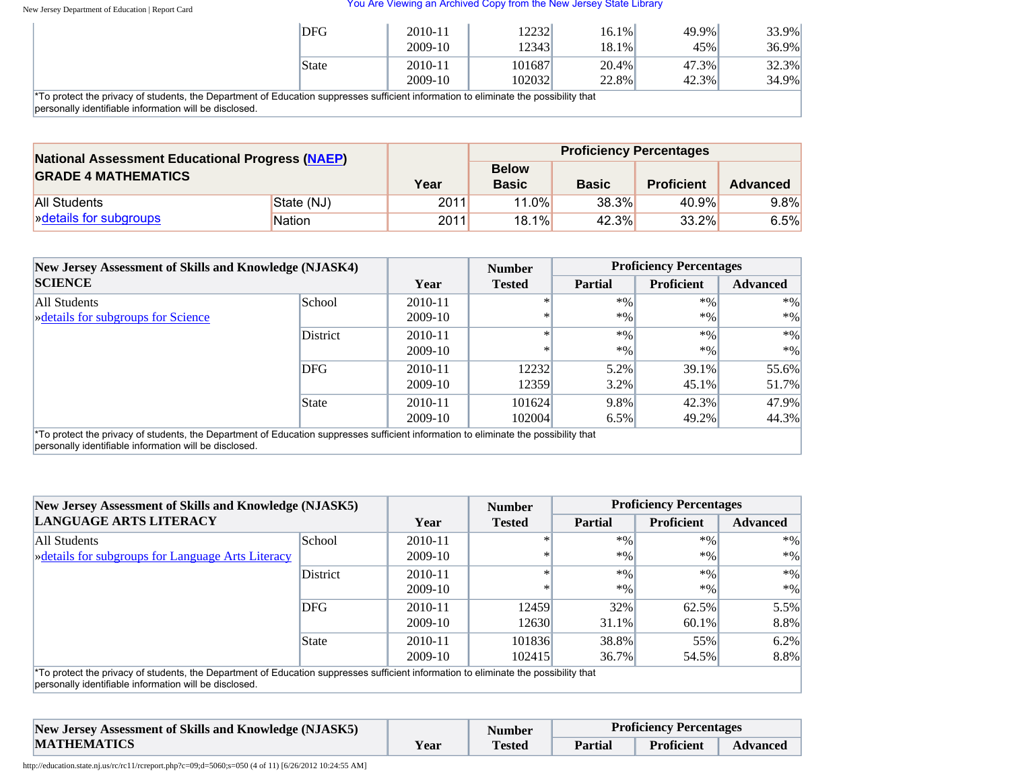| <b>DFG</b>                                                                                            | 2010-11<br>2009-10 | 12232<br>123431 | 16.1%<br>18.1% | 49.9%<br>45% | 33.9%<br>$36.9\%$ |
|-------------------------------------------------------------------------------------------------------|--------------------|-----------------|----------------|--------------|-------------------|
| State                                                                                                 | 2010-11            | 101687          | $20.4\%$       | 47.3%        | $32.3\%$          |
| idente the Department of Education auprosace outficient information to eliminate the peopleility that | 2009-10            | 102032          | 22.8%          | 42.3%        | 34.9%             |

\*To protect the privacy of students, the Department of Education suppresses sufficient information to eliminate the possibility that personally identifiable information will be disclosed.

| <b>National Assessment Educational Progress (NAEP)</b><br><b>GRADE 4 MATHEMATICS</b> |               |      |                              | <b>Proficiency Percentages</b> |                   |                 |  |
|--------------------------------------------------------------------------------------|---------------|------|------------------------------|--------------------------------|-------------------|-----------------|--|
|                                                                                      |               | Year | <b>Below</b><br><b>Basic</b> | <b>Basic</b>                   | <b>Proficient</b> | <b>Advanced</b> |  |
| All Students                                                                         | State (NJ)    | 2011 | $11.0\%$                     | 38.3%                          | 40.9%             | $9.8\%$         |  |
| » details for subgroups                                                              | <b>Nation</b> | 2011 | 18.1%                        | 42.3%                          | $33.2\%$          | 6.5%            |  |

| New Jersey Assessment of Skills and Knowledge (NJASK4)<br><b>SCIENCE</b>                                                             |                 |             | <b>Number</b> | <b>Proficiency Percentages</b> |                   |                 |
|--------------------------------------------------------------------------------------------------------------------------------------|-----------------|-------------|---------------|--------------------------------|-------------------|-----------------|
|                                                                                                                                      |                 | Year        | <b>Tested</b> | <b>Partial</b>                 | <b>Proficient</b> | <b>Advanced</b> |
| All Students                                                                                                                         | School          | $2010 - 11$ |               | $*96$                          | $*9/0$            | $*0/0$          |
| <b>Example 3</b> Setaranter Science                                                                                                  |                 | 2009-10     | $\ast$        | $*9/0$                         | $*96$             | $*96$           |
|                                                                                                                                      | <b>District</b> | 2010-11     |               | $*96$                          | $*9/0$            | $*9/6$          |
|                                                                                                                                      |                 | 2009-10     | ∗             | $*9/0$                         | $*9/0$            | $*0/0$          |
|                                                                                                                                      | <b>DFG</b>      | 2010-11     | 12232         | 5.2%                           | 39.1%             | 55.6%           |
|                                                                                                                                      |                 | 2009-10     | 12359         | $3.2\%$                        | 45.1%             | 51.7%           |
|                                                                                                                                      | State           | 2010-11     | 101624        | 9.8%                           | 42.3%             | 47.9%           |
|                                                                                                                                      |                 | 2009-10     | 102004        | $6.5\%$                        | 49.2%             | 44.3%           |
| *To protect the privacy of students, the Department of Education suppresses sufficient information to eliminate the possibility that |                 |             |               |                                |                   |                 |

personally identifiable information will be disclosed.

| New Jersey Assessment of Skills and Knowledge (NJASK5)                                                                                                                                         |          |           | <b>Number</b> |                | <b>Proficiency Percentages</b> |                 |
|------------------------------------------------------------------------------------------------------------------------------------------------------------------------------------------------|----------|-----------|---------------|----------------|--------------------------------|-----------------|
| <b>LANGUAGE ARTS LITERACY</b>                                                                                                                                                                  |          | Year      | <b>Tested</b> | <b>Partial</b> | <b>Proficient</b>              | <b>Advanced</b> |
| All Students                                                                                                                                                                                   | School   | 2010-11   | $\ast$        | $*9/0$         | $*96$                          | $*96$           |
| <b>Example 2</b> Setails for subgroups for Language Arts Literacy                                                                                                                              |          | 2009-10   | $\ast$        | $*0/0$         | $*9/0$                         | $*96$           |
|                                                                                                                                                                                                | District | 2010-11   |               | $*0/0$         | $*96$                          | $*0/0$          |
|                                                                                                                                                                                                |          | 2009-10   | $\ast$        | $*0/0$         | $*9/0$                         | $*96$           |
|                                                                                                                                                                                                | DFG      | 2010-11   | 12459         | 32%            | 62.5%                          | 5.5%            |
|                                                                                                                                                                                                |          | 2009-10   | 12630         | 31.1%          | 60.1%                          | 8.8%            |
|                                                                                                                                                                                                | State    | 2010-11   | 101836        | 38.8%          | 55%                            | $6.2\%$         |
|                                                                                                                                                                                                |          | $2009-10$ | 102415        | 36.7%          | 54.5%                          | 8.8%            |
| *To protect the privacy of students, the Department of Education suppresses sufficient information to eliminate the possibility that<br>personally identifiable information will be disclosed. |          |           |               |                |                                |                 |

| New Jersey Assessment of Skills and Knowledge (NJASK5) |      |               | <b>Proficiency Percentages</b> |            |                 |
|--------------------------------------------------------|------|---------------|--------------------------------|------------|-----------------|
| <b>MATHEMATICS</b>                                     | Year | <b>Tested</b> | <b>Partial</b>                 | Proficient | <b>Advanced</b> |

http://education.state.nj.us/rc/rc11/rcreport.php?c=09;d=5060;s=050 (4 of 11) [6/26/2012 10:24:55 AM]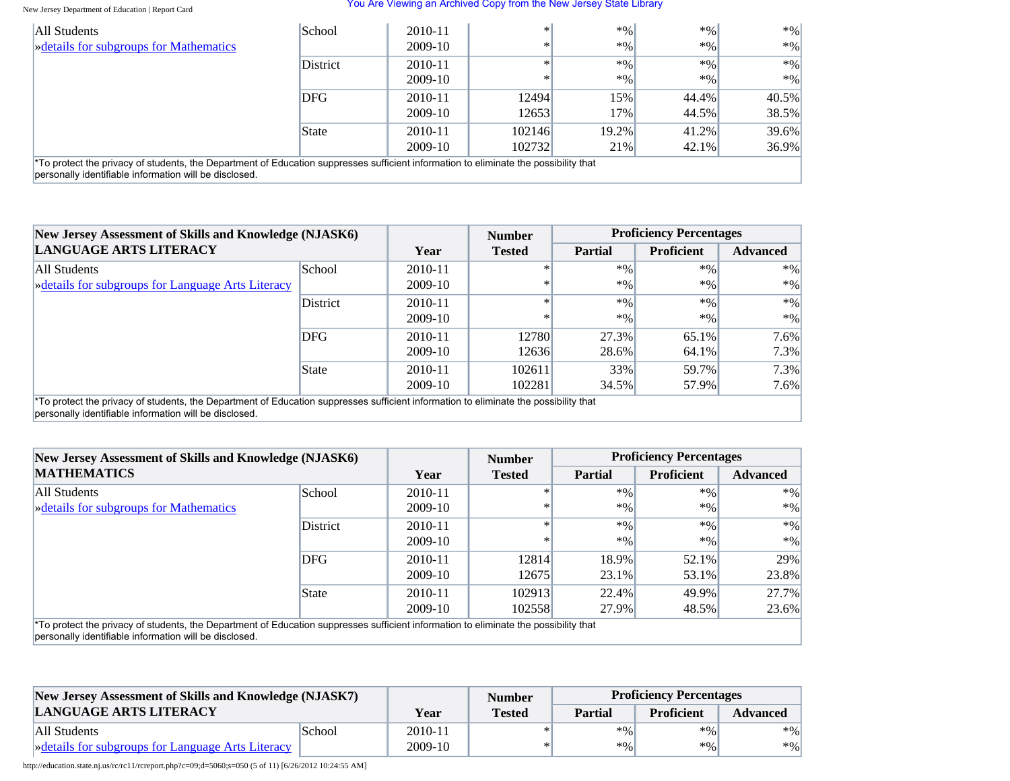#### You Are Viewing an Archived Copy from the New Jersey State Library

| All Students                                                                                                                                                                                      | School   | 2010-11 | $\ast$ | $*9/0$   | $*9/0$ | $*0/0$   |  |
|---------------------------------------------------------------------------------------------------------------------------------------------------------------------------------------------------|----------|---------|--------|----------|--------|----------|--|
| <b>Example 3</b> Setails for subgroups for Mathematics                                                                                                                                            |          | 2009-10 | $\ast$ | $*9/0$   | $*96$  | $*96$    |  |
|                                                                                                                                                                                                   | District | 2010-11 | $\ast$ | $*9/0$   | $*9/0$ | $*96$    |  |
|                                                                                                                                                                                                   |          | 2009-10 | $\ast$ | $*9/6$   | $*9/0$ | $*96$    |  |
|                                                                                                                                                                                                   | DFG      | 2010-11 | 12494  | 15%      | 44.4%  | $40.5\%$ |  |
|                                                                                                                                                                                                   |          | 2009-10 | 12653  | $17\%$   | 44.5%  | 38.5%    |  |
|                                                                                                                                                                                                   | State    | 2010-11 | 102146 | $19.2\%$ | 41.2%  | $39.6\%$ |  |
|                                                                                                                                                                                                   |          | 2009-10 | 102732 | 21%      | 42.1%  | $36.9\%$ |  |
| $*$ To protect the privacy of students, the Department of Education suppresses sufficient information to eliminate the possibility that<br>personally identifiable information will be disclosed. |          |         |        |          |        |          |  |

| <b>New Jersey Assessment of Skills and Knowledge (NJASK6)</b>                                                                                                                                  |               |             | <b>Number</b> | <b>Proficiency Percentages</b> |                   |                 |
|------------------------------------------------------------------------------------------------------------------------------------------------------------------------------------------------|---------------|-------------|---------------|--------------------------------|-------------------|-----------------|
| <b>LANGUAGE ARTS LITERACY</b>                                                                                                                                                                  |               | Year        | <b>Tested</b> | <b>Partial</b>                 | <b>Proficient</b> | <b>Advanced</b> |
| All Students                                                                                                                                                                                   | <b>School</b> | 2010-11     |               | $*$ %                          | $*9/0$            | $*96$           |
| » details for subgroups for Language Arts Literacy                                                                                                                                             |               | 2009-10     |               | $*0/0$                         | $*0/0$            | $*9/0$          |
|                                                                                                                                                                                                | District      | $2010 - 11$ |               | $*0/0$                         | $*9/0$            | $*9/0$          |
|                                                                                                                                                                                                |               | 2009-10     |               | $*0/0$                         | $*0/0$            | $*9/0$          |
|                                                                                                                                                                                                | <b>DFG</b>    | $2010 - 11$ | 12780         | 27.3%                          | 65.1%             | $7.6\%$         |
|                                                                                                                                                                                                |               | 2009-10     | 12636         | 28.6%                          | 64.1%             | $7.3\%$         |
|                                                                                                                                                                                                | State         | $2010 - 11$ | 102611        | 33%                            | 59.7%             | $7.3\%$         |
|                                                                                                                                                                                                |               | $2009-10$   | 102281        | 34.5%                          | 57.9%             | $7.6\%$         |
| *To protect the privacy of students, the Department of Education suppresses sufficient information to eliminate the possibility that<br>personally identifiable information will be disclosed. |               |             |               |                                |                   |                 |

| <b>New Jersey Assessment of Skills and Knowledge (NJASK6)</b>                                                                                                                                  |                 |           | <b>Number</b> |                | <b>Proficiency Percentages</b> |                 |
|------------------------------------------------------------------------------------------------------------------------------------------------------------------------------------------------|-----------------|-----------|---------------|----------------|--------------------------------|-----------------|
| <b>MATHEMATICS</b>                                                                                                                                                                             |                 | Year      | <b>Tested</b> | <b>Partial</b> | <b>Proficient</b>              | <b>Advanced</b> |
| All Students                                                                                                                                                                                   | School          | 2010-11   |               | $*9/0$         | $*9/0$                         | $*96$           |
| » details for subgroups for Mathematics                                                                                                                                                        |                 | 2009-10   |               | $*96$          | $*9/0$                         | $*9/0$          |
|                                                                                                                                                                                                | <b>District</b> | 2010-11   |               | $*0/0$         | $*96$                          | $*9/0$          |
|                                                                                                                                                                                                |                 | 2009-10   |               | $*0/0$         | $*9/0$                         | $*9/0$          |
|                                                                                                                                                                                                | DFG             | 2010-11   | 12814         | 18.9%          | 52.1%                          | 29%             |
|                                                                                                                                                                                                |                 | 2009-10   | 12675         | 23.1%          | 53.1%                          | 23.8%           |
|                                                                                                                                                                                                | State           | 2010-11   | 102913        | 22.4%          | 49.9%                          | 27.7%           |
|                                                                                                                                                                                                |                 | $2009-10$ | 102558        | 27.9%          | 48.5%                          | 23.6%           |
| *To protect the privacy of students, the Department of Education suppresses sufficient information to eliminate the possibility that<br>personally identifiable information will be disclosed. |                 |           |               |                |                                |                 |

| New Jersey Assessment of Skills and Knowledge (NJASK7) |        |         | <b>Number</b> |                | <b>Proficiency Percentages</b> |                 |
|--------------------------------------------------------|--------|---------|---------------|----------------|--------------------------------|-----------------|
| LANGUAGE ARTS LITERACY                                 |        | Year    | <b>Tested</b> | <b>Partial</b> | <b>Proficient</b>              | <b>Advanced</b> |
| All Students                                           | School | 2010-11 |               | $*96$          | $*96$                          | $*96$           |
| » details for subgroups for Language Arts Literacy     |        | 2009-10 | $\ast$        | $*96$          | $*96$                          | $*96$           |

http://education.state.nj.us/rc/rc11/rcreport.php?c=09;d=5060;s=050 (5 of 11) [6/26/2012 10:24:55 AM]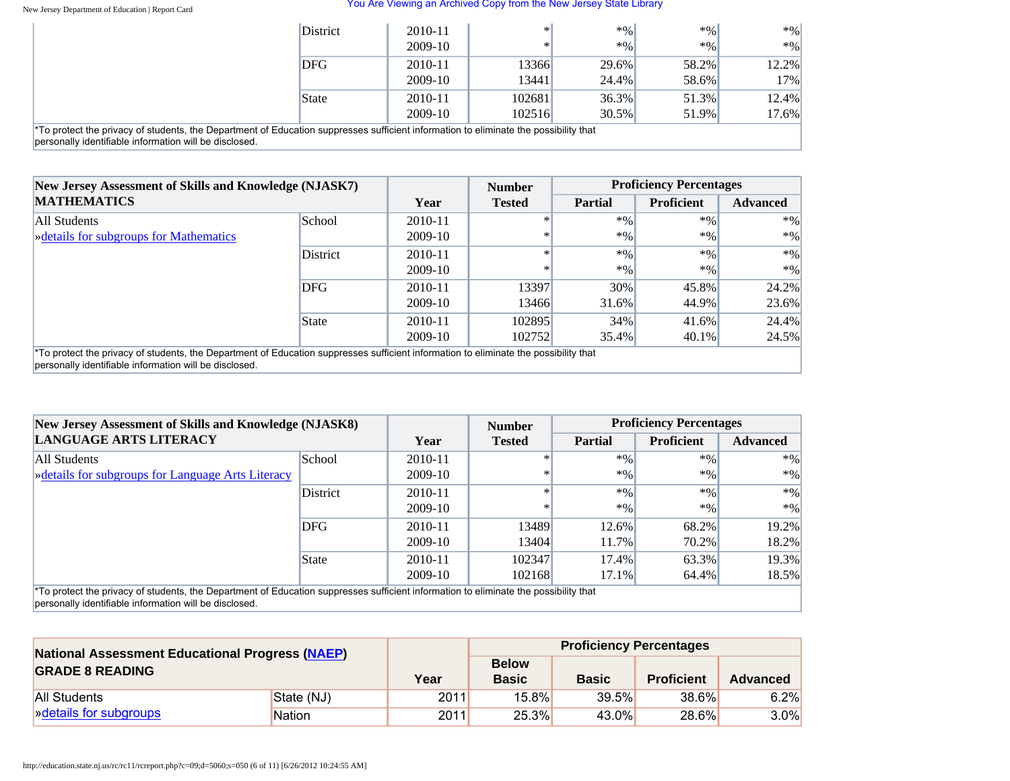#### You Are Viewing an Archived Copy from the New Jersey State Library

|                                                                                                                                                                                                            | <b>District</b> | 2010-11   | $\ast$ l | $*9/0$   | $*9/0$ | $*$ %    |
|------------------------------------------------------------------------------------------------------------------------------------------------------------------------------------------------------------|-----------------|-----------|----------|----------|--------|----------|
|                                                                                                                                                                                                            |                 | $2009-10$ |          | $*0/0$   | $*9/0$ | $*96$    |
|                                                                                                                                                                                                            | <b>DFG</b>      | 2010-11   | 13366    | 29.6%    | 58.2%  | 12.2%    |
|                                                                                                                                                                                                            |                 | $2009-10$ | 13441    | 24.4%    | 58.6%  | 17%      |
|                                                                                                                                                                                                            | State           | 2010-11   | 102681   | 36.3%    | 51.3%  | 12.4%    |
|                                                                                                                                                                                                            |                 | $2009-10$ | 102516   | $30.5\%$ | 51.9%  | $17.6\%$ |
| <sup>*</sup> To protect the privacy of students, the Department of Education suppresses sufficient information to eliminate the possibility that<br>personally identifiable information will be disclosed. |                 |           |          |          |        |          |

**New Jersey Assessment of Skills and Knowledge (NJASK7) MATHEMATICS Year Number Tested Proficiency Percentages** Partial Proficient Advanced All Students [»details for subgroups for Mathematics](#page-55-0) School 2010-11 2009-10 \* \*  $*$ %  $*$ %  $*$ %  $\boldsymbol{*}$  %  $*$ %  $*$ % District 2010-11 2009-10 \* \*  $*$ %  $*$ %  $*$ %  $\boldsymbol{*}$  %  $*$ %  $*$ % DFG 2010-11 2009-10 13397 13466 30% 31.6% 45.8% 44.9% 24.2% 23.6% State 2010-11 2009-10 102895 102752 34% 35.4% 41.6% 40.1% 24.4% 24.5%

\*To protect the privacy of students, the Department of Education suppresses sufficient information to eliminate the possibility that personally identifiable information will be disclosed.

| New Jersey Assessment of Skills and Knowledge (NJASK8)                                                                                                                                         |               |           | <b>Number</b> |                | <b>Proficiency Percentages</b> |                 |
|------------------------------------------------------------------------------------------------------------------------------------------------------------------------------------------------|---------------|-----------|---------------|----------------|--------------------------------|-----------------|
| LANGUAGE ARTS LITERACY                                                                                                                                                                         |               | Year      | <b>Tested</b> | <b>Partial</b> | <b>Proficient</b>              | <b>Advanced</b> |
| All Students                                                                                                                                                                                   | <b>School</b> | 2010-11   |               | $*0/0$         | $*9/0$                         | $*96$           |
| <b>Example 3</b> Setails for subgroups for Language Arts Literacy                                                                                                                              |               | $2009-10$ | ∗             | $*9/0$         | $*9/0$                         | $*9/0$          |
|                                                                                                                                                                                                | District      | 2010-11   |               | $*$ %          | $*9/0$                         | $*96$           |
|                                                                                                                                                                                                |               | 2009-10   |               | $*9/0$         | $*96$                          | $*9/0$          |
|                                                                                                                                                                                                | <b>DFG</b>    | 2010-11   | 13489         | 12.6%          | 68.2%                          | $19.2\%$        |
|                                                                                                                                                                                                |               | 2009-10   | 13404         | 11.7%          | 70.2%                          | 18.2%           |
|                                                                                                                                                                                                | State         | 2010-11   | 102347        | $17.4\%$       | 63.3%                          | 19.3%           |
|                                                                                                                                                                                                |               | 2009-10   | 102168        | 17.1%          | 64.4%                          | 18.5%           |
| *To protect the privacy of students, the Department of Education suppresses sufficient information to eliminate the possibility that<br>personally identifiable information will be disclosed. |               |           |               |                |                                |                 |

| <b>National Assessment Educational Progress (NAEP)</b><br><b>GRADE 8 READING</b> |               |      |                              | <b>Proficiency Percentages</b> |                   |                 |
|----------------------------------------------------------------------------------|---------------|------|------------------------------|--------------------------------|-------------------|-----------------|
|                                                                                  |               | Year | <b>Below</b><br><b>Basic</b> | <b>Basic</b>                   | <b>Proficient</b> | <b>Advanced</b> |
| <b>All Students</b>                                                              | State (NJ)    | 2011 | 15.8%                        | 39.5%                          | 38.6%             | 6.2%            |
| » details for subgroups                                                          | <b>Nation</b> | 2011 | 25.3%                        | 43.0%                          | 28.6%             | $3.0\%$         |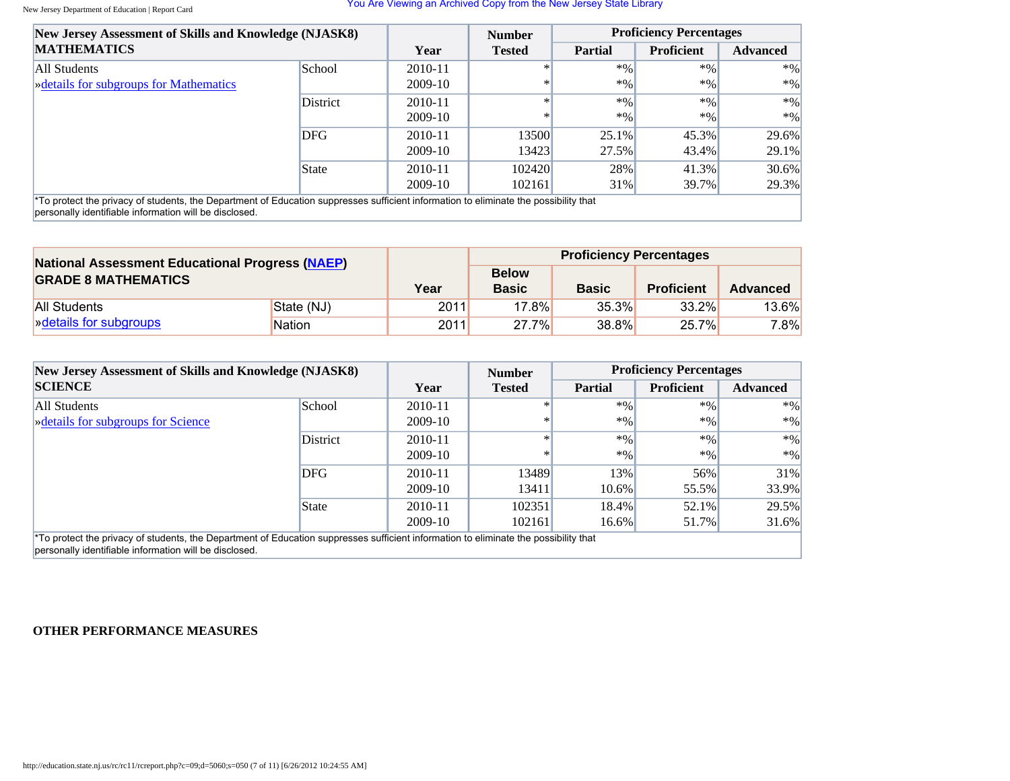| New Jersey Assessment of Skills and Knowledge (NJASK8)                                                                               |          |             | <b>Number</b> |         | <b>Proficiency Percentages</b> |                 |
|--------------------------------------------------------------------------------------------------------------------------------------|----------|-------------|---------------|---------|--------------------------------|-----------------|
| <b>MATHEMATICS</b>                                                                                                                   |          | Year        | <b>Tested</b> | Partial | <b>Proficient</b>              | <b>Advanced</b> |
| All Students                                                                                                                         | School   | $2010 - 11$ | $\ast$        | $*$ %   | $*96$                          | $*96$           |
| <b>Example 3</b> Setails for subgroups for Mathematics                                                                               |          | 2009-10     | ∗             | $*9/0$  | $*9/0$                         | $*96$           |
|                                                                                                                                      | District | 2010-11     | $\ast$        | $*9/0$  | $*9/0$                         | $*9/6$          |
|                                                                                                                                      |          | 2009-10     | ∗             | $*$ %   | $*96$                          | $*9/0$          |
|                                                                                                                                      | DFG      | 2010-11     | 13500         | 25.1%   | 45.3%                          | 29.6%           |
|                                                                                                                                      |          | 2009-10     | 13423         | 27.5%   | 43.4%                          | $29.1\%$        |
|                                                                                                                                      | State    | 2010-11     | 102420        | 28%     | 41.3%                          | $30.6\%$        |
|                                                                                                                                      |          | 2009-10     | 102161        | 31%     | 39.7%                          | 29.3%           |
| *To protect the privacy of students, the Department of Education suppresses sufficient information to eliminate the possibility that |          |             |               |         |                                |                 |

personally identifiable information will be disclosed.

| <b>National Assessment Educational Progress (NAEP)</b><br><b>GRADE 8 MATHEMATICS</b>                                                                                                                                                |               |      |                              | <b>Proficiency Percentages</b> |                   |              |
|-------------------------------------------------------------------------------------------------------------------------------------------------------------------------------------------------------------------------------------|---------------|------|------------------------------|--------------------------------|-------------------|--------------|
|                                                                                                                                                                                                                                     |               | Year | <b>Below</b><br><b>Basic</b> | <b>Basic</b>                   | <b>Proficient</b> | Advanced     |
| <b>All Students</b>                                                                                                                                                                                                                 | State (NJ)    | 2011 | $17.8\%$                     | 35.3%                          | 33.2%             | <b>13.6%</b> |
| <b>Example 13</b> Note that is not set that is a set that is a set that is a set that is a set that is a set that is a set that is a set of the set of the set of the set of the set of the set of the set of the set of the set of | <b>Nation</b> | 2011 | 27.7%                        | 38.8%                          | $25.7\%$          | 7.8%         |

| New Jersey Assessment of Skills and Knowledge (NJASK8)                                                                                                                                                     |            |             | <b>Number</b> |                | <b>Proficiency Percentages</b> |                 |
|------------------------------------------------------------------------------------------------------------------------------------------------------------------------------------------------------------|------------|-------------|---------------|----------------|--------------------------------|-----------------|
| <b>SCIENCE</b>                                                                                                                                                                                             |            | Year        | <b>Tested</b> | <b>Partial</b> | <b>Proficient</b>              | <b>Advanced</b> |
| All Students                                                                                                                                                                                               | School     | $2010 - 11$ | ∗             | $*$ %          | $*96$                          | $*96$           |
| <b>Example 3</b> $\frac{1}{2}$ <b>Solution</b> Science                                                                                                                                                     |            | 2009-10     | $\ast$        | $*$ %          | $*96$                          | $*9/0$          |
|                                                                                                                                                                                                            | District   | 2010-11     | $\ast$        | $*9/0$         | $*96$                          | $*9/0$          |
|                                                                                                                                                                                                            |            | 2009-10     | ∗             | $*9/0$         | $*9/0$                         | $*96$           |
|                                                                                                                                                                                                            | <b>DFG</b> | 2010-11     | 13489         | 13%            | 56%                            | 31%             |
|                                                                                                                                                                                                            |            | 2009-10     | 13411         | $10.6\%$       | 55.5%                          | 33.9%           |
|                                                                                                                                                                                                            | State      | 2010-11     | 102351        | 18.4%          | 52.1%                          | 29.5%           |
|                                                                                                                                                                                                            |            | $2009-10$   | 102161        | $16.6\%$       | 51.7%                          | 31.6%           |
| <sup>*</sup> To protect the privacy of students, the Department of Education suppresses sufficient information to eliminate the possibility that<br>personally identifiable information will be disclosed. |            |             |               |                |                                |                 |

### **OTHER PERFORMANCE MEASURES**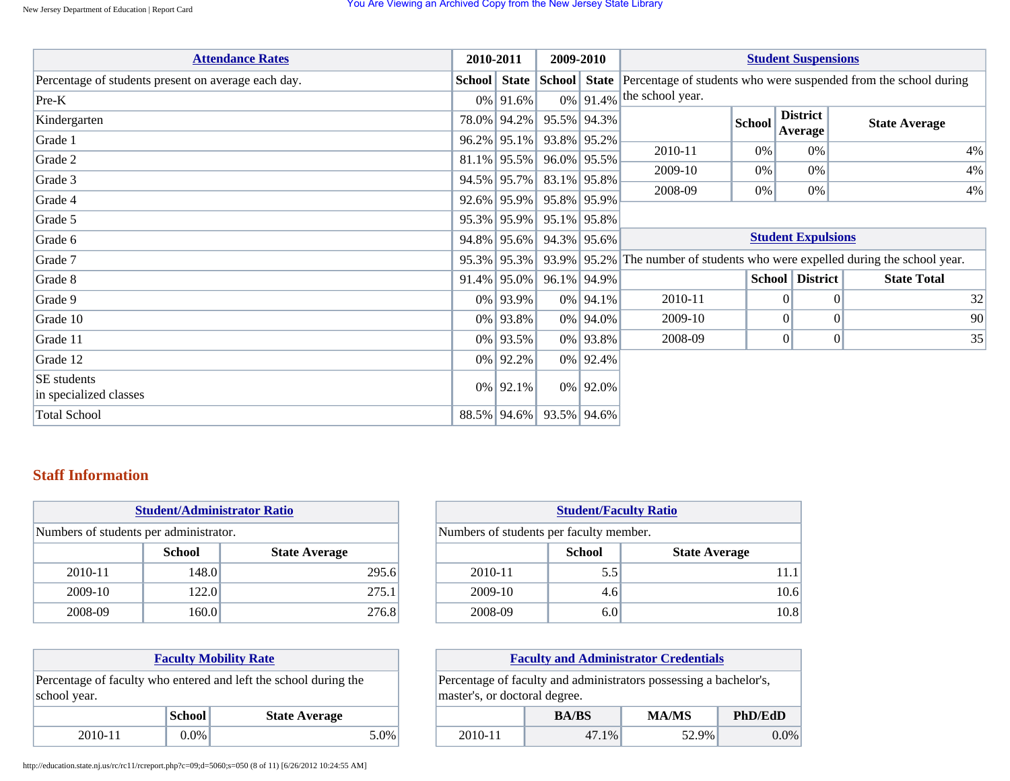| <b>Attendance Rates</b>                             | 2010-2011      | 2009-2010   |                |                  |               | <b>Student Suspensions</b> |                                                                                                   |
|-----------------------------------------------------|----------------|-------------|----------------|------------------|---------------|----------------------------|---------------------------------------------------------------------------------------------------|
| Percentage of students present on average each day. |                |             |                |                  |               |                            | <b>School</b> State School State Percentage of students who were suspended from the school during |
| $Pre-K$                                             | $0\%$ 91.6%    |             | $0\%$ 91.4%    | the school year. |               |                            |                                                                                                   |
| Kindergarten                                        | 78.0% 94.2%    |             | 95.5% 94.3%    |                  | <b>School</b> | <b>District</b><br>Average | <b>State Average</b>                                                                              |
| Grade 1                                             | $96.2\%$ 95.1% |             | 93.8% 95.2%    | 2010-11          | $0\%$         | 0%                         |                                                                                                   |
| Grade 2                                             | $81.1\%$ 95.5% |             | 96.0% 95.5%    |                  |               |                            | 4%                                                                                                |
| Grade 3                                             | $94.5\%$ 95.7% | 83.1% 95.8% |                | 2009-10          | $0\%$         | $0\%$                      | 4%                                                                                                |
| Grade 4                                             | $92.6\%$ 95.9% | 95.8% 95.9% |                | 2008-09          | 0%            | 0%                         | 4%                                                                                                |
| Grade 5                                             | $95.3\%$ 95.9% | 95.1% 95.8% |                |                  |               |                            |                                                                                                   |
| Grade 6                                             | $94.8\%$ 95.6% |             | $94.3\%$ 95.6% |                  |               | <b>Student Expulsions</b>  |                                                                                                   |
| Grade 7                                             | 95.3% 95.3%    |             |                |                  |               |                            | 93.9% 95.2% The number of students who were expelled during the school year.                      |
| Grade 8                                             | $91.4\%$ 95.0% |             | 96.1% 94.9%    |                  |               | <b>School District</b>     | <b>State Total</b>                                                                                |
| Grade 9                                             | 0% 93.9%       |             | $0\%$ 94.1%    | 2010-11          |               | $\Omega$                   | 32<br>$\Omega$                                                                                    |
| Grade 10                                            | 0% 93.8%       |             | $0\%$ 94.0%    | 2009-10          |               | $\vert 0 \vert$            | 90<br>$\Omega$                                                                                    |
| Grade 11                                            | 0% 93.5%       |             | 0% 93.8%       | 2008-09          |               | $\overline{0}$             | 35<br> 0                                                                                          |
| Grade 12                                            | $0\%$ 92.2%    |             | $0\%$ 92.4%    |                  |               |                            |                                                                                                   |
| SE students<br>in specialized classes               | $0\%$ 92.1%    |             | $0\%$ 92.0%    |                  |               |                            |                                                                                                   |
| <b>Total School</b>                                 | $88.5\%$ 94.6% | 93.5% 94.6% |                |                  |               |                            |                                                                                                   |

## **Staff Information**

| <b>Student/Administrator Ratio</b>     |               |                      |  |  |
|----------------------------------------|---------------|----------------------|--|--|
| Numbers of students per administrator. |               |                      |  |  |
|                                        | <b>School</b> | <b>State Average</b> |  |  |
| 2010-11                                | 148.0         | 295.6                |  |  |
| 2009-10                                | 122.0         | 275.1                |  |  |
| 2008-09                                | 160.0         | 276.8                |  |  |

| <b>Student/Faculty Ratio</b>            |                                       |      |  |  |  |  |
|-----------------------------------------|---------------------------------------|------|--|--|--|--|
| Numbers of students per faculty member. |                                       |      |  |  |  |  |
|                                         | <b>School</b><br><b>State Average</b> |      |  |  |  |  |
| 2010-11                                 | 5.5                                   | 11.1 |  |  |  |  |
| 2009-10                                 | 4.6                                   | 10.6 |  |  |  |  |
| 2008-09                                 | 6.0                                   | 10.8 |  |  |  |  |

| <b>Faculty Mobility Rate</b>                                                     |               |                      |  |  |  |
|----------------------------------------------------------------------------------|---------------|----------------------|--|--|--|
| Percentage of faculty who entered and left the school during the<br>school year. |               |                      |  |  |  |
|                                                                                  | <b>School</b> | <b>State Average</b> |  |  |  |
| $0.0\%$<br>2010-11<br>5 በ%                                                       |               |                      |  |  |  |

| <b>Faculty and Administrator Credentials</b>                      |       |       |         |  |  |  |
|-------------------------------------------------------------------|-------|-------|---------|--|--|--|
| Percentage of faculty and administrators possessing a bachelor's, |       |       |         |  |  |  |
| master's, or doctoral degree.                                     |       |       |         |  |  |  |
| <b>PhD/EdD</b><br><b>MA/MS</b><br><b>BA/BS</b>                    |       |       |         |  |  |  |
| 2010-11                                                           | 47.1% | 52.9% | $0.0\%$ |  |  |  |

http://education.state.nj.us/rc/rc11/rcreport.php?c=09;d=5060;s=050 (8 of 11) [6/26/2012 10:24:55 AM]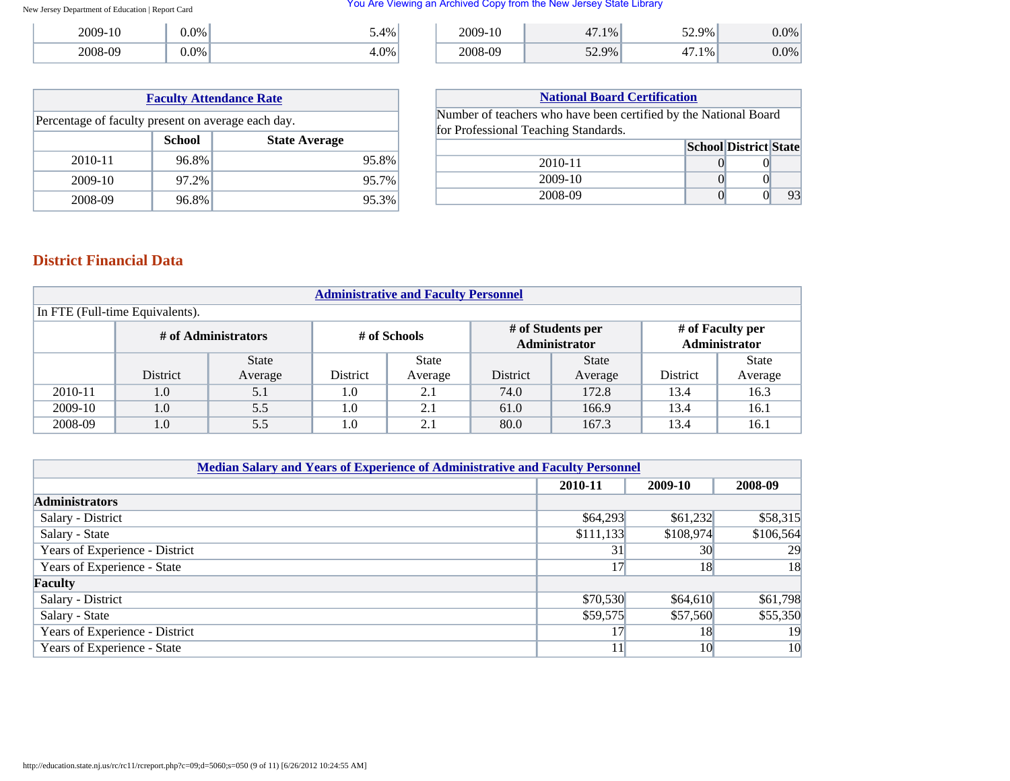#### You Are Viewing an Archived Copy from the New Jersey State Library

| 2009-10 | $0.0\%$ | $5.4\%$ |
|---------|---------|---------|
| 2008-09 | $0.0\%$ |         |

| 2009-10 | 1%    | 52.9%    | 0% |
|---------|-------|----------|----|
| 2008-09 | 52.9% | $.1\%$ " | 0% |

| <b>Faculty Attendance Rate</b>                     |       |       |  |  |  |
|----------------------------------------------------|-------|-------|--|--|--|
| Percentage of faculty present on average each day. |       |       |  |  |  |
| <b>School</b><br><b>State Average</b>              |       |       |  |  |  |
| 2010-11                                            | 96.8% | 95.8% |  |  |  |
| 2009-10                                            | 97.2% | 95.7% |  |  |  |
| 2008-09                                            | 96.8% | 95.3% |  |  |  |

| <b>National Board Certification</b>                              |  |                              |    |  |  |  |
|------------------------------------------------------------------|--|------------------------------|----|--|--|--|
| Number of teachers who have been certified by the National Board |  |                              |    |  |  |  |
| for Professional Teaching Standards.                             |  |                              |    |  |  |  |
|                                                                  |  | <b>School District State</b> |    |  |  |  |
| 2010-11                                                          |  |                              |    |  |  |  |
| 2009-10                                                          |  |                              |    |  |  |  |
| 2008-09                                                          |  |                              | 93 |  |  |  |

## **District Financial Data**

| <b>Administrative and Faculty Personnel</b> |                 |              |          |              |          |                                    |                 |                                   |  |
|---------------------------------------------|-----------------|--------------|----------|--------------|----------|------------------------------------|-----------------|-----------------------------------|--|
| In FTE (Full-time Equivalents).             |                 |              |          |              |          |                                    |                 |                                   |  |
| # of Administrators<br># of Schools         |                 |              |          |              |          | # of Students per<br>Administrator |                 | # of Faculty per<br>Administrator |  |
|                                             |                 | <b>State</b> |          | <b>State</b> |          | <b>State</b>                       |                 | <b>State</b>                      |  |
|                                             | <b>District</b> | Average      | District | Average      | District | Average                            | <b>District</b> | Average                           |  |
| 2010-11                                     | 1.0             | 5.1          | 1.0      | 2.1          | 74.0     | 172.8                              | 13.4            | 16.3                              |  |
| 2009-10                                     | 1.0             | 5.5          | 1.0      | 2.1          | 61.0     | 166.9                              | 13.4            | 16.1                              |  |
| 2008-09                                     | 1.0             | 5.5          | $1.0\,$  | 2.1          | 80.0     | 167.3                              | 13.4            | 16.1                              |  |

| <b>Median Salary and Years of Experience of Administrative and Faculty Personnel</b> |           |           |           |  |  |  |  |
|--------------------------------------------------------------------------------------|-----------|-----------|-----------|--|--|--|--|
|                                                                                      | 2010-11   | 2009-10   | 2008-09   |  |  |  |  |
| <b>Administrators</b>                                                                |           |           |           |  |  |  |  |
| Salary - District                                                                    | \$64,293  | \$61,232  | \$58,315  |  |  |  |  |
| Salary - State                                                                       | \$111,133 | \$108,974 | \$106,564 |  |  |  |  |
| Years of Experience - District                                                       | 31        | 30        | 29        |  |  |  |  |
| Years of Experience - State                                                          | 17        | 18        | 18        |  |  |  |  |
| Faculty                                                                              |           |           |           |  |  |  |  |
| Salary - District                                                                    | \$70,530  | \$64,610  | \$61,798  |  |  |  |  |
| Salary - State                                                                       | \$59,575  | \$57,560  | \$55,350  |  |  |  |  |
| Years of Experience - District                                                       |           | 18        | 19        |  |  |  |  |
| Years of Experience - State                                                          | 11        | 10        | 10        |  |  |  |  |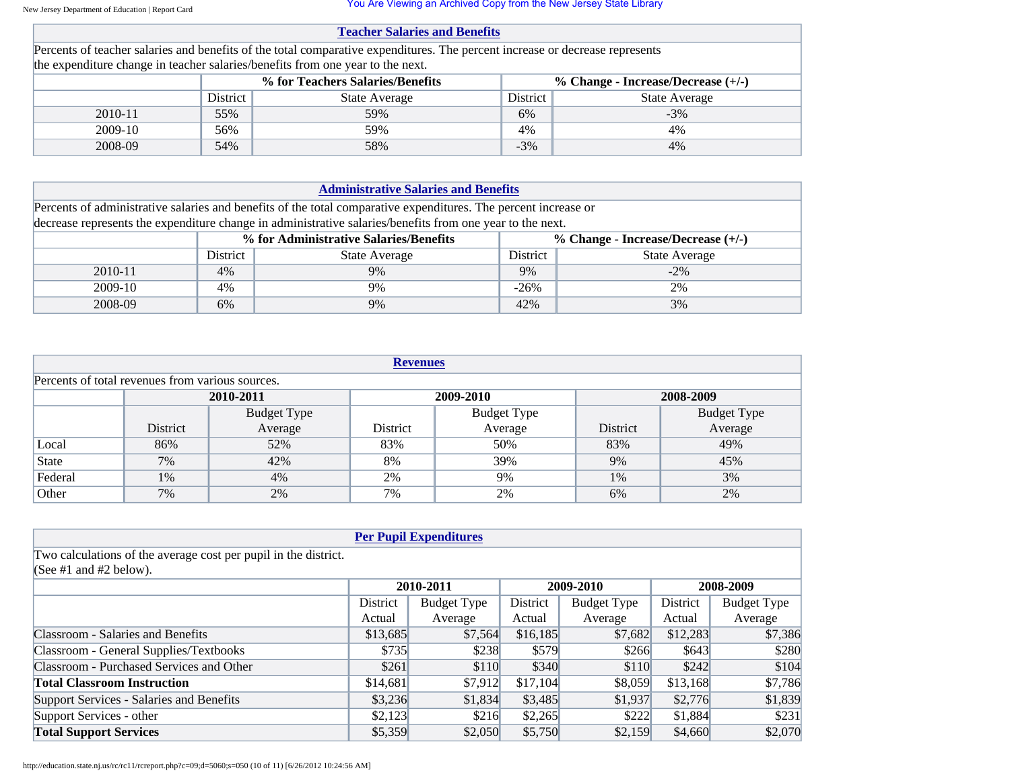You Are Viewing an Archived Copy from the New Jersey State Library

| <b>Teacher Salaries and Benefits</b>                                     |                                                                                                                 |                                                                                                                              |  |  |  |  |  |
|--------------------------------------------------------------------------|-----------------------------------------------------------------------------------------------------------------|------------------------------------------------------------------------------------------------------------------------------|--|--|--|--|--|
|                                                                          |                                                                                                                 |                                                                                                                              |  |  |  |  |  |
|                                                                          |                                                                                                                 |                                                                                                                              |  |  |  |  |  |
| % for Teachers Salaries/Benefits<br>% Change - Increase/Decrease $(+/-)$ |                                                                                                                 |                                                                                                                              |  |  |  |  |  |
| <b>State Average</b>                                                     | District                                                                                                        | <b>State Average</b>                                                                                                         |  |  |  |  |  |
| 59%                                                                      | 6%                                                                                                              | $-3\%$                                                                                                                       |  |  |  |  |  |
| 59%                                                                      | 4%                                                                                                              | 4%                                                                                                                           |  |  |  |  |  |
| 58%                                                                      | $-3\%$                                                                                                          | 4%                                                                                                                           |  |  |  |  |  |
|                                                                          | the expenditure change in teacher salaries/benefits from one year to the next.<br>District<br>55%<br>56%<br>54% | Percents of teacher salaries and benefits of the total comparative expenditures. The percent increase or decrease represents |  |  |  |  |  |

| <b>Administrative Salaries and Benefits</b> |          |                                                                                                                 |          |                                      |  |  |
|---------------------------------------------|----------|-----------------------------------------------------------------------------------------------------------------|----------|--------------------------------------|--|--|
|                                             |          | Percents of administrative salaries and benefits of the total comparative expenditures. The percent increase or |          |                                      |  |  |
|                                             |          | decrease represents the expenditure change in administrative salaries/benefits from one year to the next.       |          |                                      |  |  |
|                                             |          | % for Administrative Salaries/Benefits                                                                          |          | % Change - Increase/Decrease $(+/-)$ |  |  |
|                                             | District | <b>State Average</b>                                                                                            | District | <b>State Average</b>                 |  |  |
| 2010-11                                     | 4%       | 9%                                                                                                              | 9%       | $-2\%$                               |  |  |
| 2009-10                                     | 4%       | 9%                                                                                                              |          | 2%                                   |  |  |
| 2008-09                                     | 6%       | 9%                                                                                                              | 42%      | 3%                                   |  |  |

| <b>Revenues</b>                     |                                                  |                    |                    |         |          |                    |  |  |  |
|-------------------------------------|--------------------------------------------------|--------------------|--------------------|---------|----------|--------------------|--|--|--|
|                                     | Percents of total revenues from various sources. |                    |                    |         |          |                    |  |  |  |
| 2010-2011<br>2008-2009<br>2009-2010 |                                                  |                    |                    |         |          |                    |  |  |  |
|                                     |                                                  | <b>Budget Type</b> | <b>Budget Type</b> |         |          | <b>Budget Type</b> |  |  |  |
|                                     | District                                         | Average            | District           | Average | District | Average            |  |  |  |
| Local                               | 86%                                              | 52%                | 83%                | 50%     | 83%      | 49%                |  |  |  |
| State                               | 7%                                               | 42%                | 8%                 | 39%     | 9%       | 45%                |  |  |  |
| Federal                             | 1%                                               | 4%                 | 2%                 | 9%      | 1%       | 3%                 |  |  |  |
| Other                               | 7%                                               | 2%                 | 7%                 | 2%      | 6%       | 2%                 |  |  |  |

| <b>Per Pupil Expenditures</b>                                   |          |                    |          |                    |          |                    |  |
|-----------------------------------------------------------------|----------|--------------------|----------|--------------------|----------|--------------------|--|
| Two calculations of the average cost per pupil in the district. |          |                    |          |                    |          |                    |  |
| (See #1 and #2 below).                                          |          |                    |          |                    |          |                    |  |
|                                                                 |          | 2010-2011          |          | 2009-2010          |          | 2008-2009          |  |
|                                                                 | District | <b>Budget Type</b> | District | <b>Budget Type</b> | District | <b>Budget Type</b> |  |
|                                                                 | Actual   | Average            | Actual   | Average            | Actual   | Average            |  |
| Classroom - Salaries and Benefits                               | \$13,685 | \$7.564            | \$16,185 | \$7,682            | \$12,283 | \$7,386            |  |
| Classroom - General Supplies/Textbooks                          | \$735    | \$238              | \$579    | \$266              | \$643    | \$280              |  |
| Classroom - Purchased Services and Other                        | \$261    | \$110              | \$340    | \$110              | \$242    | \$104              |  |
| <b>Total Classroom Instruction</b>                              | \$14,681 | \$7,912            | \$17,104 | \$8,059            | \$13,168 | \$7,786            |  |
| Support Services - Salaries and Benefits                        | \$3,236  | \$1,834            | \$3,485  | \$1,937            | \$2,776  | \$1,839            |  |
| Support Services - other                                        | \$2,123  | \$216              | \$2,265  | \$222              | \$1,884  | \$231              |  |
| <b>Total Support Services</b>                                   | \$5,359  | \$2,050            | \$5,750  | \$2,159            | \$4,660  | \$2,070            |  |

http://education.state.nj.us/rc/rc11/rcreport.php?c=09;d=5060;s=050 (10 of 11) [6/26/2012 10:24:56 AM]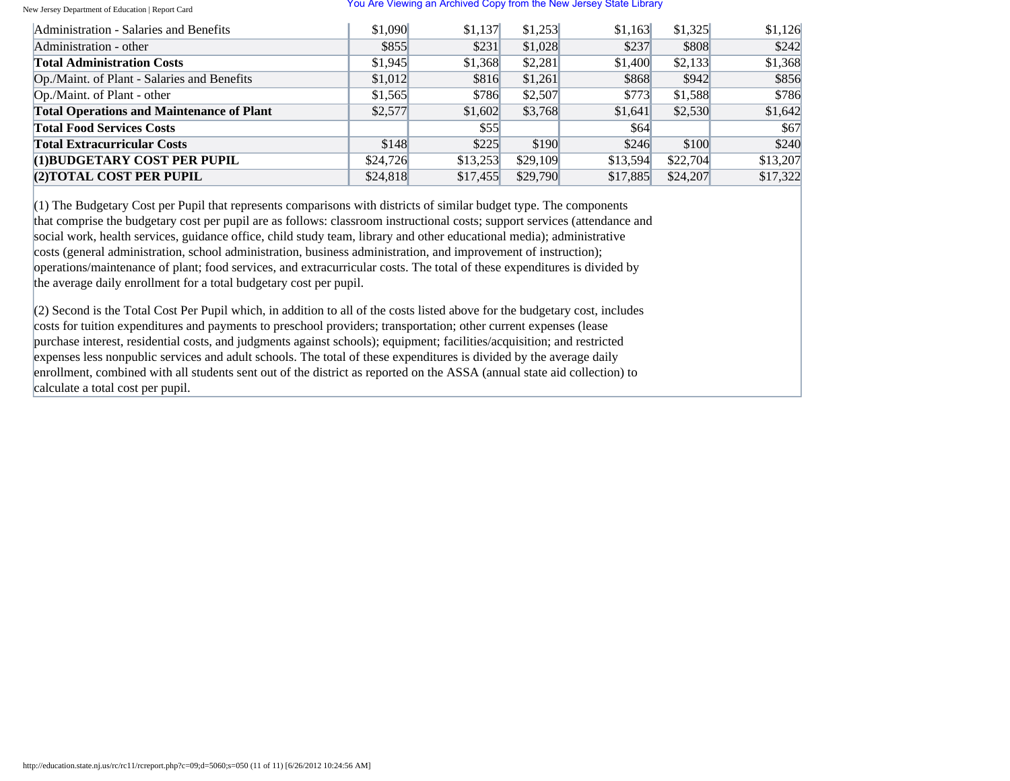#### You Are Viewing an Archived Copy from the New Jersey State Library

| Administration - Salaries and Benefits           | \$1,090  | \$1,137  | \$1,253  | \$1.163  | \$1,325  | \$1,126  |
|--------------------------------------------------|----------|----------|----------|----------|----------|----------|
| Administration - other                           | \$855    | \$231    | \$1,028  | \$237    | \$808    | \$242    |
| <b>Total Administration Costs</b>                | \$1,945  | \$1,368  | \$2,281  | \$1,400  | \$2,133  | \$1,368  |
| Op./Maint. of Plant - Salaries and Benefits      | \$1,012  | \$816    | \$1,261  | \$868    | \$942    | \$856    |
| Op./Maint. of Plant - other                      | \$1,565  | \$786    | \$2,507  | \$773    | \$1,588  | \$786    |
| <b>Total Operations and Maintenance of Plant</b> | \$2,577  | \$1,602  | \$3,768  | \$1,641  | \$2,530  | \$1,642  |
| <b>Total Food Services Costs</b>                 |          | \$55     |          | \$64     |          | \$67     |
| <b>Total Extracurricular Costs</b>               | \$148    | \$225    | \$190    | \$246    | \$100    | \$240    |
| (1) BUDGETARY COST PER PUPIL                     | \$24,726 | \$13,253 | \$29,109 | \$13.594 | \$22,704 | \$13,207 |
| (2) TOTAL COST PER PUPIL                         | \$24,818 | \$17,455 | \$29,790 | \$17,885 | \$24,207 | \$17,322 |

 $(1)$  The Budgetary Cost per Pupil that represents comparisons with districts of similar budget type. The components that comprise the budgetary cost per pupil are as follows: classroom instructional costs; support services (attendance and social work, health services, guidance office, child study team, library and other educational media); administrative costs (general administration, school administration, business administration, and improvement of instruction); operations/maintenance of plant; food services, and extracurricular costs. The total of these expenditures is divided by the average daily enrollment for a total budgetary cost per pupil.

(2) Second is the Total Cost Per Pupil which, in addition to all of the costs listed above for the budgetary cost, includes costs for tuition expenditures and payments to preschool providers; transportation; other current expenses (lease purchase interest, residential costs, and judgments against schools); equipment; facilities/acquisition; and restricted expenses less nonpublic services and adult schools. The total of these expenditures is divided by the average daily enrollment, combined with all students sent out of the district as reported on the ASSA (annual state aid collection) to calculate a total cost per pupil.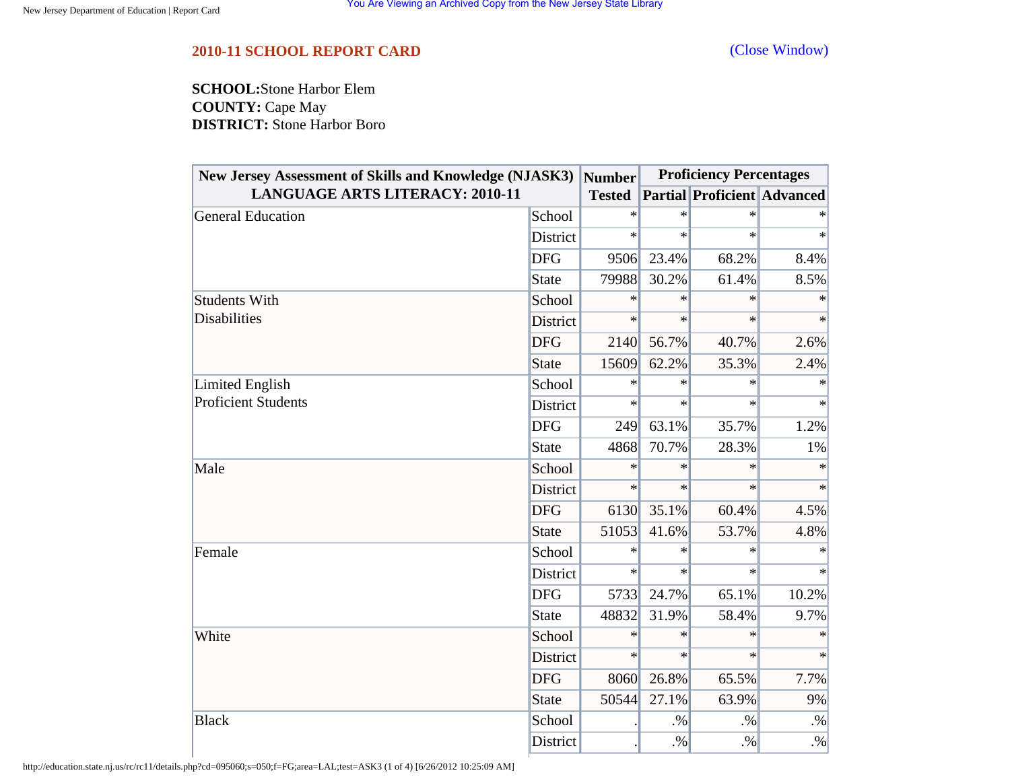## <span id="page-11-0"></span>**2010-11 SCHOOL REPORT CARD** [\(Close Window\)](#page-11-0)

**SCHOOL:**Stone Harbor Elem **COUNTY:** Cape May **DISTRICT:** Stone Harbor Boro

| <b>New Jersey Assessment of Skills and Knowledge (NJASK3)</b><br><b>LANGUAGE ARTS LITERACY: 2010-11</b> |              | <b>Number</b> | <b>Proficiency Percentages</b> |                                    |        |
|---------------------------------------------------------------------------------------------------------|--------------|---------------|--------------------------------|------------------------------------|--------|
|                                                                                                         |              | <b>Tested</b> |                                | <b>Partial Proficient Advanced</b> |        |
| General Education                                                                                       | School       | $\ast$        | $\ast$                         | $\ast$                             |        |
|                                                                                                         | District     | $\ast$        | $\ast$                         | $\ast$                             | $\ast$ |
|                                                                                                         | <b>DFG</b>   | 9506          | 23.4%                          | 68.2%                              | 8.4%   |
|                                                                                                         | State        | 79988         | 30.2%                          | 61.4%                              | 8.5%   |
| <b>Students With</b>                                                                                    | School       | $\ast$        | $\ast$                         | $\ast$                             | $\ast$ |
| <b>Disabilities</b>                                                                                     | District     | $\ast$        | $\ast$                         | $\ast$                             | $\ast$ |
|                                                                                                         | <b>DFG</b>   | 2140          | 56.7%                          | 40.7%                              | 2.6%   |
|                                                                                                         | <b>State</b> | 15609         | 62.2%                          | 35.3%                              | 2.4%   |
| Limited English<br><b>Proficient Students</b>                                                           | School       | $\ast$        | $\ast$                         | $\ast$                             | $\ast$ |
|                                                                                                         | District     | $\ast$        | $\ast$                         | $\ast$                             | $\ast$ |
|                                                                                                         | <b>DFG</b>   | 249           | 63.1%                          | 35.7%                              | 1.2%   |
|                                                                                                         | <b>State</b> | 4868          | 70.7%                          | 28.3%                              | 1%     |
| Male                                                                                                    | School       | $\ast$        | $\ast$                         | $\ast$                             | $\ast$ |
|                                                                                                         | District     | $\ast$        | $\ast$                         | $\ast$                             | $\ast$ |
|                                                                                                         | <b>DFG</b>   | 6130          | 35.1%                          | 60.4%                              | 4.5%   |
|                                                                                                         | <b>State</b> | 51053         | 41.6%                          | 53.7%                              | 4.8%   |
| Female                                                                                                  | School       | $\ast$        | $\ast$                         | $\ast$                             |        |
|                                                                                                         | District     | $\ast$        | $\ast$                         | $\ast$                             | $\ast$ |
|                                                                                                         | <b>DFG</b>   | 5733          | 24.7%                          | 65.1%                              | 10.2%  |
|                                                                                                         | <b>State</b> | 48832         | 31.9%                          | 58.4%                              | 9.7%   |
| White                                                                                                   | School       | $\ast$        | $\ast$                         | $\ast$                             | $\ast$ |
|                                                                                                         | District     | $\ast$        | $\ast$                         | $\ast$                             | $\ast$ |
|                                                                                                         | <b>DFG</b>   | 8060          | 26.8%                          | 65.5%                              | 7.7%   |
|                                                                                                         | <b>State</b> | 50544         | 27.1%                          | 63.9%                              | 9%     |
| <b>Black</b>                                                                                            | School       |               | $. \%$                         | $. \%$                             | $. \%$ |
|                                                                                                         | District     |               | $. \%$                         | $. \%$                             | $. \%$ |

http://education.state.nj.us/rc/rc11/details.php?cd=095060;s=050;f=FG;area=LAL;test=ASK3 (1 of 4) [6/26/2012 10:25:09 AM]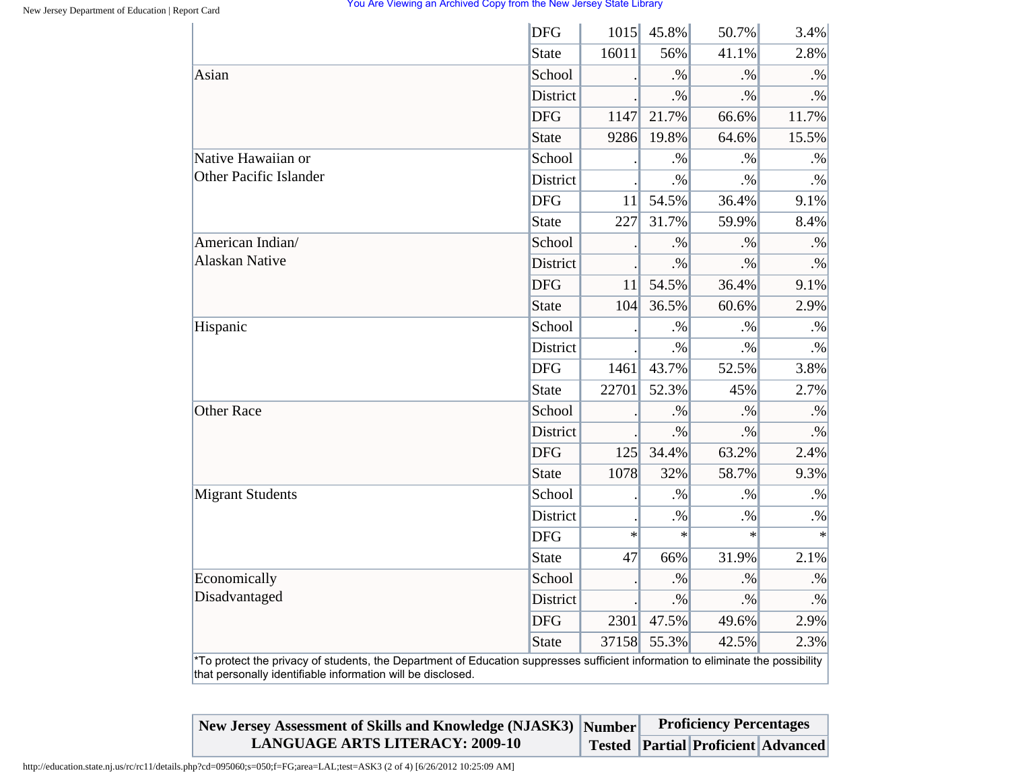|                                                                                                                                                                                                | <b>DFG</b>   | 1015   | 45.8%  | 50.7%  | 3.4%      |
|------------------------------------------------------------------------------------------------------------------------------------------------------------------------------------------------|--------------|--------|--------|--------|-----------|
|                                                                                                                                                                                                | <b>State</b> | 16011  | 56%    | 41.1%  | 2.8%      |
| Asian                                                                                                                                                                                          | School       |        | $. \%$ | $. \%$ | $. \%$    |
|                                                                                                                                                                                                | District     |        | $. \%$ | $. \%$ | $. \%$    |
|                                                                                                                                                                                                | <b>DFG</b>   | 1147   | 21.7%  | 66.6%  | 11.7%     |
|                                                                                                                                                                                                | <b>State</b> | 9286   | 19.8%  | 64.6%  | 15.5%     |
| Native Hawaiian or<br><b>Other Pacific Islander</b>                                                                                                                                            | School       |        | $. \%$ | $. \%$ | $. \%$    |
|                                                                                                                                                                                                | District     |        | $. \%$ | $. \%$ | $. \%$    |
|                                                                                                                                                                                                | <b>DFG</b>   | 11     | 54.5%  | 36.4%  | 9.1%      |
|                                                                                                                                                                                                | <b>State</b> | 227    | 31.7%  | 59.9%  | 8.4%      |
| American Indian/                                                                                                                                                                               | School       |        | $. \%$ | $. \%$ | $. \%$    |
| Alaskan Native                                                                                                                                                                                 | District     |        | $. \%$ | $. \%$ | $\cdot\%$ |
|                                                                                                                                                                                                | <b>DFG</b>   | 11     | 54.5%  | 36.4%  | 9.1%      |
|                                                                                                                                                                                                | <b>State</b> | 104    | 36.5%  | 60.6%  | 2.9%      |
| Hispanic                                                                                                                                                                                       | School       |        | $. \%$ | $. \%$ | $. \%$    |
|                                                                                                                                                                                                | District     |        | $. \%$ | $. \%$ | $. \%$    |
|                                                                                                                                                                                                | <b>DFG</b>   | 1461   | 43.7%  | 52.5%  | 3.8%      |
|                                                                                                                                                                                                | <b>State</b> | 22701  | 52.3%  | 45%    | 2.7%      |
| <b>Other Race</b>                                                                                                                                                                              | School       |        | $. \%$ | $. \%$ | $. \%$    |
|                                                                                                                                                                                                | District     |        | $. \%$ | $. \%$ | $\cdot\%$ |
|                                                                                                                                                                                                | <b>DFG</b>   | 125    | 34.4%  | 63.2%  | 2.4%      |
|                                                                                                                                                                                                | <b>State</b> | 1078   | 32%    | 58.7%  | 9.3%      |
| <b>Migrant Students</b>                                                                                                                                                                        | School       |        | $. \%$ | $. \%$ | $. \%$    |
|                                                                                                                                                                                                | District     |        | $. \%$ | $. \%$ | $. \%$    |
|                                                                                                                                                                                                | <b>DFG</b>   | $\ast$ | $\ast$ | $\ast$ | $\ast$    |
|                                                                                                                                                                                                | <b>State</b> | 47     | 66%    | 31.9%  | 2.1%      |
| Economically                                                                                                                                                                                   | School       |        | $. \%$ | $. \%$ | $. \%$    |
| Disadvantaged                                                                                                                                                                                  | District     |        | $. \%$ | $. \%$ | $\cdot\%$ |
|                                                                                                                                                                                                | <b>DFG</b>   | 2301   | 47.5%  | 49.6%  | 2.9%      |
|                                                                                                                                                                                                | <b>State</b> | 37158  | 55.3%  | 42.5%  | 2.3%      |
| *To protect the privacy of students, the Department of Education suppresses sufficient information to eliminate the possibility<br>that personally identifiable information will be disclosed. |              |        |        |        |           |

| New Jersey Assessment of Skills and Knowledge (NJASK3) Number | <b>Proficiency Percentages</b> |                                           |  |
|---------------------------------------------------------------|--------------------------------|-------------------------------------------|--|
| <b>LANGUAGE ARTS LITERACY: 2009-10</b>                        |                                | <b>Tested Partial Proficient Advanced</b> |  |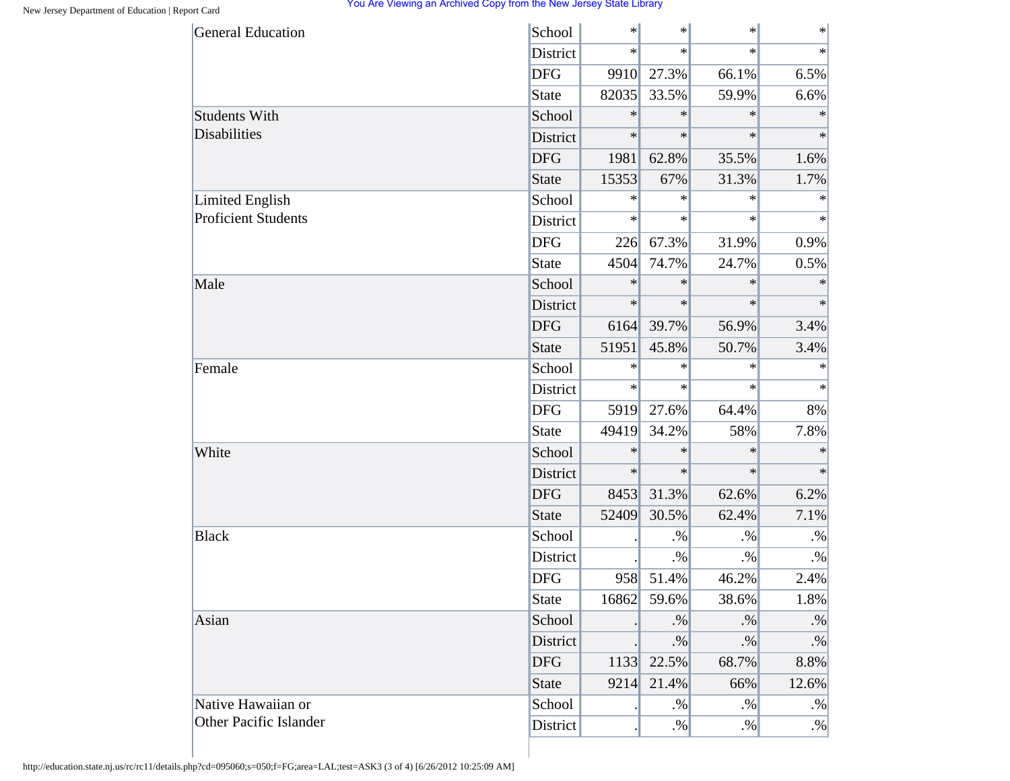| <b>General Education</b>      | School       | $\ast$ | $\ast$ | $\ast$  | $\ast$ |
|-------------------------------|--------------|--------|--------|---------|--------|
|                               | District     | $\ast$ | $\ast$ | $\star$ | $\ast$ |
|                               | <b>DFG</b>   | 9910   | 27.3%  | 66.1%   | 6.5%   |
|                               | <b>State</b> | 82035  | 33.5%  | 59.9%   | 6.6%   |
| <b>Students With</b>          | School       | $\ast$ | $\ast$ | $\ast$  | $\ast$ |
| <b>Disabilities</b>           | District     | $\ast$ | $\ast$ | $\ast$  | $\ast$ |
|                               | <b>DFG</b>   | 1981   | 62.8%  | 35.5%   | 1.6%   |
|                               | <b>State</b> | 15353  | 67%    | 31.3%   | 1.7%   |
| Limited English               | School       | $\ast$ | $\ast$ | $\ast$  | $\ast$ |
| <b>Proficient Students</b>    | District     | $\ast$ | $\ast$ | $\ast$  | $\ast$ |
|                               | <b>DFG</b>   | 226    | 67.3%  | 31.9%   | 0.9%   |
|                               | <b>State</b> | 4504   | 74.7%  | 24.7%   | 0.5%   |
| Male                          | School       | $\ast$ | $\ast$ | $\ast$  | $\ast$ |
|                               | District     | $\ast$ | $\ast$ | $\ast$  | $\ast$ |
|                               | <b>DFG</b>   | 6164   | 39.7%  | 56.9%   | 3.4%   |
|                               | <b>State</b> | 51951  | 45.8%  | 50.7%   | 3.4%   |
| Female                        | School       | $\ast$ | ∗      | $\ast$  | $\ast$ |
|                               | District     | $\ast$ | $\ast$ | $\ast$  | $\ast$ |
|                               | <b>DFG</b>   | 5919   | 27.6%  | 64.4%   | 8%     |
|                               | <b>State</b> | 49419  | 34.2%  | 58%     | 7.8%   |
| White                         | School       | $\ast$ | $\ast$ | $\ast$  | $\ast$ |
|                               | District     | $\ast$ | $\ast$ | $\ast$  | $\ast$ |
|                               | <b>DFG</b>   | 8453   | 31.3%  | 62.6%   | 6.2%   |
|                               | <b>State</b> | 52409  | 30.5%  | 62.4%   | 7.1%   |
| <b>Black</b>                  | School       |        | $. \%$ | $. \%$  | $. \%$ |
|                               | District     |        | $. \%$ | $. \%$  | $. \%$ |
|                               | <b>DFG</b>   | 958    | 51.4%  | 46.2%   | 2.4%   |
|                               | <b>State</b> | 16862  | 59.6%  | 38.6%   | 1.8%   |
| Asian                         | School       |        | $. \%$ | $. \%$  | $. \%$ |
|                               | District     |        | $. \%$ | $. \%$  | $. \%$ |
|                               | <b>DFG</b>   | 1133   | 22.5%  | 68.7%   | 8.8%   |
|                               | <b>State</b> | 9214   | 21.4%  | 66%     | 12.6%  |
| Native Hawaiian or            | School       |        | $. \%$ | $. \%$  | $. \%$ |
| <b>Other Pacific Islander</b> | District     |        | $. \%$ | $. \%$  | $. \%$ |

http://education.state.nj.us/rc/rc11/details.php?cd=095060;s=050;f=FG;area=LAL;test=ASK3 (3 of 4) [6/26/2012 10:25:09 AM]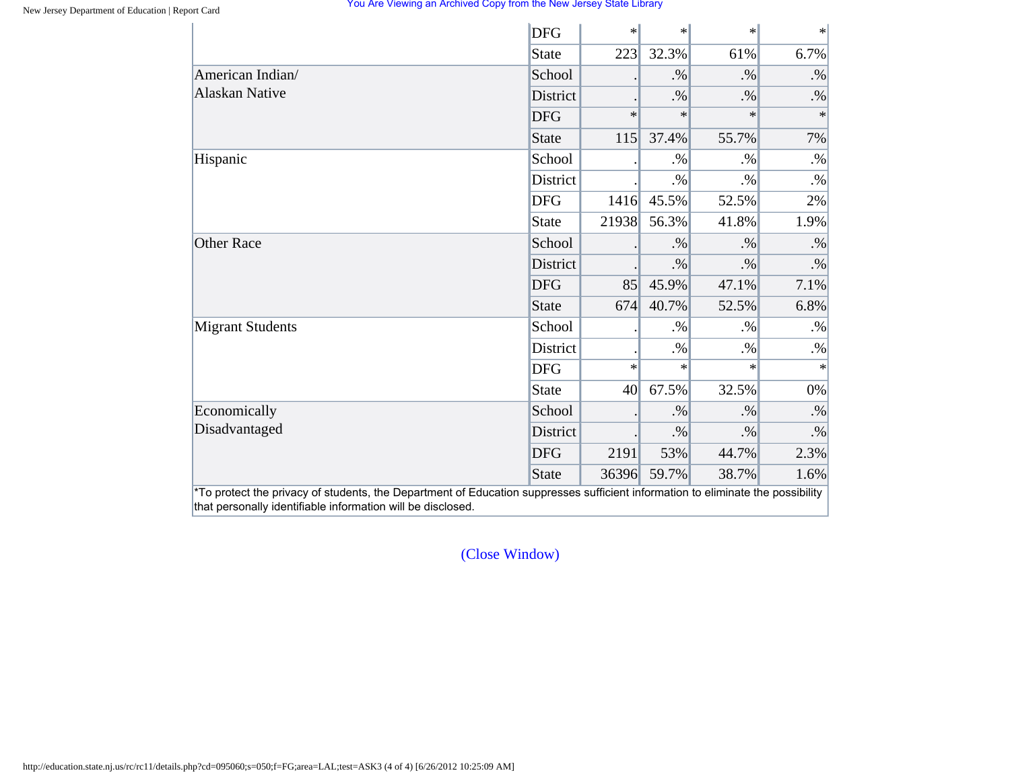|                         | <b>DFG</b>   | $\ast$ | $\ast$ | $\ast$ | $\ast$    |
|-------------------------|--------------|--------|--------|--------|-----------|
|                         | <b>State</b> | 223    | 32.3%  | 61%    | 6.7%      |
| American Indian/        | School       |        | $. \%$ | $. \%$ | $. \%$    |
| <b>Alaskan Native</b>   | District     |        | $. \%$ | $. \%$ | $. \%$    |
|                         | <b>DFG</b>   | $\ast$ | $\ast$ | $\ast$ | $\ast$    |
|                         | State        | 115    | 37.4%  | 55.7%  | 7%        |
| Hispanic                | School       |        | $. \%$ | $. \%$ | $. \%$    |
|                         | District     |        | $. \%$ | $. \%$ | $. \%$    |
|                         | <b>DFG</b>   | 1416   | 45.5%  | 52.5%  | 2%        |
|                         | <b>State</b> | 21938  | 56.3%  | 41.8%  | 1.9%      |
| <b>Other Race</b>       | School       |        | $. \%$ | $. \%$ | $. \%$    |
|                         | District     |        | $. \%$ | $. \%$ | $\cdot\%$ |
|                         | <b>DFG</b>   | 85     | 45.9%  | 47.1%  | 7.1%      |
|                         | <b>State</b> | 674    | 40.7%  | 52.5%  | 6.8%      |
| <b>Migrant Students</b> | School       |        | $. \%$ | $. \%$ | $. \%$    |
|                         | District     |        | $. \%$ | $. \%$ | $. \%$    |
|                         | <b>DFG</b>   | $\ast$ | $\ast$ | $\ast$ | $\ast$    |
|                         | <b>State</b> | 40     | 67.5%  | 32.5%  | 0%        |
| Economically            | School       |        | $. \%$ | $. \%$ | $\cdot\%$ |
| Disadvantaged           | District     |        | $. \%$ | $. \%$ | $. \%$    |
|                         | <b>DFG</b>   | 2191   | 53%    | 44.7%  | 2.3%      |
|                         | <b>State</b> | 36396  | 59.7%  | 38.7%  | 1.6%      |

[\(Close Window\)](#page-11-0)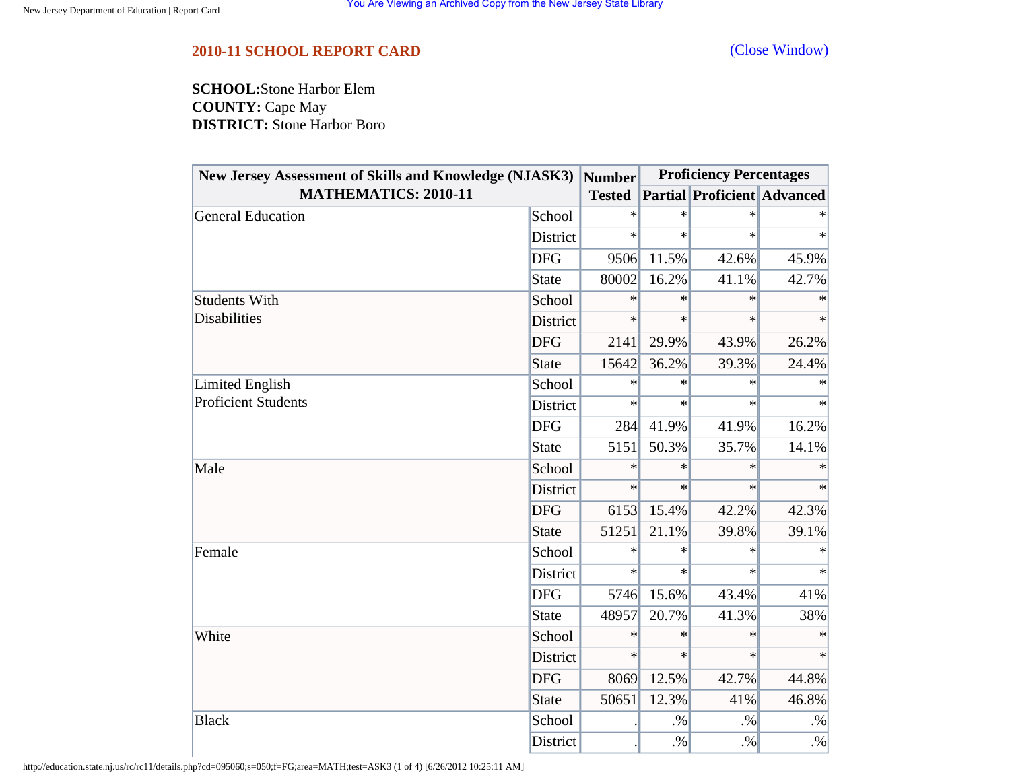### <span id="page-15-0"></span>**2010-11 SCHOOL REPORT CARD** [\(Close Window\)](#page-15-0)

**SCHOOL:**Stone Harbor Elem **COUNTY:** Cape May **DISTRICT:** Stone Harbor Boro

| New Jersey Assessment of Skills and Knowledge (NJASK3)<br><b>MATHEMATICS: 2010-11</b> |                 | <b>Number</b> | <b>Proficiency Percentages</b> |                                    |        |
|---------------------------------------------------------------------------------------|-----------------|---------------|--------------------------------|------------------------------------|--------|
|                                                                                       |                 | <b>Tested</b> |                                | <b>Partial Proficient Advanced</b> |        |
| General Education                                                                     | School          | $\ast$        | $\ast$                         | $\ast$                             |        |
|                                                                                       | District        | $\ast$        | $\ast$                         | $\ast$                             | $\ast$ |
|                                                                                       | <b>DFG</b>      | 9506          | 11.5%                          | 42.6%                              | 45.9%  |
|                                                                                       | State           | 80002         | 16.2%                          | 41.1%                              | 42.7%  |
| <b>Students With</b>                                                                  | School          | $\ast$        | $\ast$                         | $\ast$                             | $\ast$ |
| <b>Disabilities</b>                                                                   | District        | $\ast$        | $\ast$                         | $\ast$                             | $\ast$ |
|                                                                                       | <b>DFG</b>      | 2141          | 29.9%                          | 43.9%                              | 26.2%  |
|                                                                                       | <b>State</b>    | 15642         | 36.2%                          | 39.3%                              | 24.4%  |
| Limited English<br><b>Proficient Students</b>                                         | School          | $\ast$        | $\ast$                         | $\ast$                             | $\ast$ |
|                                                                                       | <b>District</b> | $\ast$        | $\ast$                         | $\ast$                             | $\ast$ |
|                                                                                       | <b>DFG</b>      | 284           | 41.9%                          | 41.9%                              | 16.2%  |
|                                                                                       | <b>State</b>    | 5151          | 50.3%                          | 35.7%                              | 14.1%  |
| Male                                                                                  | School          | $\ast$        | $\ast$                         | $\ast$                             | $\ast$ |
|                                                                                       | District        | $\ast$        | $\ast$                         | $\ast$                             | $\ast$ |
|                                                                                       | <b>DFG</b>      | 6153          | 15.4%                          | 42.2%                              | 42.3%  |
|                                                                                       | <b>State</b>    | 51251         | 21.1%                          | 39.8%                              | 39.1%  |
| Female                                                                                | School          | $\ast$        | $\ast$                         | $\ast$                             |        |
|                                                                                       | District        | $\ast$        | $\ast$                         | $\ast$                             | $\ast$ |
|                                                                                       | <b>DFG</b>      | 5746          | 15.6%                          | 43.4%                              | 41%    |
|                                                                                       | <b>State</b>    | 48957         | 20.7%                          | 41.3%                              | 38%    |
| White                                                                                 | School          | $\ast$        | $\ast$                         | $\ast$                             | $\ast$ |
|                                                                                       | District        | $\ast$        | $\ast$                         | $\ast$                             | $\ast$ |
|                                                                                       | <b>DFG</b>      | 8069          | 12.5%                          | 42.7%                              | 44.8%  |
|                                                                                       | <b>State</b>    | 50651         | 12.3%                          | 41%                                | 46.8%  |
| <b>Black</b>                                                                          | School          |               | $. \%$                         | $. \%$                             | $. \%$ |
|                                                                                       | District        |               | $. \%$                         | $. \%$                             | $. \%$ |

http://education.state.nj.us/rc/rc11/details.php?cd=095060;s=050;f=FG;area=MATH;test=ASK3 (1 of 4) [6/26/2012 10:25:11 AM]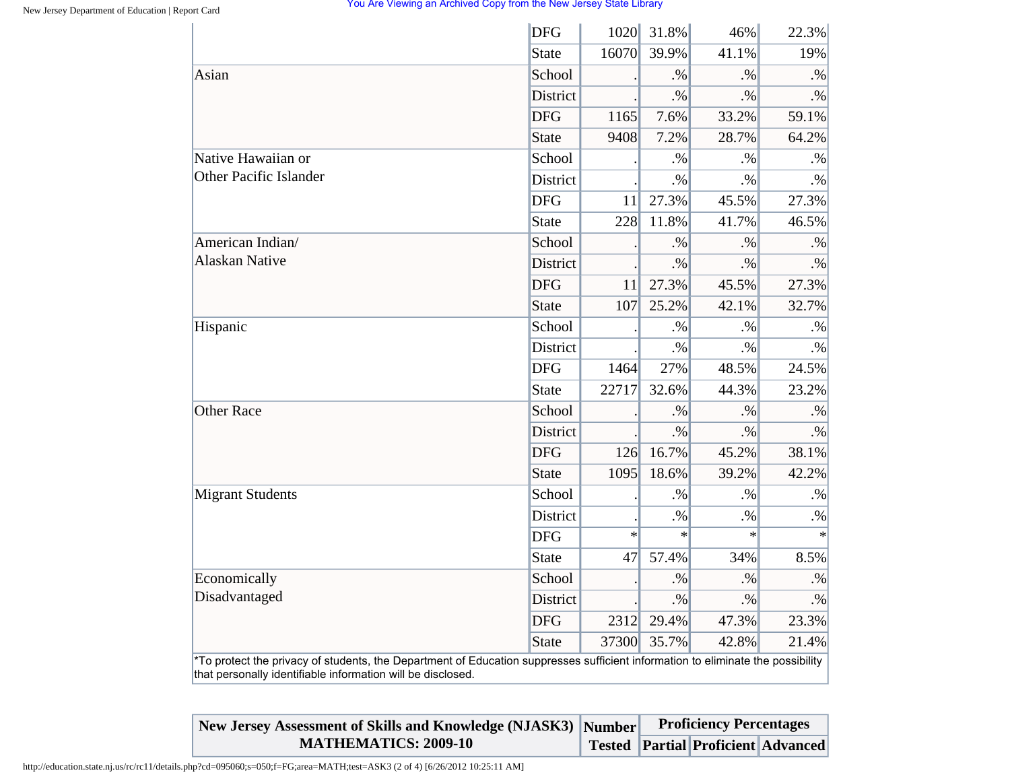| 31.8%<br>1020<br>46%       | 22.3%                                                                                                                           |
|----------------------------|---------------------------------------------------------------------------------------------------------------------------------|
| 16070<br>39.9%<br>41.1%    | 19%                                                                                                                             |
| .9/6<br>$. \%$             | $. \%$                                                                                                                          |
| $\cdot\%$<br>$. \%$        | $. \%$                                                                                                                          |
| 7.6%<br>1165<br>33.2%      | 59.1%                                                                                                                           |
| 9408<br>7.2%<br>28.7%      | 64.2%                                                                                                                           |
| $. \%$<br>$. \%$           | $. \%$                                                                                                                          |
| .96<br>$. \%$              | $. \%$                                                                                                                          |
| 27.3%<br>45.5%             | 27.3%                                                                                                                           |
| 228<br>11.8%<br>41.7%      | 46.5%                                                                                                                           |
| $. \%$<br>$. \%$           | $. \%$                                                                                                                          |
| $. \%$<br>$. \%$           | $. \%$                                                                                                                          |
| 11<br>27.3%<br>45.5%       | 27.3%                                                                                                                           |
| 107<br>25.2%<br>42.1%      | 32.7%                                                                                                                           |
| $. \%$<br>$. \%$           | $. \%$                                                                                                                          |
| $. \%$<br>$. \%$           | $. \%$                                                                                                                          |
| 1464<br>27%<br>48.5%       | 24.5%                                                                                                                           |
| 22717<br>32.6%<br>44.3%    | 23.2%                                                                                                                           |
| $. \%$<br>$. \%$           | $. \%$                                                                                                                          |
| $. \%$<br>$. \%$           | $. \%$                                                                                                                          |
| 16.7%<br>126<br>45.2%      | 38.1%                                                                                                                           |
| 1095<br>18.6%<br>39.2%     | 42.2%                                                                                                                           |
| .9/6<br>.96                | $. \%$                                                                                                                          |
| $. \%$<br>$. \%$           | $. \%$                                                                                                                          |
| $\ast$<br>$\ast$<br>$\ast$ | $\ast$                                                                                                                          |
| 57.4%<br>34%<br>47         | 8.5%                                                                                                                            |
| $. \%$<br>$. \%$           | $. \%$                                                                                                                          |
| $. \%$<br>$. \%$           | $\cdot\%$                                                                                                                       |
| 2312<br>29.4%<br>47.3%     | 23.3%                                                                                                                           |
| 37300<br>35.7%<br>42.8%    | 21.4%                                                                                                                           |
|                            | *To protect the privacy of students, the Department of Education suppresses sufficient information to eliminate the possibility |

| New Jersey Assessment of Skills and Knowledge (NJASK3) Number | <b>Proficiency Percentages</b> |                                           |  |
|---------------------------------------------------------------|--------------------------------|-------------------------------------------|--|
| <b>MATHEMATICS: 2009-10</b>                                   |                                | <b>Tested Partial Proficient Advanced</b> |  |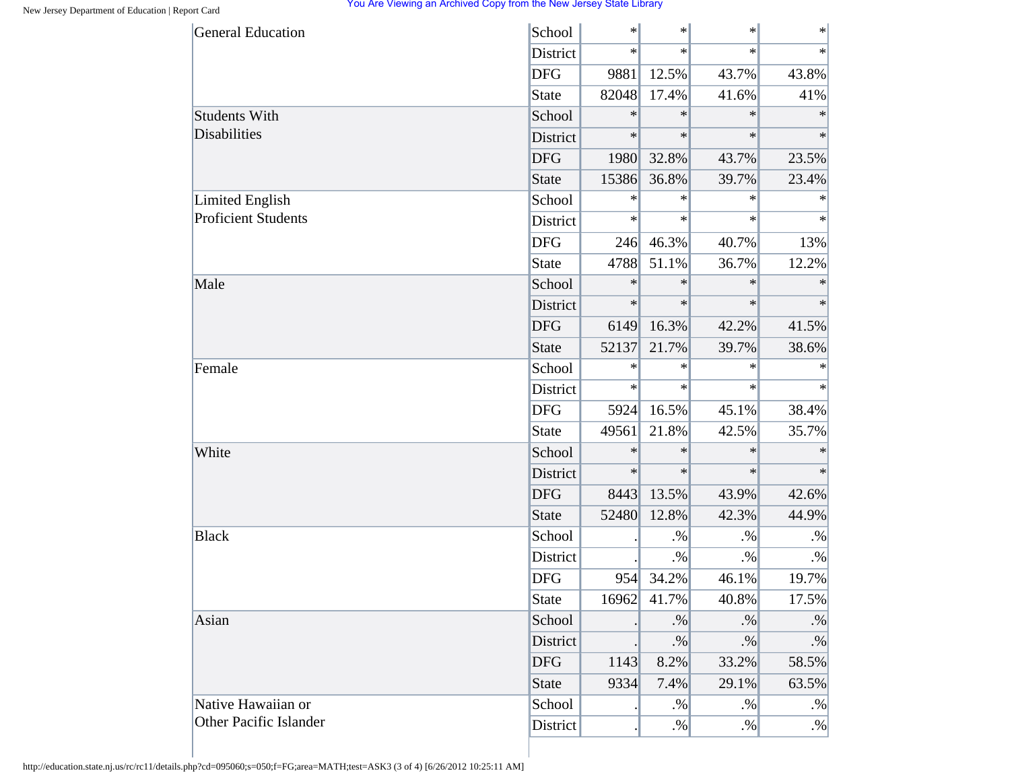|                            | School       |        | $\ast$ | $\ast$ | $\ast$    |
|----------------------------|--------------|--------|--------|--------|-----------|
|                            | District     | $\ast$ | $\ast$ | $\ast$ | $\ast$    |
|                            | <b>DFG</b>   | 9881   | 12.5%  | 43.7%  | 43.8%     |
|                            | State        | 82048  | 17.4%  | 41.6%  | 41%       |
| <b>Students With</b>       | School       | $\ast$ | $\ast$ | $\ast$ | $\ast$    |
| <b>Disabilities</b>        | District     | $\ast$ | $\ast$ | $\ast$ | $\ast$    |
|                            | <b>DFG</b>   | 1980   | 32.8%  | 43.7%  | 23.5%     |
|                            | <b>State</b> | 15386  | 36.8%  | 39.7%  | 23.4%     |
| <b>Limited English</b>     | School       | $\ast$ | $\ast$ | $\ast$ | $\ast$    |
| <b>Proficient Students</b> | District     | $\ast$ | $\ast$ | $\ast$ | $\ast$    |
|                            | <b>DFG</b>   | 246    | 46.3%  | 40.7%  | 13%       |
|                            | <b>State</b> | 4788   | 51.1%  | 36.7%  | 12.2%     |
| Male                       | School       | $\ast$ | $\ast$ | $\ast$ | $\ast$    |
|                            | District     | $\ast$ | $\ast$ | $\ast$ | $\ast$    |
|                            | <b>DFG</b>   | 6149   | 16.3%  | 42.2%  | 41.5%     |
|                            | <b>State</b> | 52137  | 21.7%  | 39.7%  | 38.6%     |
| Female                     | School       | $\ast$ | $\ast$ | $\ast$ | $\ast$    |
|                            | District     | $\ast$ | $\ast$ | $\ast$ | $\ast$    |
|                            | <b>DFG</b>   | 5924   | 16.5%  | 45.1%  | 38.4%     |
|                            | <b>State</b> | 49561  | 21.8%  | 42.5%  | 35.7%     |
| White                      | School       | $\ast$ | $\ast$ | $\ast$ | $\ast$    |
|                            | District     | $\ast$ | $\ast$ | $\ast$ | $\ast$    |
|                            | <b>DFG</b>   | 8443   | 13.5%  | 43.9%  | 42.6%     |
|                            | <b>State</b> | 52480  | 12.8%  | 42.3%  | 44.9%     |
| <b>Black</b>               | School       |        | $. \%$ | $. \%$ | $. \%$    |
|                            | District     |        | $. \%$ | $. \%$ | $\cdot\%$ |
|                            | <b>DFG</b>   | 954    | 34.2%  | 46.1%  | 19.7%     |
|                            | <b>State</b> | 16962  | 41.7%  | 40.8%  | 17.5%     |
| Asian                      | School       |        | $. \%$ | $. \%$ | $. \%$    |
|                            | District     |        | $. \%$ | $. \%$ | $. \%$    |
|                            | <b>DFG</b>   | 1143   | 8.2%   | 33.2%  | 58.5%     |
|                            | <b>State</b> | 9334   | 7.4%   | 29.1%  | 63.5%     |
| Native Hawaiian or         | School       |        | $. \%$ | $. \%$ | $. \%$    |
| Other Pacific Islander     | District     |        | $. \%$ | $. \%$ | $. \%$    |

http://education.state.nj.us/rc/rc11/details.php?cd=095060;s=050;f=FG;area=MATH;test=ASK3 (3 of 4) [6/26/2012 10:25:11 AM]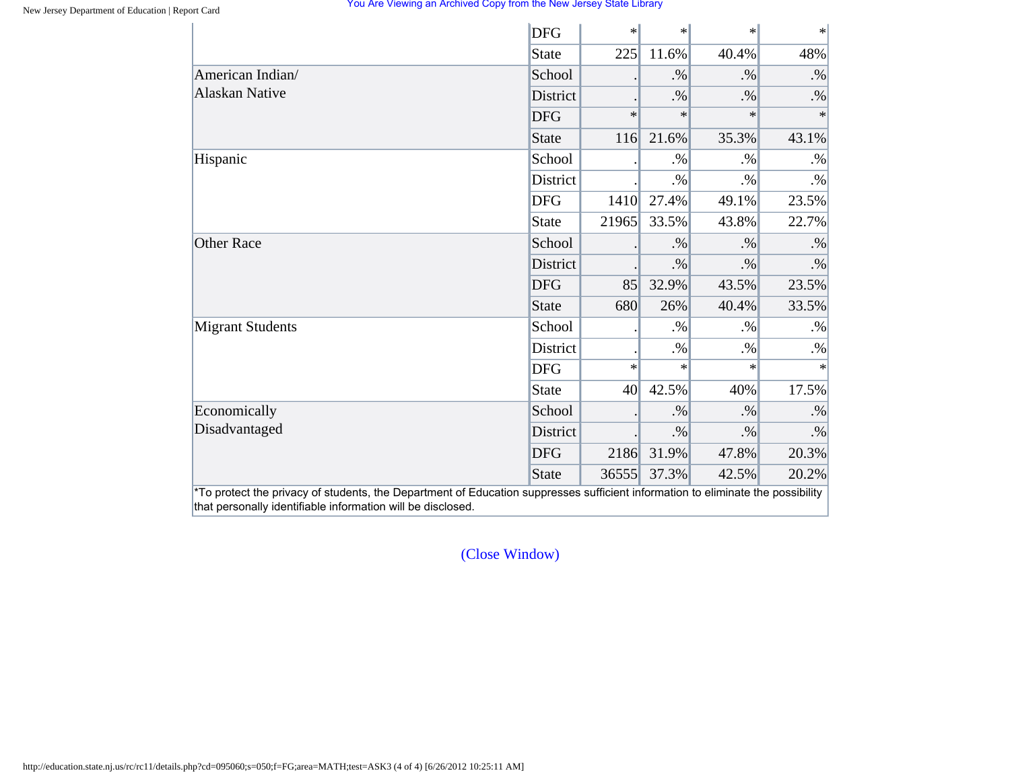|                                                                                                                                                                                                | <b>DFG</b>   | $\ast$ | $\ast$ | $\ast$ | $\ast$    |
|------------------------------------------------------------------------------------------------------------------------------------------------------------------------------------------------|--------------|--------|--------|--------|-----------|
|                                                                                                                                                                                                | <b>State</b> | 225    | 11.6%  | 40.4%  | 48%       |
| American Indian/                                                                                                                                                                               | School       |        | $. \%$ | $. \%$ | $. \%$    |
| <b>Alaskan Native</b>                                                                                                                                                                          | District     |        | $. \%$ | $. \%$ | $. \%$    |
|                                                                                                                                                                                                | <b>DFG</b>   | $\ast$ | $\ast$ | $\ast$ | $\ast$    |
|                                                                                                                                                                                                | State        | 116    | 21.6%  | 35.3%  | 43.1%     |
| Hispanic                                                                                                                                                                                       | School       |        | $. \%$ | $. \%$ | $. \%$    |
|                                                                                                                                                                                                | District     |        | $. \%$ | $. \%$ | $. \%$    |
|                                                                                                                                                                                                | <b>DFG</b>   | 1410   | 27.4%  | 49.1%  | 23.5%     |
|                                                                                                                                                                                                | <b>State</b> | 21965  | 33.5%  | 43.8%  | 22.7%     |
| <b>Other Race</b>                                                                                                                                                                              | School       |        | $. \%$ | $. \%$ | $. \%$    |
|                                                                                                                                                                                                | District     |        | $. \%$ | $. \%$ | $\cdot\%$ |
|                                                                                                                                                                                                | <b>DFG</b>   | 85     | 32.9%  | 43.5%  | 23.5%     |
|                                                                                                                                                                                                | <b>State</b> | 680    | 26%    | 40.4%  | 33.5%     |
| <b>Migrant Students</b>                                                                                                                                                                        | School       |        | $. \%$ | $. \%$ | $. \%$    |
|                                                                                                                                                                                                | District     |        | $. \%$ | $. \%$ | $. \%$    |
|                                                                                                                                                                                                | <b>DFG</b>   | $\ast$ | $\ast$ | $\ast$ | $\ast$    |
|                                                                                                                                                                                                | <b>State</b> | 40     | 42.5%  | 40%    | 17.5%     |
| Economically                                                                                                                                                                                   | School       |        | $. \%$ | $. \%$ | $. \%$    |
| Disadvantaged                                                                                                                                                                                  | District     |        | $. \%$ | $. \%$ | $. \%$    |
|                                                                                                                                                                                                | <b>DFG</b>   | 2186   | 31.9%  | 47.8%  | 20.3%     |
|                                                                                                                                                                                                | <b>State</b> | 36555  | 37.3%  | 42.5%  | 20.2%     |
| *To protect the privacy of students, the Department of Education suppresses sufficient information to eliminate the possibility<br>that personally identifiable information will be disclosed. |              |        |        |        |           |

[\(Close Window\)](#page-15-0)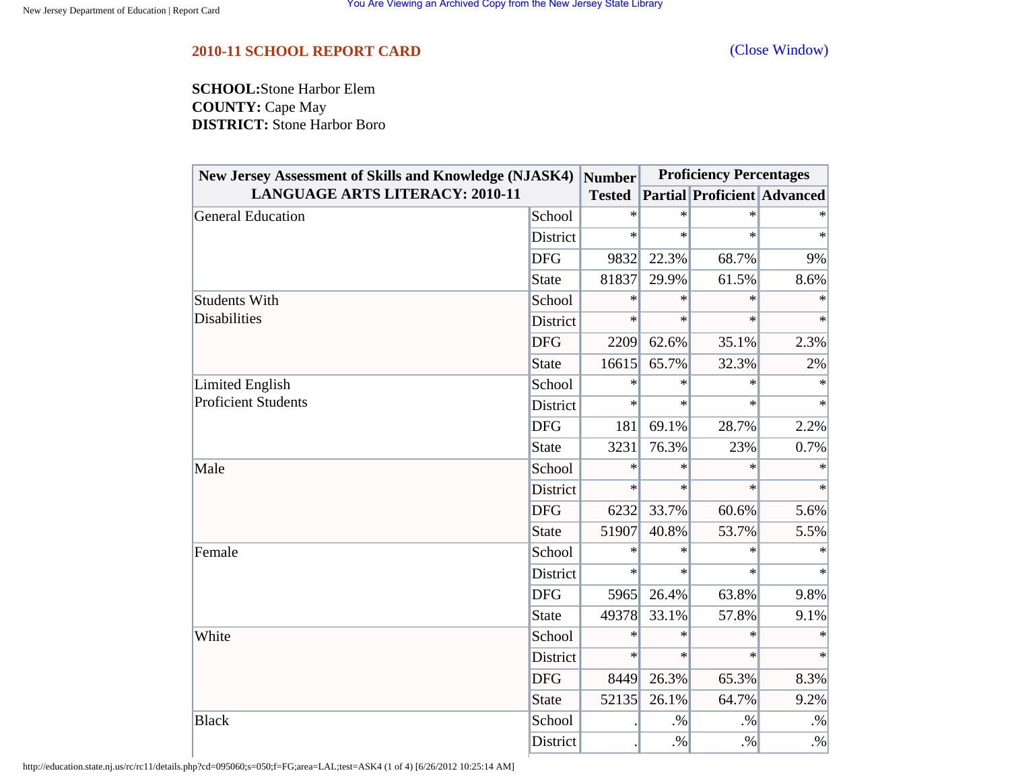## <span id="page-19-0"></span>**2010-11 SCHOOL REPORT CARD** [\(Close Window\)](#page-19-0)

**SCHOOL:**Stone Harbor Elem **COUNTY:** Cape May **DISTRICT:** Stone Harbor Boro

| <b>New Jersey Assessment of Skills and Knowledge (NJASK4)</b><br><b>LANGUAGE ARTS LITERACY: 2010-11</b> |                 | <b>Number</b> | <b>Proficiency Percentages</b> |                                    |        |
|---------------------------------------------------------------------------------------------------------|-----------------|---------------|--------------------------------|------------------------------------|--------|
|                                                                                                         |                 | <b>Tested</b> |                                | <b>Partial Proficient Advanced</b> |        |
| General Education                                                                                       | School          | $\ast$        | $\ast$                         | $\ast$                             |        |
|                                                                                                         | <b>District</b> | $\ast$        | $\ast$                         | $\ast$                             | $\ast$ |
|                                                                                                         | <b>DFG</b>      | 9832          | 22.3%                          | 68.7%                              | 9%     |
|                                                                                                         | State           | 81837         | 29.9%                          | 61.5%                              | 8.6%   |
| <b>Students With</b>                                                                                    | School          | $\ast$        | $\ast$                         | $\ast$                             | $\ast$ |
| <b>Disabilities</b>                                                                                     | <b>District</b> | $\ast$        | $\ast$                         | $\ast$                             | $\ast$ |
|                                                                                                         | <b>DFG</b>      | 2209          | 62.6%                          | 35.1%                              | 2.3%   |
|                                                                                                         | <b>State</b>    | 16615         | 65.7%                          | 32.3%                              | 2%     |
| Limited English<br><b>Proficient Students</b>                                                           | School          | $\ast$        | $\ast$                         | $\ast$                             | $\ast$ |
|                                                                                                         | District        | $\ast$        | $\ast$                         | $\ast$                             | $\ast$ |
|                                                                                                         | <b>DFG</b>      | 181           | 69.1%                          | 28.7%                              | 2.2%   |
|                                                                                                         | <b>State</b>    | 3231          | 76.3%                          | 23%                                | 0.7%   |
| Male                                                                                                    | School          | $\ast$        | $\ast$                         | $\ast$                             | $\ast$ |
|                                                                                                         | <b>District</b> | $\ast$        | $\ast$                         | $\ast$                             | $\ast$ |
|                                                                                                         | <b>DFG</b>      | 6232          | 33.7%                          | 60.6%                              | 5.6%   |
|                                                                                                         | <b>State</b>    | 51907         | 40.8%                          | 53.7%                              | 5.5%   |
| Female                                                                                                  | School          | $\ast$        | $\ast$                         | $\ast$                             |        |
|                                                                                                         | District        | $\ast$        | $\ast$                         | $\ast$                             | $\ast$ |
|                                                                                                         | <b>DFG</b>      | 5965          | 26.4%                          | 63.8%                              | 9.8%   |
|                                                                                                         | <b>State</b>    | 49378         | 33.1%                          | 57.8%                              | 9.1%   |
| White                                                                                                   | School          | $\ast$        | $\ast$                         | $\ast$                             | $\ast$ |
|                                                                                                         | District        | $\ast$        | $\ast$                         | $\ast$                             | $\ast$ |
|                                                                                                         | <b>DFG</b>      | 8449          | 26.3%                          | 65.3%                              | 8.3%   |
|                                                                                                         | <b>State</b>    | 52135         | 26.1%                          | 64.7%                              | 9.2%   |
| <b>Black</b>                                                                                            | School          |               | $. \%$                         | $. \%$                             | $. \%$ |
|                                                                                                         | District        |               | $. \%$                         | $. \%$                             | $. \%$ |

http://education.state.nj.us/rc/rc11/details.php?cd=095060;s=050;f=FG;area=LAL;test=ASK4 (1 of 4) [6/26/2012 10:25:14 AM]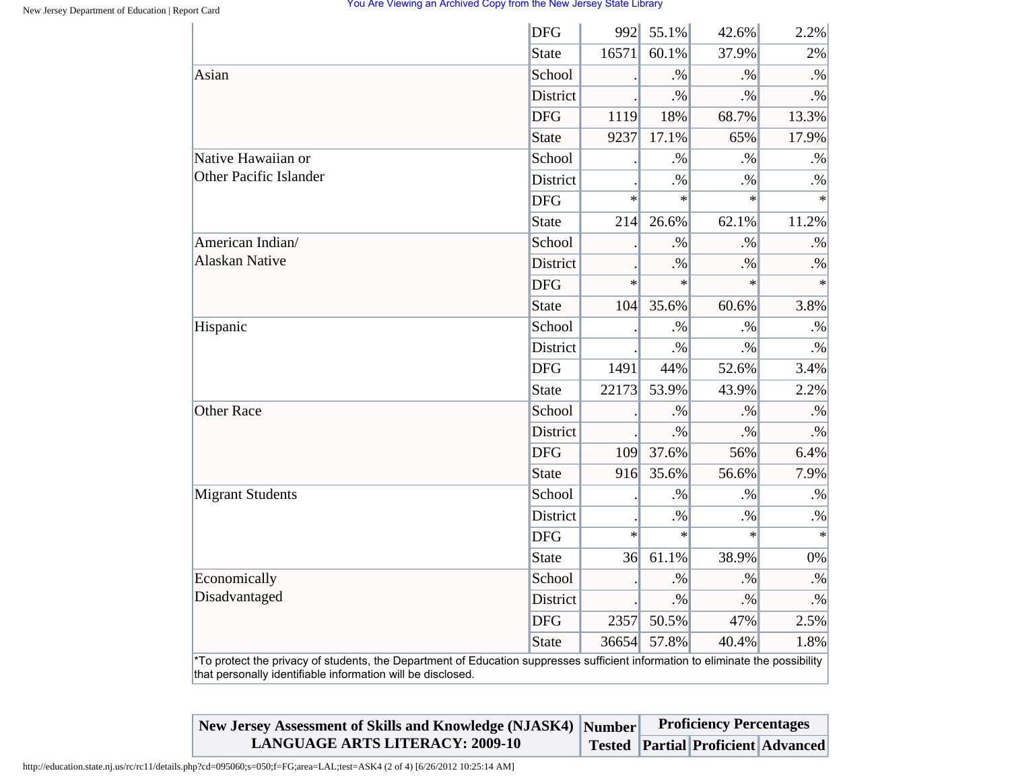|                               | <b>DFG</b>      | 992    | 55.1%  | 42.6%  | 2.2%      |
|-------------------------------|-----------------|--------|--------|--------|-----------|
|                               | <b>State</b>    | 16571  | 60.1%  | 37.9%  | 2%        |
| Asian                         | School          |        | $. \%$ | $. \%$ | $. \%$    |
|                               | <b>District</b> |        | $. \%$ | $. \%$ | $\cdot\%$ |
|                               | <b>DFG</b>      | 1119   | 18%    | 68.7%  | 13.3%     |
|                               | <b>State</b>    | 9237   | 17.1%  | 65%    | 17.9%     |
| Native Hawaiian or            | School          |        | $. \%$ | $. \%$ | $. \%$    |
| <b>Other Pacific Islander</b> | <b>District</b> |        | .96    | $. \%$ | $\cdot\%$ |
|                               | <b>DFG</b>      | $\ast$ | $\ast$ | $\ast$ | $\ast$    |
|                               | <b>State</b>    | 214    | 26.6%  | 62.1%  | 11.2%     |
| American Indian/              | School          |        | $. \%$ | $. \%$ | $. \%$    |
| <b>Alaskan Native</b>         | <b>District</b> |        | $. \%$ | $. \%$ | $. \%$    |
|                               | <b>DFG</b>      | $\ast$ | $\ast$ | $\ast$ | $\ast$    |
|                               | <b>State</b>    | 104    | 35.6%  | 60.6%  | 3.8%      |
| Hispanic                      | School          |        | $. \%$ | $. \%$ | $. \%$    |
|                               | <b>District</b> |        | $. \%$ | $. \%$ | $. \%$    |
|                               | <b>DFG</b>      | 1491   | 44%    | 52.6%  | 3.4%      |
|                               | <b>State</b>    | 22173  | 53.9%  | 43.9%  | 2.2%      |
| <b>Other Race</b>             | School          |        | $. \%$ | $. \%$ | $. \%$    |
|                               | <b>District</b> |        | $. \%$ | $. \%$ | $. \%$    |
|                               | <b>DFG</b>      | 109    | 37.6%  | 56%    | 6.4%      |
|                               | <b>State</b>    | 916    | 35.6%  | 56.6%  | 7.9%      |
| <b>Migrant Students</b>       | School          |        | .9/6   | $. \%$ | $. \%$    |
|                               | District        |        | $. \%$ | $. \%$ | $. \%$    |
|                               | <b>DFG</b>      | $\ast$ | $\ast$ | $\ast$ | $\ast$    |
|                               | <b>State</b>    | 36     | 61.1%  | 38.9%  | 0%        |
| Economically                  | School          |        | $. \%$ | $. \%$ | $. \%$    |
| Disadvantaged                 | <b>District</b> |        | $. \%$ | $. \%$ | $\cdot\%$ |
|                               | <b>DFG</b>      | 2357   | 50.5%  | 47%    | 2.5%      |
|                               | <b>State</b>    | 36654  | 57.8%  | 40.4%  | 1.8%      |

**New Jersey Assessment of Skills and Knowledge (NJASK4) Number LANGUAGE ARTS LITERACY: 2009-10 Tested Partial Proficient Advanced Proficiency Percentages**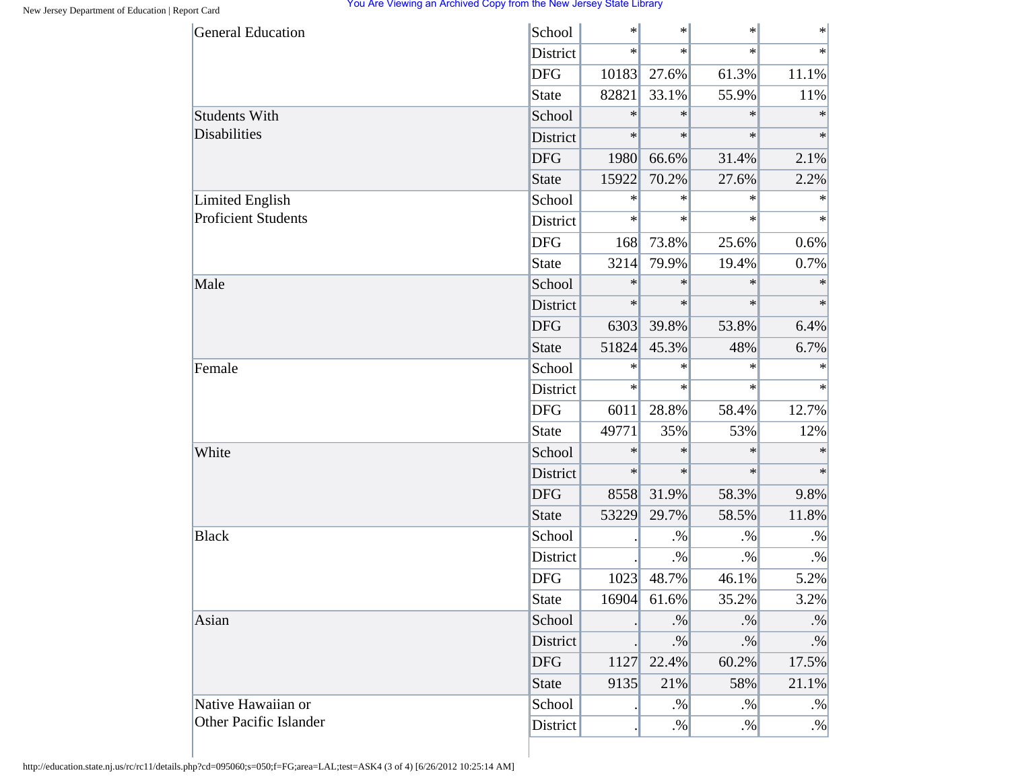| <b>General Education</b>   | School       | $\ast$ | $\ast$ | $\ast$ | $\ast$    |
|----------------------------|--------------|--------|--------|--------|-----------|
|                            | District     | $\ast$ | $\ast$ | $\ast$ | $\ast$    |
|                            | <b>DFG</b>   | 10183  | 27.6%  | 61.3%  | 11.1%     |
|                            | State        | 82821  | 33.1%  | 55.9%  | 11%       |
| <b>Students With</b>       | School       | $\ast$ | $\ast$ | $\ast$ | $\ast$    |
| <b>Disabilities</b>        | District     | $\ast$ | $\ast$ | $\ast$ | $\ast$    |
|                            | <b>DFG</b>   | 1980   | 66.6%  | 31.4%  | 2.1%      |
|                            | <b>State</b> | 15922  | 70.2%  | 27.6%  | 2.2%      |
| <b>Limited English</b>     | School       | $\ast$ | $\ast$ | $\ast$ | $\ast$    |
| <b>Proficient Students</b> | District     | $\ast$ | $\ast$ | $\ast$ | $\ast$    |
|                            | <b>DFG</b>   | 168    | 73.8%  | 25.6%  | 0.6%      |
|                            | <b>State</b> | 3214   | 79.9%  | 19.4%  | 0.7%      |
| Male                       | School       | $\ast$ | $\ast$ | $\ast$ | $\ast$    |
|                            | District     | $\ast$ | $\ast$ | $\ast$ | $\ast$    |
|                            | <b>DFG</b>   | 6303   | 39.8%  | 53.8%  | 6.4%      |
|                            | <b>State</b> | 51824  | 45.3%  | 48%    | 6.7%      |
| Female                     | School       | $\ast$ | $\ast$ | $\ast$ | $\ast$    |
|                            | District     | $\ast$ | $\ast$ | $\ast$ | $\ast$    |
|                            | <b>DFG</b>   | 6011   | 28.8%  | 58.4%  | 12.7%     |
|                            | <b>State</b> | 49771  | 35%    | 53%    | 12%       |
| White                      | School       | $\ast$ | $\ast$ | $\ast$ | $\ast$    |
|                            | District     | $\ast$ | $\ast$ | $\ast$ | $\ast$    |
|                            | <b>DFG</b>   | 8558   | 31.9%  | 58.3%  | 9.8%      |
|                            | <b>State</b> | 53229  | 29.7%  | 58.5%  | 11.8%     |
| <b>Black</b>               | School       |        | $. \%$ | $. \%$ | $. \%$    |
|                            | District     |        | $. \%$ | $. \%$ | $. \%$    |
|                            | <b>DFG</b>   | 1023   | 48.7%  | 46.1%  | 5.2%      |
|                            | <b>State</b> | 16904  | 61.6%  | 35.2%  | 3.2%      |
| Asian                      | School       |        | $. \%$ | $. \%$ | $. \%$    |
|                            | District     |        | $. \%$ | $. \%$ | $\cdot\%$ |
|                            | <b>DFG</b>   | 1127   | 22.4%  | 60.2%  | 17.5%     |
|                            | <b>State</b> | 9135   | 21%    | 58%    | 21.1%     |
| Native Hawaiian or         | School       |        | $. \%$ | $. \%$ | $. \%$    |
| Other Pacific Islander     | District     |        | $. \%$ | $. \%$ | $. \%$    |

http://education.state.nj.us/rc/rc11/details.php?cd=095060;s=050;f=FG;area=LAL;test=ASK4 (3 of 4) [6/26/2012 10:25:14 AM]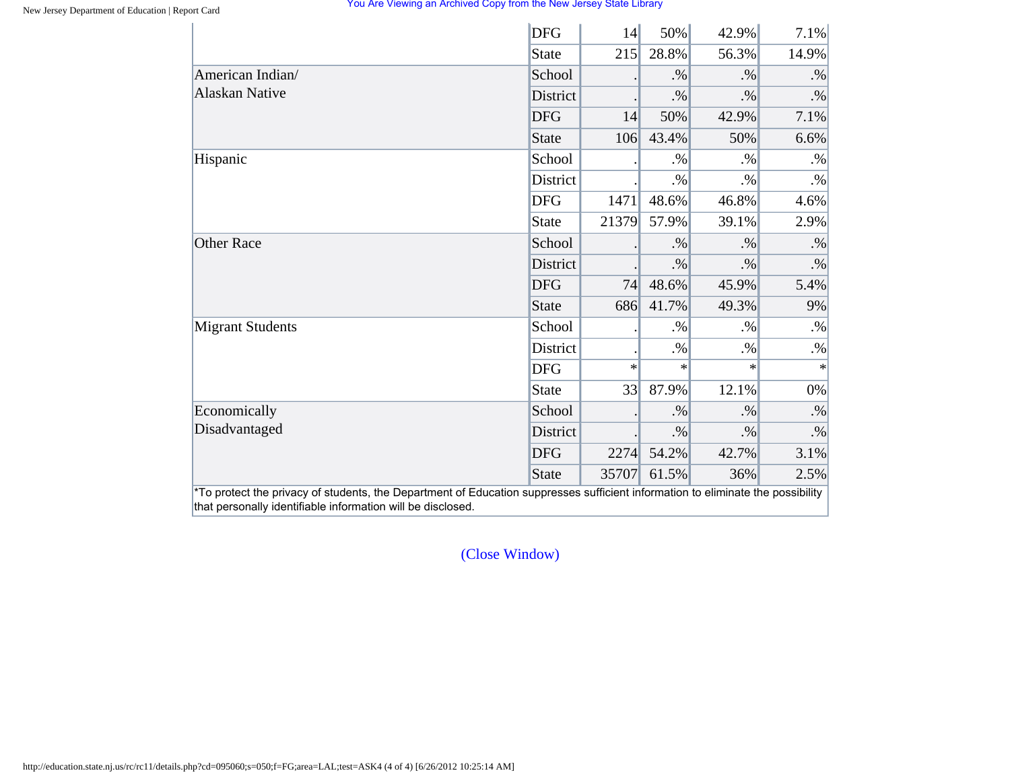|                         | <b>DFG</b>      | 14     | 50%    | 42.9%  | 7.1%      |
|-------------------------|-----------------|--------|--------|--------|-----------|
|                         | <b>State</b>    | 215    | 28.8%  | 56.3%  | 14.9%     |
| American Indian/        | School          |        | $. \%$ | $. \%$ | $. \%$    |
| <b>Alaskan Native</b>   | District        |        | $. \%$ | $. \%$ | $. \%$    |
|                         | <b>DFG</b>      | 14     | 50%    | 42.9%  | 7.1%      |
|                         | <b>State</b>    | 106    | 43.4%  | 50%    | 6.6%      |
| Hispanic                | School          |        | $. \%$ | $. \%$ | $. \%$    |
|                         | District        |        | $. \%$ | $. \%$ | $. \%$    |
|                         | <b>DFG</b>      | 1471   | 48.6%  | 46.8%  | 4.6%      |
|                         | <b>State</b>    | 21379  | 57.9%  | 39.1%  | 2.9%      |
| <b>Other Race</b>       | School          |        | $. \%$ | $. \%$ | $. \%$    |
|                         | <b>District</b> |        | $. \%$ | $. \%$ | $\cdot\%$ |
|                         | <b>DFG</b>      | 74     | 48.6%  | 45.9%  | 5.4%      |
|                         | <b>State</b>    | 686    | 41.7%  | 49.3%  | 9%        |
| <b>Migrant Students</b> | School          |        | $. \%$ | $. \%$ | $. \%$    |
|                         | District        |        | $. \%$ | $. \%$ | $. \%$    |
|                         | <b>DFG</b>      | $\ast$ | $\ast$ | $\ast$ | $\ast$    |
|                         | <b>State</b>    | 33     | 87.9%  | 12.1%  | $0\%$     |
| Economically            | School          |        | $. \%$ | $. \%$ | $. \%$    |
| Disadvantaged           | District        |        | $. \%$ | $. \%$ | $. \%$    |
|                         | <b>DFG</b>      | 2274   | 54.2%  | 42.7%  | 3.1%      |
|                         | <b>State</b>    | 35707  | 61.5%  | 36%    | 2.5%      |

[\(Close Window\)](#page-19-0)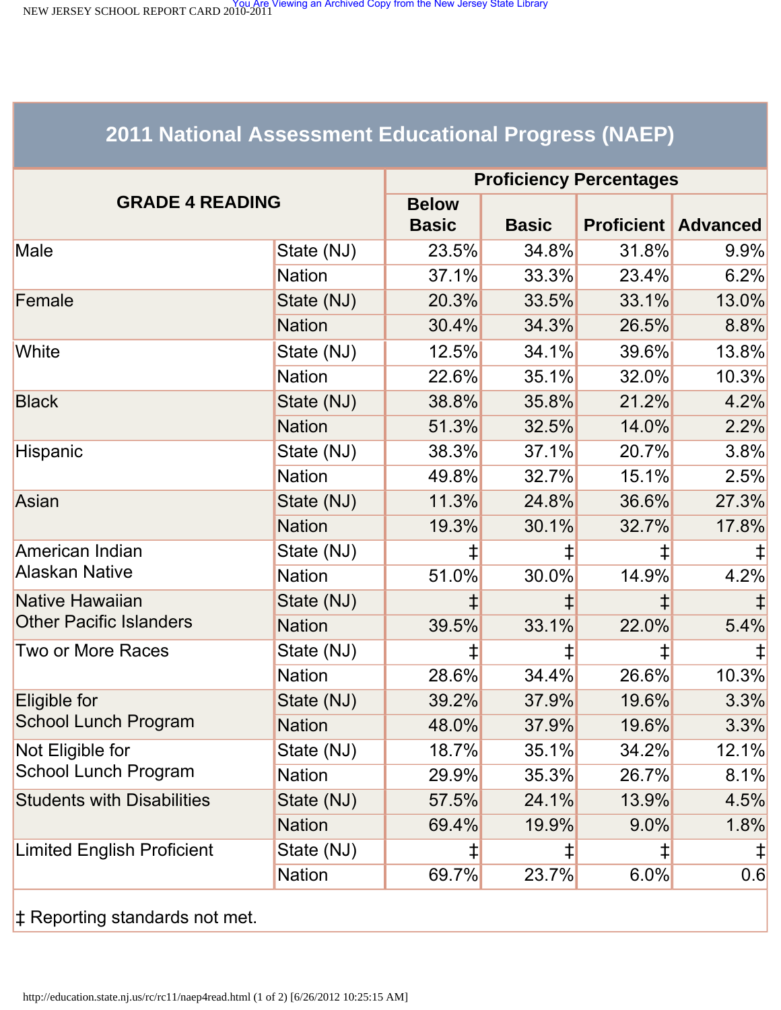<span id="page-23-1"></span><span id="page-23-0"></span>NEW JERSEY SCHOOL REPORT CARD 2010-2011<br>NEW JERSEY SCHOOL REPORT CARD 2010-2011

# **2011 National Assessment Educational Progress (NAEP)**

|                                   | <b>Proficiency Percentages</b> |                              |              |                   |                 |  |
|-----------------------------------|--------------------------------|------------------------------|--------------|-------------------|-----------------|--|
| <b>GRADE 4 READING</b>            |                                | <b>Below</b><br><b>Basic</b> | <b>Basic</b> | <b>Proficient</b> | <b>Advanced</b> |  |
| Male                              | State (NJ)                     | 23.5%                        | 34.8%        | 31.8%             | 9.9%            |  |
|                                   | <b>Nation</b>                  | 37.1%                        | 33.3%        | 23.4%             | 6.2%            |  |
| Female                            | State (NJ)                     | 20.3%                        | 33.5%        | 33.1%             | 13.0%           |  |
|                                   | <b>Nation</b>                  | 30.4%                        | 34.3%        | 26.5%             | 8.8%            |  |
| White                             | State (NJ)                     | 12.5%                        | 34.1%        | 39.6%             | 13.8%           |  |
|                                   | <b>Nation</b>                  | 22.6%                        | 35.1%        | 32.0%             | 10.3%           |  |
| <b>Black</b>                      | State (NJ)                     | 38.8%                        | 35.8%        | 21.2%             | 4.2%            |  |
|                                   | <b>Nation</b>                  | 51.3%                        | 32.5%        | 14.0%             | 2.2%            |  |
| Hispanic                          | State (NJ)                     | 38.3%                        | 37.1%        | 20.7%             | 3.8%            |  |
|                                   | <b>Nation</b>                  | 49.8%                        | 32.7%        | 15.1%             | 2.5%            |  |
| Asian                             | State (NJ)                     | 11.3%                        | 24.8%        | 36.6%             | 27.3%           |  |
|                                   | <b>Nation</b>                  | 19.3%                        | 30.1%        | 32.7%             | 17.8%           |  |
| American Indian                   | State (NJ)                     | ⇟                            |              | ‡                 |                 |  |
| <b>Alaskan Native</b>             | <b>Nation</b>                  | 51.0%                        | 30.0%        | 14.9%             | 4.2%            |  |
| Native Hawaiian                   | State (NJ)                     |                              |              |                   |                 |  |
| <b>Other Pacific Islanders</b>    | <b>Nation</b>                  | 39.5%                        | 33.1%        | 22.0%             | 5.4%            |  |
| <b>Two or More Races</b>          | State (NJ)                     | ‡                            | ⇟            | $\ddagger$        |                 |  |
|                                   | <b>Nation</b>                  | 28.6%                        | 34.4%        | 26.6%             | 10.3%           |  |
| Eligible for                      | State (NJ)                     | 39.2%                        | 37.9%        | 19.6%             | 3.3%            |  |
| <b>School Lunch Program</b>       | <b>Nation</b>                  | 48.0%                        | 37.9%        | 19.6%             | 3.3%            |  |
| Not Eligible for                  | State (NJ)                     | 18.7%                        | 35.1%        | 34.2%             | 12.1%           |  |
| <b>School Lunch Program</b>       | <b>Nation</b>                  | 29.9%                        | 35.3%        | 26.7%             | 8.1%            |  |
| <b>Students with Disabilities</b> | State (NJ)                     | 57.5%                        | 24.1%        | 13.9%             | 4.5%            |  |
|                                   | <b>Nation</b>                  | 69.4%                        | 19.9%        | $9.0\%$           | 1.8%            |  |
| <b>Limited English Proficient</b> | State (NJ)                     | ⇟                            | ⇟            | ‡                 | $\ddagger$      |  |
|                                   | <b>Nation</b>                  | 69.7%                        | 23.7%        | 6.0%              | 0.6             |  |
|                                   |                                |                              |              |                   |                 |  |

‡ Reporting standards not met.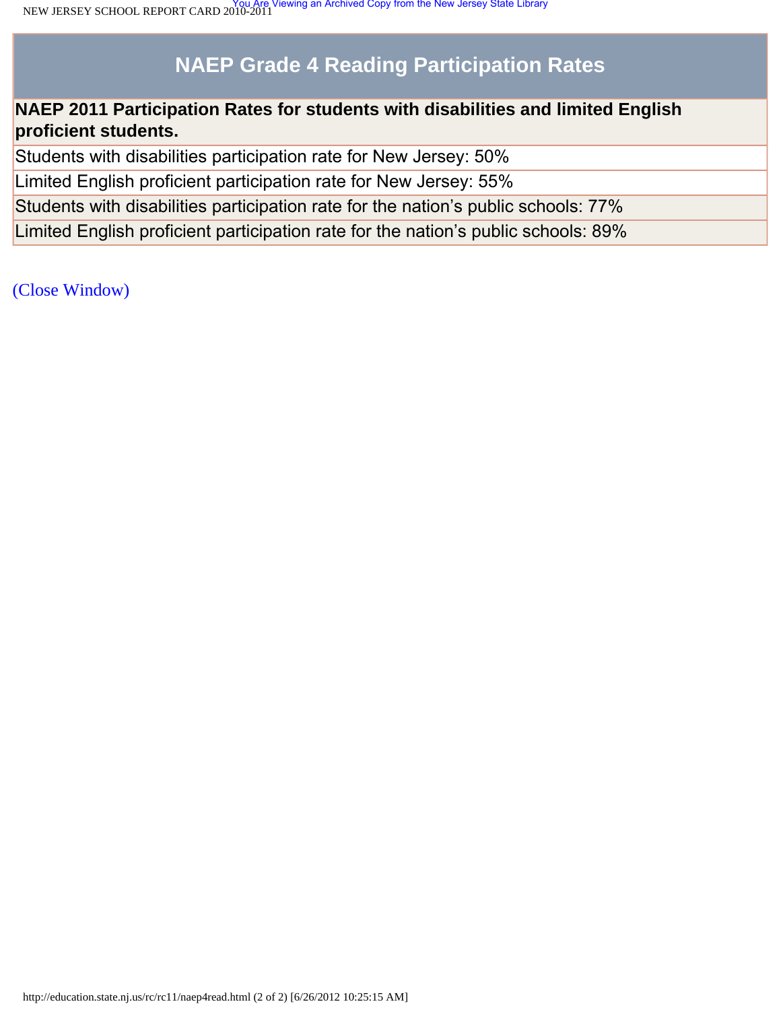# **NAEP Grade 4 Reading Participation Rates**

# **NAEP 2011 Participation Rates for students with disabilities and limited English proficient students.**

Students with disabilities participation rate for New Jersey: 50%

Limited English proficient participation rate for New Jersey: 55%

Students with disabilities participation rate for the nation's public schools: 77%

Limited English proficient participation rate for the nation's public schools: 89%

[\(Close Window\)](#page-23-1)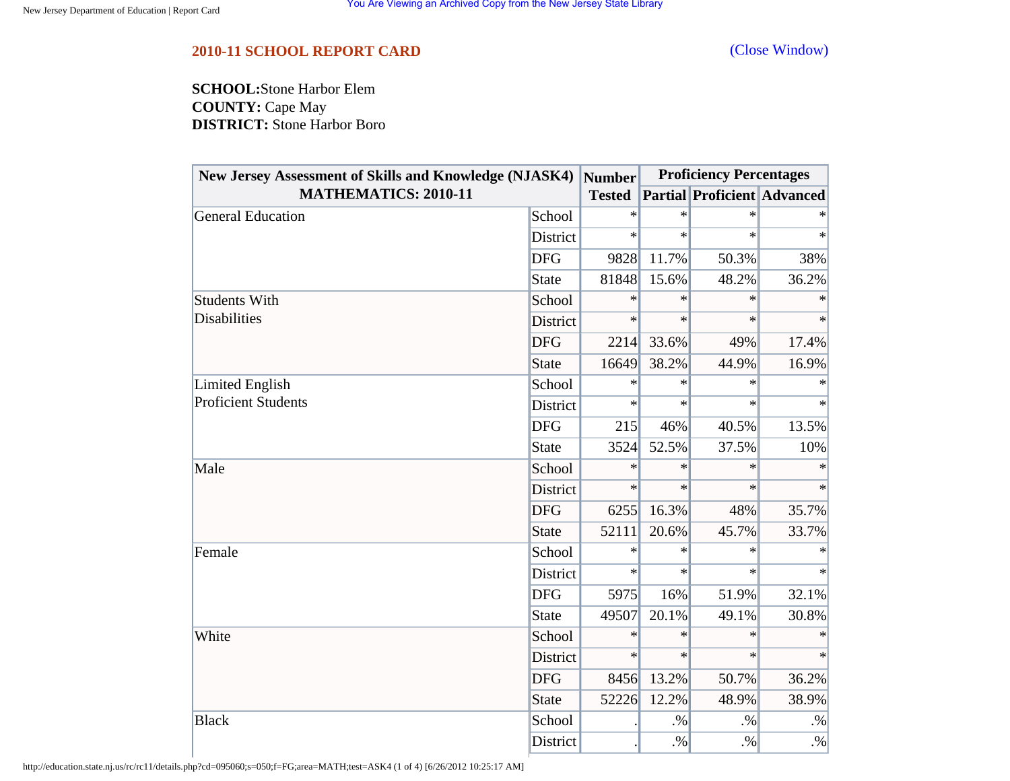### <span id="page-25-0"></span>**2010-11 SCHOOL REPORT CARD** [\(Close Window\)](#page-25-0)

**SCHOOL:**Stone Harbor Elem **COUNTY:** Cape May **DISTRICT:** Stone Harbor Boro

| New Jersey Assessment of Skills and Knowledge (NJASK4) |              | <b>Number</b> | <b>Proficiency Percentages</b> |                                    |           |
|--------------------------------------------------------|--------------|---------------|--------------------------------|------------------------------------|-----------|
| <b>MATHEMATICS: 2010-11</b>                            |              | <b>Tested</b> |                                | <b>Partial Proficient Advanced</b> |           |
| <b>General Education</b>                               | School       | $\ast$        | $\ast$                         | $\ast$                             |           |
|                                                        | District     | $\ast$        | $\ast$                         | $\ast$                             | $\ast$    |
|                                                        | <b>DFG</b>   | 9828          | 11.7%                          | 50.3%                              | 38%       |
|                                                        | State        | 81848         | 15.6%                          | 48.2%                              | 36.2%     |
| <b>Students With</b>                                   | School       | $\ast$        | $\ast$                         | $\ast$                             | $\ast$    |
| <b>Disabilities</b>                                    | District     | $\ast$        | $\ast$                         | $\ast$                             | $\ast$    |
|                                                        | <b>DFG</b>   | 2214          | 33.6%                          | 49%                                | 17.4%     |
|                                                        | <b>State</b> | 16649         | 38.2%                          | 44.9%                              | 16.9%     |
| Limited English                                        | School       | $\ast$        | $\ast$                         | $\ast$                             | $\ast$    |
| <b>Proficient Students</b>                             | District     | $\ast$        | $\ast$                         | $\ast$                             | $\ast$    |
|                                                        | <b>DFG</b>   | 215           | 46%                            | 40.5%                              | 13.5%     |
|                                                        | State        | 3524          | 52.5%                          | 37.5%                              | 10%       |
| Male                                                   | School       | $\ast$        | $\ast$                         | $\ast$                             | $\ast$    |
|                                                        | District     | $\ast$        | $\ast$                         | $\ast$                             | $\ast$    |
|                                                        | <b>DFG</b>   | 6255          | 16.3%                          | 48%                                | 35.7%     |
|                                                        | <b>State</b> | 52111         | 20.6%                          | 45.7%                              | 33.7%     |
| Female                                                 | School       | $\ast$        | $\ast$                         | $\ast$                             |           |
|                                                        | District     | $\ast$        | $\ast$                         | $\ast$                             | $\ast$    |
|                                                        | <b>DFG</b>   | 5975          | 16%                            | 51.9%                              | 32.1%     |
|                                                        | <b>State</b> | 49507         | 20.1%                          | 49.1%                              | 30.8%     |
| White                                                  | School       | $\ast$        | $\ast$                         | $\ast$                             | $\ast$    |
|                                                        | District     | $\ast$        | $\ast$                         | $\ast$                             | $\ast$    |
|                                                        | <b>DFG</b>   | 8456          | 13.2%                          | 50.7%                              | 36.2%     |
|                                                        | <b>State</b> | 52226         | 12.2%                          | 48.9%                              | 38.9%     |
| <b>Black</b>                                           | School       |               | $. \%$                         | $. \%$                             | $\cdot\%$ |
|                                                        | District     |               | $. \%$                         | $. \%$                             | $\cdot\%$ |

http://education.state.nj.us/rc/rc11/details.php?cd=095060;s=050;f=FG;area=MATH;test=ASK4 (1 of 4) [6/26/2012 10:25:17 AM]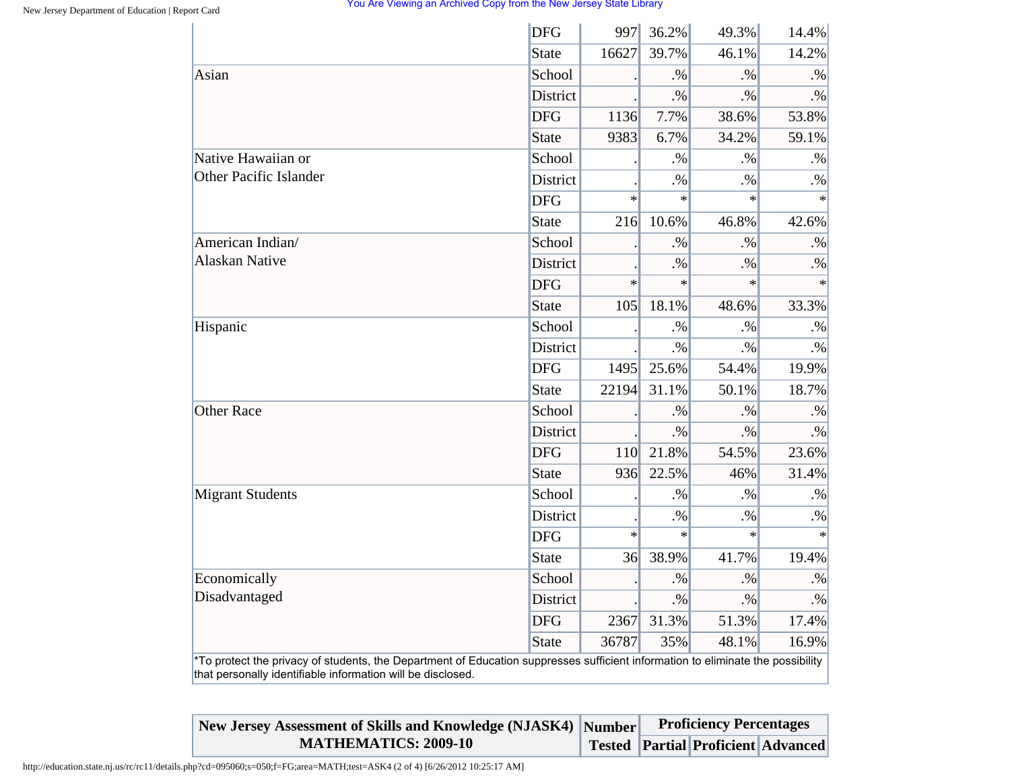|                                                                                                                                                                                                | <b>DFG</b>   | 997    | 36.2%  | 49.3%  | 14.4%     |
|------------------------------------------------------------------------------------------------------------------------------------------------------------------------------------------------|--------------|--------|--------|--------|-----------|
|                                                                                                                                                                                                | <b>State</b> | 16627  | 39.7%  | 46.1%  | 14.2%     |
| Asian                                                                                                                                                                                          | School       |        | .96    | $. \%$ | $. \%$    |
|                                                                                                                                                                                                | District     |        | $. \%$ | $. \%$ | $. \%$    |
|                                                                                                                                                                                                | <b>DFG</b>   | 1136   | 7.7%   | 38.6%  | 53.8%     |
|                                                                                                                                                                                                | <b>State</b> | 9383   | 6.7%   | 34.2%  | 59.1%     |
| Native Hawaiian or                                                                                                                                                                             | School       |        | $. \%$ | $. \%$ | $. \%$    |
| <b>Other Pacific Islander</b>                                                                                                                                                                  | District     |        | $. \%$ | $. \%$ | $. \%$    |
|                                                                                                                                                                                                | <b>DFG</b>   | $\ast$ | $\ast$ | $\ast$ | $\ast$    |
|                                                                                                                                                                                                | <b>State</b> | 216    | 10.6%  | 46.8%  | 42.6%     |
| American Indian/                                                                                                                                                                               | School       |        | $. \%$ | $. \%$ | $. \%$    |
| Alaskan Native                                                                                                                                                                                 | District     |        | $. \%$ | $. \%$ | $\cdot\%$ |
|                                                                                                                                                                                                | <b>DFG</b>   | $\ast$ | $\ast$ | $\ast$ | $\ast$    |
|                                                                                                                                                                                                | <b>State</b> | 105    | 18.1%  | 48.6%  | 33.3%     |
| Hispanic                                                                                                                                                                                       | School       |        | $. \%$ | $. \%$ | $\cdot\%$ |
|                                                                                                                                                                                                | District     |        | $. \%$ | $. \%$ | $. \%$    |
|                                                                                                                                                                                                | <b>DFG</b>   | 1495   | 25.6%  | 54.4%  | 19.9%     |
|                                                                                                                                                                                                | <b>State</b> | 22194  | 31.1%  | 50.1%  | 18.7%     |
| <b>Other Race</b>                                                                                                                                                                              | School       |        | $. \%$ | $. \%$ | $. \%$    |
|                                                                                                                                                                                                | District     |        | $. \%$ | $. \%$ | $. \%$    |
|                                                                                                                                                                                                | <b>DFG</b>   | 110    | 21.8%  | 54.5%  | 23.6%     |
|                                                                                                                                                                                                | <b>State</b> | 936    | 22.5%  | 46%    | 31.4%     |
| <b>Migrant Students</b>                                                                                                                                                                        | School       |        | $. \%$ | $. \%$ | $. \%$    |
|                                                                                                                                                                                                | District     |        | $. \%$ | $. \%$ | $. \%$    |
|                                                                                                                                                                                                | <b>DFG</b>   | $\ast$ | $\ast$ | $\ast$ | $\ast$    |
|                                                                                                                                                                                                | <b>State</b> | 36     | 38.9%  | 41.7%  | 19.4%     |
| Economically                                                                                                                                                                                   | School       |        | $. \%$ | $. \%$ | $. \%$    |
| Disadvantaged                                                                                                                                                                                  | District     |        | $. \%$ | $. \%$ | $\cdot\%$ |
|                                                                                                                                                                                                | <b>DFG</b>   | 2367   | 31.3%  | 51.3%  | 17.4%     |
|                                                                                                                                                                                                | <b>State</b> | 36787  | 35%    | 48.1%  | 16.9%     |
| *To protect the privacy of students, the Department of Education suppresses sufficient information to eliminate the possibility<br>that personally identifiable information will be disclosed. |              |        |        |        |           |

| New Jersey Assessment of Skills and Knowledge (NJASK4) Number | <b>Proficiency Percentages</b> |                                           |  |  |
|---------------------------------------------------------------|--------------------------------|-------------------------------------------|--|--|
| <b>MATHEMATICS: 2009-10</b>                                   |                                | <b>Tested Partial Proficient Advanced</b> |  |  |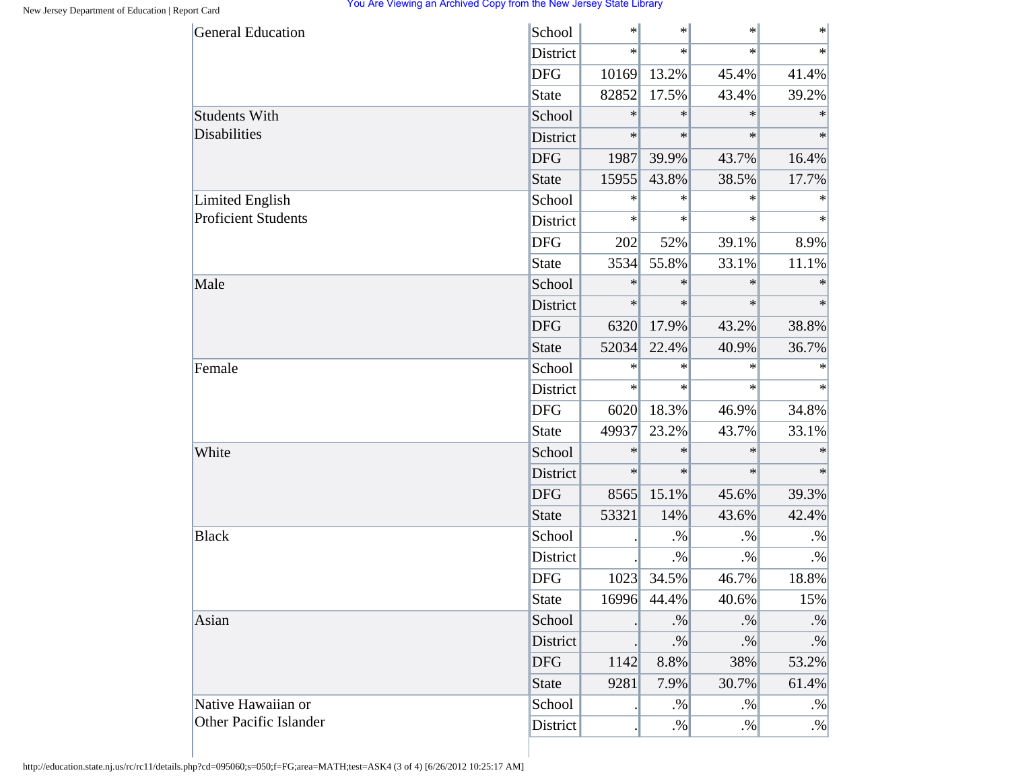| <b>General Education</b>      | School       | $\ast$ | $\ast$ | $\ast$ | $\ast$    |
|-------------------------------|--------------|--------|--------|--------|-----------|
|                               | District     | $\ast$ | $\ast$ | $\ast$ | $\ast$    |
|                               | <b>DFG</b>   | 10169  | 13.2%  | 45.4%  | 41.4%     |
|                               | State        | 82852  | 17.5%  | 43.4%  | 39.2%     |
| <b>Students With</b>          | School       | $\ast$ | $\ast$ | $\ast$ | $\ast$    |
| <b>Disabilities</b>           | District     | $\ast$ | $\ast$ | $\ast$ | $\ast$    |
|                               | <b>DFG</b>   | 1987   | 39.9%  | 43.7%  | 16.4%     |
|                               | <b>State</b> | 15955  | 43.8%  | 38.5%  | 17.7%     |
| Limited English               | School       | $\ast$ | $\ast$ | $\ast$ | ∗         |
| <b>Proficient Students</b>    | District     | $\ast$ | $\ast$ | $\ast$ | $\ast$    |
|                               | <b>DFG</b>   | 202    | 52%    | 39.1%  | 8.9%      |
|                               | <b>State</b> | 3534   | 55.8%  | 33.1%  | 11.1%     |
| Male                          | School       | $\ast$ | $\ast$ | $\ast$ | $\ast$    |
|                               | District     | $\ast$ | $\ast$ | $\ast$ | $\ast$    |
|                               | <b>DFG</b>   | 6320   | 17.9%  | 43.2%  | 38.8%     |
|                               | <b>State</b> | 52034  | 22.4%  | 40.9%  | 36.7%     |
| Female                        | School       | $\ast$ | ∗      | $\ast$ | $\ast$    |
|                               | District     | $\ast$ | $\ast$ | $\ast$ | $\ast$    |
|                               | <b>DFG</b>   | 6020   | 18.3%  | 46.9%  | 34.8%     |
|                               | <b>State</b> | 49937  | 23.2%  | 43.7%  | 33.1%     |
| White                         | School       | $\ast$ | $\ast$ | $\ast$ | $\ast$    |
|                               | District     | $\ast$ | $\ast$ | $\ast$ | $\ast$    |
|                               | <b>DFG</b>   | 8565   | 15.1%  | 45.6%  | 39.3%     |
|                               | <b>State</b> | 53321  | 14%    | 43.6%  | 42.4%     |
| <b>Black</b>                  | School       |        | $. \%$ | $. \%$ | $\cdot\%$ |
|                               | District     |        | $. \%$ | $. \%$ | $. \%$    |
|                               | <b>DFG</b>   | 1023   | 34.5%  | 46.7%  | 18.8%     |
|                               | <b>State</b> | 16996  | 44.4%  | 40.6%  | 15%       |
| Asian                         | School       |        | $. \%$ | $. \%$ | $. \%$    |
|                               | District     |        | $. \%$ | $. \%$ | $. \%$    |
|                               | <b>DFG</b>   | 1142   | 8.8%   | 38%    | 53.2%     |
|                               | <b>State</b> | 9281   | 7.9%   | 30.7%  | 61.4%     |
| Native Hawaiian or            | School       |        | $. \%$ | $. \%$ | $. \%$    |
| <b>Other Pacific Islander</b> | District     |        | $. \%$ | $. \%$ | $. \%$    |
|                               |              |        |        |        |           |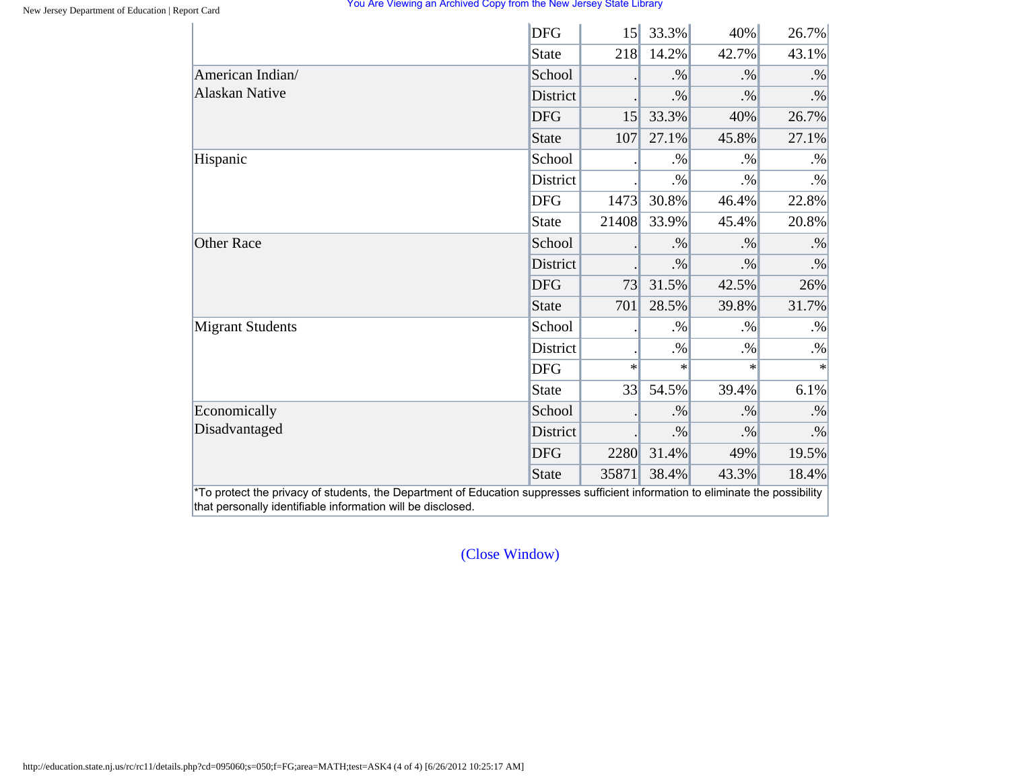|                         | <b>DFG</b>      | 15     | 33.3%  | 40%    | 26.7%     |
|-------------------------|-----------------|--------|--------|--------|-----------|
|                         | State           | 218    | 14.2%  | 42.7%  | 43.1%     |
| American Indian/        | School          |        | $. \%$ | $. \%$ | $. \%$    |
| <b>Alaskan Native</b>   | <b>District</b> |        | $. \%$ | $. \%$ | $. \%$    |
|                         | <b>DFG</b>      | 15     | 33.3%  | 40%    | 26.7%     |
|                         | State           | 107    | 27.1%  | 45.8%  | 27.1%     |
| Hispanic                | School          |        | $. \%$ | $. \%$ | $. \%$    |
|                         | District        |        | $. \%$ | $. \%$ | $. \%$    |
|                         | <b>DFG</b>      | 1473   | 30.8%  | 46.4%  | 22.8%     |
|                         | State           | 21408  | 33.9%  | 45.4%  | 20.8%     |
| <b>Other Race</b>       | School          |        | $. \%$ | $. \%$ | $. \%$    |
|                         | District        |        | $. \%$ | $. \%$ | $\cdot\%$ |
|                         | <b>DFG</b>      | 73     | 31.5%  | 42.5%  | 26%       |
|                         | State           | 701    | 28.5%  | 39.8%  | 31.7%     |
| <b>Migrant Students</b> | School          |        | $. \%$ | $. \%$ | $. \%$    |
|                         | District        |        | $. \%$ | $. \%$ | $. \%$    |
|                         | <b>DFG</b>      | $\ast$ | $\ast$ | $\ast$ | $\ast$    |
|                         | <b>State</b>    | 33     | 54.5%  | 39.4%  | 6.1%      |
| Economically            | School          |        | $. \%$ | $. \%$ | $. \%$    |
| Disadvantaged           | District        |        | $. \%$ | $. \%$ | $. \%$    |
|                         | <b>DFG</b>      | 2280   | 31.4%  | 49%    | 19.5%     |
|                         | State           | 35871  | 38.4%  | 43.3%  | 18.4%     |

[\(Close Window\)](#page-25-0)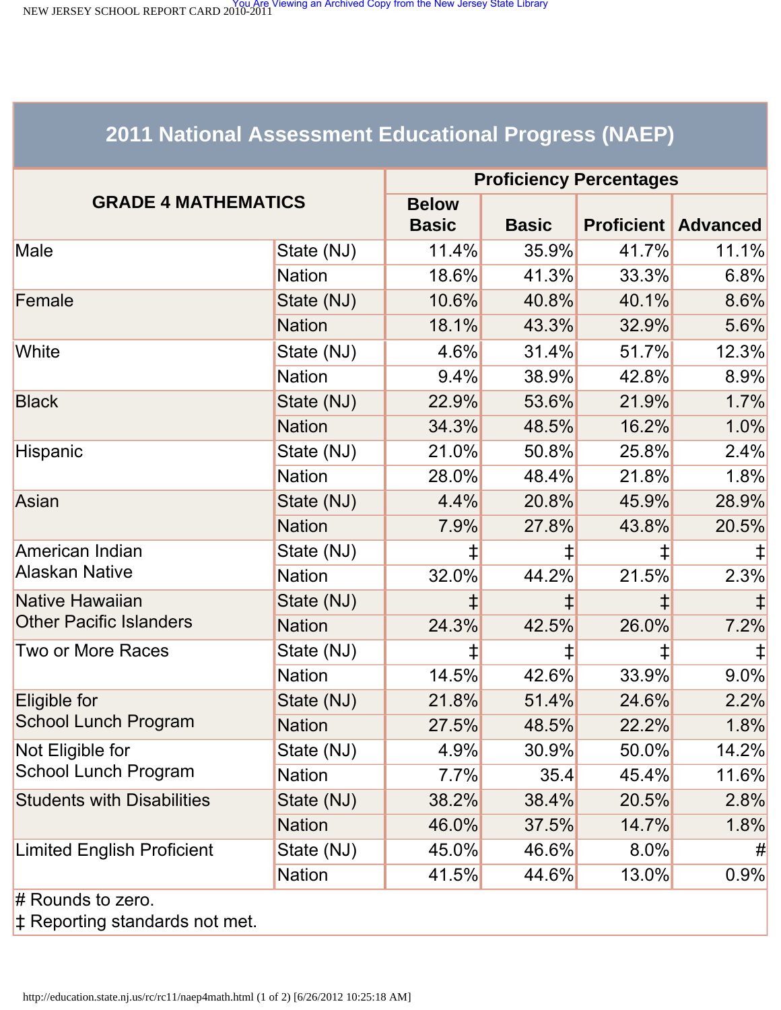<span id="page-29-1"></span><span id="page-29-0"></span>NEW JERSEY SCHOOL REPORT CARD 2010-2011<br>NEW JERSEY SCHOOL REPORT CARD 2010-2011

# **2011 National Assessment Educational Progress (NAEP)**

|                                   | <b>Proficiency Percentages</b> |              |              |            |                            |  |
|-----------------------------------|--------------------------------|--------------|--------------|------------|----------------------------|--|
| <b>GRADE 4 MATHEMATICS</b>        |                                | <b>Below</b> |              |            |                            |  |
|                                   |                                | <b>Basic</b> | <b>Basic</b> |            | <b>Proficient Advanced</b> |  |
| Male                              | State (NJ)                     | 11.4%        | 35.9%        | 41.7%      | 11.1%                      |  |
|                                   | <b>Nation</b>                  | 18.6%        | 41.3%        | 33.3%      | 6.8%                       |  |
| Female                            | State (NJ)                     | 10.6%        | 40.8%        | 40.1%      | 8.6%                       |  |
|                                   | <b>Nation</b>                  | 18.1%        | 43.3%        | 32.9%      | 5.6%                       |  |
| White                             | State (NJ)                     | $4.6\%$      | 31.4%        | 51.7%      | 12.3%                      |  |
|                                   | <b>Nation</b>                  | 9.4%         | 38.9%        | 42.8%      | 8.9%                       |  |
| <b>Black</b>                      | State (NJ)                     | 22.9%        | 53.6%        | 21.9%      | 1.7%                       |  |
|                                   | <b>Nation</b>                  | 34.3%        | 48.5%        | 16.2%      | 1.0%                       |  |
| Hispanic                          | State (NJ)                     | 21.0%        | 50.8%        | 25.8%      | 2.4%                       |  |
|                                   | <b>Nation</b>                  | 28.0%        | 48.4%        | 21.8%      | 1.8%                       |  |
| Asian                             | State (NJ)                     | 4.4%         | 20.8%        | 45.9%      | 28.9%                      |  |
|                                   | <b>Nation</b>                  | 7.9%         | 27.8%        | 43.8%      | 20.5%                      |  |
| American Indian                   | State (NJ)                     | ⇟            | ⇟            | ⇟          |                            |  |
| <b>Alaskan Native</b>             | <b>Nation</b>                  | 32.0%        | 44.2%        | 21.5%      | 2.3%                       |  |
| Native Hawaiian                   | State (NJ)                     |              |              | $\ddagger$ |                            |  |
| <b>Other Pacific Islanders</b>    | <b>Nation</b>                  | 24.3%        | 42.5%        | 26.0%      | 7.2%                       |  |
| Two or More Races                 | State (NJ)                     | ⇟            | ‡,           | ‡          |                            |  |
|                                   | <b>Nation</b>                  | 14.5%        | 42.6%        | 33.9%      | 9.0%                       |  |
| Eligible for                      | State (NJ)                     | 21.8%        | 51.4%        | 24.6%      | 2.2%                       |  |
| School Lunch Program              | <b>Nation</b>                  | 27.5%        | 48.5%        | 22.2%      | 1.8%                       |  |
| Not Eligible for                  | State (NJ)                     | 4.9%         | 30.9%        | $50.0\%$   | 14.2%                      |  |
| <b>School Lunch Program</b>       | <b>Nation</b>                  | 7.7%         | 35.4         | 45.4%      | 11.6%                      |  |
| <b>Students with Disabilities</b> | State (NJ)                     | 38.2%        | 38.4%        | 20.5%      | 2.8%                       |  |
|                                   | <b>Nation</b>                  | 46.0%        | 37.5%        | 14.7%      | 1.8%                       |  |
| <b>Limited English Proficient</b> | State (NJ)                     | 45.0%        | 46.6%        | 8.0%       | #                          |  |
|                                   | <b>Nation</b>                  | 41.5%        | 44.6%        | 13.0%      | 0.9%                       |  |
| $#$ Rounds to zero.               |                                |              |              |            |                            |  |

‡ Reporting standards not met.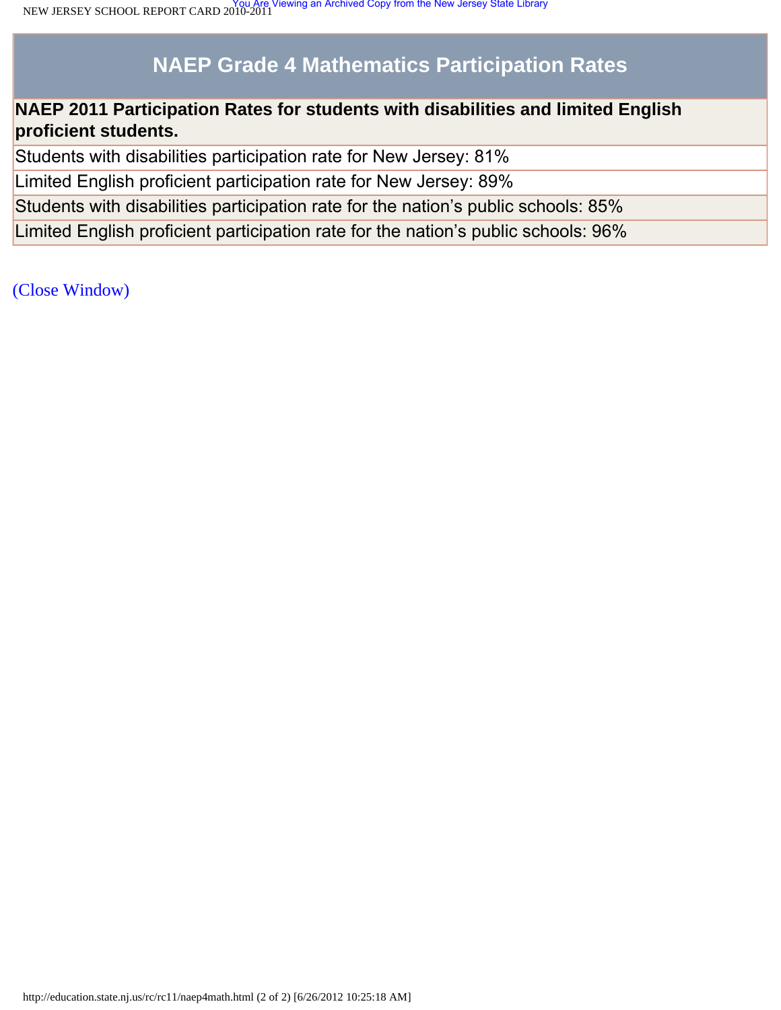# **NAEP Grade 4 Mathematics Participation Rates**

# **NAEP 2011 Participation Rates for students with disabilities and limited English proficient students.**

Students with disabilities participation rate for New Jersey: 81%

Limited English proficient participation rate for New Jersey: 89%

Students with disabilities participation rate for the nation's public schools: 85%

Limited English proficient participation rate for the nation's public schools: 96%

[\(Close Window\)](#page-29-1)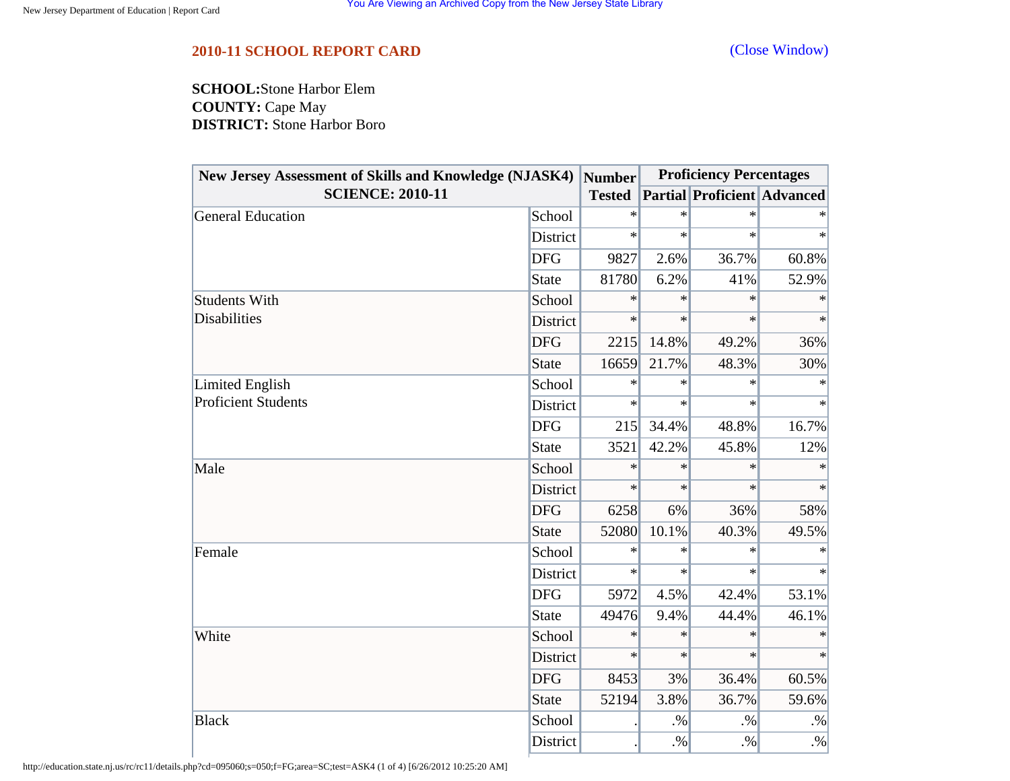## <span id="page-31-0"></span>**2010-11 SCHOOL REPORT CARD** [\(Close Window\)](#page-31-0)

**SCHOOL:**Stone Harbor Elem **COUNTY:** Cape May **DISTRICT:** Stone Harbor Boro

| New Jersey Assessment of Skills and Knowledge (NJASK4) |            | <b>Number</b> | <b>Proficiency Percentages</b> |                                    |           |
|--------------------------------------------------------|------------|---------------|--------------------------------|------------------------------------|-----------|
| <b>SCIENCE: 2010-11</b>                                |            | <b>Tested</b> |                                | <b>Partial Proficient Advanced</b> |           |
| General Education                                      | School     | $\ast$        | $\ast$                         | $\ast$                             |           |
|                                                        | District   | $\ast$        | $\ast$                         | $\ast$                             | $\ast$    |
|                                                        | <b>DFG</b> | 9827          | 2.6%                           | 36.7%                              | 60.8%     |
|                                                        | State      | 81780         | 6.2%                           | 41%                                | 52.9%     |
| <b>Students With</b>                                   | School     | $\ast$        | $\ast$                         | $\ast$                             | $\ast$    |
| Disabilities                                           | District   | $\ast$        | $\ast$                         | $\ast$                             | $\ast$    |
|                                                        | <b>DFG</b> | 2215          | 14.8%                          | 49.2%                              | 36%       |
|                                                        | State      | 16659         | 21.7%                          | 48.3%                              | 30%       |
| Limited English                                        | School     | ∗             | $\ast$                         | $\ast$                             | $\ast$    |
| <b>Proficient Students</b>                             | District   | $\ast$        | $\ast$                         | $\ast$                             | $\ast$    |
|                                                        | <b>DFG</b> | 215           | 34.4%                          | 48.8%                              | 16.7%     |
|                                                        | State      | 3521          | 42.2%                          | 45.8%                              | 12%       |
| Male                                                   | School     | $\ast$        | $\ast$                         | $\ast$                             | $\ast$    |
|                                                        | District   | $\ast$        | $\ast$                         | $\ast$                             | $\ast$    |
|                                                        | <b>DFG</b> | 6258          | 6%                             | 36%                                | 58%       |
|                                                        | State      | 52080         | 10.1%                          | 40.3%                              | 49.5%     |
| Female                                                 | School     | $\ast$        | $\ast$                         | $\ast$                             |           |
|                                                        | District   | $\ast$        | $\ast$                         | $\ast$                             | $\ast$    |
|                                                        | <b>DFG</b> | 5972          | 4.5%                           | 42.4%                              | 53.1%     |
|                                                        | State      | 49476         | 9.4%                           | 44.4%                              | 46.1%     |
| White                                                  | School     | $\ast$        | $\ast$                         | $\ast$                             | $\ast$    |
|                                                        | District   | $\ast$        | $\ast$                         | $\ast$                             | $\ast$    |
|                                                        | <b>DFG</b> | 8453          | 3%                             | 36.4%                              | 60.5%     |
|                                                        | State      | 52194         | 3.8%                           | 36.7%                              | 59.6%     |
| <b>Black</b>                                           | School     |               | $. \%$                         | $. \%$                             | $\cdot\%$ |
|                                                        | District   |               | $. \%$                         | $. \%$                             | $\cdot\%$ |

http://education.state.nj.us/rc/rc11/details.php?cd=095060;s=050;f=FG;area=SC;test=ASK4 (1 of 4) [6/26/2012 10:25:20 AM]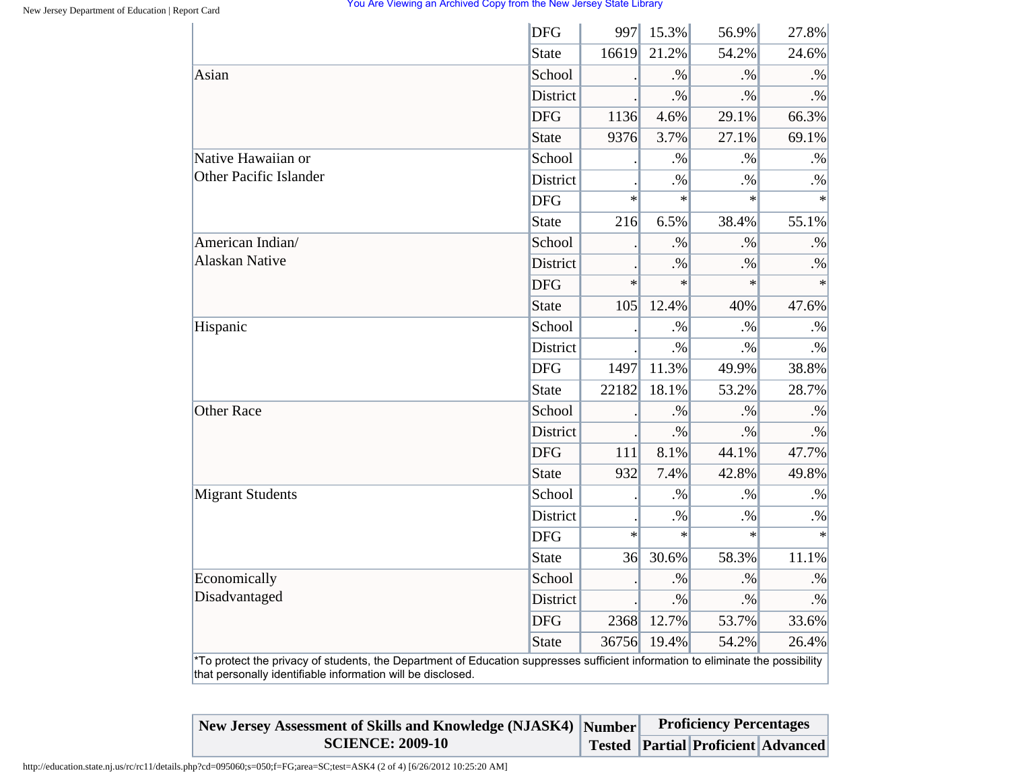|                                                                                                                                                                                                | <b>DFG</b>      | 997    | 15.3%  | 56.9%     | 27.8%     |
|------------------------------------------------------------------------------------------------------------------------------------------------------------------------------------------------|-----------------|--------|--------|-----------|-----------|
|                                                                                                                                                                                                | <b>State</b>    | 16619  | 21.2%  | 54.2%     | 24.6%     |
| Asian                                                                                                                                                                                          | School          |        | $. \%$ | $. \%$    | $. \%$    |
|                                                                                                                                                                                                | <b>District</b> |        | $. \%$ | $. \%$    | $. \%$    |
|                                                                                                                                                                                                | <b>DFG</b>      | 1136   | 4.6%   | 29.1%     | 66.3%     |
|                                                                                                                                                                                                | <b>State</b>    | 9376   | 3.7%   | 27.1%     | 69.1%     |
| Native Hawaiian or                                                                                                                                                                             | School          |        | $. \%$ | $. \%$    | $. \%$    |
| <b>Other Pacific Islander</b>                                                                                                                                                                  | District        |        | $. \%$ | $. \%$    | $. \%$    |
|                                                                                                                                                                                                | <b>DFG</b>      | $\ast$ | $\ast$ | $\ast$    | $\ast$    |
|                                                                                                                                                                                                | <b>State</b>    | 216    | 6.5%   | 38.4%     | 55.1%     |
| American Indian/                                                                                                                                                                               | School          |        | $. \%$ | $. \%$    | $. \%$    |
| <b>Alaskan Native</b>                                                                                                                                                                          | District        |        | $. \%$ | $. \%$    | $. \%$    |
|                                                                                                                                                                                                | <b>DFG</b>      | $\ast$ | $\ast$ | $\ast$    | $\ast$    |
|                                                                                                                                                                                                | <b>State</b>    | 105    | 12.4%  | 40%       | 47.6%     |
| Hispanic                                                                                                                                                                                       | School          |        | $. \%$ | $\cdot\%$ | $\cdot\%$ |
|                                                                                                                                                                                                | <b>District</b> |        | $. \%$ | $. \%$    | $. \%$    |
|                                                                                                                                                                                                | <b>DFG</b>      | 1497   | 11.3%  | 49.9%     | 38.8%     |
|                                                                                                                                                                                                | State           | 22182  | 18.1%  | 53.2%     | 28.7%     |
| <b>Other Race</b>                                                                                                                                                                              | School          |        | $. \%$ | $. \%$    | $. \%$    |
|                                                                                                                                                                                                | District        |        | $. \%$ | $. \%$    | $\cdot\%$ |
|                                                                                                                                                                                                | <b>DFG</b>      | 111    | 8.1%   | 44.1%     | 47.7%     |
|                                                                                                                                                                                                | <b>State</b>    | 932    | 7.4%   | 42.8%     | 49.8%     |
| <b>Migrant Students</b>                                                                                                                                                                        | School          |        | $. \%$ | $. \%$    | $. \%$    |
|                                                                                                                                                                                                | District        |        | $. \%$ | $. \%$    | $. \%$    |
|                                                                                                                                                                                                | <b>DFG</b>      | $\ast$ | $\ast$ | $\ast$    | ∗         |
|                                                                                                                                                                                                | <b>State</b>    | 36     | 30.6%  | 58.3%     | 11.1%     |
| Economically                                                                                                                                                                                   | School          |        | $. \%$ | $. \%$    | $. \%$    |
| Disadvantaged                                                                                                                                                                                  | <b>District</b> |        | $. \%$ | $. \%$    | $\cdot\%$ |
|                                                                                                                                                                                                | <b>DFG</b>      | 2368   | 12.7%  | 53.7%     | 33.6%     |
|                                                                                                                                                                                                | <b>State</b>    | 36756  | 19.4%  | 54.2%     | 26.4%     |
| *To protect the privacy of students, the Department of Education suppresses sufficient information to eliminate the possibility<br>that personally identifiable information will be disclosed. |                 |        |        |           |           |

| New Jersey Assessment of Skills and Knowledge (NJASK4) Number | <b>Proficiency Percentages</b> |                                           |  |  |
|---------------------------------------------------------------|--------------------------------|-------------------------------------------|--|--|
| <b>SCIENCE: 2009-10</b>                                       |                                | <b>Tested Partial Proficient Advanced</b> |  |  |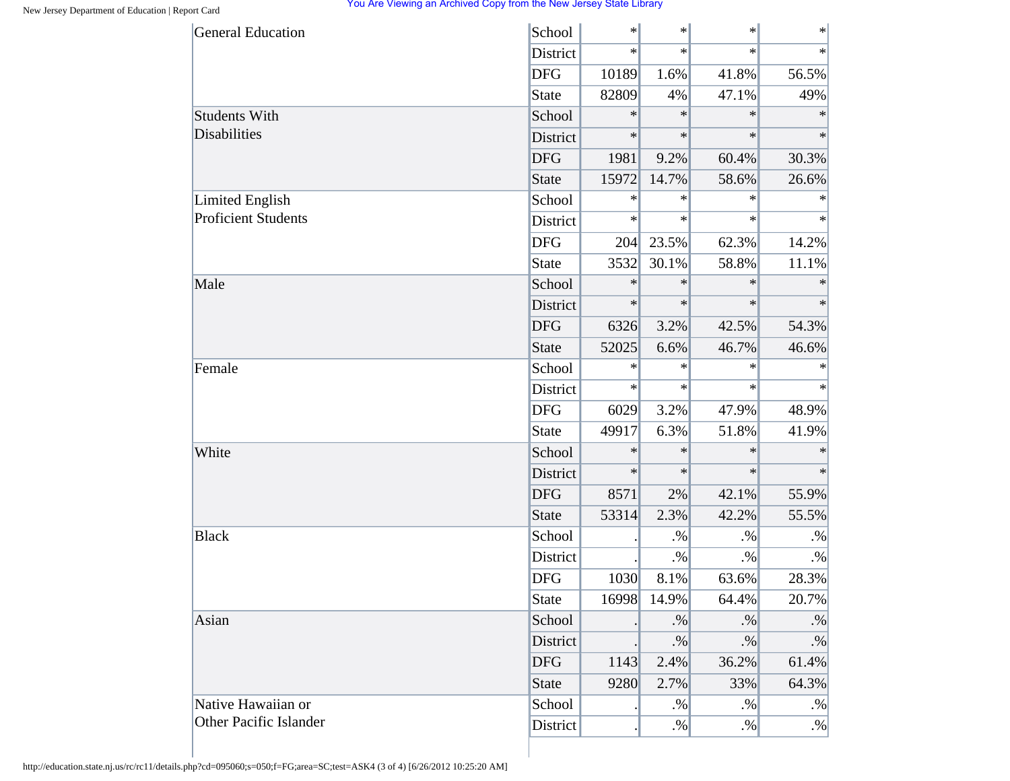| <b>General Education</b>      | School       | $\ast$ | $\ast$ | $\ast$  | $\ast$ |
|-------------------------------|--------------|--------|--------|---------|--------|
|                               | District     | $\ast$ | $\ast$ | $\star$ | $\ast$ |
|                               | <b>DFG</b>   | 10189  | 1.6%   | 41.8%   | 56.5%  |
|                               | <b>State</b> | 82809  | 4%     | 47.1%   | 49%    |
| Students With                 | School       | ∗      | $\ast$ | $\ast$  | $\ast$ |
| <b>Disabilities</b>           | District     | $\ast$ | $\ast$ | $\ast$  | $\ast$ |
|                               | <b>DFG</b>   | 1981   | 9.2%   | 60.4%   | 30.3%  |
|                               | <b>State</b> | 15972  | 14.7%  | 58.6%   | 26.6%  |
| Limited English               | School       | ∗      | $\ast$ | $\ast$  | $\ast$ |
| <b>Proficient Students</b>    | District     | $\ast$ | $\ast$ | $\ast$  | $\ast$ |
|                               | <b>DFG</b>   | 204    | 23.5%  | 62.3%   | 14.2%  |
|                               | <b>State</b> | 3532   | 30.1%  | 58.8%   | 11.1%  |
| Male                          | School       | $\ast$ | $\ast$ | $\ast$  | $\ast$ |
|                               | District     | $\ast$ | $\ast$ | $\ast$  | $\ast$ |
|                               | <b>DFG</b>   | 6326   | 3.2%   | 42.5%   | 54.3%  |
|                               | <b>State</b> | 52025  | 6.6%   | 46.7%   | 46.6%  |
| Female                        | School       | $\ast$ | $\ast$ | $\ast$  | $\ast$ |
|                               | District     | $\ast$ | $\ast$ | $\ast$  | $\ast$ |
|                               | <b>DFG</b>   | 6029   | 3.2%   | 47.9%   | 48.9%  |
|                               | <b>State</b> | 49917  | 6.3%   | 51.8%   | 41.9%  |
| White                         | School       | $\ast$ | $\ast$ | $\ast$  | $\ast$ |
|                               | District     | $\ast$ | $\ast$ | $\ast$  | $\ast$ |
|                               | <b>DFG</b>   | 8571   | 2%     | 42.1%   | 55.9%  |
|                               | <b>State</b> | 53314  | 2.3%   | 42.2%   | 55.5%  |
| <b>Black</b>                  | School       |        | $. \%$ | $. \%$  | $. \%$ |
|                               | District     |        | $. \%$ | $. \%$  | $. \%$ |
|                               | <b>DFG</b>   | 1030   | 8.1%   | 63.6%   | 28.3%  |
|                               | <b>State</b> | 16998  | 14.9%  | 64.4%   | 20.7%  |
| Asian                         | School       |        | $. \%$ | $. \%$  | $. \%$ |
|                               | District     |        | $. \%$ | $. \%$  | $. \%$ |
|                               | <b>DFG</b>   | 1143   | 2.4%   | 36.2%   | 61.4%  |
|                               | <b>State</b> | 9280   | 2.7%   | 33%     | 64.3%  |
| Native Hawaiian or            | School       |        | $. \%$ | $. \%$  | $. \%$ |
| <b>Other Pacific Islander</b> | District     |        | $. \%$ | $. \%$  | $. \%$ |

http://education.state.nj.us/rc/rc11/details.php?cd=095060;s=050;f=FG;area=SC;test=ASK4 (3 of 4) [6/26/2012 10:25:20 AM]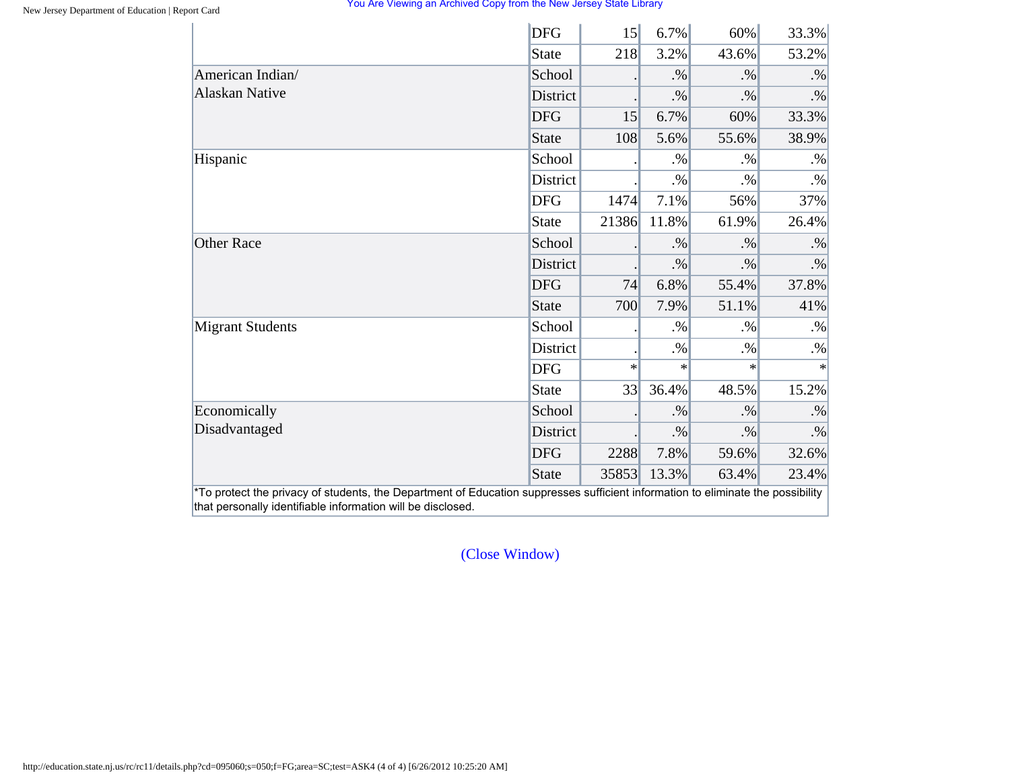|                         | <b>DFG</b>      | 15     | 6.7%   | 60%    | 33.3%  |
|-------------------------|-----------------|--------|--------|--------|--------|
|                         | State           | 218    | 3.2%   | 43.6%  | 53.2%  |
| American Indian/        | School          |        | $. \%$ | $. \%$ | $. \%$ |
| <b>Alaskan Native</b>   | <b>District</b> |        | $. \%$ | $. \%$ | $. \%$ |
|                         | <b>DFG</b>      | 15     | 6.7%   | 60%    | 33.3%  |
|                         | State           | 108    | 5.6%   | 55.6%  | 38.9%  |
| Hispanic                | School          |        | $. \%$ | $. \%$ | $. \%$ |
|                         | District        |        | $. \%$ | $. \%$ | $. \%$ |
|                         | <b>DFG</b>      | 1474   | 7.1%   | 56%    | 37%    |
|                         | State           | 21386  | 11.8%  | 61.9%  | 26.4%  |
| <b>Other Race</b>       | School          |        | $. \%$ | $. \%$ | $. \%$ |
|                         | District        |        | $. \%$ | $. \%$ | $. \%$ |
|                         | <b>DFG</b>      | 74     | 6.8%   | 55.4%  | 37.8%  |
|                         | State           | 700    | 7.9%   | 51.1%  | 41%    |
| <b>Migrant Students</b> | School          |        | $. \%$ | $. \%$ | $. \%$ |
|                         | District        |        | $. \%$ | $. \%$ | $. \%$ |
|                         | <b>DFG</b>      | $\ast$ | $\ast$ | $\ast$ | $\ast$ |
|                         | State           | 33     | 36.4%  | 48.5%  | 15.2%  |
| Economically            | School          |        | $. \%$ | $. \%$ | $. \%$ |
| Disadvantaged           | District        |        | $. \%$ | $. \%$ | $. \%$ |
|                         | <b>DFG</b>      | 2288   | 7.8%   | 59.6%  | 32.6%  |
|                         | <b>State</b>    | 35853  | 13.3%  | 63.4%  | 23.4%  |

[\(Close Window\)](#page-31-0)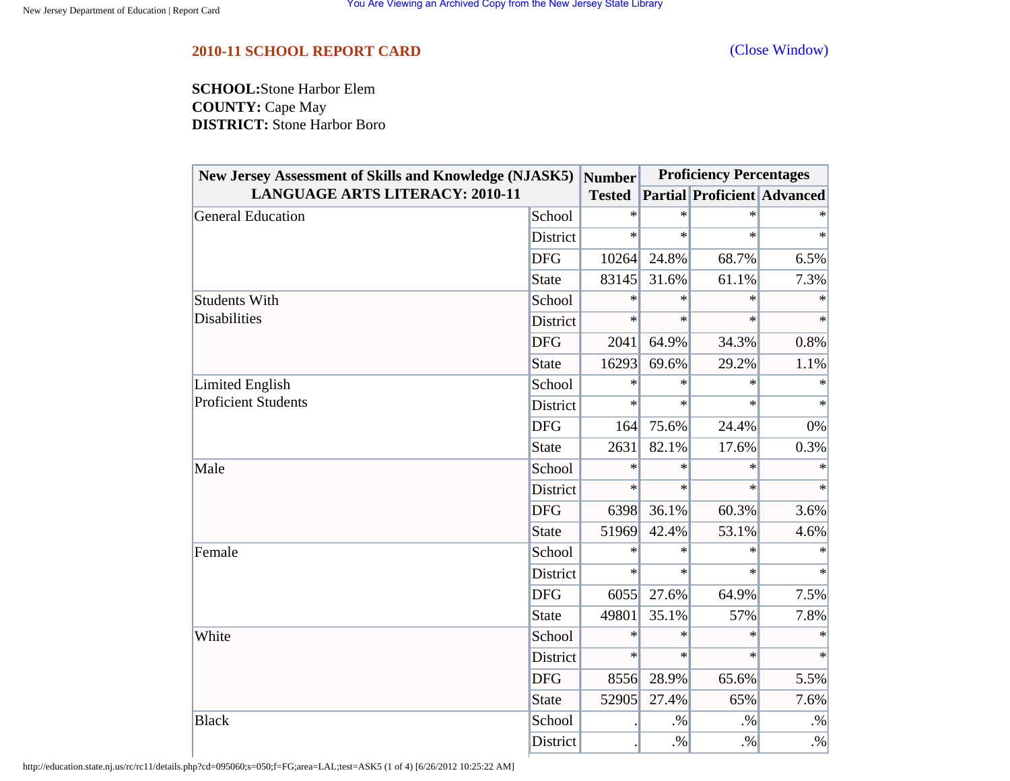## <span id="page-35-0"></span>**2010-11 SCHOOL REPORT CARD** [\(Close Window\)](#page-35-0)

**SCHOOL:**Stone Harbor Elem **COUNTY:** Cape May **DISTRICT:** Stone Harbor Boro

| <b>New Jersey Assessment of Skills and Knowledge (NJASK5)</b><br><b>LANGUAGE ARTS LITERACY: 2010-11</b> |              | <b>Number</b><br><b>Tested</b> | <b>Proficiency Percentages</b> |                                    |           |
|---------------------------------------------------------------------------------------------------------|--------------|--------------------------------|--------------------------------|------------------------------------|-----------|
|                                                                                                         |              |                                |                                | <b>Partial Proficient Advanced</b> |           |
| <b>General Education</b>                                                                                | School       | $\ast$                         | $\ast$                         | $\ast$                             |           |
|                                                                                                         | District     | $\ast$                         | $\ast$                         | $\ast$                             | $\ast$    |
|                                                                                                         | <b>DFG</b>   | 10264                          | 24.8%                          | 68.7%                              | 6.5%      |
|                                                                                                         | <b>State</b> | 83145                          | 31.6%                          | 61.1%                              | 7.3%      |
| <b>Students With</b><br><b>Disabilities</b>                                                             | School       | ∗                              | $\ast$                         | $\ast$                             | $\ast$    |
|                                                                                                         | District     | $\ast$                         | $\ast$                         | $\ast$                             | $\ast$    |
|                                                                                                         | <b>DFG</b>   | 2041                           | 64.9%                          | 34.3%                              | 0.8%      |
|                                                                                                         | <b>State</b> | 16293                          | 69.6%                          | 29.2%                              | 1.1%      |
| Limited English                                                                                         | School       | $\ast$                         | $\ast$                         | $\ast$                             | $\ast$    |
| <b>Proficient Students</b>                                                                              | District     | $\ast$                         | $\ast$                         | $\ast$                             | $\ast$    |
|                                                                                                         | <b>DFG</b>   | 164                            | 75.6%                          | 24.4%                              | 0%        |
|                                                                                                         | <b>State</b> | 2631                           | 82.1%                          | 17.6%                              | 0.3%      |
| Male                                                                                                    | School       | $\ast$                         | $\ast$                         | $\ast$                             | $\ast$    |
|                                                                                                         | District     | $\ast$                         | $\ast$                         | $\ast$                             | $\ast$    |
|                                                                                                         | <b>DFG</b>   | 6398                           | 36.1%                          | 60.3%                              | 3.6%      |
|                                                                                                         | <b>State</b> | 51969                          | 42.4%                          | 53.1%                              | 4.6%      |
| Female                                                                                                  | School       | $\ast$                         | $\ast$                         | $\ast$                             |           |
|                                                                                                         | District     | $\ast$                         | $\ast$                         | $\ast$                             | $\ast$    |
|                                                                                                         | <b>DFG</b>   | 6055                           | 27.6%                          | 64.9%                              | 7.5%      |
|                                                                                                         | <b>State</b> | 49801                          | 35.1%                          | 57%                                | 7.8%      |
| White                                                                                                   | School       | $\ast$                         | $\ast$                         | $\ast$                             | $\ast$    |
|                                                                                                         | District     | $\ast$                         | $\ast$                         | $\ast$                             | $\ast$    |
|                                                                                                         | <b>DFG</b>   | 8556                           | 28.9%                          | 65.6%                              | 5.5%      |
|                                                                                                         | <b>State</b> | 52905                          | 27.4%                          | 65%                                | 7.6%      |
| <b>Black</b>                                                                                            | School       |                                | $. \%$                         | $. \%$                             | $\cdot\%$ |
|                                                                                                         | District     |                                | $. \%$                         | $. \%$                             | $\cdot\%$ |

http://education.state.nj.us/rc/rc11/details.php?cd=095060;s=050;f=FG;area=LAL;test=ASK5 (1 of 4) [6/26/2012 10:25:22 AM]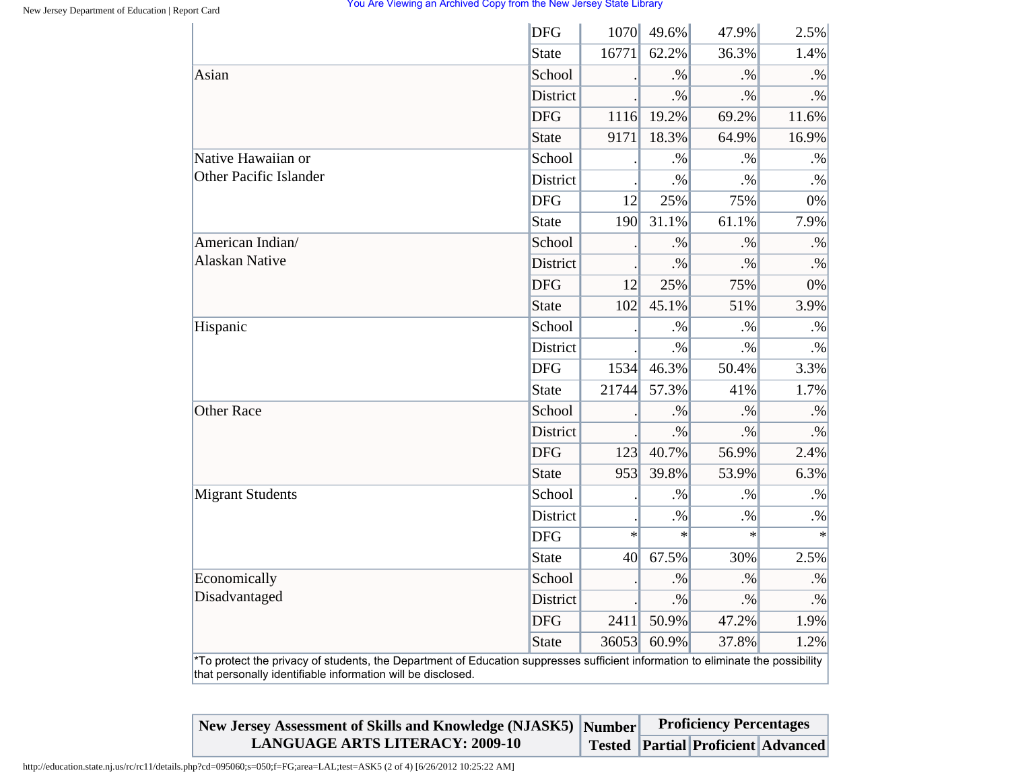|                                                                                                                                                                                                | <b>DFG</b>      | 1070   | 49.6%  | 47.9%  | 2.5%      |
|------------------------------------------------------------------------------------------------------------------------------------------------------------------------------------------------|-----------------|--------|--------|--------|-----------|
|                                                                                                                                                                                                | State           | 16771  | 62.2%  | 36.3%  | 1.4%      |
| Asian                                                                                                                                                                                          | School          |        | $. \%$ | $. \%$ | $. \%$    |
|                                                                                                                                                                                                | <b>District</b> |        | $. \%$ | $. \%$ | $. \%$    |
|                                                                                                                                                                                                | <b>DFG</b>      | 1116   | 19.2%  | 69.2%  | 11.6%     |
|                                                                                                                                                                                                | State           | 9171   | 18.3%  | 64.9%  | 16.9%     |
| Native Hawaiian or                                                                                                                                                                             | School          |        | $. \%$ | $. \%$ | $. \%$    |
| <b>Other Pacific Islander</b>                                                                                                                                                                  | District        |        | $. \%$ | $. \%$ | $. \%$    |
|                                                                                                                                                                                                | <b>DFG</b>      | 12     | 25%    | 75%    | 0%        |
|                                                                                                                                                                                                | <b>State</b>    | 190    | 31.1%  | 61.1%  | 7.9%      |
| American Indian/                                                                                                                                                                               | School          |        | $. \%$ | .9/6   | $. \%$    |
| <b>Alaskan Native</b>                                                                                                                                                                          | District        |        | $. \%$ | $. \%$ | $. \%$    |
|                                                                                                                                                                                                | <b>DFG</b>      | 12     | 25%    | 75%    | 0%        |
|                                                                                                                                                                                                | State           | 102    | 45.1%  | 51%    | 3.9%      |
| Hispanic                                                                                                                                                                                       | School          |        | $. \%$ | $. \%$ | $\cdot\%$ |
|                                                                                                                                                                                                | District        |        | $. \%$ | $. \%$ | $. \%$    |
|                                                                                                                                                                                                | <b>DFG</b>      | 1534   | 46.3%  | 50.4%  | 3.3%      |
|                                                                                                                                                                                                | State           | 21744  | 57.3%  | 41%    | 1.7%      |
| <b>Other Race</b>                                                                                                                                                                              | School          |        | $. \%$ | $. \%$ | $. \%$    |
|                                                                                                                                                                                                | District        |        | $. \%$ | $. \%$ | $. \%$    |
|                                                                                                                                                                                                | <b>DFG</b>      | 123    | 40.7%  | 56.9%  | 2.4%      |
|                                                                                                                                                                                                | State           | 953    | 39.8%  | 53.9%  | 6.3%      |
| <b>Migrant Students</b>                                                                                                                                                                        | School          |        | $. \%$ | $. \%$ | $. \%$    |
|                                                                                                                                                                                                | District        |        | $. \%$ | $. \%$ | $. \%$    |
|                                                                                                                                                                                                | <b>DFG</b>      | $\ast$ | $\ast$ | $\ast$ | $\ast$    |
|                                                                                                                                                                                                | State           | 40     | 67.5%  | 30%    | 2.5%      |
| Economically                                                                                                                                                                                   | School          |        | $. \%$ | $. \%$ | $. \%$    |
| Disadvantaged                                                                                                                                                                                  | District        |        | $. \%$ | $. \%$ | $\cdot\%$ |
|                                                                                                                                                                                                | <b>DFG</b>      | 2411   | 50.9%  | 47.2%  | 1.9%      |
|                                                                                                                                                                                                | State           | 36053  | 60.9%  | 37.8%  | 1.2%      |
| *To protect the privacy of students, the Department of Education suppresses sufficient information to eliminate the possibility<br>that personally identifiable information will be disclosed. |                 |        |        |        |           |

| New Jersey Assessment of Skills and Knowledge (NJASK5) Number | <b>Proficiency Percentages</b> |  |                                           |  |
|---------------------------------------------------------------|--------------------------------|--|-------------------------------------------|--|
| <b>LANGUAGE ARTS LITERACY: 2009-10</b>                        |                                |  | <b>Tested Partial Proficient Advanced</b> |  |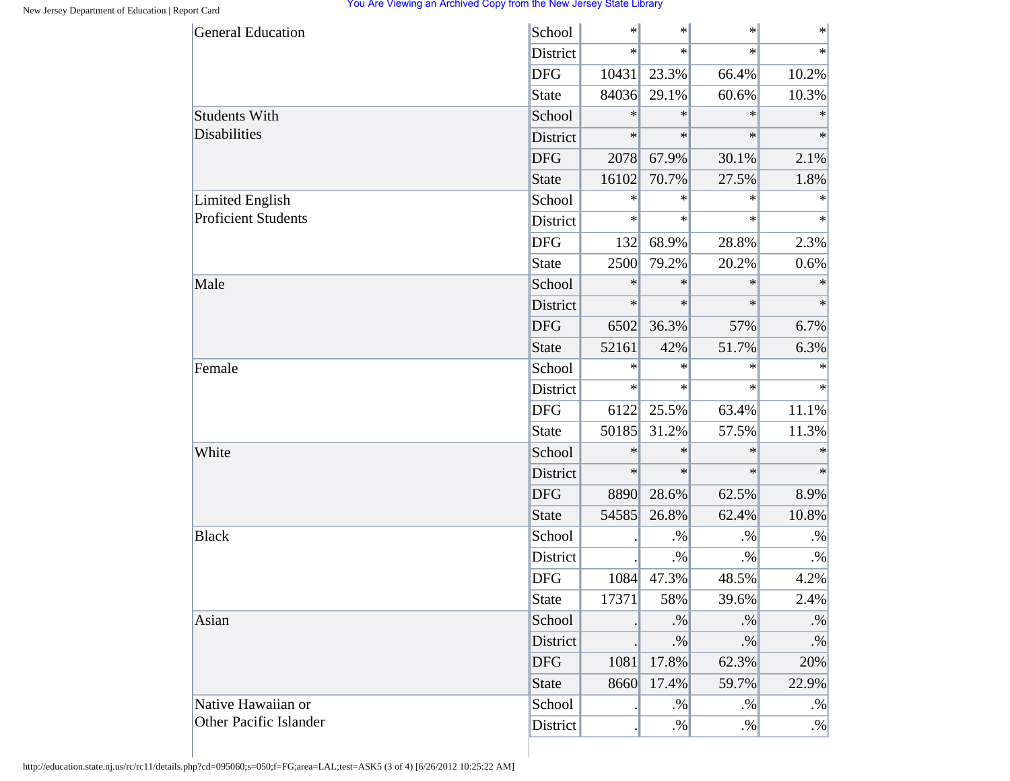| <b>General Education</b>      | School       | $\ast$ | $\ast$ | $\ast$  | $\ast$    |
|-------------------------------|--------------|--------|--------|---------|-----------|
|                               | District     | $\ast$ | $\ast$ | $\star$ | $\ast$    |
|                               | <b>DFG</b>   | 10431  | 23.3%  | 66.4%   | 10.2%     |
|                               | <b>State</b> | 84036  | 29.1%  | 60.6%   | 10.3%     |
| <b>Students With</b>          | School       | $\ast$ | $\ast$ | $\ast$  | $\ast$    |
| <b>Disabilities</b>           | District     | $\ast$ | $\ast$ | $\ast$  | $\ast$    |
|                               | <b>DFG</b>   | 2078   | 67.9%  | 30.1%   | 2.1%      |
|                               | <b>State</b> | 16102  | 70.7%  | 27.5%   | 1.8%      |
| Limited English               | School       | $\ast$ | $\ast$ | $\ast$  | $\ast$    |
| <b>Proficient Students</b>    | District     | $\ast$ | $\ast$ | $\ast$  | $\ast$    |
|                               | <b>DFG</b>   | 132    | 68.9%  | 28.8%   | 2.3%      |
|                               | <b>State</b> | 2500   | 79.2%  | 20.2%   | 0.6%      |
| Male                          | School       | $\ast$ | $\ast$ | $\ast$  | $\ast$    |
|                               | District     | $\ast$ | $\ast$ | $\ast$  | $\ast$    |
|                               | <b>DFG</b>   | 6502   | 36.3%  | 57%     | 6.7%      |
|                               | <b>State</b> | 52161  | 42%    | 51.7%   | 6.3%      |
| Female                        | School       | $\ast$ | $\ast$ | $\ast$  | $\ast$    |
|                               | District     | $\ast$ | $\ast$ | $\ast$  | $\ast$    |
|                               | <b>DFG</b>   | 6122   | 25.5%  | 63.4%   | 11.1%     |
|                               | <b>State</b> | 50185  | 31.2%  | 57.5%   | 11.3%     |
| White                         | School       | $\ast$ | $\ast$ | $\ast$  | $\ast$    |
|                               | District     | $\ast$ | $\ast$ | $\ast$  | $\ast$    |
|                               | <b>DFG</b>   | 8890   | 28.6%  | 62.5%   | 8.9%      |
|                               | <b>State</b> | 54585  | 26.8%  | 62.4%   | 10.8%     |
| <b>Black</b>                  | School       |        | $. \%$ | $. \%$  | $. \%$    |
|                               | District     |        | $. \%$ | $. \%$  | $. \%$    |
|                               | <b>DFG</b>   | 1084   | 47.3%  | 48.5%   | 4.2%      |
|                               | <b>State</b> | 17371  | 58%    | 39.6%   | 2.4%      |
| Asian                         | School       |        | $. \%$ | $. \%$  | $. \%$    |
|                               | District     |        | $. \%$ | $. \%$  | $\cdot\%$ |
|                               | <b>DFG</b>   | 1081   | 17.8%  | 62.3%   | 20%       |
|                               | <b>State</b> | 8660   | 17.4%  | 59.7%   | 22.9%     |
| Native Hawaiian or            | School       |        | $. \%$ | $. \%$  | $. \%$    |
| <b>Other Pacific Islander</b> | District     |        | $. \%$ | $. \%$  | $. \%$    |

http://education.state.nj.us/rc/rc11/details.php?cd=095060;s=050;f=FG;area=LAL;test=ASK5 (3 of 4) [6/26/2012 10:25:22 AM]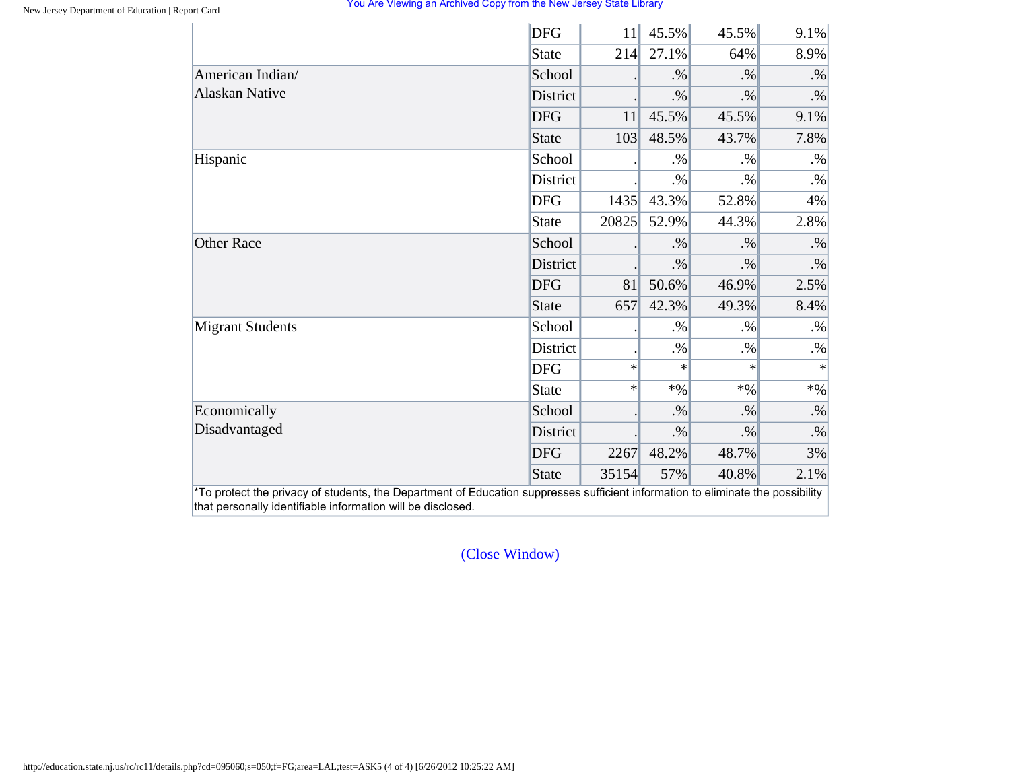|                         | <b>DFG</b>      | 11     | 45.5%  | 45.5%  | $9.1\%$ |
|-------------------------|-----------------|--------|--------|--------|---------|
|                         | <b>State</b>    | 214    | 27.1%  | 64%    | 8.9%    |
| American Indian/        | School          |        | $. \%$ | $. \%$ | $. \%$  |
| <b>Alaskan Native</b>   | District        |        | $. \%$ | $. \%$ | $. \%$  |
|                         | <b>DFG</b>      | 11     | 45.5%  | 45.5%  | 9.1%    |
|                         | <b>State</b>    | 103    | 48.5%  | 43.7%  | 7.8%    |
| Hispanic                | School          |        | $. \%$ | $. \%$ | $. \%$  |
|                         | <b>District</b> |        | $. \%$ | $. \%$ | $. \%$  |
|                         | <b>DFG</b>      | 1435   | 43.3%  | 52.8%  | 4%      |
|                         | <b>State</b>    | 20825  | 52.9%  | 44.3%  | 2.8%    |
| <b>Other Race</b>       | School          |        | $. \%$ | $. \%$ | $. \%$  |
|                         | District        |        | $. \%$ | $. \%$ | $. \%$  |
|                         | <b>DFG</b>      | 81     | 50.6%  | 46.9%  | 2.5%    |
|                         | <b>State</b>    | 657    | 42.3%  | 49.3%  | 8.4%    |
| <b>Migrant Students</b> | School          |        | $. \%$ | $. \%$ | $. \%$  |
|                         | District        |        | $. \%$ | $. \%$ | $. \%$  |
|                         | <b>DFG</b>      | $\ast$ | ∗      | $\ast$ | $\ast$  |
|                         | <b>State</b>    | $\ast$ | $*9/0$ | $*9/0$ | $*9/0$  |
| Economically            | School          |        | $. \%$ | $. \%$ | $. \%$  |
| Disadvantaged           | District        |        | $. \%$ | $. \%$ | $. \%$  |
|                         | <b>DFG</b>      | 2267   | 48.2%  | 48.7%  | 3%      |
|                         | <b>State</b>    | 35154  | 57%    | 40.8%  | 2.1%    |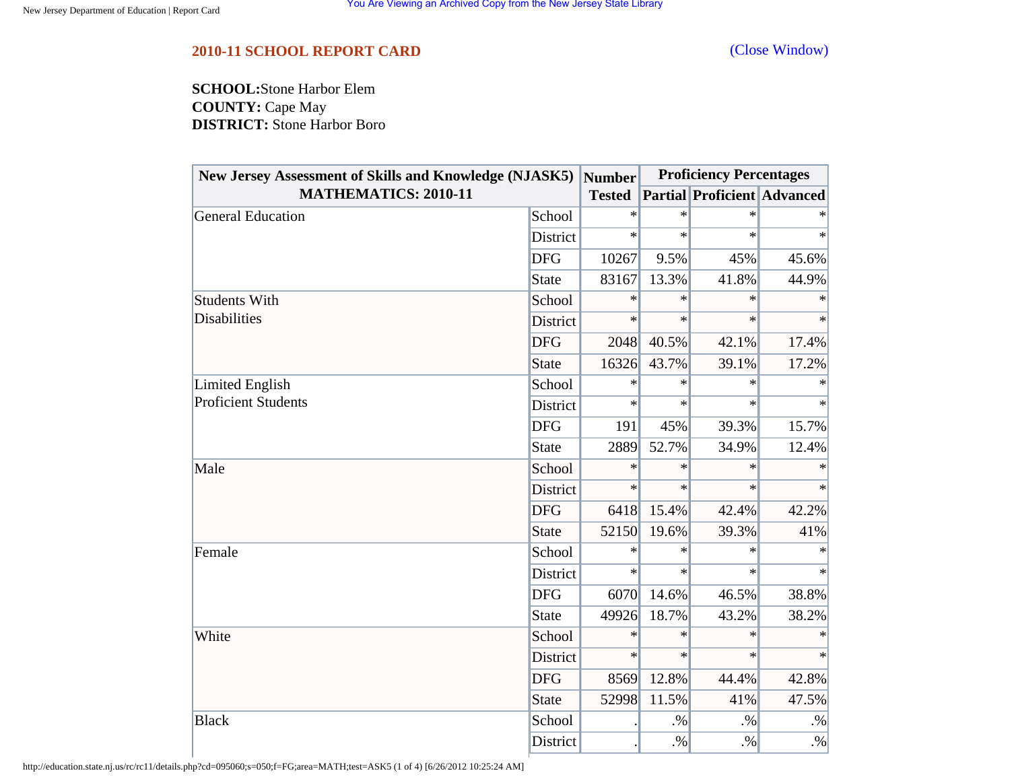<span id="page-39-0"></span>**SCHOOL:**Stone Harbor Elem **COUNTY:** Cape May **DISTRICT:** Stone Harbor Boro

| New Jersey Assessment of Skills and Knowledge (NJASK5) |                 | Number        | <b>Proficiency Percentages</b> |                                    |        |
|--------------------------------------------------------|-----------------|---------------|--------------------------------|------------------------------------|--------|
| <b>MATHEMATICS: 2010-11</b>                            |                 | <b>Tested</b> |                                | <b>Partial Proficient Advanced</b> |        |
| General Education                                      | School          | $\ast$        | $\ast$                         | $\ast$                             |        |
|                                                        | District        | $\ast$        | $\ast$                         | $\ast$                             | $\ast$ |
|                                                        | <b>DFG</b>      | 10267         | 9.5%                           | 45%                                | 45.6%  |
|                                                        | <b>State</b>    | 83167         | 13.3%                          | 41.8%                              | 44.9%  |
| <b>Students With</b>                                   | School          | $\ast$        | $\ast$                         | $\ast$                             |        |
| <b>Disabilities</b>                                    | <b>District</b> | $\ast$        | $\ast$                         | $\ast$                             | $\ast$ |
| <b>Proficient Students</b>                             | <b>DFG</b>      | 2048          | 40.5%                          | 42.1%                              | 17.4%  |
|                                                        | <b>State</b>    | 16326         | 43.7%                          | 39.1%                              | 17.2%  |
| Limited English                                        | School          | $\ast$        | $\ast$                         | $\ast$                             | $\ast$ |
|                                                        | District        | $\ast$        | $\ast$                         | $\ast$                             | $\ast$ |
|                                                        | <b>DFG</b>      | 191           | 45%                            | 39.3%                              | 15.7%  |
|                                                        | <b>State</b>    | 2889          | 52.7%                          | 34.9%                              | 12.4%  |
| Male                                                   | School          | $\ast$        | $\ast$                         | $\ast$                             | $\ast$ |
|                                                        | District        | $\ast$        | $\ast$                         | $\ast$                             | $\ast$ |
|                                                        | <b>DFG</b>      | 6418          | 15.4%                          | 42.4%                              | 42.2%  |
|                                                        | <b>State</b>    | 52150         | 19.6%                          | 39.3%                              | 41%    |
| Female                                                 | School          | $\ast$        | $\ast$                         | $\ast$                             |        |
|                                                        | District        | $\ast$        | $\ast$                         | $\ast$                             | $\ast$ |
|                                                        | <b>DFG</b>      | 6070          | 14.6%                          | 46.5%                              | 38.8%  |
|                                                        | State           | 49926         | 18.7%                          | 43.2%                              | 38.2%  |
| White                                                  | School          | $\ast$        | $\ast$                         | $\ast$                             | $\ast$ |
|                                                        | District        | $\ast$        | $\ast$                         | $\ast$                             | $\ast$ |
|                                                        | <b>DFG</b>      | 8569          | 12.8%                          | 44.4%                              | 42.8%  |
|                                                        | <b>State</b>    | 52998         | 11.5%                          | 41%                                | 47.5%  |
| <b>Black</b>                                           | School          |               | $. \%$                         | $. \%$                             | $. \%$ |
|                                                        | District        |               | $. \%$                         | $. \%$                             | $. \%$ |

http://education.state.nj.us/rc/rc11/details.php?cd=095060;s=050;f=FG;area=MATH;test=ASK5 (1 of 4) [6/26/2012 10:25:24 AM]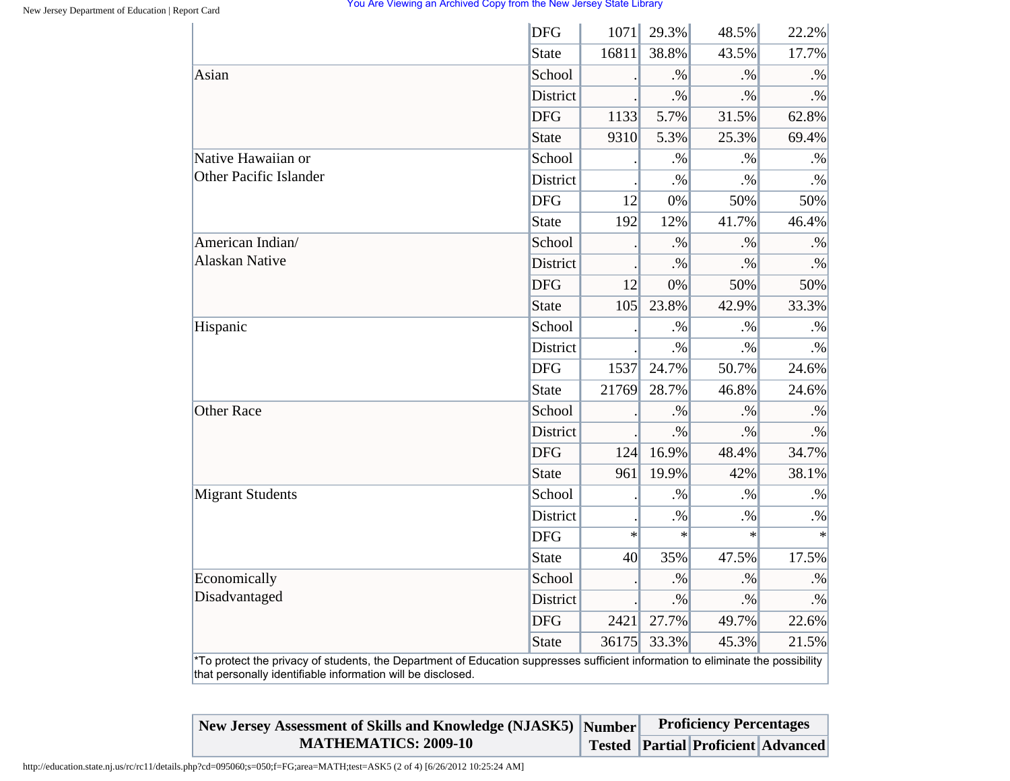|                                                                                                                                                                                                | <b>DFG</b>      | 1071   | 29.3%  | 48.5%     | 22.2%     |
|------------------------------------------------------------------------------------------------------------------------------------------------------------------------------------------------|-----------------|--------|--------|-----------|-----------|
|                                                                                                                                                                                                | <b>State</b>    | 16811  | 38.8%  | 43.5%     | 17.7%     |
| Asian                                                                                                                                                                                          | School          |        | $. \%$ | $. \%$    | $. \%$    |
|                                                                                                                                                                                                | <b>District</b> |        | $. \%$ | $. \%$    | $. \%$    |
|                                                                                                                                                                                                | <b>DFG</b>      | 1133   | 5.7%   | 31.5%     | 62.8%     |
|                                                                                                                                                                                                | <b>State</b>    | 9310   | 5.3%   | 25.3%     | 69.4%     |
| Native Hawaiian or                                                                                                                                                                             | School          |        | $. \%$ | $. \%$    | $. \%$    |
| Other Pacific Islander                                                                                                                                                                         | District        |        | $. \%$ | $. \%$    | $. \%$    |
|                                                                                                                                                                                                | <b>DFG</b>      | 12     | 0%     | 50%       | 50%       |
|                                                                                                                                                                                                | <b>State</b>    | 192    | 12%    | 41.7%     | 46.4%     |
| American Indian/                                                                                                                                                                               | School          |        | $. \%$ | $. \%$    | $. \%$    |
| <b>Alaskan Native</b>                                                                                                                                                                          | District        |        | $. \%$ | $\cdot\%$ | $\cdot\%$ |
|                                                                                                                                                                                                | <b>DFG</b>      | 12     | 0%     | 50%       | 50%       |
|                                                                                                                                                                                                | <b>State</b>    | 105    | 23.8%  | 42.9%     | 33.3%     |
| Hispanic                                                                                                                                                                                       | School          |        | $. \%$ | $. \%$    | $. \%$    |
|                                                                                                                                                                                                | District        |        | $. \%$ | $. \%$    | .%        |
|                                                                                                                                                                                                | <b>DFG</b>      | 1537   | 24.7%  | 50.7%     | 24.6%     |
|                                                                                                                                                                                                | <b>State</b>    | 21769  | 28.7%  | 46.8%     | 24.6%     |
| <b>Other Race</b>                                                                                                                                                                              | School          |        | $. \%$ | $. \%$    | $. \%$    |
|                                                                                                                                                                                                | <b>District</b> |        | $. \%$ | $. \%$    | $. \%$    |
|                                                                                                                                                                                                | <b>DFG</b>      | 124    | 16.9%  | 48.4%     | 34.7%     |
|                                                                                                                                                                                                | <b>State</b>    | 961    | 19.9%  | 42%       | 38.1%     |
| <b>Migrant Students</b>                                                                                                                                                                        | School          |        | $. \%$ | $\cdot\%$ | $\cdot\%$ |
|                                                                                                                                                                                                | District        |        | $. \%$ | $. \%$    | $. \%$    |
|                                                                                                                                                                                                | <b>DFG</b>      | $\ast$ | $\ast$ | $\ast$    | $\ast$    |
|                                                                                                                                                                                                | <b>State</b>    | 40     | 35%    | 47.5%     | 17.5%     |
| Economically                                                                                                                                                                                   | School          |        | $. \%$ | $. \%$    | $. \%$    |
| Disadvantaged                                                                                                                                                                                  | District        |        | $. \%$ | $. \%$    | $\cdot\%$ |
|                                                                                                                                                                                                | <b>DFG</b>      | 2421   | 27.7%  | 49.7%     | 22.6%     |
|                                                                                                                                                                                                | <b>State</b>    | 36175  | 33.3%  | 45.3%     | 21.5%     |
| *To protect the privacy of students, the Department of Education suppresses sufficient information to eliminate the possibility<br>that personally identifiable information will be disclosed. |                 |        |        |           |           |

| New Jersey Assessment of Skills and Knowledge (NJASK5) Number | <b>Proficiency Percentages</b> |                                          |  |  |
|---------------------------------------------------------------|--------------------------------|------------------------------------------|--|--|
| <b>MATHEMATICS: 2009-10</b>                                   |                                | Tested   Partial   Proficient   Advanced |  |  |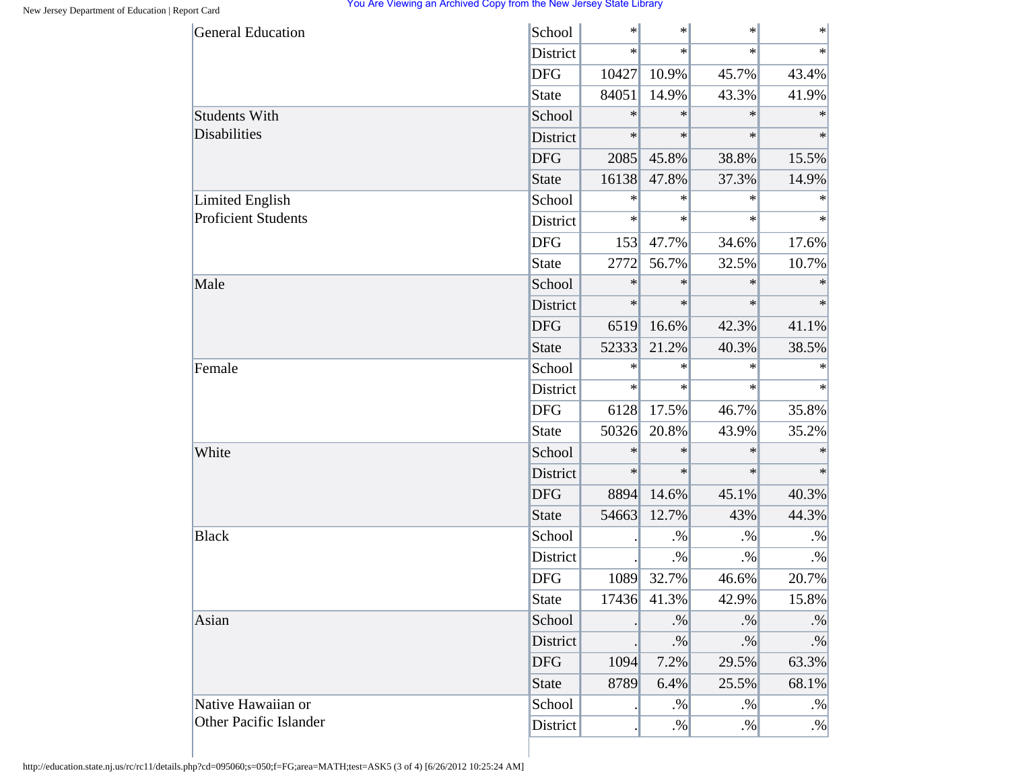| <b>General Education</b>   | School          | $\ast$ | $\ast$      | $\ast$ | $\ast$    |
|----------------------------|-----------------|--------|-------------|--------|-----------|
|                            | District        | $\ast$ | $\ast$      | $\ast$ | $\ast$    |
|                            | <b>DFG</b>      | 10427  | 10.9%       | 45.7%  | 43.4%     |
|                            | State           | 84051  | 14.9%       | 43.3%  | 41.9%     |
| <b>Students With</b>       | School          | $\ast$ | $\ast$      | $\ast$ | $\ast$    |
| <b>Disabilities</b>        | District        | $\ast$ | $\ast$      | $\ast$ | $\ast$    |
|                            | <b>DFG</b>      | 2085   | 45.8%       | 38.8%  | 15.5%     |
|                            | <b>State</b>    | 16138  | 47.8%       | 37.3%  | 14.9%     |
| <b>Limited English</b>     | School          | $\ast$ | $\ast$      | $\ast$ | $\ast$    |
| <b>Proficient Students</b> | District        | $\ast$ | $\ast$      | $\ast$ | $\ast$    |
|                            | <b>DFG</b>      | 153    | 47.7%       | 34.6%  | 17.6%     |
|                            | <b>State</b>    | 2772   | 56.7%       | 32.5%  | 10.7%     |
| Male                       | School          | $\ast$ | $\ast$      | $\ast$ | $\ast$    |
|                            | <b>District</b> | $\ast$ | $\ast$      | $\ast$ | $\ast$    |
|                            | <b>DFG</b>      | 6519   | 16.6%       | 42.3%  | 41.1%     |
|                            | <b>State</b>    | 52333  | 21.2%       | 40.3%  | 38.5%     |
| Female                     | School          | $\ast$ | $\ast$      | $\ast$ | $\ast$    |
|                            | District        | $\ast$ | $\ast$      | $\ast$ | $\ast$    |
|                            | <b>DFG</b>      | 6128   | 17.5%       | 46.7%  | 35.8%     |
|                            | <b>State</b>    | 50326  | 20.8%       | 43.9%  | 35.2%     |
| White                      | School          | $\ast$ | $\ast$      | $\ast$ | $\ast$    |
|                            | District        | $\ast$ | $\ast$      | $\ast$ | $\ast$    |
|                            | <b>DFG</b>      | 8894   | 14.6%       | 45.1%  | 40.3%     |
|                            | <b>State</b>    | 54663  | 12.7%       | 43%    | 44.3%     |
| <b>Black</b>               | School          |        | $. \%$      | $. \%$ | $. \%$    |
|                            | District        |        | $. \%$      | $. \%$ | $. \%$    |
|                            | <b>DFG</b>      | 1089   | 32.7%       | 46.6%  | 20.7%     |
|                            | <b>State</b>    |        | 17436 41.3% | 42.9%  | 15.8%     |
| Asian                      | School          |        | $. \%$      | $. \%$ | $. \%$    |
|                            | District        |        | $. \%$      | $. \%$ | $\cdot\%$ |
|                            | <b>DFG</b>      | 1094   | 7.2%        | 29.5%  | 63.3%     |
|                            | <b>State</b>    | 8789   | 6.4%        | 25.5%  | 68.1%     |
| Native Hawaiian or         | School          |        | $. \%$      | $. \%$ | $. \%$    |
| Other Pacific Islander     | District        |        | $. \%$      | $. \%$ | $. \%$    |

http://education.state.nj.us/rc/rc11/details.php?cd=095060;s=050;f=FG;area=MATH;test=ASK5 (3 of 4) [6/26/2012 10:25:24 AM]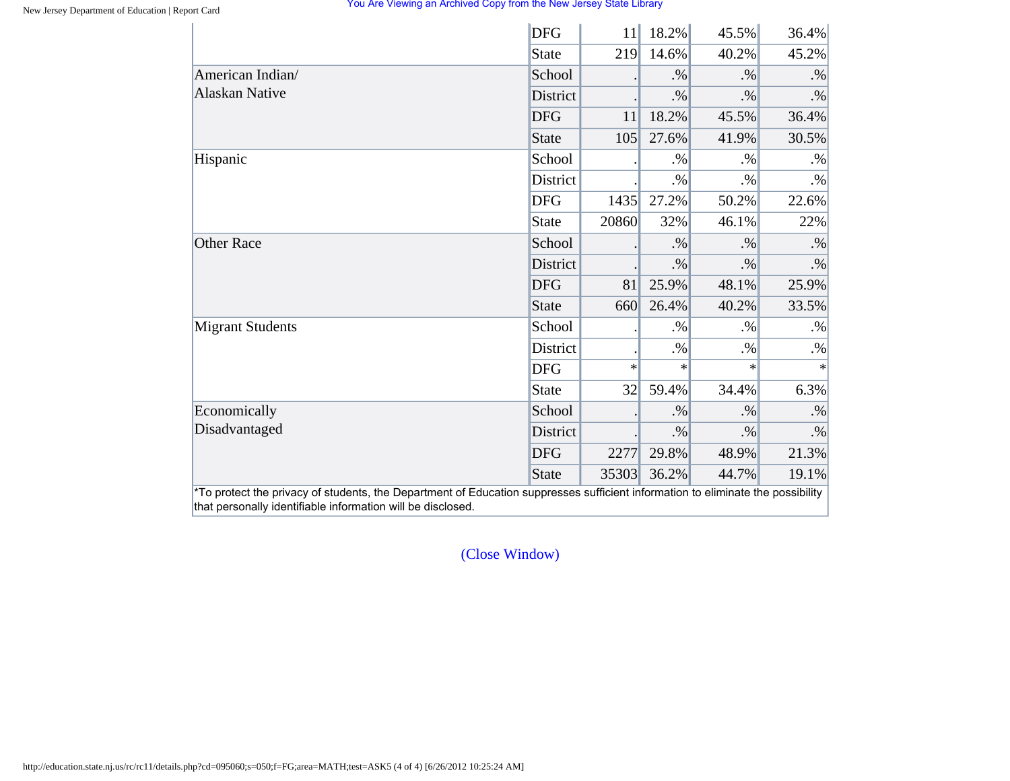|                         | <b>DFG</b>   | 11     | 18.2%  | 45.5%  | 36.4%     |
|-------------------------|--------------|--------|--------|--------|-----------|
|                         | <b>State</b> | 219    | 14.6%  | 40.2%  | 45.2%     |
| American Indian/        | School       |        | $. \%$ | $. \%$ | $. \%$    |
| <b>Alaskan Native</b>   | District     |        | $. \%$ | $. \%$ | $. \%$    |
|                         | <b>DFG</b>   | 11     | 18.2%  | 45.5%  | 36.4%     |
|                         | <b>State</b> | 105    | 27.6%  | 41.9%  | 30.5%     |
| Hispanic                | School       |        | $. \%$ | $. \%$ | $. \%$    |
|                         | District     |        | $. \%$ | $. \%$ | $. \%$    |
|                         | <b>DFG</b>   | 1435   | 27.2%  | 50.2%  | 22.6%     |
|                         | <b>State</b> | 20860  | 32%    | 46.1%  | 22%       |
| <b>Other Race</b>       | School       |        | $. \%$ | $. \%$ | $. \%$    |
|                         | District     |        | $. \%$ | $. \%$ | $\cdot\%$ |
|                         | <b>DFG</b>   | 81     | 25.9%  | 48.1%  | 25.9%     |
|                         | <b>State</b> | 660    | 26.4%  | 40.2%  | 33.5%     |
| <b>Migrant Students</b> | School       |        | $. \%$ | $. \%$ | $. \%$    |
|                         | District     |        | $. \%$ | $. \%$ | $. \%$    |
|                         | <b>DFG</b>   | $\ast$ | $\ast$ | $\ast$ | $\ast$    |
|                         | <b>State</b> | 32     | 59.4%  | 34.4%  | 6.3%      |
| Economically            | School       |        | $. \%$ | $. \%$ | $. \%$    |
| Disadvantaged           | District     |        | $. \%$ | $. \%$ | $. \%$    |
|                         | <b>DFG</b>   | 2277   | 29.8%  | 48.9%  | 21.3%     |
|                         | <b>State</b> | 35303  | 36.2%  | 44.7%  | 19.1%     |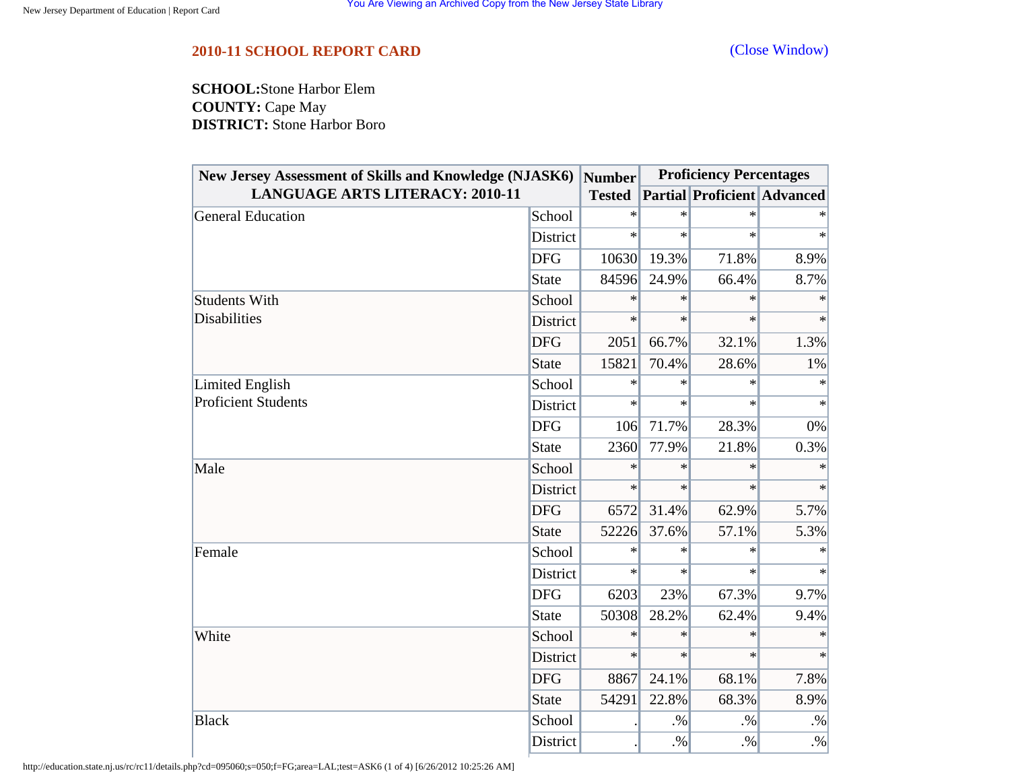<span id="page-43-0"></span>**SCHOOL:**Stone Harbor Elem **COUNTY:** Cape May **DISTRICT:** Stone Harbor Boro

| <b>New Jersey Assessment of Skills and Knowledge (NJASK6)</b> |              | <b>Number</b> |        | <b>Proficiency Percentages</b>     |           |
|---------------------------------------------------------------|--------------|---------------|--------|------------------------------------|-----------|
| <b>LANGUAGE ARTS LITERACY: 2010-11</b>                        |              | <b>Tested</b> |        | <b>Partial Proficient Advanced</b> |           |
| <b>General Education</b>                                      | School       | $\ast$        | $\ast$ | $\ast$                             |           |
|                                                               | District     | $\ast$        | $\ast$ | $\ast$                             | $\ast$    |
|                                                               | <b>DFG</b>   | 10630         | 19.3%  | 71.8%                              | 8.9%      |
|                                                               | <b>State</b> | 84596         | 24.9%  | 66.4%                              | 8.7%      |
| <b>Students With</b>                                          | School       | $\ast$        | $\ast$ | $\ast$                             | $\ast$    |
| <b>Disabilities</b>                                           | District     | $\ast$        | $\ast$ | $\ast$                             | $\ast$    |
|                                                               | <b>DFG</b>   | 2051          | 66.7%  | 32.1%                              | 1.3%      |
|                                                               | <b>State</b> | 15821         | 70.4%  | 28.6%                              | 1%        |
| Limited English                                               | School       | $\ast$        | $\ast$ | $\ast$                             | $\ast$    |
| <b>Proficient Students</b>                                    | District     | $\ast$        | $\ast$ | $\ast$                             | $\ast$    |
|                                                               | <b>DFG</b>   | 106           | 71.7%  | 28.3%                              | 0%        |
|                                                               | <b>State</b> | 2360          | 77.9%  | 21.8%                              | 0.3%      |
| Male                                                          | School       | $\ast$        | $\ast$ | $\ast$                             | $\ast$    |
|                                                               | District     | $\ast$        | $\ast$ | $\ast$                             | $\ast$    |
|                                                               | <b>DFG</b>   | 6572          | 31.4%  | 62.9%                              | 5.7%      |
|                                                               | <b>State</b> | 52226         | 37.6%  | 57.1%                              | 5.3%      |
| Female                                                        | School       | $\ast$        | $\ast$ | $\ast$                             |           |
|                                                               | District     | $\ast$        | $\ast$ | $\ast$                             | $\ast$    |
|                                                               | <b>DFG</b>   | 6203          | 23%    | 67.3%                              | 9.7%      |
|                                                               | <b>State</b> | 50308         | 28.2%  | 62.4%                              | 9.4%      |
| White                                                         | School       | $\ast$        | $\ast$ | $\ast$                             | $\ast$    |
|                                                               | District     | $\ast$        | $\ast$ | $\ast$                             | $\ast$    |
|                                                               | <b>DFG</b>   | 8867          | 24.1%  | 68.1%                              | 7.8%      |
|                                                               | <b>State</b> | 54291         | 22.8%  | 68.3%                              | 8.9%      |
| <b>Black</b>                                                  | School       |               | $. \%$ | $. \%$                             | $\cdot\%$ |
|                                                               | District     |               | $. \%$ | $. \%$                             | $\cdot\%$ |

http://education.state.nj.us/rc/rc11/details.php?cd=095060;s=050;f=FG;area=LAL;test=ASK6 (1 of 4) [6/26/2012 10:25:26 AM]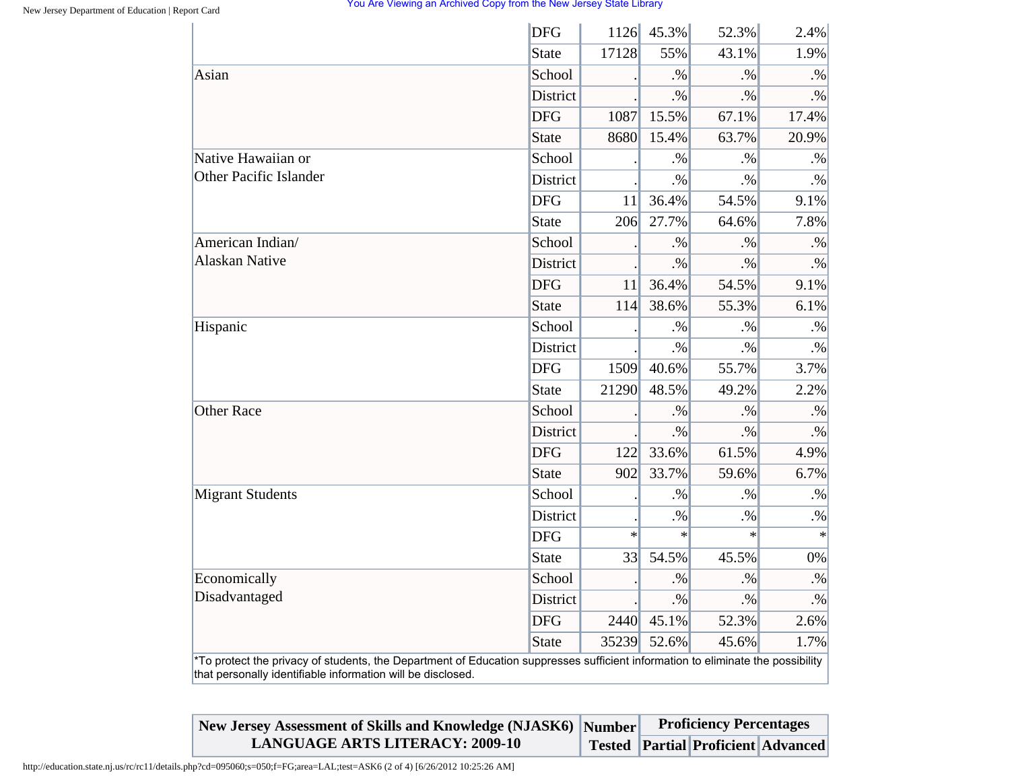|                                                                                                                                                                                                | <b>DFG</b>      |        | 1126 45.3% | 52.3%  | 2.4%      |
|------------------------------------------------------------------------------------------------------------------------------------------------------------------------------------------------|-----------------|--------|------------|--------|-----------|
|                                                                                                                                                                                                | <b>State</b>    | 17128  | 55%        | 43.1%  | 1.9%      |
| Asian                                                                                                                                                                                          | School          |        | $. \%$     | $. \%$ | $. \%$    |
|                                                                                                                                                                                                | District        |        | $. \%$     | $. \%$ | $. \%$    |
|                                                                                                                                                                                                | <b>DFG</b>      | 1087   | 15.5%      | 67.1%  | 17.4%     |
|                                                                                                                                                                                                | <b>State</b>    | 8680   | 15.4%      | 63.7%  | 20.9%     |
| Native Hawaiian or                                                                                                                                                                             | School          |        | $. \%$     | $. \%$ | $. \%$    |
| <b>Other Pacific Islander</b>                                                                                                                                                                  | District        |        | $. \%$     | $. \%$ | $. \%$    |
|                                                                                                                                                                                                | <b>DFG</b>      | 11     | 36.4%      | 54.5%  | 9.1%      |
|                                                                                                                                                                                                | <b>State</b>    | 206    | 27.7%      | 64.6%  | 7.8%      |
| American Indian/                                                                                                                                                                               | School          |        | $. \%$     | $. \%$ | $. \%$    |
| <b>Alaskan Native</b>                                                                                                                                                                          | District        |        | $. \%$     | $. \%$ | $\cdot\%$ |
|                                                                                                                                                                                                | <b>DFG</b>      | 11     | 36.4%      | 54.5%  | 9.1%      |
|                                                                                                                                                                                                | <b>State</b>    | 114    | 38.6%      | 55.3%  | 6.1%      |
| Hispanic                                                                                                                                                                                       | School          |        | $. \%$     | $. \%$ | $\cdot\%$ |
|                                                                                                                                                                                                | District        |        | $. \%$     | $. \%$ | $. \%$    |
|                                                                                                                                                                                                | <b>DFG</b>      | 1509   | 40.6%      | 55.7%  | 3.7%      |
|                                                                                                                                                                                                | <b>State</b>    | 21290  | 48.5%      | 49.2%  | 2.2%      |
| <b>Other Race</b>                                                                                                                                                                              | School          |        | $. \%$     | $. \%$ | $. \%$    |
|                                                                                                                                                                                                | <b>District</b> |        | $. \%$     | $. \%$ | $\cdot\%$ |
|                                                                                                                                                                                                | <b>DFG</b>      | 122    | 33.6%      | 61.5%  | 4.9%      |
|                                                                                                                                                                                                | <b>State</b>    | 902    | 33.7%      | 59.6%  | 6.7%      |
| <b>Migrant Students</b>                                                                                                                                                                        | School          |        | $. \%$     | $. \%$ | $. \%$    |
|                                                                                                                                                                                                | District        |        | $. \%$     | $. \%$ | $. \%$    |
|                                                                                                                                                                                                | <b>DFG</b>      | $\ast$ | $\ast$     | $\ast$ | $\star$   |
|                                                                                                                                                                                                | <b>State</b>    | 33     | 54.5%      | 45.5%  | 0%        |
| Economically                                                                                                                                                                                   | School          |        | $. \%$     | $. \%$ | $. \%$    |
| Disadvantaged                                                                                                                                                                                  | District        |        | $. \%$     | $. \%$ | $\cdot\%$ |
|                                                                                                                                                                                                | <b>DFG</b>      | 2440   | 45.1%      | 52.3%  | 2.6%      |
|                                                                                                                                                                                                | <b>State</b>    | 35239  | 52.6%      | 45.6%  | 1.7%      |
| *To protect the privacy of students, the Department of Education suppresses sufficient information to eliminate the possibility<br>that personally identifiable information will be disclosed. |                 |        |            |        |           |

| New Jersey Assessment of Skills and Knowledge (NJASK6) Number | <b>Proficiency Percentages</b> |                                           |  |  |
|---------------------------------------------------------------|--------------------------------|-------------------------------------------|--|--|
| <b>LANGUAGE ARTS LITERACY: 2009-10</b>                        |                                | <b>Tested Partial Proficient Advanced</b> |  |  |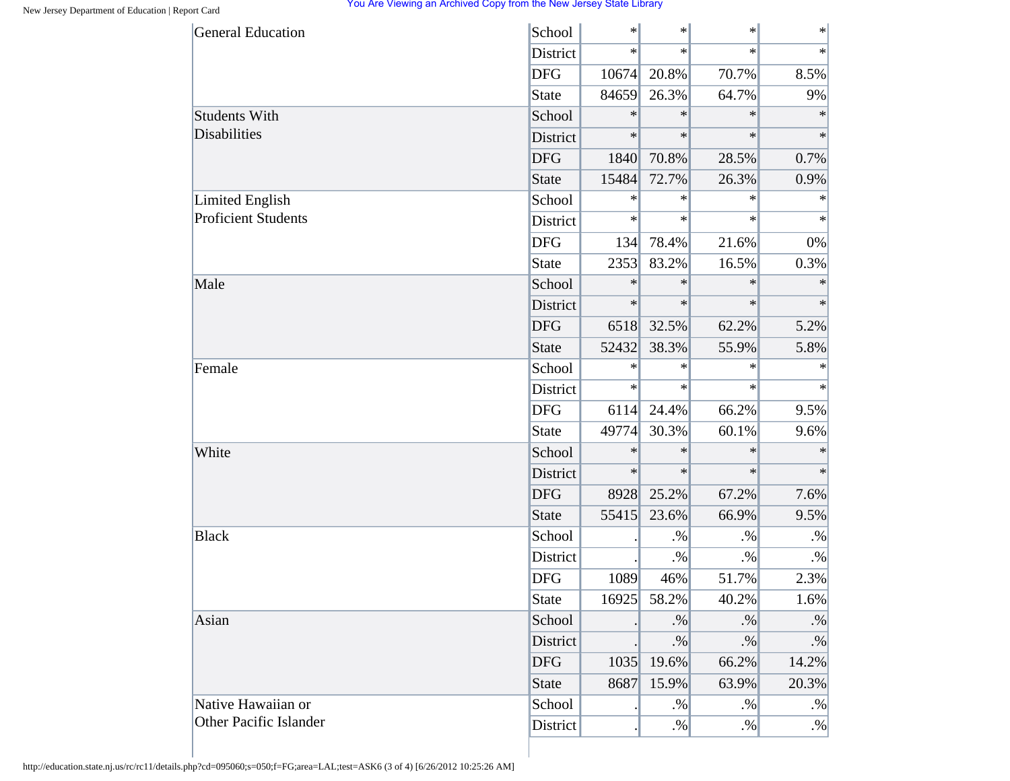| <b>General Education</b>      | School       | $\ast$ | $\ast$ | $\ast$  | $\ast$ |
|-------------------------------|--------------|--------|--------|---------|--------|
|                               | District     | $\ast$ | $\ast$ | $\star$ | $\ast$ |
|                               | <b>DFG</b>   | 10674  | 20.8%  | 70.7%   | 8.5%   |
|                               | State        | 84659  | 26.3%  | 64.7%   | 9%     |
| <b>Students With</b>          | School       | $\ast$ | $\ast$ | $\ast$  | $\ast$ |
| <b>Disabilities</b>           | District     | $\ast$ | $\ast$ | $\ast$  | $\ast$ |
|                               | <b>DFG</b>   | 1840   | 70.8%  | 28.5%   | 0.7%   |
|                               | State        | 15484  | 72.7%  | 26.3%   | 0.9%   |
| <b>Limited English</b>        | School       | $\ast$ | $\ast$ | $\ast$  | $\ast$ |
| <b>Proficient Students</b>    | District     | $\ast$ | $\ast$ | $\ast$  | $\ast$ |
|                               | <b>DFG</b>   | 134    | 78.4%  | 21.6%   | 0%     |
|                               | State        | 2353   | 83.2%  | 16.5%   | 0.3%   |
| Male                          | School       | $\ast$ | $\ast$ | $\ast$  | $\ast$ |
|                               | District     | $\ast$ | $\ast$ | $\ast$  | $\ast$ |
|                               | <b>DFG</b>   | 6518   | 32.5%  | 62.2%   | 5.2%   |
|                               | State        | 52432  | 38.3%  | 55.9%   | 5.8%   |
| Female                        | School       | $\ast$ | $\ast$ | $\ast$  | $\ast$ |
|                               | District     | $\ast$ | $\ast$ | $\ast$  | $\ast$ |
|                               | <b>DFG</b>   | 6114   | 24.4%  | 66.2%   | 9.5%   |
|                               | State        | 49774  | 30.3%  | 60.1%   | 9.6%   |
| White                         | School       | $\ast$ | $\ast$ | $\ast$  | $\ast$ |
|                               | District     | $\ast$ | $\ast$ | $\ast$  | $\ast$ |
|                               | <b>DFG</b>   | 8928   | 25.2%  | 67.2%   | 7.6%   |
|                               | State        | 55415  | 23.6%  | 66.9%   | 9.5%   |
| <b>Black</b>                  | School       |        | $. \%$ | $. \%$  | $. \%$ |
|                               | District     |        | $. \%$ | $. \%$  | $. \%$ |
|                               | <b>DFG</b>   | 1089   | 46%    | 51.7%   | 2.3%   |
|                               | State        | 16925  | 58.2%  | 40.2%   | 1.6%   |
| Asian                         | School       |        | $. \%$ | $. \%$  | $. \%$ |
|                               | District     |        | $. \%$ | $. \%$  | $. \%$ |
|                               | <b>DFG</b>   | 1035   | 19.6%  | 66.2%   | 14.2%  |
|                               | <b>State</b> | 8687   | 15.9%  | 63.9%   | 20.3%  |
| Native Hawaiian or            | School       |        | $. \%$ | $. \%$  | $. \%$ |
| <b>Other Pacific Islander</b> | District     |        | $. \%$ | $. \%$  | $. \%$ |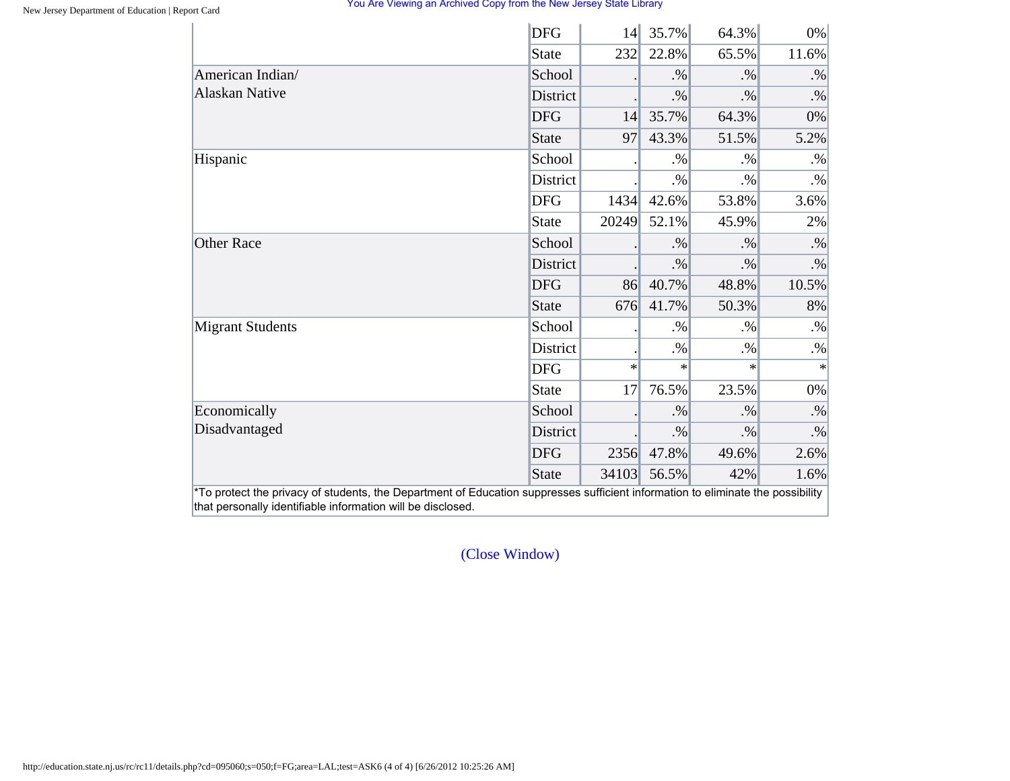|                                                                                                                                                                                                | <b>DFG</b>      | 14     | 35.7%  | 64.3%  | 0%        |
|------------------------------------------------------------------------------------------------------------------------------------------------------------------------------------------------|-----------------|--------|--------|--------|-----------|
|                                                                                                                                                                                                | State           | 232    | 22.8%  | 65.5%  | 11.6%     |
|                                                                                                                                                                                                | School          |        | $. \%$ | $. \%$ | $. \%$    |
| American Indian/<br><b>Alaskan Native</b><br>Hispanic<br><b>Other Race</b><br><b>Migrant Students</b><br>Economically<br>Disadvantaged                                                         | <b>District</b> |        | $. \%$ | $. \%$ | $. \%$    |
|                                                                                                                                                                                                | <b>DFG</b>      | 14     | 35.7%  | 64.3%  | 0%        |
|                                                                                                                                                                                                | State           | 97     | 43.3%  | 51.5%  | 5.2%      |
|                                                                                                                                                                                                | School          |        | $. \%$ | $. \%$ | $. \%$    |
|                                                                                                                                                                                                | District        |        | $. \%$ | $. \%$ | $. \%$    |
|                                                                                                                                                                                                | <b>DFG</b>      | 1434   | 42.6%  | 53.8%  | 3.6%      |
|                                                                                                                                                                                                | State           | 20249  | 52.1%  | 45.9%  | 2%        |
|                                                                                                                                                                                                | School          |        | $. \%$ | $. \%$ | $. \%$    |
|                                                                                                                                                                                                | District        |        | $. \%$ | $. \%$ | $\cdot\%$ |
|                                                                                                                                                                                                | <b>DFG</b>      | 86     | 40.7%  | 48.8%  | 10.5%     |
|                                                                                                                                                                                                | State           | 676    | 41.7%  | 50.3%  | 8%        |
|                                                                                                                                                                                                | School          |        | $. \%$ | $. \%$ | $. \%$    |
|                                                                                                                                                                                                | District        |        | $. \%$ | $. \%$ | $. \%$    |
| *To protect the privacy of students, the Department of Education suppresses sufficient information to eliminate the possibility<br>that personally identifiable information will be disclosed. | <b>DFG</b>      | $\ast$ | $\ast$ | $\ast$ | $\ast$    |
|                                                                                                                                                                                                | <b>State</b>    | 17     | 76.5%  | 23.5%  | 0%        |
|                                                                                                                                                                                                | School          |        | $. \%$ | $. \%$ | $\cdot\%$ |
|                                                                                                                                                                                                | District        |        | $. \%$ | $. \%$ | $. \%$    |
|                                                                                                                                                                                                | <b>DFG</b>      | 2356   | 47.8%  | 49.6%  | 2.6%      |
|                                                                                                                                                                                                | State           | 34103  | 56.5%  | 42%    | 1.6%      |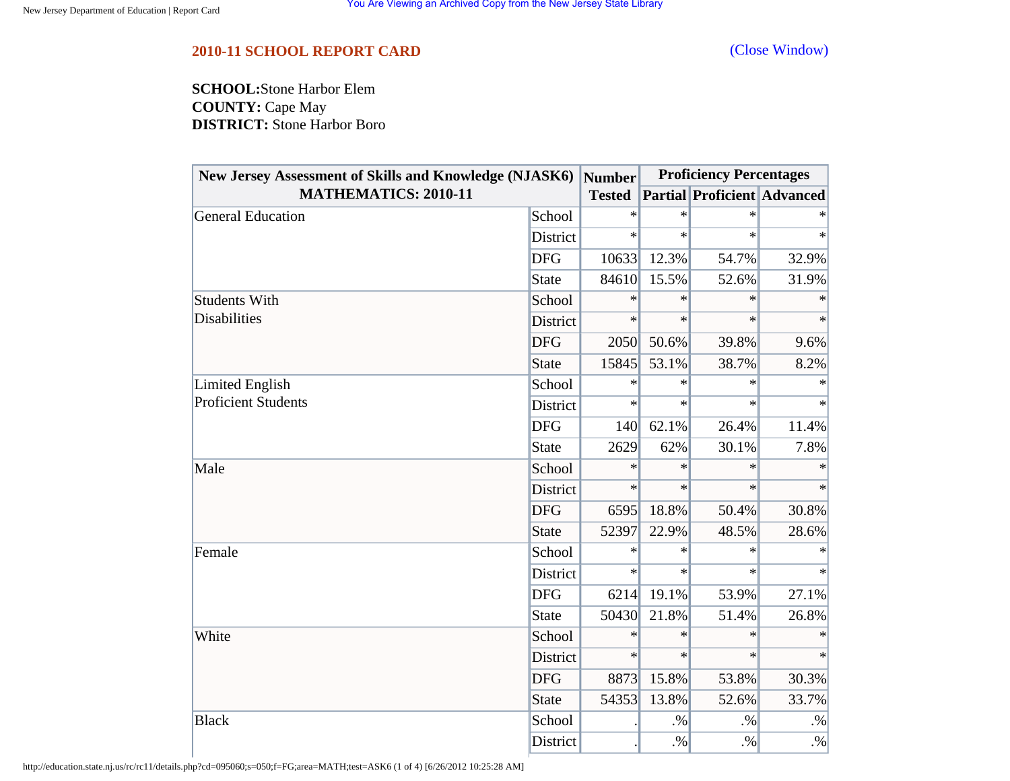<span id="page-47-0"></span>**SCHOOL:**Stone Harbor Elem **COUNTY:** Cape May **DISTRICT:** Stone Harbor Boro

| New Jersey Assessment of Skills and Knowledge (NJASK6) |              | <b>Number</b> | <b>Proficiency Percentages</b> |                                    |        |
|--------------------------------------------------------|--------------|---------------|--------------------------------|------------------------------------|--------|
| <b>MATHEMATICS: 2010-11</b>                            |              | <b>Tested</b> |                                | <b>Partial Proficient Advanced</b> |        |
| General Education                                      | School       | $\ast$        | $\ast$                         | $\ast$                             |        |
|                                                        | District     | $\ast$        | $\ast$                         | $\ast$                             | $\ast$ |
|                                                        | <b>DFG</b>   | 10633         | 12.3%                          | 54.7%                              | 32.9%  |
|                                                        | State        | 84610         | 15.5%                          | 52.6%                              | 31.9%  |
| <b>Students With</b>                                   | School       | $\ast$        | $\ast$                         | $\ast$                             | $\ast$ |
| <b>Disabilities</b>                                    | District     | $\ast$        | $\ast$                         | $\ast$                             | $\ast$ |
|                                                        | <b>DFG</b>   | 2050          | 50.6%                          | 39.8%                              | 9.6%   |
|                                                        | <b>State</b> | 15845         | 53.1%                          | 38.7%                              | 8.2%   |
| Limited English<br><b>Proficient Students</b>          | School       | $\ast$        | $\ast$                         | $\ast$                             | $\ast$ |
|                                                        | District     | $\ast$        | $\ast$                         | $\ast$                             | $\ast$ |
|                                                        | <b>DFG</b>   | 140           | 62.1%                          | 26.4%                              | 11.4%  |
|                                                        | <b>State</b> | 2629          | 62%                            | 30.1%                              | 7.8%   |
| Male                                                   | School       | $\ast$        | $\ast$                         | $\ast$                             | $\ast$ |
|                                                        | District     | $\ast$        | $\ast$                         | $\ast$                             | $\ast$ |
|                                                        | <b>DFG</b>   | 6595          | 18.8%                          | 50.4%                              | 30.8%  |
|                                                        | <b>State</b> | 52397         | 22.9%                          | 48.5%                              | 28.6%  |
| Female                                                 | School       | $\ast$        | $\ast$                         | $\ast$                             |        |
|                                                        | District     | $\ast$        | $\ast$                         | $\ast$                             | $\ast$ |
|                                                        | <b>DFG</b>   | 6214          | 19.1%                          | 53.9%                              | 27.1%  |
|                                                        | <b>State</b> | 50430         | 21.8%                          | 51.4%                              | 26.8%  |
| White                                                  | School       | $\ast$        | $\ast$                         | $\ast$                             | $\ast$ |
|                                                        | District     | $\ast$        | $\ast$                         | $\ast$                             | $\ast$ |
|                                                        | <b>DFG</b>   | 8873          | 15.8%                          | 53.8%                              | 30.3%  |
|                                                        | <b>State</b> | 54353         | 13.8%                          | 52.6%                              | 33.7%  |
| <b>Black</b>                                           | School       |               | $. \%$                         | $. \%$                             | $. \%$ |
|                                                        | District     |               | $. \%$                         | $. \%$                             | $. \%$ |

http://education.state.nj.us/rc/rc11/details.php?cd=095060;s=050;f=FG;area=MATH;test=ASK6 (1 of 4) [6/26/2012 10:25:28 AM]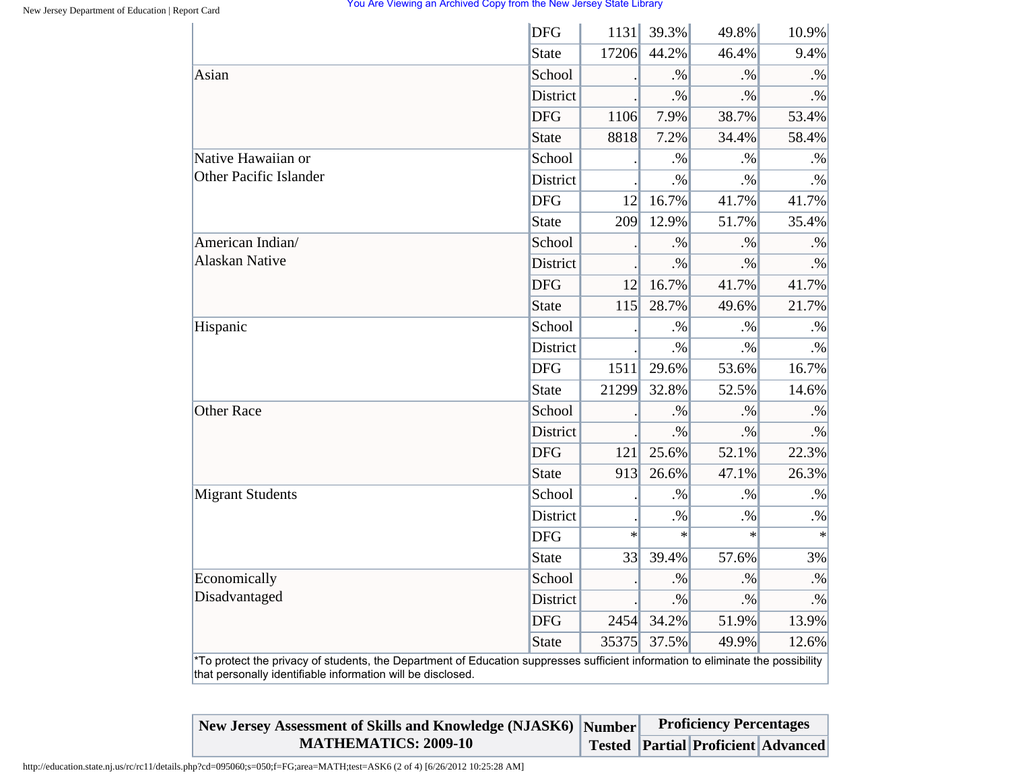|                         | <b>DFG</b>      | 1131   | 39.3%     | 49.8%  | 10.9%     |
|-------------------------|-----------------|--------|-----------|--------|-----------|
|                         | <b>State</b>    | 17206  | 44.2%     | 46.4%  | 9.4%      |
| Asian                   | School          |        | $. \%$    | $. \%$ | $. \%$    |
|                         | <b>District</b> |        | $\cdot\%$ | $. \%$ | $. \%$    |
|                         | <b>DFG</b>      | 1106   | 7.9%      | 38.7%  | 53.4%     |
|                         | <b>State</b>    | 8818   | 7.2%      | 34.4%  | 58.4%     |
| Native Hawaiian or      | School          |        | $. \%$    | $. \%$ | .%        |
| Other Pacific Islander  | District        |        | $\cdot\%$ | $. \%$ | $. \%$    |
|                         | <b>DFG</b>      | 12     | 16.7%     | 41.7%  | 41.7%     |
|                         | <b>State</b>    | 209    | 12.9%     | 51.7%  | 35.4%     |
| American Indian/        | School          |        | $. \%$    | $. \%$ | $. \%$    |
| <b>Alaskan Native</b>   | District        |        | $. \%$    | $. \%$ | $. \%$    |
|                         | <b>DFG</b>      | 12     | 16.7%     | 41.7%  | 41.7%     |
|                         | <b>State</b>    | 115    | 28.7%     | 49.6%  | 21.7%     |
| Hispanic                | School          |        | $. \%$    | $. \%$ | $\cdot\%$ |
|                         | District        |        | $. \%$    | $. \%$ | $. \%$    |
|                         | <b>DFG</b>      | 1511   | 29.6%     | 53.6%  | 16.7%     |
|                         | <b>State</b>    | 21299  | 32.8%     | 52.5%  | 14.6%     |
| <b>Other Race</b>       | School          |        | $. \%$    | $. \%$ | $. \%$    |
|                         | <b>District</b> |        | $. \%$    | $. \%$ | $. \%$    |
|                         | <b>DFG</b>      | 121    | 25.6%     | 52.1%  | 22.3%     |
|                         | <b>State</b>    | 913    | 26.6%     | 47.1%  | 26.3%     |
| <b>Migrant Students</b> | School          |        | $. \%$    | $. \%$ | $\cdot\%$ |
|                         | <b>District</b> |        | $. \%$    | $. \%$ | $. \%$    |
|                         | <b>DFG</b>      | $\ast$ | $\ast$    | $\ast$ | $\ast$    |
|                         | <b>State</b>    | 33     | 39.4%     | 57.6%  | 3%        |
| Economically            | School          |        | $. \%$    | $. \%$ | $. \%$    |
| Disadvantaged           | District        |        | $. \%$    | $. \%$ | $\cdot\%$ |
|                         | <b>DFG</b>      | 2454   | 34.2%     | 51.9%  | 13.9%     |
|                         | <b>State</b>    | 35375  | 37.5%     | 49.9%  | 12.6%     |

| New Jersey Assessment of Skills and Knowledge (NJASK6) Number |  | <b>Proficiency Percentages</b>            |  |
|---------------------------------------------------------------|--|-------------------------------------------|--|
| <b>MATHEMATICS: 2009-10</b>                                   |  | <b>Tested Partial Proficient Advanced</b> |  |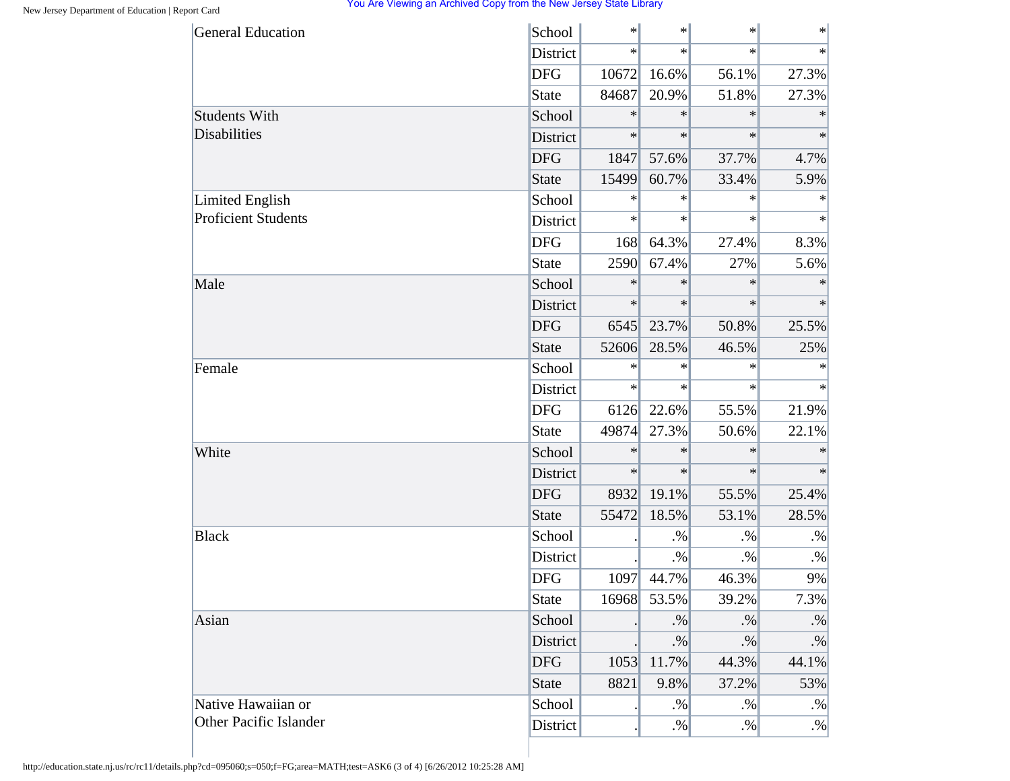| <b>General Education</b>   | School       | $\ast$ | $\ast$    | $\cdot$ | $\ast$    |
|----------------------------|--------------|--------|-----------|---------|-----------|
|                            | District     | $\ast$ | $\ast$    | $\ast$  | $\ast$    |
|                            | <b>DFG</b>   | 10672  | 16.6%     | 56.1%   | 27.3%     |
|                            | State        | 84687  | 20.9%     | 51.8%   | 27.3%     |
| <b>Students With</b>       | School       | $\ast$ | $\ast$    | $\ast$  | $\ast$    |
| Disabilities               | District     | $\ast$ | $\ast$    | $\ast$  | $\ast$    |
|                            | <b>DFG</b>   | 1847   | 57.6%     | 37.7%   | 4.7%      |
|                            | <b>State</b> | 15499  | 60.7%     | 33.4%   | 5.9%      |
| <b>Limited English</b>     | School       | $\ast$ | $\ast$    | $\ast$  | $\ast$    |
| <b>Proficient Students</b> | District     | $\ast$ | $\ast$    | $\ast$  | $\ast$    |
|                            | <b>DFG</b>   | 168    | 64.3%     | 27.4%   | 8.3%      |
|                            | State        | 2590   | 67.4%     | 27%     | 5.6%      |
| Male                       | School       | $\ast$ | $\ast$    | $\ast$  | $\ast$    |
|                            | District     | $\ast$ | $\ast$    | $\ast$  | $\ast$    |
|                            | <b>DFG</b>   | 6545   | 23.7%     | 50.8%   | 25.5%     |
|                            | <b>State</b> | 52606  | 28.5%     | 46.5%   | 25%       |
| Female                     | School       | $\ast$ | $\ast$    | $\ast$  | $\ast$    |
|                            | District     | $\ast$ | $\ast$    | $\ast$  | $\ast$    |
|                            | <b>DFG</b>   | 6126   | 22.6%     | 55.5%   | 21.9%     |
|                            | State        | 49874  | 27.3%     | 50.6%   | 22.1%     |
| White                      | School       | $\ast$ | $\ast$    | $\ast$  | $\ast$    |
|                            | District     | $\ast$ | $\ast$    | $\ast$  | $\ast$    |
|                            | <b>DFG</b>   | 8932   | 19.1%     | 55.5%   | 25.4%     |
|                            | <b>State</b> | 55472  | 18.5%     | 53.1%   | 28.5%     |
| <b>Black</b>               | School       |        | $. \%$    | $. \%$  | $. \%$    |
|                            | District     |        | $. \%$    | $. \%$  | $. \%$    |
|                            | <b>DFG</b>   | 1097   | 44.7%     | 46.3%   | 9%        |
|                            | <b>State</b> | 16968  | 53.5%     | 39.2%   | 7.3%      |
| Asian                      | School       |        | $. \%$    | $. \%$  | $\cdot\%$ |
|                            | District     |        | $. \%$    | $. \%$  | $\cdot\%$ |
|                            | <b>DFG</b>   | 1053   | 11.7%     | 44.3%   | 44.1%     |
|                            | <b>State</b> | 8821   | 9.8%      | 37.2%   | 53%       |
| Native Hawaiian or         | School       |        | $\cdot\%$ | $. \%$  | $. \%$    |
| Other Pacific Islander     | District     |        | $. \%$    | $. \%$  | $. \%$    |

http://education.state.nj.us/rc/rc11/details.php?cd=095060;s=050;f=FG;area=MATH;test=ASK6 (3 of 4) [6/26/2012 10:25:28 AM]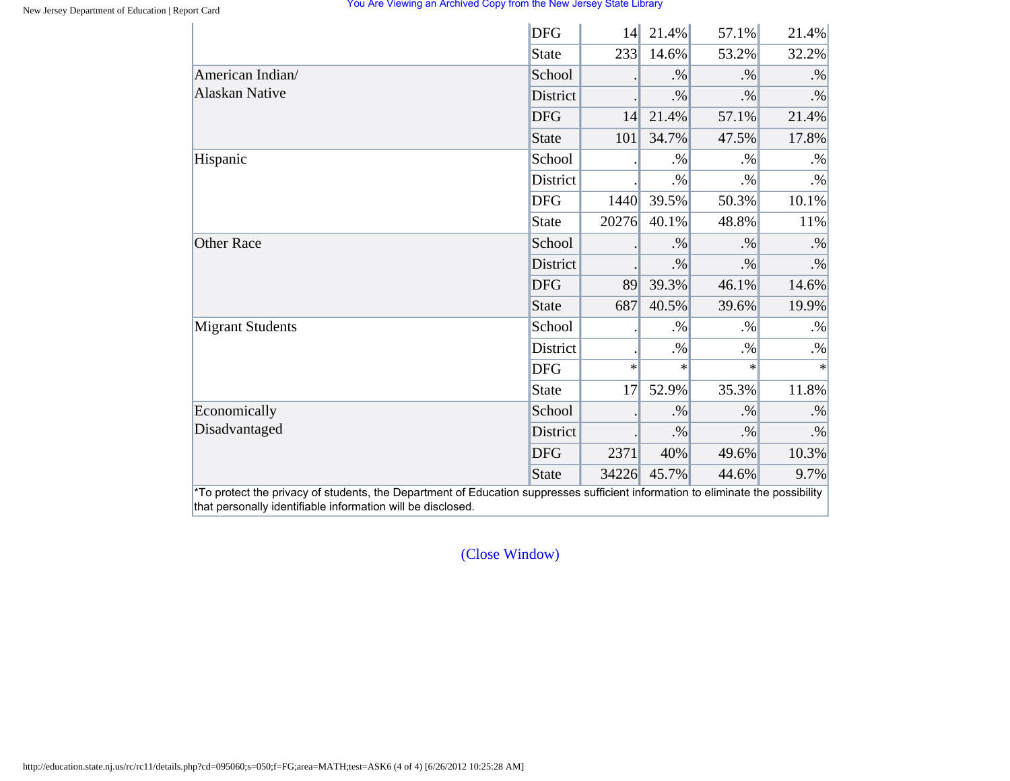|                                                                                                                                                                                                | <b>DFG</b>      | 14     | 21.4%  | 57.1%  | 21.4%    |
|------------------------------------------------------------------------------------------------------------------------------------------------------------------------------------------------|-----------------|--------|--------|--------|----------|
|                                                                                                                                                                                                | <b>State</b>    | 233    | 14.6%  | 53.2%  | 32.2%    |
|                                                                                                                                                                                                | School          |        | $. \%$ | $. \%$ | $. \%$   |
|                                                                                                                                                                                                | District        |        | $. \%$ | $. \%$ | $. \%$   |
|                                                                                                                                                                                                | <b>DFG</b>      | 14     | 21.4%  | 57.1%  | 21.4%    |
|                                                                                                                                                                                                | <b>State</b>    | 101    | 34.7%  | 47.5%  | 17.8%    |
|                                                                                                                                                                                                | School          |        | $. \%$ | $. \%$ | $. \%$   |
|                                                                                                                                                                                                | <b>District</b> |        | $. \%$ | $. \%$ | $. \%$   |
|                                                                                                                                                                                                | <b>DFG</b>      | 1440   | 39.5%  | 50.3%  | 10.1%    |
|                                                                                                                                                                                                | <b>State</b>    | 20276  | 40.1%  | 48.8%  | 11%      |
|                                                                                                                                                                                                | School          |        | $. \%$ | $. \%$ | $. \%$   |
|                                                                                                                                                                                                | District        |        | $. \%$ | $. \%$ | $. \%$   |
|                                                                                                                                                                                                | <b>DFG</b>      | 89     | 39.3%  | 46.1%  | 14.6%    |
| American Indian/<br><b>Alaskan Native</b><br>Hispanic<br><b>Other Race</b><br><b>Migrant Students</b><br>Economically<br>Disadvantaged                                                         | <b>State</b>    | 687    | 40.5%  | 39.6%  | 19.9%    |
|                                                                                                                                                                                                | School          |        | $. \%$ | $. \%$ | $. \%$   |
| *To protect the privacy of students, the Department of Education suppresses sufficient information to eliminate the possibility<br>that personally identifiable information will be disclosed. | District        |        | $. \%$ | $. \%$ | $. \%$   |
|                                                                                                                                                                                                | <b>DFG</b>      | $\ast$ | ∗      | $\ast$ | $\ast$   |
|                                                                                                                                                                                                | <b>State</b>    | 17     | 52.9%  | 35.3%  | 11.8%    |
|                                                                                                                                                                                                | School          |        | $. \%$ | $. \%$ | $. \%$   |
|                                                                                                                                                                                                | District        |        | $. \%$ | $. \%$ | $. \%$   |
|                                                                                                                                                                                                | <b>DFG</b>      | 2371   | 40%    | 49.6%  | $10.3\%$ |
|                                                                                                                                                                                                | <b>State</b>    | 34226  | 45.7%  | 44.6%  | 9.7%     |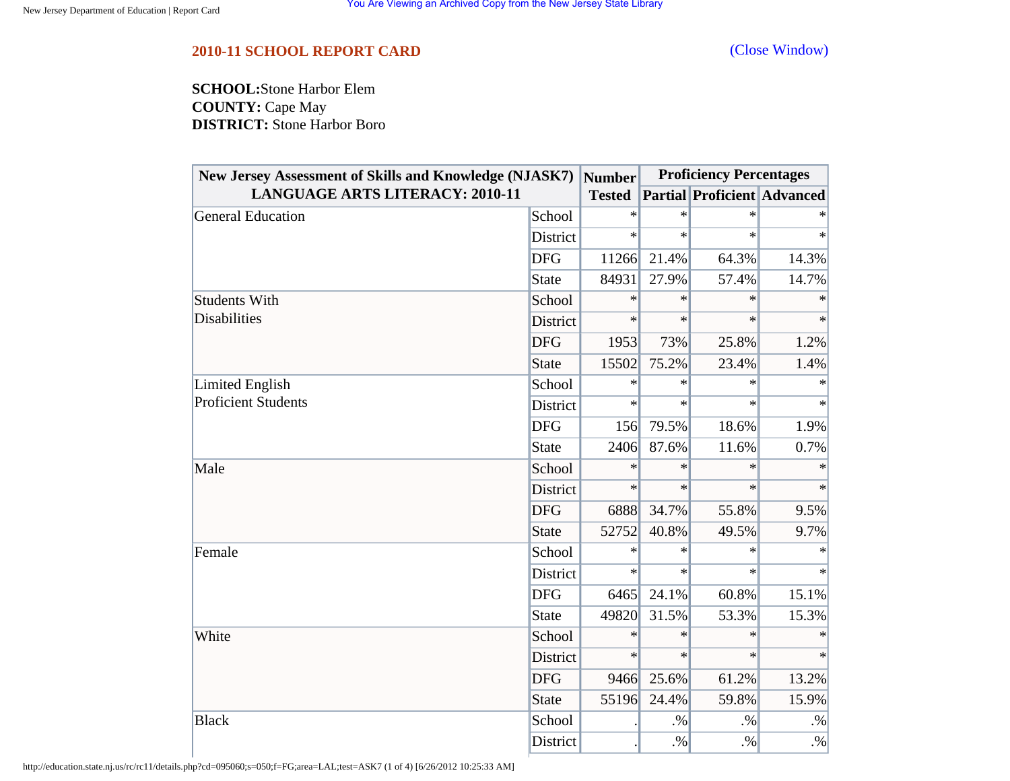<span id="page-51-0"></span>**SCHOOL:**Stone Harbor Elem **COUNTY:** Cape May **DISTRICT:** Stone Harbor Boro

| <b>New Jersey Assessment of Skills and Knowledge (NJASK7)</b> |              | <b>Number</b> |        | <b>Proficiency Percentages</b>     |        |
|---------------------------------------------------------------|--------------|---------------|--------|------------------------------------|--------|
| <b>LANGUAGE ARTS LITERACY: 2010-11</b>                        |              | <b>Tested</b> |        | <b>Partial Proficient Advanced</b> |        |
| General Education                                             | School       | $\ast$        | $\ast$ | $\ast$                             |        |
|                                                               | District     | $\ast$        | $\ast$ | $\ast$                             | $\ast$ |
|                                                               | <b>DFG</b>   | 11266         | 21.4%  | 64.3%                              | 14.3%  |
|                                                               | State        | 84931         | 27.9%  | 57.4%                              | 14.7%  |
| <b>Students With</b>                                          | School       | $\ast$        | $\ast$ | $\ast$                             | $\ast$ |
| <b>Disabilities</b>                                           | District     | $\ast$        | $\ast$ | $\ast$                             | $\ast$ |
|                                                               | <b>DFG</b>   | 1953          | 73%    | 25.8%                              | 1.2%   |
|                                                               | <b>State</b> | 15502         | 75.2%  | 23.4%                              | 1.4%   |
| Limited English<br><b>Proficient Students</b>                 | School       | $\ast$        | $\ast$ | $\ast$                             | $\ast$ |
|                                                               | District     | $\ast$        | $\ast$ | $\ast$                             | $\ast$ |
|                                                               | <b>DFG</b>   | 156           | 79.5%  | 18.6%                              | 1.9%   |
|                                                               | <b>State</b> | 2406          | 87.6%  | 11.6%                              | 0.7%   |
| Male                                                          | School       | $\ast$        | $\ast$ | $\ast$                             | $\ast$ |
|                                                               | District     | $\ast$        | $\ast$ | $\ast$                             | $\ast$ |
|                                                               | <b>DFG</b>   | 6888          | 34.7%  | 55.8%                              | 9.5%   |
|                                                               | <b>State</b> | 52752         | 40.8%  | 49.5%                              | 9.7%   |
| Female                                                        | School       | $\ast$        | $\ast$ | $\ast$                             |        |
|                                                               | District     | $\ast$        | $\ast$ | $\ast$                             | $\ast$ |
|                                                               | <b>DFG</b>   | 6465          | 24.1%  | 60.8%                              | 15.1%  |
|                                                               | <b>State</b> | 49820         | 31.5%  | 53.3%                              | 15.3%  |
| White                                                         | School       | $\ast$        | $\ast$ | $\ast$                             | $\ast$ |
|                                                               | District     | $\ast$        | $\ast$ | $\ast$                             | $\ast$ |
|                                                               | <b>DFG</b>   | 9466          | 25.6%  | 61.2%                              | 13.2%  |
|                                                               | <b>State</b> | 55196         | 24.4%  | 59.8%                              | 15.9%  |
| <b>Black</b>                                                  | School       |               | $. \%$ | $. \%$                             | $. \%$ |
|                                                               | District     |               | $. \%$ | $. \%$                             | $. \%$ |

http://education.state.nj.us/rc/rc11/details.php?cd=095060;s=050;f=FG;area=LAL;test=ASK7 (1 of 4) [6/26/2012 10:25:33 AM]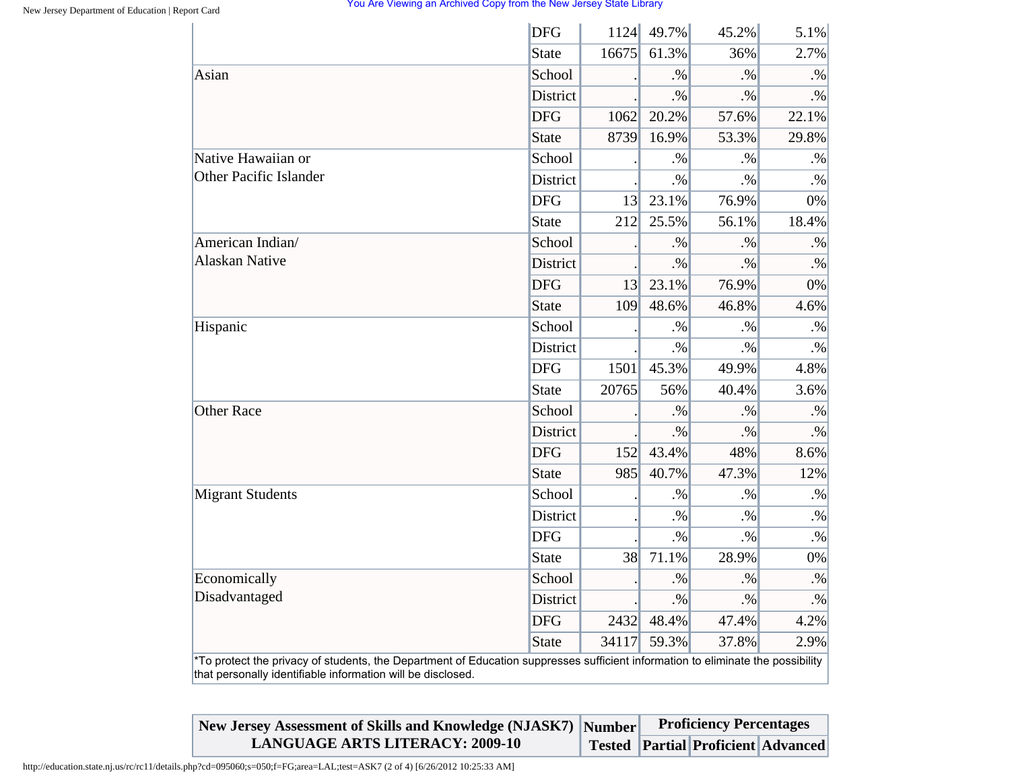|                                                                                                                                                                                                | <b>DFG</b>      | 1124            | 49.7%  | 45.2%  | 5.1%      |
|------------------------------------------------------------------------------------------------------------------------------------------------------------------------------------------------|-----------------|-----------------|--------|--------|-----------|
|                                                                                                                                                                                                | <b>State</b>    | 16675           | 61.3%  | 36%    | 2.7%      |
| Asian                                                                                                                                                                                          | School          |                 | .96    | .9/6   | $. \%$    |
|                                                                                                                                                                                                | <b>District</b> |                 | $. \%$ | $. \%$ | $. \%$    |
|                                                                                                                                                                                                | <b>DFG</b>      | 1062            | 20.2%  | 57.6%  | 22.1%     |
|                                                                                                                                                                                                | <b>State</b>    | 8739            | 16.9%  | 53.3%  | 29.8%     |
| Native Hawaiian or                                                                                                                                                                             | School          |                 | $. \%$ | $. \%$ | $. \%$    |
| <b>Other Pacific Islander</b>                                                                                                                                                                  | <b>District</b> |                 | $. \%$ | $. \%$ | $. \%$    |
|                                                                                                                                                                                                | <b>DFG</b>      | 13 <sup>l</sup> | 23.1%  | 76.9%  | 0%        |
|                                                                                                                                                                                                | <b>State</b>    | 212             | 25.5%  | 56.1%  | 18.4%     |
| American Indian/                                                                                                                                                                               | School          |                 | $. \%$ | $. \%$ | $. \%$    |
| <b>Alaskan Native</b>                                                                                                                                                                          | <b>District</b> |                 | $. \%$ | $. \%$ | $. \%$    |
|                                                                                                                                                                                                | <b>DFG</b>      | 3               | 23.1%  | 76.9%  | 0%        |
|                                                                                                                                                                                                | <b>State</b>    | 109             | 48.6%  | 46.8%  | 4.6%      |
| Hispanic                                                                                                                                                                                       | School          |                 | $. \%$ | $. \%$ | $\cdot\%$ |
|                                                                                                                                                                                                | <b>District</b> |                 | $. \%$ | $. \%$ | $. \%$    |
|                                                                                                                                                                                                | <b>DFG</b>      | 1501            | 45.3%  | 49.9%  | 4.8%      |
|                                                                                                                                                                                                | <b>State</b>    | 20765           | 56%    | 40.4%  | 3.6%      |
| <b>Other Race</b>                                                                                                                                                                              | School          |                 | $. \%$ | $. \%$ | $. \%$    |
|                                                                                                                                                                                                | <b>District</b> |                 | $. \%$ | $. \%$ | $. \%$    |
|                                                                                                                                                                                                | <b>DFG</b>      | 152             | 43.4%  | 48%    | 8.6%      |
|                                                                                                                                                                                                | <b>State</b>    | 985             | 40.7%  | 47.3%  | 12%       |
| <b>Migrant Students</b>                                                                                                                                                                        | School          |                 | $. \%$ | $. \%$ | $\cdot\%$ |
|                                                                                                                                                                                                | District        |                 | $. \%$ | $. \%$ | $. \%$    |
|                                                                                                                                                                                                | <b>DFG</b>      |                 | $. \%$ | $. \%$ | $\cdot\%$ |
|                                                                                                                                                                                                | <b>State</b>    | 38              | 71.1%  | 28.9%  | 0%        |
| Economically                                                                                                                                                                                   | School          |                 | $. \%$ | $. \%$ | $. \%$    |
| Disadvantaged                                                                                                                                                                                  | <b>District</b> |                 | $. \%$ | $. \%$ | $\cdot\%$ |
|                                                                                                                                                                                                | <b>DFG</b>      | 2432            | 48.4%  | 47.4%  | 4.2%      |
|                                                                                                                                                                                                | <b>State</b>    | 34117           | 59.3%  | 37.8%  | 2.9%      |
| *To protect the privacy of students, the Department of Education suppresses sufficient information to eliminate the possibility<br>that personally identifiable information will be disclosed. |                 |                 |        |        |           |

| New Jersey Assessment of Skills and Knowledge (NJASK7) Number |  | <b>Proficiency Percentages</b> |                                           |
|---------------------------------------------------------------|--|--------------------------------|-------------------------------------------|
| <b>LANGUAGE ARTS LITERACY: 2009-10</b>                        |  |                                | <b>Tested Partial Proficient Advanced</b> |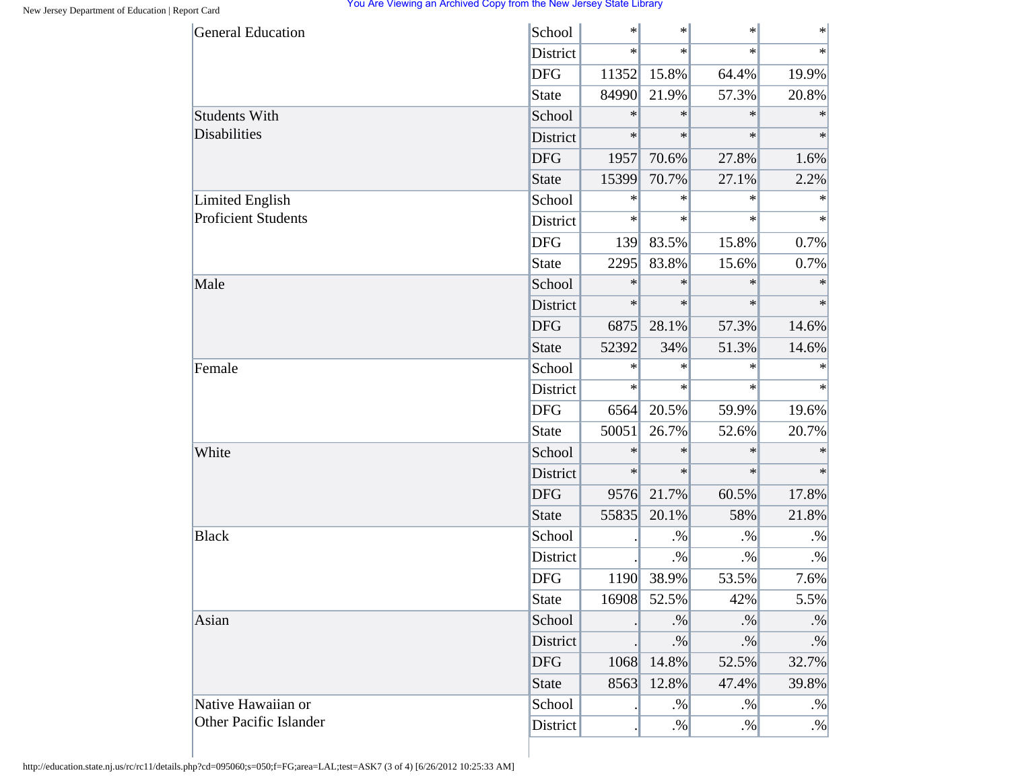| <b>General Education</b>   | School       | $\ast$ | $\ast$ | $\ast$ | $\ast$    |
|----------------------------|--------------|--------|--------|--------|-----------|
|                            | District     | $\ast$ | $\ast$ | $\ast$ | $\ast$    |
|                            | <b>DFG</b>   | 11352  | 15.8%  | 64.4%  | 19.9%     |
|                            | State        | 84990  | 21.9%  | 57.3%  | 20.8%     |
| <b>Students With</b>       | School       | $\ast$ | $\ast$ | $\ast$ | $\ast$    |
| <b>Disabilities</b>        | District     | $\ast$ | $\ast$ | $\ast$ | $\ast$    |
|                            | <b>DFG</b>   | 1957   | 70.6%  | 27.8%  | 1.6%      |
|                            | <b>State</b> | 15399  | 70.7%  | 27.1%  | 2.2%      |
| <b>Limited English</b>     | School       | $\ast$ | $\ast$ | $\ast$ | $\ast$    |
| <b>Proficient Students</b> | District     | $\ast$ | $\ast$ | $\ast$ | $\ast$    |
|                            | <b>DFG</b>   | 139    | 83.5%  | 15.8%  | 0.7%      |
|                            | <b>State</b> | 2295   | 83.8%  | 15.6%  | 0.7%      |
| Male                       | School       | $\ast$ | $\ast$ | $\ast$ | $\ast$    |
|                            | District     | $\ast$ | $\ast$ | $\ast$ | $\ast$    |
|                            | <b>DFG</b>   | 6875   | 28.1%  | 57.3%  | 14.6%     |
|                            | <b>State</b> | 52392  | 34%    | 51.3%  | 14.6%     |
| Female                     | School       | $\ast$ | $\ast$ | $\ast$ | $\ast$    |
|                            | District     | $\ast$ | $\ast$ | $\ast$ | $\ast$    |
|                            | <b>DFG</b>   | 6564   | 20.5%  | 59.9%  | 19.6%     |
|                            | <b>State</b> | 50051  | 26.7%  | 52.6%  | 20.7%     |
| White                      | School       | $\ast$ | $\ast$ | $\ast$ | $\ast$    |
|                            | District     | $\ast$ | $\ast$ | $\ast$ | $\ast$    |
|                            | <b>DFG</b>   | 9576   | 21.7%  | 60.5%  | 17.8%     |
|                            | <b>State</b> | 55835  | 20.1%  | 58%    | 21.8%     |
| <b>Black</b>               | School       |        | $. \%$ | $. \%$ | $. \%$    |
|                            | District     |        | $. \%$ | $. \%$ | $. \%$    |
|                            | <b>DFG</b>   | 1190   | 38.9%  | 53.5%  | 7.6%      |
|                            | <b>State</b> | 16908  | 52.5%  | 42%    | 5.5%      |
| Asian                      | School       |        | $. \%$ | $. \%$ | $. \%$    |
|                            | District     |        | $. \%$ | $. \%$ | $\cdot\%$ |
|                            | <b>DFG</b>   | 1068   | 14.8%  | 52.5%  | 32.7%     |
|                            | <b>State</b> | 8563   | 12.8%  | 47.4%  | 39.8%     |
| Native Hawaiian or         | School       |        | $. \%$ | $. \%$ | $. \%$    |
| Other Pacific Islander     | District     |        | $. \%$ | $. \%$ | $. \%$    |

http://education.state.nj.us/rc/rc11/details.php?cd=095060;s=050;f=FG;area=LAL;test=ASK7 (3 of 4) [6/26/2012 10:25:33 AM]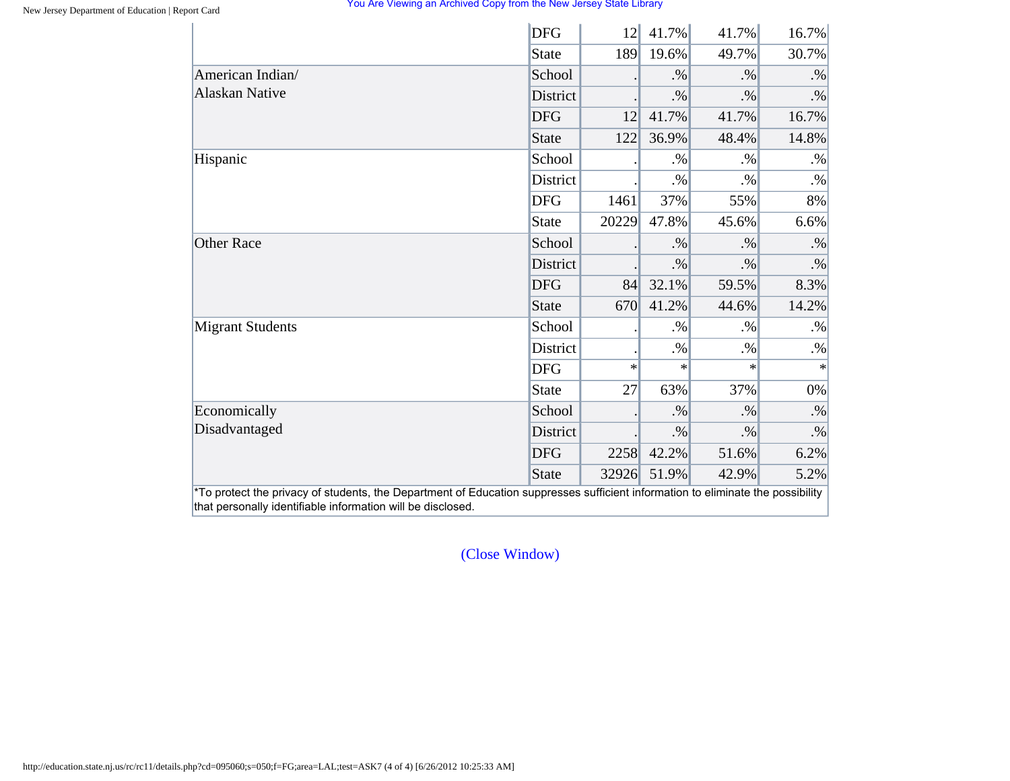|                                                                                                       | <b>DFG</b>      | 12     | 41.7%  | 41.7%  | 16.7%  |
|-------------------------------------------------------------------------------------------------------|-----------------|--------|--------|--------|--------|
|                                                                                                       | State           | 189    | 19.6%  | 49.7%  | 30.7%  |
|                                                                                                       | School          |        | $. \%$ | $. \%$ | $. \%$ |
| American Indian/<br><b>Alaskan Native</b><br>Hispanic<br><b>Other Race</b><br><b>Migrant Students</b> | <b>District</b> |        | $. \%$ | .9/6   | $. \%$ |
|                                                                                                       | <b>DFG</b>      | 12     | 41.7%  | 41.7%  | 16.7%  |
|                                                                                                       | State           | 122    | 36.9%  | 48.4%  | 14.8%  |
|                                                                                                       | School          |        | $. \%$ | $. \%$ | $. \%$ |
|                                                                                                       | District        |        | $. \%$ | $. \%$ | $. \%$ |
|                                                                                                       | <b>DFG</b>      | 1461   | 37%    | 55%    | 8%     |
|                                                                                                       | State           | 20229  | 47.8%  | 45.6%  | 6.6%   |
| Economically<br>Disadvantaged                                                                         | School          |        | $. \%$ | $. \%$ | $. \%$ |
|                                                                                                       | District        |        | $. \%$ | $. \%$ | $. \%$ |
|                                                                                                       | <b>DFG</b>      | 84     | 32.1%  | 59.5%  | 8.3%   |
|                                                                                                       | State           | 670    | 41.2%  | 44.6%  | 14.2%  |
|                                                                                                       | School          |        | $. \%$ | $. \%$ | $. \%$ |
|                                                                                                       | District        |        | $. \%$ | $. \%$ | $. \%$ |
|                                                                                                       | <b>DFG</b>      | $\ast$ | $\ast$ | $\ast$ | $\ast$ |
|                                                                                                       | State           | 27     | 63%    | 37%    | $0\%$  |
|                                                                                                       | School          |        | $. \%$ | $. \%$ | $. \%$ |
|                                                                                                       | District        |        | $. \%$ | $. \%$ | $. \%$ |
|                                                                                                       | <b>DFG</b>      | 2258   | 42.2%  | 51.6%  | 6.2%   |
|                                                                                                       | <b>State</b>    | 32926  | 51.9%  | 42.9%  | 5.2%   |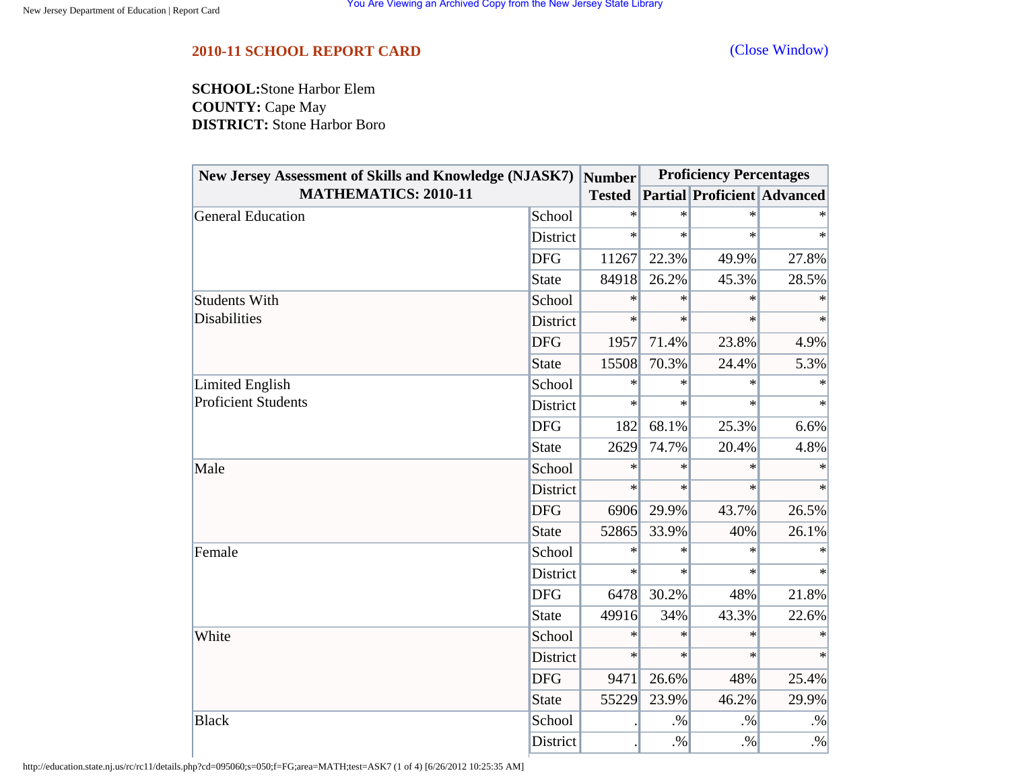<span id="page-55-0"></span>**SCHOOL:**Stone Harbor Elem **COUNTY:** Cape May **DISTRICT:** Stone Harbor Boro

| New Jersey Assessment of Skills and Knowledge (NJASK7) |              | <b>Number</b> | <b>Proficiency Percentages</b> |                                    |           |
|--------------------------------------------------------|--------------|---------------|--------------------------------|------------------------------------|-----------|
| <b>MATHEMATICS: 2010-11</b>                            |              | <b>Tested</b> |                                | <b>Partial Proficient Advanced</b> |           |
| <b>General Education</b>                               | School       | $\ast$        | $\ast$                         | $\ast$                             |           |
|                                                        | District     | $\ast$        | $\ast$                         | $\ast$                             | $\ast$    |
|                                                        | <b>DFG</b>   | 11267         | 22.3%                          | 49.9%                              | 27.8%     |
|                                                        | <b>State</b> | 84918         | 26.2%                          | 45.3%                              | 28.5%     |
| <b>Students With</b>                                   | School       | $\ast$        | $\ast$                         | $\ast$                             | $\ast$    |
| <b>Disabilities</b>                                    | District     | $\ast$        | $\ast$                         | $\ast$                             | $\ast$    |
|                                                        | <b>DFG</b>   | 1957          | 71.4%                          | 23.8%                              | 4.9%      |
|                                                        | <b>State</b> | 15508         | 70.3%                          | 24.4%                              | 5.3%      |
| Limited English                                        | School       | $\ast$        | $\ast$                         | $\ast$                             | $\ast$    |
| <b>Proficient Students</b>                             | District     | $\ast$        | $\ast$                         | $\ast$                             | $\ast$    |
|                                                        | <b>DFG</b>   | 182           | 68.1%                          | 25.3%                              | 6.6%      |
|                                                        | <b>State</b> | 2629          | 74.7%                          | 20.4%                              | 4.8%      |
| Male                                                   | School       | $\ast$        | $\ast$                         | $\ast$                             | $\ast$    |
|                                                        | District     | $\ast$        | $\ast$                         | $\ast$                             | $\ast$    |
|                                                        | <b>DFG</b>   | 6906          | 29.9%                          | 43.7%                              | 26.5%     |
|                                                        | <b>State</b> | 52865         | 33.9%                          | 40%                                | 26.1%     |
| Female                                                 | School       | $\ast$        | $\ast$                         | $\ast$                             |           |
|                                                        | District     | $\ast$        | $\ast$                         | $\ast$                             | $\ast$    |
|                                                        | <b>DFG</b>   | 6478          | 30.2%                          | 48%                                | 21.8%     |
|                                                        | <b>State</b> | 49916         | 34%                            | 43.3%                              | 22.6%     |
| White                                                  | School       | $\ast$        | $\ast$                         | $\ast$                             | $\ast$    |
|                                                        | District     | $\ast$        | $\ast$                         | $\ast$                             | $\ast$    |
|                                                        | <b>DFG</b>   | 9471          | 26.6%                          | 48%                                | 25.4%     |
|                                                        | <b>State</b> | 55229         | 23.9%                          | 46.2%                              | 29.9%     |
| <b>Black</b>                                           | School       |               | $. \%$                         | $. \%$                             | $\cdot\%$ |
|                                                        | District     |               | $. \%$                         | $. \%$                             | $\cdot\%$ |

http://education.state.nj.us/rc/rc11/details.php?cd=095060;s=050;f=FG;area=MATH;test=ASK7 (1 of 4) [6/26/2012 10:25:35 AM]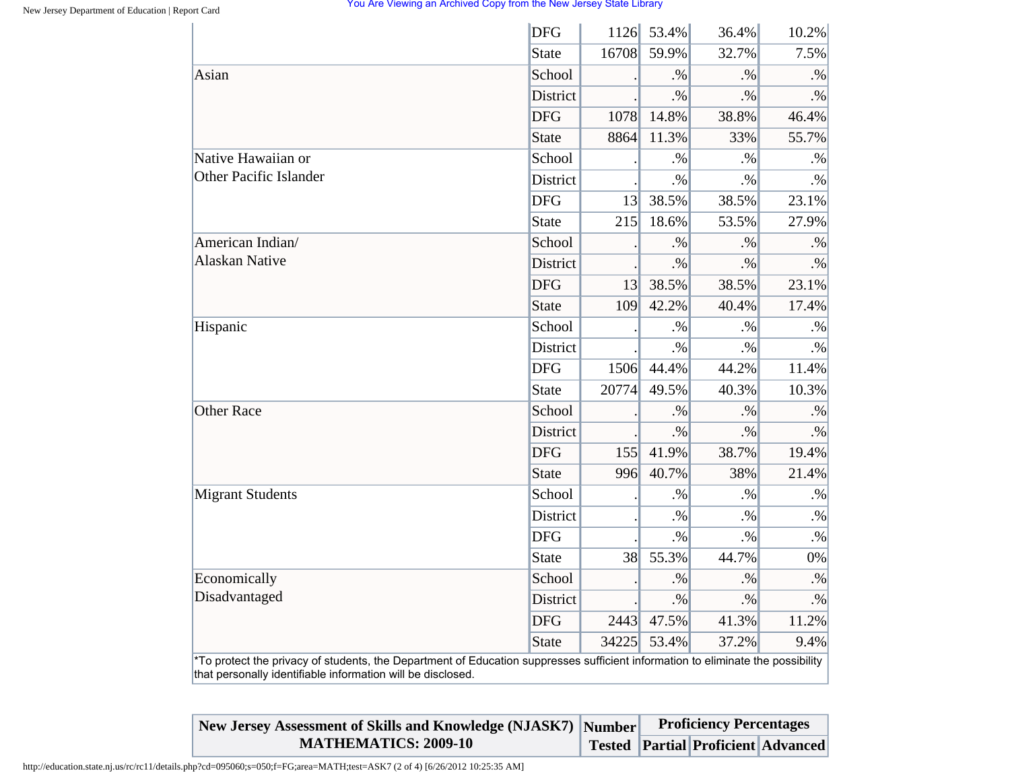|                                                                                                                                                                                                | <b>DFG</b>      | 1126  | 53.4%  | 36.4%     | 10.2%     |
|------------------------------------------------------------------------------------------------------------------------------------------------------------------------------------------------|-----------------|-------|--------|-----------|-----------|
|                                                                                                                                                                                                | <b>State</b>    | 16708 | 59.9%  | 32.7%     | 7.5%      |
| Asian                                                                                                                                                                                          | School          |       | $. \%$ | $. \%$    | $. \%$    |
|                                                                                                                                                                                                | <b>District</b> |       | $. \%$ | $. \%$    | $. \%$    |
|                                                                                                                                                                                                | <b>DFG</b>      | 1078  | 14.8%  | 38.8%     | 46.4%     |
|                                                                                                                                                                                                | <b>State</b>    | 8864  | 11.3%  | 33%       | 55.7%     |
| Native Hawaiian or                                                                                                                                                                             | School          |       | $. \%$ | $. \%$    | $. \%$    |
| Other Pacific Islander                                                                                                                                                                         | District        |       | $. \%$ | $. \%$    | $. \%$    |
|                                                                                                                                                                                                | <b>DFG</b>      | 13    | 38.5%  | 38.5%     | 23.1%     |
|                                                                                                                                                                                                | <b>State</b>    | 215   | 18.6%  | 53.5%     | 27.9%     |
| American Indian/                                                                                                                                                                               | School          |       | $. \%$ | $. \%$    | $. \%$    |
| <b>Alaskan Native</b>                                                                                                                                                                          | District        |       | $. \%$ | $\cdot\%$ | $\cdot\%$ |
|                                                                                                                                                                                                | <b>DFG</b>      | 13    | 38.5%  | 38.5%     | 23.1%     |
|                                                                                                                                                                                                | <b>State</b>    | 109   | 42.2%  | 40.4%     | 17.4%     |
| Hispanic                                                                                                                                                                                       | School          |       | $. \%$ | $. \%$    | $. \%$    |
|                                                                                                                                                                                                | District        |       | $. \%$ | $. \%$    | $. \%$    |
|                                                                                                                                                                                                | <b>DFG</b>      | 1506  | 44.4%  | 44.2%     | 11.4%     |
|                                                                                                                                                                                                | <b>State</b>    | 20774 | 49.5%  | 40.3%     | 10.3%     |
| <b>Other Race</b>                                                                                                                                                                              | School          |       | $. \%$ | $. \%$    | $. \%$    |
|                                                                                                                                                                                                | District        |       | $. \%$ | $. \%$    | $. \%$    |
|                                                                                                                                                                                                | <b>DFG</b>      | 155   | 41.9%  | 38.7%     | 19.4%     |
|                                                                                                                                                                                                | <b>State</b>    | 996   | 40.7%  | 38%       | 21.4%     |
| <b>Migrant Students</b>                                                                                                                                                                        | School          |       | $. \%$ | $. \%$    | $\cdot\%$ |
|                                                                                                                                                                                                | <b>District</b> |       | $. \%$ | $. \%$    | $. \%$    |
|                                                                                                                                                                                                | <b>DFG</b>      |       | $. \%$ | $. \%$    | $\cdot\%$ |
|                                                                                                                                                                                                | <b>State</b>    | 38    | 55.3%  | 44.7%     | 0%        |
| Economically                                                                                                                                                                                   | School          |       | $. \%$ | $. \%$    | $. \%$    |
| Disadvantaged                                                                                                                                                                                  | District        |       | $. \%$ | $. \%$    | $\cdot\%$ |
|                                                                                                                                                                                                | <b>DFG</b>      | 2443  | 47.5%  | 41.3%     | 11.2%     |
|                                                                                                                                                                                                | <b>State</b>    | 34225 | 53.4%  | 37.2%     | 9.4%      |
| *To protect the privacy of students, the Department of Education suppresses sufficient information to eliminate the possibility<br>that personally identifiable information will be disclosed. |                 |       |        |           |           |

| New Jersey Assessment of Skills and Knowledge (NJASK7) Number | <b>Proficiency Percentages</b> |  |                                          |  |
|---------------------------------------------------------------|--------------------------------|--|------------------------------------------|--|
| <b>MATHEMATICS: 2009-10</b>                                   |                                |  | Tested   Partial   Proficient   Advanced |  |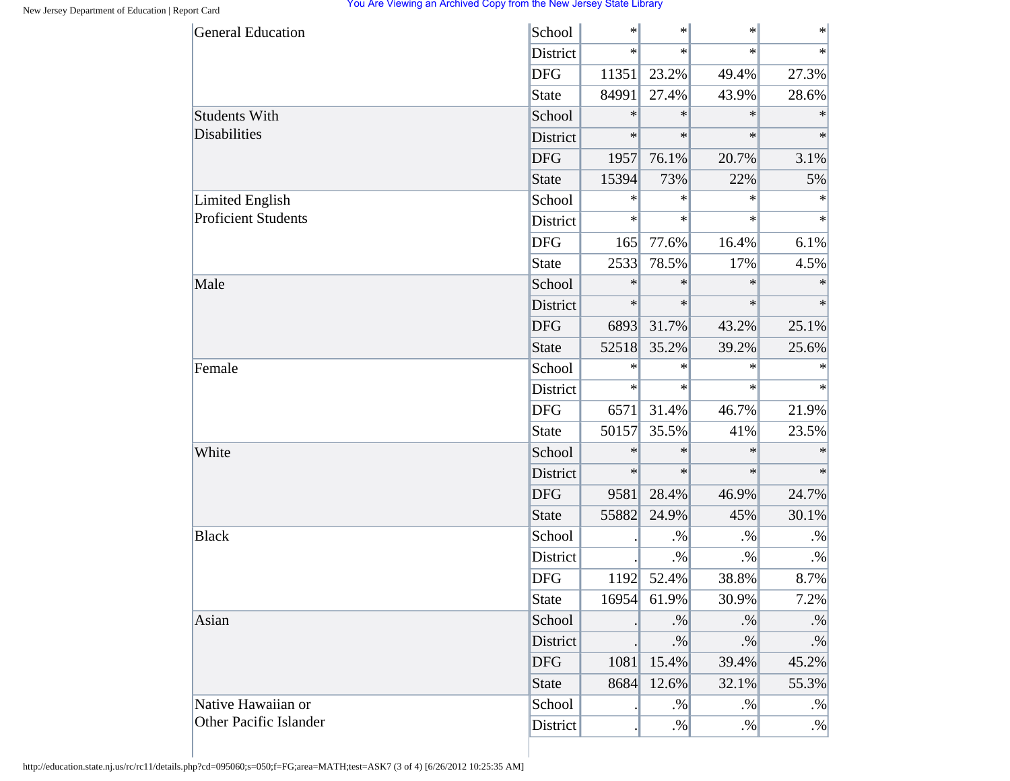| <b>General Education</b>   | School       | $\ast$ | $\ast$ | $\ast$ | $\ast$    |
|----------------------------|--------------|--------|--------|--------|-----------|
|                            | District     | $\ast$ | $\ast$ | $\ast$ | $\ast$    |
|                            | <b>DFG</b>   | 11351  | 23.2%  | 49.4%  | 27.3%     |
|                            | State        | 84991  | 27.4%  | 43.9%  | 28.6%     |
| <b>Students With</b>       | School       | $\ast$ | $\ast$ | $\ast$ | $\ast$    |
| Disabilities               | District     | $\ast$ | $\ast$ | $\ast$ | $\ast$    |
|                            | <b>DFG</b>   | 1957   | 76.1%  | 20.7%  | 3.1%      |
|                            | <b>State</b> | 15394  | 73%    | 22%    | 5%        |
| <b>Limited English</b>     | School       | $\ast$ | $\ast$ | $\ast$ | $\ast$    |
| <b>Proficient Students</b> | District     | $\ast$ | $\ast$ | $\ast$ | $\ast$    |
|                            | <b>DFG</b>   | 165    | 77.6%  | 16.4%  | 6.1%      |
|                            | State        | 2533   | 78.5%  | 17%    | 4.5%      |
| Male                       | School       | $\ast$ | $\ast$ | $\ast$ | $\ast$    |
|                            | District     | $\ast$ | $\ast$ | $\ast$ | $\ast$    |
|                            | <b>DFG</b>   | 6893   | 31.7%  | 43.2%  | 25.1%     |
|                            | <b>State</b> | 52518  | 35.2%  | 39.2%  | 25.6%     |
| Female                     | School       | $\ast$ | $\ast$ | $\ast$ | $\ast$    |
|                            | District     | $\ast$ | $\ast$ | $\ast$ | $\ast$    |
|                            | <b>DFG</b>   | 6571   | 31.4%  | 46.7%  | 21.9%     |
|                            | <b>State</b> | 50157  | 35.5%  | 41%    | 23.5%     |
| White                      | School       | $\ast$ | $\ast$ | $\ast$ | $\ast$    |
|                            | District     | $\ast$ | $\ast$ | $\ast$ | $\ast$    |
|                            | <b>DFG</b>   | 9581   | 28.4%  | 46.9%  | 24.7%     |
|                            | <b>State</b> | 55882  | 24.9%  | 45%    | 30.1%     |
| <b>Black</b>               | School       |        | $. \%$ | $. \%$ | $. \%$    |
|                            | District     |        | $. \%$ | $. \%$ | $. \%$    |
|                            | <b>DFG</b>   | 1192   | 52.4%  | 38.8%  | 8.7%      |
|                            | <b>State</b> | 16954  | 61.9%  | 30.9%  | 7.2%      |
| Asian                      | School       |        | $. \%$ | $. \%$ | $\cdot\%$ |
|                            | District     |        | $. \%$ | $. \%$ | $\cdot\%$ |
|                            | <b>DFG</b>   | 1081   | 15.4%  | 39.4%  | 45.2%     |
|                            | <b>State</b> | 8684   | 12.6%  | 32.1%  | 55.3%     |
| Native Hawaiian or         | School       |        | $. \%$ | $. \%$ | $. \%$    |
| Other Pacific Islander     | District     |        | $. \%$ | $. \%$ | $. \%$    |

http://education.state.nj.us/rc/rc11/details.php?cd=095060;s=050;f=FG;area=MATH;test=ASK7 (3 of 4) [6/26/2012 10:25:35 AM]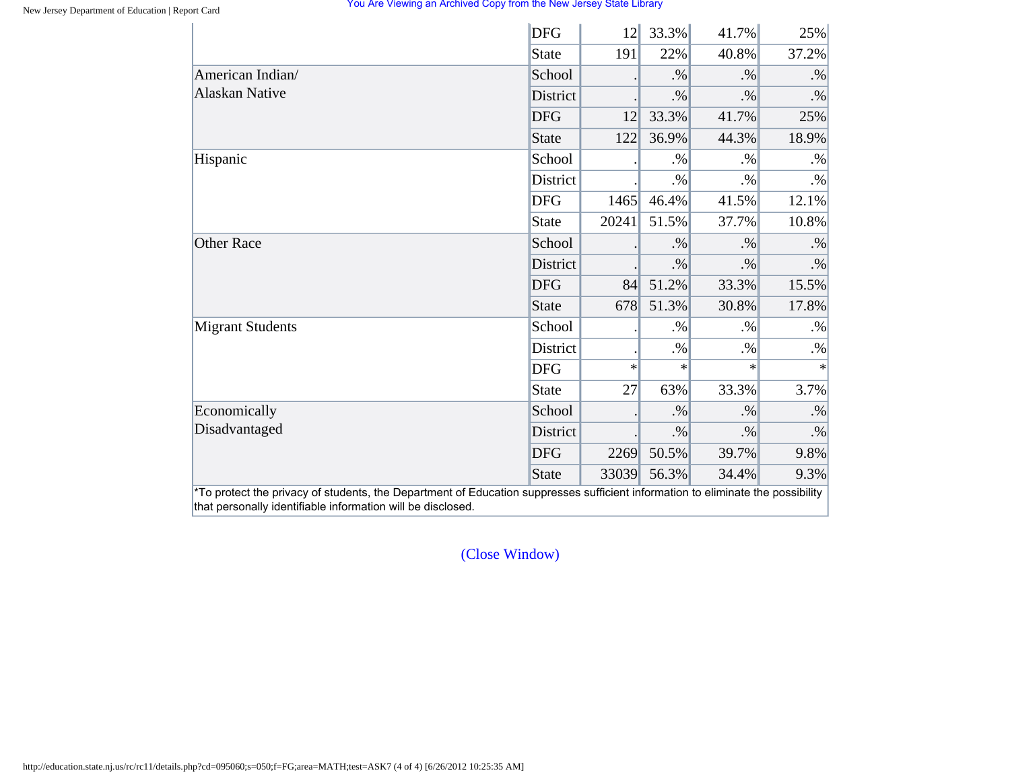|                         | <b>DFG</b>      | 12     | 33.3%  | 41.7%  | 25%       |
|-------------------------|-----------------|--------|--------|--------|-----------|
|                         | State           | 191    | 22%    | 40.8%  | 37.2%     |
| American Indian/        | School          |        | $. \%$ | $. \%$ | $. \%$    |
| <b>Alaskan Native</b>   | <b>District</b> |        | $. \%$ | $. \%$ | $. \%$    |
|                         | <b>DFG</b>      | 12     | 33.3%  | 41.7%  | 25%       |
|                         | State           | 122    | 36.9%  | 44.3%  | 18.9%     |
| Hispanic                | School          |        | $. \%$ | $. \%$ | $. \%$    |
|                         | District        |        | $. \%$ | $. \%$ | $. \%$    |
|                         | <b>DFG</b>      | 1465   | 46.4%  | 41.5%  | 12.1%     |
|                         | State           | 20241  | 51.5%  | 37.7%  | 10.8%     |
| <b>Other Race</b>       | School          |        | $. \%$ | $. \%$ | $. \%$    |
|                         | District        |        | $. \%$ | $. \%$ | $\cdot\%$ |
|                         | <b>DFG</b>      | 84     | 51.2%  | 33.3%  | 15.5%     |
|                         | State           | 678    | 51.3%  | 30.8%  | 17.8%     |
| <b>Migrant Students</b> | School          |        | $. \%$ | $. \%$ | $. \%$    |
|                         | District        |        | $. \%$ | $. \%$ | $. \%$    |
|                         | <b>DFG</b>      | $\ast$ | $\ast$ | $\ast$ | $\ast$    |
|                         | State           | 27     | 63%    | 33.3%  | 3.7%      |
| Economically            | School          |        | $. \%$ | $. \%$ | $. \%$    |
| Disadvantaged           | District        |        | $. \%$ | $. \%$ | $. \%$    |
|                         | <b>DFG</b>      | 2269   | 50.5%  | 39.7%  | 9.8%      |
|                         | State           | 33039  | 56.3%  | 34.4%  | 9.3%      |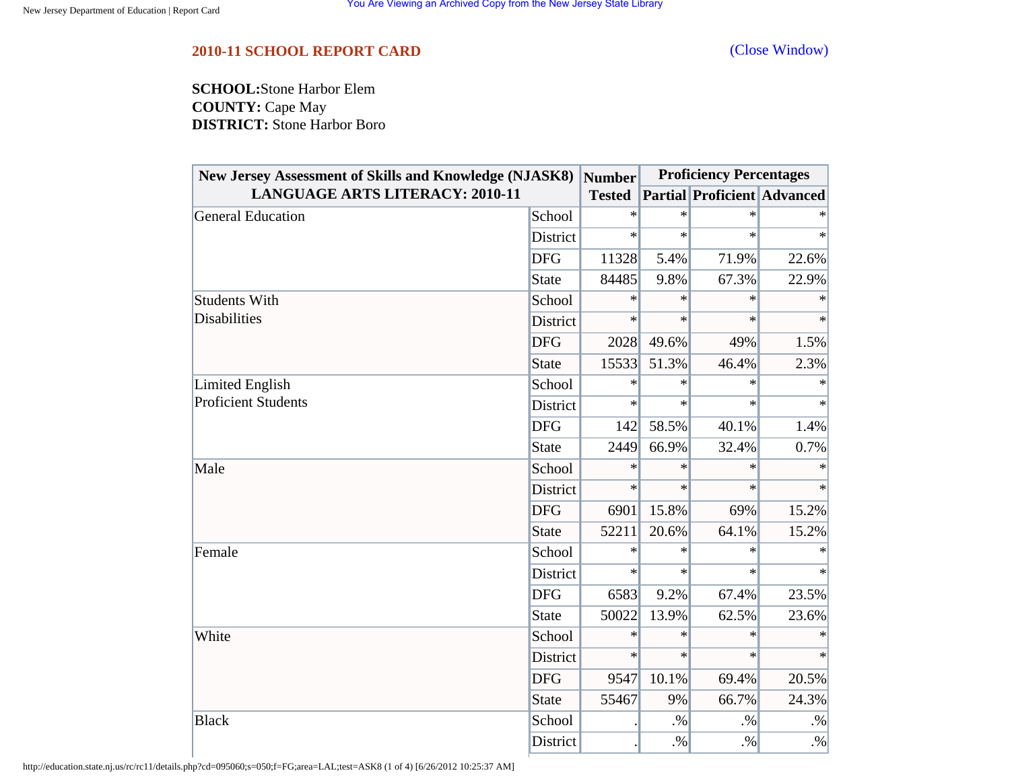<span id="page-59-0"></span>**SCHOOL:**Stone Harbor Elem **COUNTY:** Cape May **DISTRICT:** Stone Harbor Boro

| <b>New Jersey Assessment of Skills and Knowledge (NJASK8)</b> |              | <b>Number</b> | <b>Proficiency Percentages</b> |                                    |           |
|---------------------------------------------------------------|--------------|---------------|--------------------------------|------------------------------------|-----------|
| <b>LANGUAGE ARTS LITERACY: 2010-11</b>                        |              | <b>Tested</b> |                                | <b>Partial Proficient Advanced</b> |           |
| <b>General Education</b>                                      | School       | $\ast$        | $\ast$                         | $\ast$                             |           |
|                                                               | District     | $\ast$        | $\ast$                         | $\ast$                             | $\ast$    |
|                                                               | <b>DFG</b>   | 11328         | 5.4%                           | 71.9%                              | 22.6%     |
|                                                               | <b>State</b> | 84485         | 9.8%                           | 67.3%                              | 22.9%     |
| <b>Students With</b>                                          | School       | ∗             | $\ast$                         | $\ast$                             | $\ast$    |
| <b>Disabilities</b>                                           | District     | $\ast$        | $\ast$                         | $\ast$                             | $\ast$    |
|                                                               | <b>DFG</b>   | 2028          | 49.6%                          | 49%                                | 1.5%      |
|                                                               | <b>State</b> | 15533         | 51.3%                          | 46.4%                              | 2.3%      |
| Limited English                                               | School       | $\ast$        | $\ast$                         | $\ast$                             | $\ast$    |
| <b>Proficient Students</b>                                    | District     | $\ast$        | $\ast$                         | $\ast$                             | $\ast$    |
|                                                               | <b>DFG</b>   | 142           | 58.5%                          | 40.1%                              | 1.4%      |
|                                                               | <b>State</b> | 2449          | 66.9%                          | 32.4%                              | 0.7%      |
| Male                                                          | School       | $\ast$        | $\ast$                         | $\ast$                             | $\ast$    |
|                                                               | District     | $\ast$        | $\ast$                         | $\ast$                             | $\ast$    |
|                                                               | <b>DFG</b>   | 6901          | 15.8%                          | 69%                                | 15.2%     |
|                                                               | <b>State</b> | 52211         | 20.6%                          | 64.1%                              | 15.2%     |
| Female                                                        | School       | $\ast$        | $\ast$                         | $\ast$                             |           |
|                                                               | District     | $\ast$        | $\ast$                         | $\ast$                             | $\ast$    |
|                                                               | <b>DFG</b>   | 6583          | 9.2%                           | 67.4%                              | 23.5%     |
|                                                               | <b>State</b> | 50022         | 13.9%                          | 62.5%                              | 23.6%     |
| White                                                         | School       | $\ast$        | $\ast$                         | $\ast$                             | $\ast$    |
|                                                               | District     | $\ast$        | $\ast$                         | $\ast$                             | $\ast$    |
|                                                               | <b>DFG</b>   | 9547          | 10.1%                          | 69.4%                              | 20.5%     |
|                                                               | <b>State</b> | 55467         | 9%                             | 66.7%                              | 24.3%     |
| <b>Black</b>                                                  | School       |               | $. \%$                         | $. \%$                             | $\cdot\%$ |
|                                                               | District     |               | $. \%$                         | $. \%$                             | $\cdot\%$ |

http://education.state.nj.us/rc/rc11/details.php?cd=095060;s=050;f=FG;area=LAL;test=ASK8 (1 of 4) [6/26/2012 10:25:37 AM]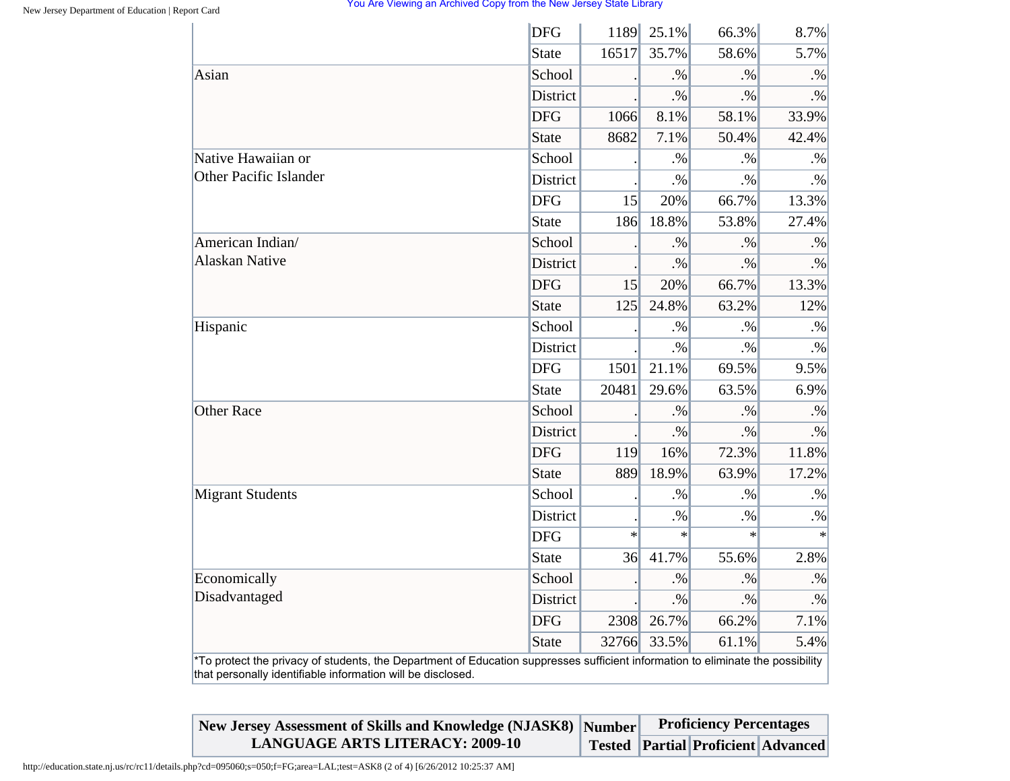|                                                                                                                                                                                                | <b>DFG</b>      | 1189   | 25.1%  | 66.3%     | 8.7%      |
|------------------------------------------------------------------------------------------------------------------------------------------------------------------------------------------------|-----------------|--------|--------|-----------|-----------|
|                                                                                                                                                                                                | <b>State</b>    | 16517  | 35.7%  | 58.6%     | 5.7%      |
| Asian                                                                                                                                                                                          | School          |        | .96    | $\cdot\%$ | $. \%$    |
|                                                                                                                                                                                                | District        |        | $. \%$ | $. \%$    | $. \%$    |
|                                                                                                                                                                                                | <b>DFG</b>      | 1066   | 8.1%   | 58.1%     | 33.9%     |
|                                                                                                                                                                                                | <b>State</b>    | 8682   | 7.1%   | 50.4%     | 42.4%     |
| Native Hawaiian or                                                                                                                                                                             | School          |        | $. \%$ | $. \%$    | $. \%$    |
| <b>Other Pacific Islander</b>                                                                                                                                                                  | District        |        | $. \%$ | $. \%$    | $. \%$    |
|                                                                                                                                                                                                | <b>DFG</b>      | 15     | 20%    | 66.7%     | 13.3%     |
|                                                                                                                                                                                                | <b>State</b>    | 186    | 18.8%  | 53.8%     | 27.4%     |
| American Indian/                                                                                                                                                                               | School          |        | $. \%$ | $. \%$    | $. \%$    |
| <b>Alaskan Native</b>                                                                                                                                                                          | District        |        | $. \%$ | $. \%$    | $. \%$    |
|                                                                                                                                                                                                | <b>DFG</b>      | 15     | 20%    | 66.7%     | 13.3%     |
|                                                                                                                                                                                                | <b>State</b>    | 125    | 24.8%  | 63.2%     | 12%       |
| Hispanic                                                                                                                                                                                       | School          |        | $. \%$ | $. \%$    | $. \%$    |
|                                                                                                                                                                                                | District        |        | $. \%$ | $. \%$    | $. \%$    |
|                                                                                                                                                                                                | <b>DFG</b>      | 1501   | 21.1%  | 69.5%     | 9.5%      |
|                                                                                                                                                                                                | <b>State</b>    | 20481  | 29.6%  | 63.5%     | 6.9%      |
| <b>Other Race</b>                                                                                                                                                                              | School          |        | $. \%$ | $. \%$    | $. \%$    |
|                                                                                                                                                                                                | <b>District</b> |        | $. \%$ | $. \%$    | $. \%$    |
|                                                                                                                                                                                                | <b>DFG</b>      | 119    | 16%    | 72.3%     | 11.8%     |
|                                                                                                                                                                                                | <b>State</b>    | 889    | 18.9%  | 63.9%     | 17.2%     |
| <b>Migrant Students</b>                                                                                                                                                                        | School          |        | $. \%$ | $. \%$    | $. \%$    |
|                                                                                                                                                                                                | District        |        | $. \%$ | $. \%$    | $. \%$    |
|                                                                                                                                                                                                | <b>DFG</b>      | $\ast$ | $\ast$ | $\ast$    | $\ast$    |
|                                                                                                                                                                                                | <b>State</b>    | 36     | 41.7%  | 55.6%     | 2.8%      |
| Economically                                                                                                                                                                                   | School          |        | $. \%$ | $. \%$    | $. \%$    |
| Disadvantaged                                                                                                                                                                                  | District        |        | $. \%$ | $. \%$    | $\cdot\%$ |
|                                                                                                                                                                                                | <b>DFG</b>      | 2308   | 26.7%  | 66.2%     | 7.1%      |
|                                                                                                                                                                                                | <b>State</b>    | 32766  | 33.5%  | 61.1%     | 5.4%      |
| *To protect the privacy of students, the Department of Education suppresses sufficient information to eliminate the possibility<br>that personally identifiable information will be disclosed. |                 |        |        |           |           |

| New Jersey Assessment of Skills and Knowledge (NJASK8) Number | <b>Proficiency Percentages</b> |                                           |  |  |
|---------------------------------------------------------------|--------------------------------|-------------------------------------------|--|--|
| <b>LANGUAGE ARTS LITERACY: 2009-10</b>                        |                                | <b>Tested Partial Proficient Advanced</b> |  |  |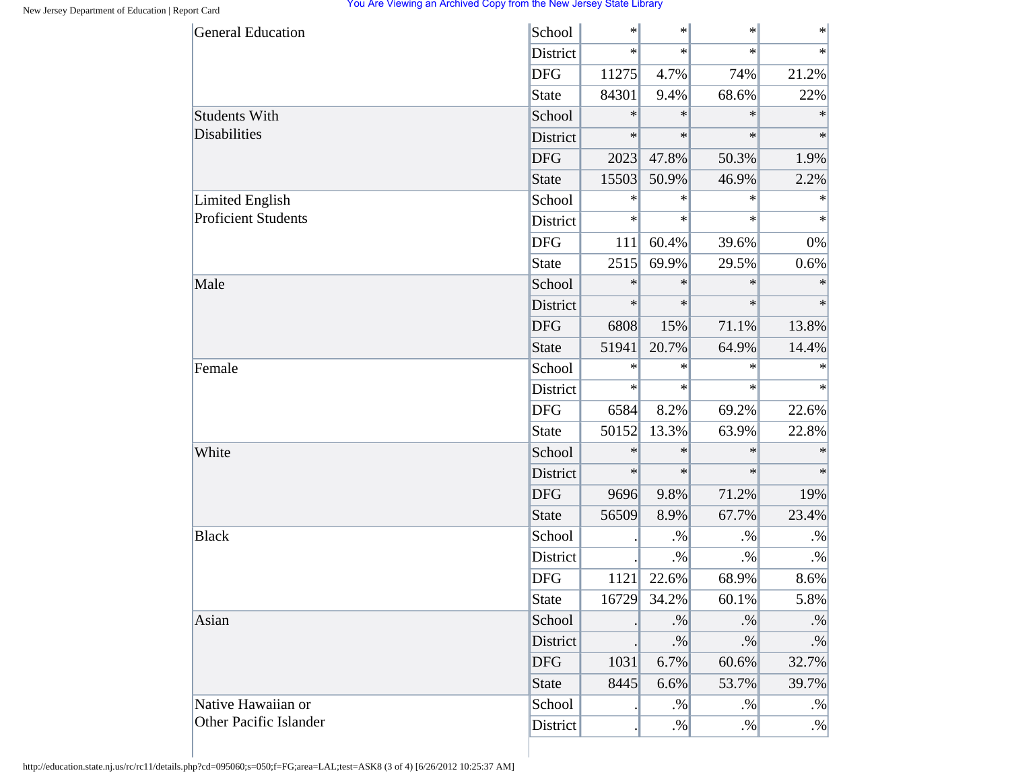| <b>General Education</b>   | School       | $\ast$ | $\ast$    | $\cdot$ | $\ast$    |
|----------------------------|--------------|--------|-----------|---------|-----------|
|                            | District     | $\ast$ | $\ast$    | $\ast$  | $\ast$    |
|                            | <b>DFG</b>   | 11275  | 4.7%      | 74%     | 21.2%     |
|                            | State        | 84301  | 9.4%      | 68.6%   | 22%       |
| <b>Students With</b>       | School       | $\ast$ | $\ast$    | $\ast$  | $\ast$    |
| Disabilities               | District     | $\ast$ | $\ast$    | $\ast$  | $\ast$    |
|                            | <b>DFG</b>   | 2023   | 47.8%     | 50.3%   | 1.9%      |
|                            | <b>State</b> | 15503  | 50.9%     | 46.9%   | 2.2%      |
| <b>Limited English</b>     | School       | $\ast$ | $\ast$    | $\ast$  | $\ast$    |
| <b>Proficient Students</b> | District     | $\ast$ | $\ast$    | $\ast$  | $\ast$    |
|                            | <b>DFG</b>   | 111    | 60.4%     | 39.6%   | 0%        |
|                            | <b>State</b> | 2515   | 69.9%     | 29.5%   | 0.6%      |
| Male                       | School       | $\ast$ | $\ast$    | $\ast$  | $\ast$    |
|                            | District     | $\ast$ | $\ast$    | $\ast$  | $\ast$    |
|                            | <b>DFG</b>   | 6808   | 15%       | 71.1%   | 13.8%     |
|                            | <b>State</b> | 51941  | 20.7%     | 64.9%   | 14.4%     |
| Female                     | School       | $\ast$ | $\ast$    | $\ast$  | ∗         |
|                            | District     | $\ast$ | $\ast$    | $\ast$  | $\ast$    |
|                            | <b>DFG</b>   | 6584   | 8.2%      | 69.2%   | 22.6%     |
|                            | <b>State</b> | 50152  | 13.3%     | 63.9%   | 22.8%     |
| White                      | School       | $\ast$ | $\ast$    | $\ast$  | $\ast$    |
|                            | District     | $\ast$ | $\ast$    | $\ast$  | $\ast$    |
|                            | <b>DFG</b>   | 9696   | 9.8%      | 71.2%   | 19%       |
|                            | <b>State</b> | 56509  | 8.9%      | 67.7%   | 23.4%     |
| <b>Black</b>               | School       |        | $. \%$    | $. \%$  | $. \%$    |
|                            | District     |        | $. \%$    | $. \%$  | $. \%$    |
|                            | <b>DFG</b>   | 1121   | 22.6%     | 68.9%   | 8.6%      |
|                            | <b>State</b> | 16729  | 34.2%     | 60.1%   | 5.8%      |
| Asian                      | School       |        | $\cdot\%$ | $. \%$  | $\cdot\%$ |
|                            | District     |        | $. \%$    | $. \%$  | $\cdot\%$ |
|                            | <b>DFG</b>   | 1031   | 6.7%      | 60.6%   | 32.7%     |
|                            | <b>State</b> | 8445   | 6.6%      | 53.7%   | 39.7%     |
| Native Hawaiian or         | School       |        | $\cdot\%$ | $. \%$  | $. \%$    |
| Other Pacific Islander     | District     |        | $. \%$    | $. \%$  | $. \%$    |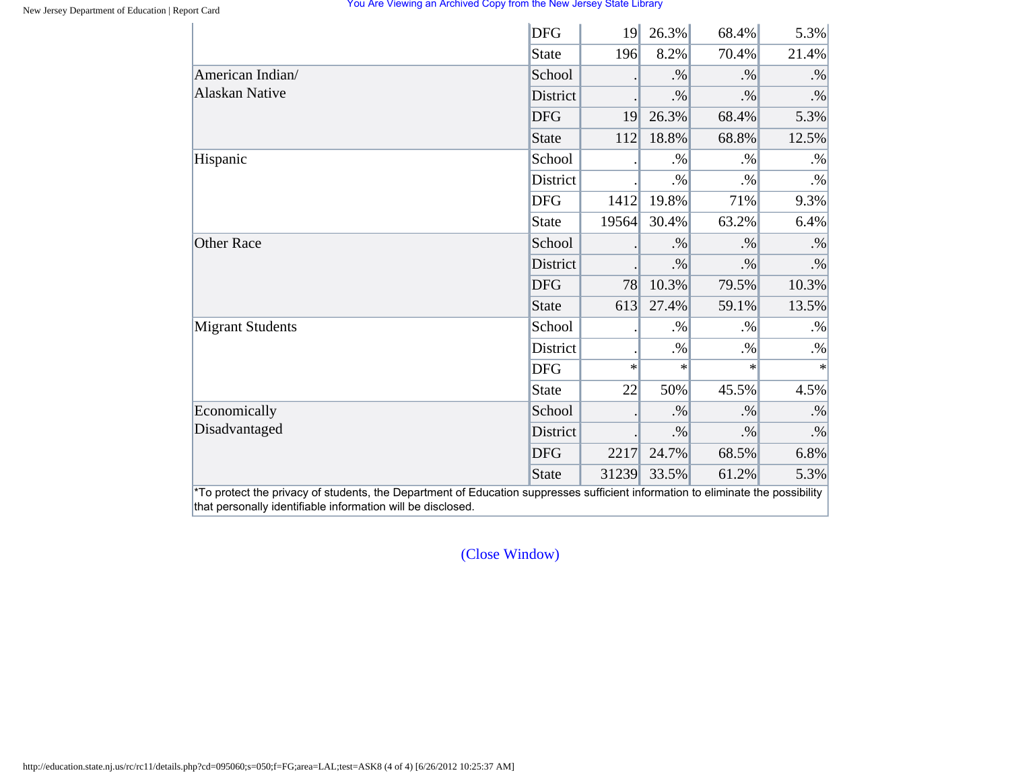|                         | <b>DFG</b>      | 19     | 26.3%  | 68.4%  | 5.3%   |
|-------------------------|-----------------|--------|--------|--------|--------|
|                         | State           | 196    | 8.2%   | 70.4%  | 21.4%  |
| American Indian/        | School          |        | $. \%$ | $. \%$ | $. \%$ |
| <b>Alaskan Native</b>   | <b>District</b> |        | $. \%$ | $. \%$ | $. \%$ |
|                         | <b>DFG</b>      | 19     | 26.3%  | 68.4%  | 5.3%   |
|                         | State           | 112    | 18.8%  | 68.8%  | 12.5%  |
| Hispanic                | School          |        | $. \%$ | $. \%$ | $. \%$ |
|                         | District        |        | $. \%$ | $. \%$ | $. \%$ |
|                         | <b>DFG</b>      | 1412   | 19.8%  | 71%    | 9.3%   |
|                         | State           | 19564  | 30.4%  | 63.2%  | 6.4%   |
| <b>Other Race</b>       | School          |        | $. \%$ | $. \%$ | $. \%$ |
|                         | District        |        | $. \%$ | $. \%$ | $. \%$ |
|                         | <b>DFG</b>      | 78     | 10.3%  | 79.5%  | 10.3%  |
|                         | State           | 613    | 27.4%  | 59.1%  | 13.5%  |
| <b>Migrant Students</b> | School          |        | $. \%$ | $. \%$ | $. \%$ |
|                         | District        |        | $. \%$ | $. \%$ | $. \%$ |
|                         | <b>DFG</b>      | $\ast$ | $\ast$ | $\ast$ | $\ast$ |
|                         | <b>State</b>    | 22     | 50%    | 45.5%  | 4.5%   |
| Economically            | School          |        | $. \%$ | $. \%$ | $. \%$ |
| Disadvantaged           | District        |        | $. \%$ | $. \%$ | $. \%$ |
|                         | <b>DFG</b>      | 2217   | 24.7%  | 68.5%  | 6.8%   |
|                         | State           | 31239  | 33.5%  | 61.2%  | 5.3%   |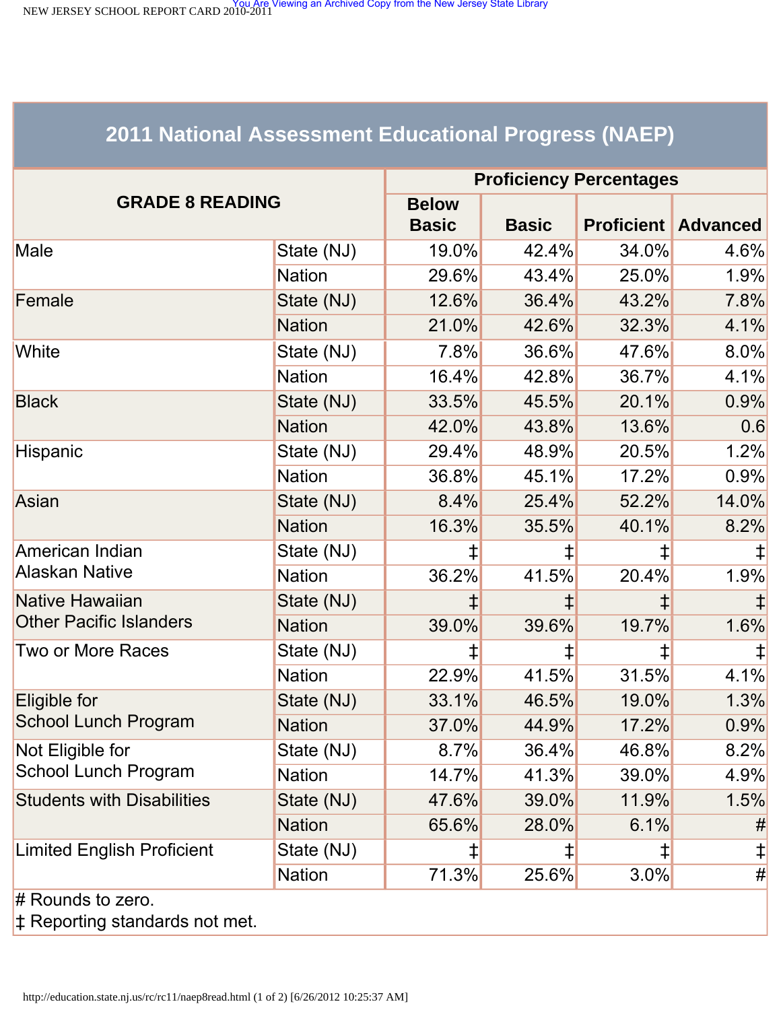<span id="page-63-0"></span>NEW JERSEY SCHOOL REPORT CARD 2010-2011<br>NEW JERSEY SCHOOL REPORT CARD 2010-2011

# **2011 National Assessment Educational Progress (NAEP)**

|                                   | <b>Proficiency Percentages</b> |                              |              |                   |                 |  |
|-----------------------------------|--------------------------------|------------------------------|--------------|-------------------|-----------------|--|
| <b>GRADE 8 READING</b>            |                                | <b>Below</b><br><b>Basic</b> | <b>Basic</b> | <b>Proficient</b> | <b>Advanced</b> |  |
| Male                              | State (NJ)                     | 19.0%                        | 42.4%        | 34.0%             | 4.6%            |  |
|                                   | <b>Nation</b>                  | 29.6%                        | 43.4%        | 25.0%             | 1.9%            |  |
| Female                            | State (NJ)                     | 12.6%                        | 36.4%        | 43.2%             | 7.8%            |  |
|                                   | <b>Nation</b>                  | 21.0%                        | 42.6%        | 32.3%             | 4.1%            |  |
| White                             | State (NJ)                     | $7.8\%$                      | 36.6%        | 47.6%             | 8.0%            |  |
|                                   | <b>Nation</b>                  | 16.4%                        | 42.8%        | 36.7%             | 4.1%            |  |
| <b>Black</b>                      | State (NJ)                     | 33.5%                        | 45.5%        | 20.1%             | 0.9%            |  |
|                                   | <b>Nation</b>                  | 42.0%                        | 43.8%        | 13.6%             | 0.6             |  |
| Hispanic                          | State (NJ)                     | 29.4%                        | 48.9%        | 20.5%             | 1.2%            |  |
|                                   | <b>Nation</b>                  | 36.8%                        | 45.1%        | 17.2%             | 0.9%            |  |
| Asian                             | State (NJ)                     | 8.4%                         | 25.4%        | 52.2%             | 14.0%           |  |
|                                   | <b>Nation</b>                  | 16.3%                        | 35.5%        | 40.1%             | 8.2%            |  |
| American Indian                   | State (NJ)                     | ‡                            | ⇟            | $\ddagger$        |                 |  |
| <b>Alaskan Native</b>             | <b>Nation</b>                  | 36.2%                        | 41.5%        | 20.4%             | 1.9%            |  |
| Native Hawaiian                   | State (NJ)                     |                              |              |                   |                 |  |
| <b>Other Pacific Islanders</b>    | <b>Nation</b>                  | 39.0%                        | 39.6%        | 19.7%             | 1.6%            |  |
| Two or More Races                 | State (NJ)                     | ⇟                            | ⇟            | ⇟                 |                 |  |
|                                   | <b>Nation</b>                  | 22.9%                        | 41.5%        | 31.5%             | 4.1%            |  |
| Eligible for                      | State (NJ)                     | 33.1%                        | 46.5%        | 19.0%             | 1.3%            |  |
| School Lunch Program              | <b>Nation</b>                  | 37.0%                        | 44.9%        | 17.2%             | 0.9%            |  |
| Not Eligible for                  | State (NJ)                     | 8.7%                         | 36.4%        | 46.8%             | 8.2%            |  |
| School Lunch Program              | <b>Nation</b>                  | 14.7%                        | 41.3%        | 39.0%             | 4.9%            |  |
| <b>Students with Disabilities</b> | State (NJ)                     | 47.6%                        | 39.0%        | 11.9%             | 1.5%            |  |
|                                   | <b>Nation</b>                  | 65.6%                        | 28.0%        | 6.1%              | #               |  |
| <b>Limited English Proficient</b> | State (NJ)                     | ⇟                            | ⇟            | ⇟                 | $\ddagger$      |  |
|                                   | <b>Nation</b>                  | 71.3%                        | 25.6%        | 3.0%              | #               |  |
| $#$ Rounds to zero.               |                                |                              |              |                   |                 |  |

‡ Reporting standards not met.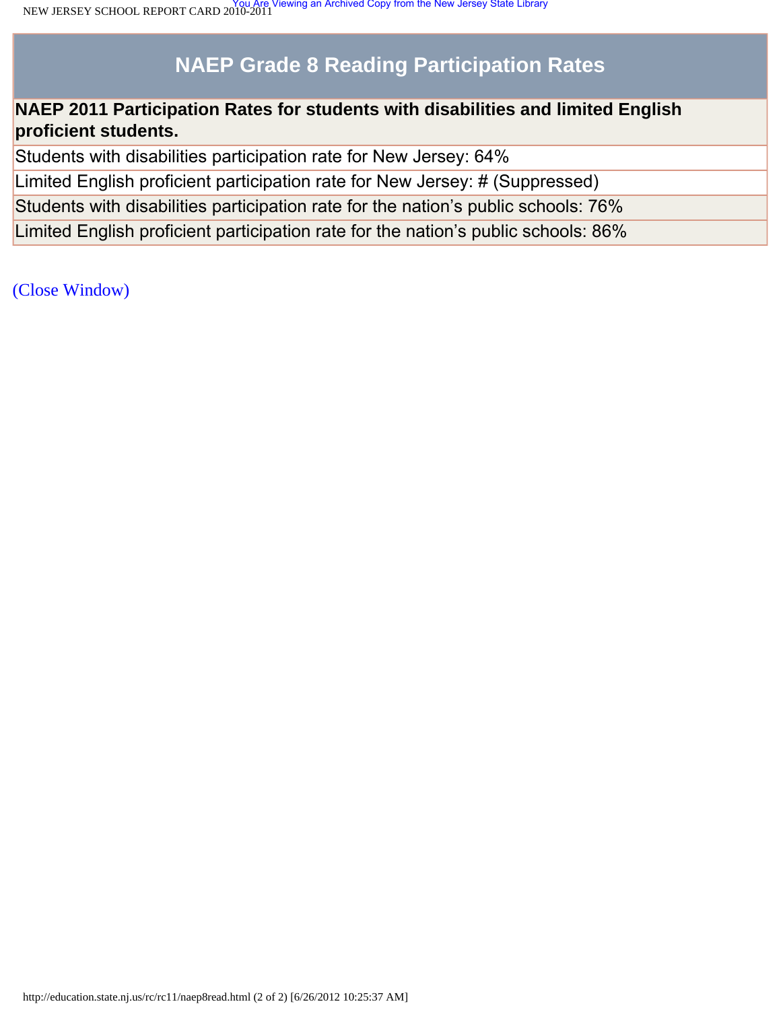# **NAEP Grade 8 Reading Participation Rates**

### **NAEP 2011 Participation Rates for students with disabilities and limited English proficient students.**

Students with disabilities participation rate for New Jersey: 64%

Limited English proficient participation rate for New Jersey: # (Suppressed)

Students with disabilities participation rate for the nation's public schools: 76%

Limited English proficient participation rate for the nation's public schools: 86%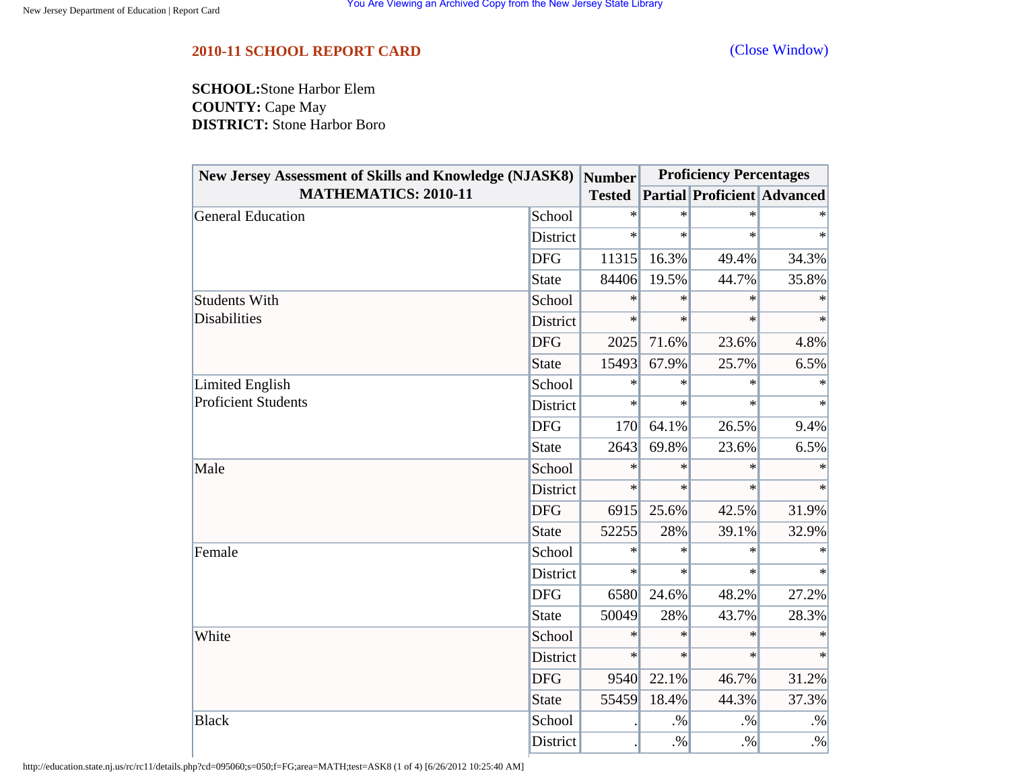<span id="page-65-0"></span>**SCHOOL:**Stone Harbor Elem **COUNTY:** Cape May **DISTRICT:** Stone Harbor Boro

| <b>New Jersey Assessment of Skills and Knowledge (NJASK8)</b> |              | <b>Number</b> | <b>Proficiency Percentages</b> |                                    |           |
|---------------------------------------------------------------|--------------|---------------|--------------------------------|------------------------------------|-----------|
| <b>MATHEMATICS: 2010-11</b>                                   |              | <b>Tested</b> |                                | <b>Partial Proficient Advanced</b> |           |
| <b>General Education</b>                                      | School       | $\ast$        | $\ast$                         | $\ast$                             |           |
|                                                               | District     | $\ast$        | $\ast$                         | $\ast$                             | $\ast$    |
|                                                               | <b>DFG</b>   | 11315         | 16.3%                          | 49.4%                              | 34.3%     |
|                                                               | <b>State</b> | 84406         | 19.5%                          | 44.7%                              | 35.8%     |
| <b>Students With</b>                                          | School       | $\ast$        | $\ast$                         | $\ast$                             | $\ast$    |
| <b>Disabilities</b>                                           | District     | $\ast$        | $\ast$                         | $\ast$                             | $\ast$    |
|                                                               | <b>DFG</b>   | 2025          | 71.6%                          | 23.6%                              | 4.8%      |
|                                                               | <b>State</b> | 15493         | 67.9%                          | 25.7%                              | 6.5%      |
| Limited English                                               | School       | $\ast$        | $\ast$                         | $\ast$                             | $\ast$    |
| <b>Proficient Students</b>                                    | District     | $\ast$        | $\ast$                         | $\ast$                             | $\ast$    |
|                                                               | <b>DFG</b>   | 170           | 64.1%                          | 26.5%                              | 9.4%      |
|                                                               | <b>State</b> | 2643          | 69.8%                          | 23.6%                              | 6.5%      |
| Male                                                          | School       | $\ast$        | $\ast$                         | $\ast$                             | $\ast$    |
|                                                               | District     | $\ast$        | $\ast$                         | $\ast$                             | $\ast$    |
|                                                               | <b>DFG</b>   | 6915          | 25.6%                          | 42.5%                              | 31.9%     |
|                                                               | <b>State</b> | 52255         | 28%                            | 39.1%                              | 32.9%     |
| Female                                                        | School       | $\ast$        | $\ast$                         | $\ast$                             |           |
|                                                               | District     | $\ast$        | $\ast$                         | $\ast$                             | $\ast$    |
|                                                               | <b>DFG</b>   | 6580          | 24.6%                          | 48.2%                              | 27.2%     |
|                                                               | <b>State</b> | 50049         | 28%                            | 43.7%                              | 28.3%     |
| White                                                         | School       | $\ast$        | $\ast$                         | $\ast$                             | $\ast$    |
|                                                               | District     | $\ast$        | $\ast$                         | $\ast$                             | $\ast$    |
|                                                               | <b>DFG</b>   | 9540          | 22.1%                          | 46.7%                              | 31.2%     |
|                                                               | <b>State</b> | 55459         | 18.4%                          | 44.3%                              | 37.3%     |
| <b>Black</b>                                                  | School       |               | $. \%$                         | $. \%$                             | $\cdot\%$ |
|                                                               | District     |               | $. \%$                         | $. \%$                             | $\cdot\%$ |

http://education.state.nj.us/rc/rc11/details.php?cd=095060;s=050;f=FG;area=MATH;test=ASK8 (1 of 4) [6/26/2012 10:25:40 AM]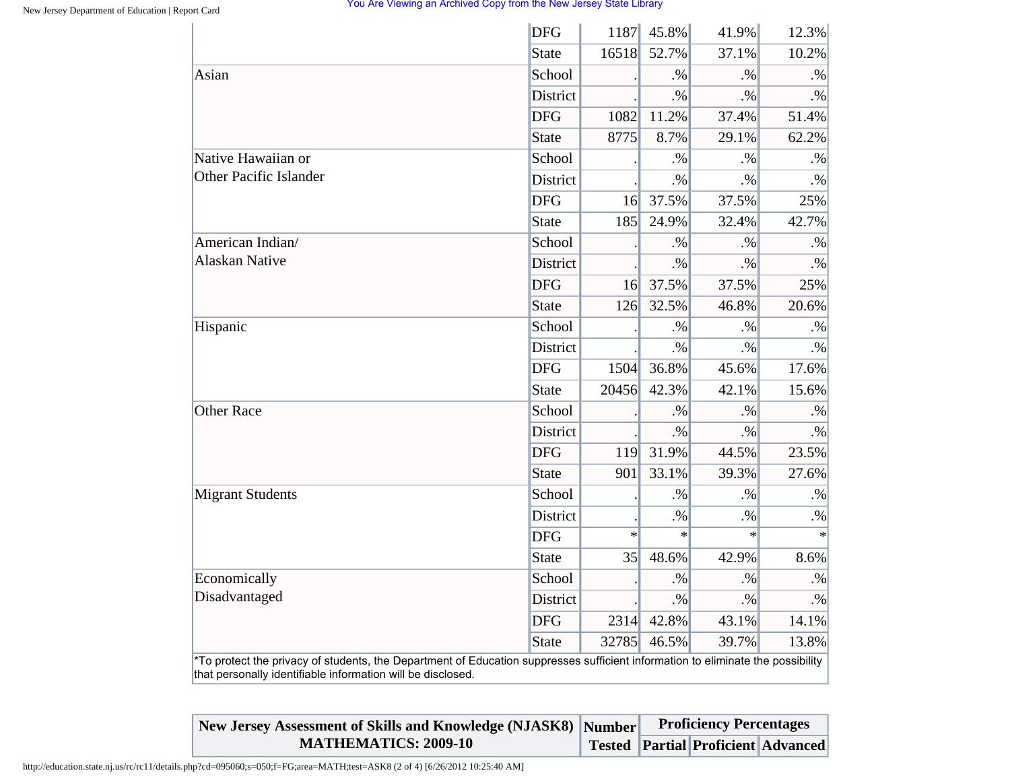|                                                                                                                                                                                                | <b>DFG</b>      | 1187   | 45.8%     | 41.9%  | 12.3%     |
|------------------------------------------------------------------------------------------------------------------------------------------------------------------------------------------------|-----------------|--------|-----------|--------|-----------|
|                                                                                                                                                                                                | <b>State</b>    | 16518  | 52.7%     | 37.1%  | 10.2%     |
| Asian                                                                                                                                                                                          | School          |        | .96       | $. \%$ | $. \%$    |
|                                                                                                                                                                                                | District        |        | $. \%$    | $. \%$ | $. \%$    |
|                                                                                                                                                                                                | <b>DFG</b>      | 1082   | 11.2%     | 37.4%  | 51.4%     |
|                                                                                                                                                                                                | <b>State</b>    | 8775   | 8.7%      | 29.1%  | 62.2%     |
| Native Hawaiian or                                                                                                                                                                             | School          |        | $. \%$    | $. \%$ | $\cdot\%$ |
| <b>Other Pacific Islander</b>                                                                                                                                                                  | District        |        | $. \%$    | $. \%$ | $. \%$    |
|                                                                                                                                                                                                | <b>DFG</b>      | 16     | 37.5%     | 37.5%  | 25%       |
|                                                                                                                                                                                                | <b>State</b>    | 185    | 24.9%     | 32.4%  | 42.7%     |
| American Indian/                                                                                                                                                                               | School          |        | $. \%$    | $. \%$ | $. \%$    |
| <b>Alaskan Native</b>                                                                                                                                                                          | District        |        | $. \%$    | $. \%$ | $\cdot\%$ |
|                                                                                                                                                                                                | <b>DFG</b>      | 16     | 37.5%     | 37.5%  | 25%       |
|                                                                                                                                                                                                | <b>State</b>    | 126    | 32.5%     | 46.8%  | 20.6%     |
| Hispanic                                                                                                                                                                                       | School          |        | $. \%$    | $. \%$ | $. \%$    |
|                                                                                                                                                                                                | District        |        | $. \%$    | $. \%$ | $. \%$    |
|                                                                                                                                                                                                | <b>DFG</b>      | 1504   | 36.8%     | 45.6%  | 17.6%     |
|                                                                                                                                                                                                | <b>State</b>    | 20456  | 42.3%     | 42.1%  | 15.6%     |
| <b>Other Race</b>                                                                                                                                                                              | School          |        | $. \%$    | $. \%$ | $. \%$    |
|                                                                                                                                                                                                | <b>District</b> |        | $. \%$    | $. \%$ | $. \%$    |
|                                                                                                                                                                                                | <b>DFG</b>      | 119    | 31.9%     | 44.5%  | 23.5%     |
|                                                                                                                                                                                                | <b>State</b>    | 901    | 33.1%     | 39.3%  | 27.6%     |
| <b>Migrant Students</b>                                                                                                                                                                        | School          |        | $. \%$    | $. \%$ | $. \%$    |
|                                                                                                                                                                                                | District        |        | $. \%$    | $. \%$ | $\cdot\%$ |
|                                                                                                                                                                                                | <b>DFG</b>      | $\ast$ | $\ast$    | $\ast$ | $\ast$    |
|                                                                                                                                                                                                | <b>State</b>    | 35     | 48.6%     | 42.9%  | 8.6%      |
| Economically                                                                                                                                                                                   | School          |        | $. \%$    | $. \%$ | $. \%$    |
| Disadvantaged                                                                                                                                                                                  | <b>District</b> |        | $\cdot\%$ | $. \%$ | $\cdot\%$ |
|                                                                                                                                                                                                | <b>DFG</b>      | 2314   | 42.8%     | 43.1%  | 14.1%     |
|                                                                                                                                                                                                | <b>State</b>    | 32785  | 46.5%     | 39.7%  | 13.8%     |
| *To protect the privacy of students, the Department of Education suppresses sufficient information to eliminate the possibility<br>that personally identifiable information will be disclosed. |                 |        |           |        |           |

| New Jersey Assessment of Skills and Knowledge (NJASK8) Number |  | <b>Proficiency Percentages</b> |                                           |  |
|---------------------------------------------------------------|--|--------------------------------|-------------------------------------------|--|
| <b>MATHEMATICS: 2009-10</b>                                   |  |                                | <b>Tested Partial Proficient Advanced</b> |  |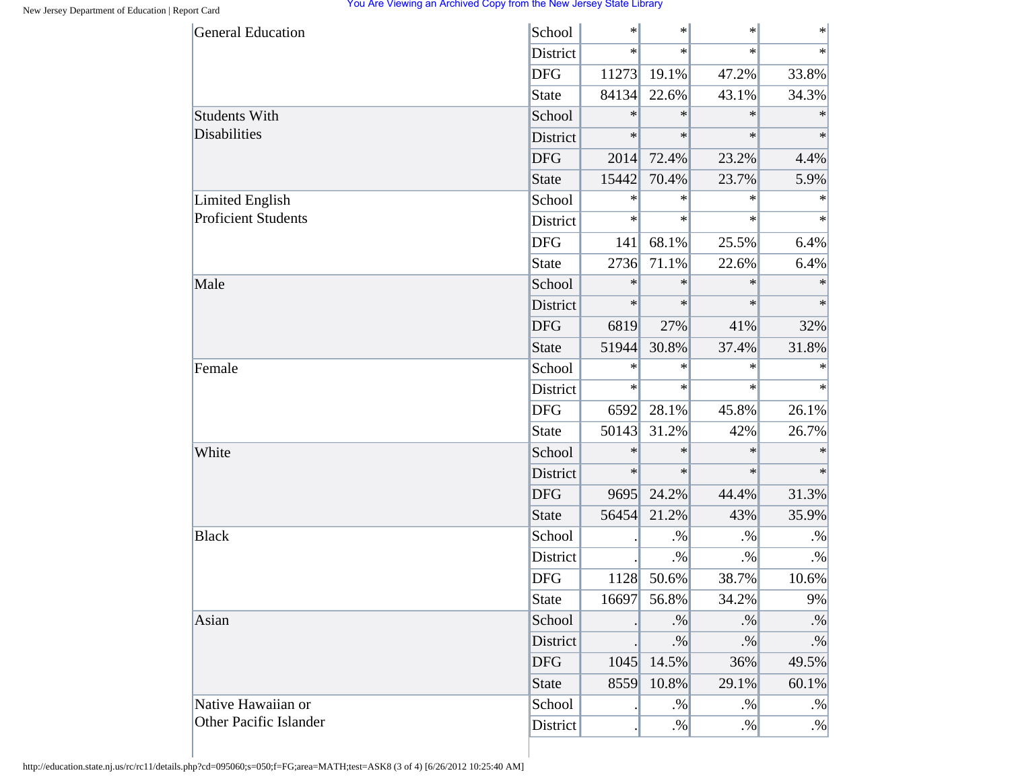| <b>General Education</b>   | School          | $\ast$ | $\ast$ | $\ast$ | $\ast$    |
|----------------------------|-----------------|--------|--------|--------|-----------|
|                            | District        | $\ast$ | $\ast$ | $\ast$ | $\ast$    |
|                            | <b>DFG</b>      | 11273  | 19.1%  | 47.2%  | 33.8%     |
|                            | State           | 84134  | 22.6%  | 43.1%  | 34.3%     |
| <b>Students With</b>       | School          | $\ast$ | $\ast$ | $\ast$ | $\ast$    |
| <b>Disabilities</b>        | District        | $\ast$ | $\ast$ | $\ast$ | $\ast$    |
|                            | <b>DFG</b>      | 2014   | 72.4%  | 23.2%  | 4.4%      |
|                            | <b>State</b>    | 15442  | 70.4%  | 23.7%  | 5.9%      |
| <b>Limited English</b>     | School          | $\ast$ | $\ast$ | $\ast$ | $\ast$    |
| <b>Proficient Students</b> | District        | $\ast$ | $\ast$ | $\ast$ | $\ast$    |
|                            | <b>DFG</b>      | 141    | 68.1%  | 25.5%  | 6.4%      |
|                            | <b>State</b>    | 2736   | 71.1%  | 22.6%  | 6.4%      |
| Male                       | School          | $\ast$ | $\ast$ | $\ast$ | $\ast$    |
|                            | <b>District</b> | $\ast$ | $\ast$ | $\ast$ | $\ast$    |
|                            | <b>DFG</b>      | 6819   | 27%    | 41%    | 32%       |
|                            | <b>State</b>    | 51944  | 30.8%  | 37.4%  | 31.8%     |
| Female                     | School          | $\ast$ | $\ast$ | $\ast$ | $\ast$    |
|                            | District        | $\ast$ | $\ast$ | $\ast$ | $\ast$    |
|                            | <b>DFG</b>      | 6592   | 28.1%  | 45.8%  | 26.1%     |
|                            | <b>State</b>    | 50143  | 31.2%  | 42%    | 26.7%     |
| White                      | School          | $\ast$ | $\ast$ | $\ast$ | $\ast$    |
|                            | District        | $\ast$ | $\ast$ | $\ast$ | $\ast$    |
|                            | <b>DFG</b>      | 9695   | 24.2%  | 44.4%  | 31.3%     |
|                            | <b>State</b>    | 56454  | 21.2%  | 43%    | 35.9%     |
| <b>Black</b>               | School          |        | $. \%$ | $. \%$ | $. \%$    |
|                            | District        |        | $. \%$ | $. \%$ | $. \%$    |
|                            | <b>DFG</b>      | 1128   | 50.6%  | 38.7%  | 10.6%     |
|                            | <b>State</b>    | 16697  | 56.8%  | 34.2%  | 9%        |
| Asian                      | School          |        | $. \%$ | $. \%$ | $. \%$    |
|                            | District        |        | $. \%$ | $. \%$ | $\cdot\%$ |
|                            | <b>DFG</b>      | 1045   | 14.5%  | 36%    | 49.5%     |
|                            | <b>State</b>    | 8559   | 10.8%  | 29.1%  | 60.1%     |
| Native Hawaiian or         | School          |        | $. \%$ | $. \%$ | $. \%$    |
| Other Pacific Islander     | District        |        | $. \%$ | $. \%$ | $. \%$    |

http://education.state.nj.us/rc/rc11/details.php?cd=095060;s=050;f=FG;area=MATH;test=ASK8 (3 of 4) [6/26/2012 10:25:40 AM]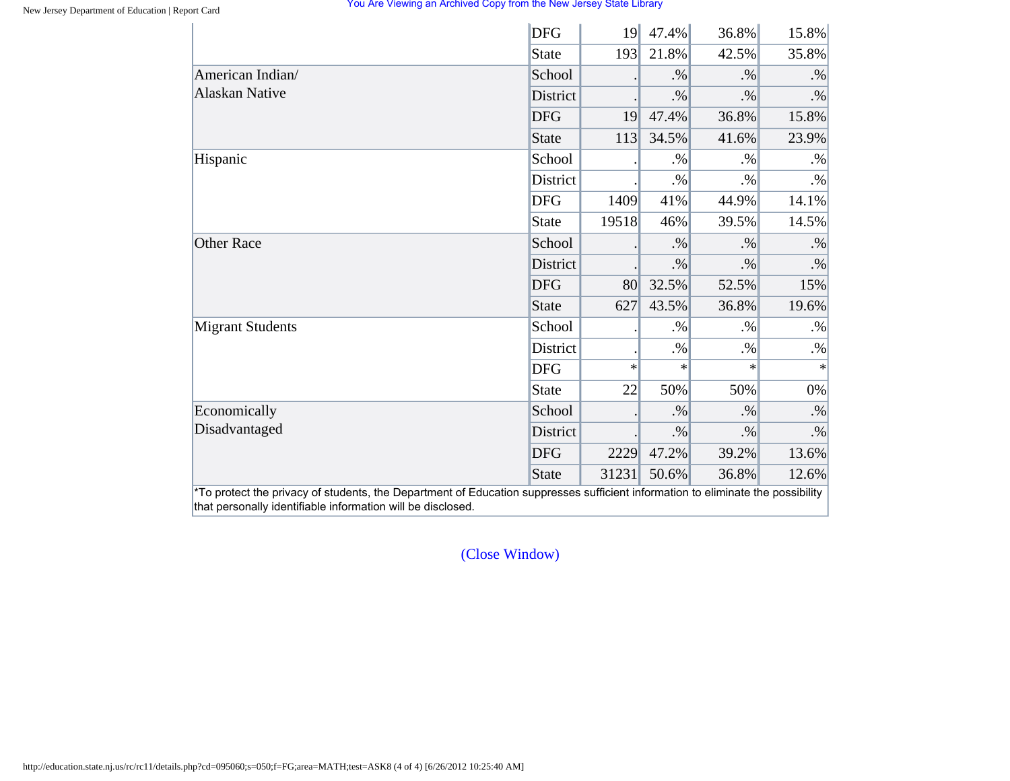|                         | <b>DFG</b>   | 19     | 47.4%  | 36.8%  | 15.8%  |
|-------------------------|--------------|--------|--------|--------|--------|
|                         | <b>State</b> | 193    | 21.8%  | 42.5%  | 35.8%  |
| American Indian/        | School       |        | $. \%$ | $. \%$ | $. \%$ |
| <b>Alaskan Native</b>   | District     |        | $. \%$ | $. \%$ | $. \%$ |
|                         | <b>DFG</b>   | 19     | 47.4%  | 36.8%  | 15.8%  |
|                         | <b>State</b> | 113    | 34.5%  | 41.6%  | 23.9%  |
| Hispanic                | School       |        | $. \%$ | $. \%$ | $. \%$ |
|                         | District     |        | $. \%$ | $. \%$ | $. \%$ |
|                         | <b>DFG</b>   | 1409   | 41%    | 44.9%  | 14.1%  |
|                         | <b>State</b> | 19518  | 46%    | 39.5%  | 14.5%  |
| <b>Other Race</b>       | School       |        | $. \%$ | $. \%$ | $. \%$ |
|                         | District     |        | $. \%$ | $. \%$ | $. \%$ |
|                         | <b>DFG</b>   | 80     | 32.5%  | 52.5%  | 15%    |
|                         | <b>State</b> | 627    | 43.5%  | 36.8%  | 19.6%  |
| <b>Migrant Students</b> | School       |        | $. \%$ | $. \%$ | $. \%$ |
|                         | District     |        | $. \%$ | $. \%$ | $. \%$ |
|                         | <b>DFG</b>   | $\ast$ | $\ast$ | $\ast$ | $\ast$ |
|                         | <b>State</b> | 22     | 50%    | 50%    | $0\%$  |
| Economically            | School       |        | $. \%$ | $. \%$ | $. \%$ |
| Disadvantaged           | District     |        | $. \%$ | $. \%$ | $. \%$ |
|                         | <b>DFG</b>   | 2229   | 47.2%  | 39.2%  | 13.6%  |
|                         | <b>State</b> | 31231  | 50.6%  | 36.8%  | 12.6%  |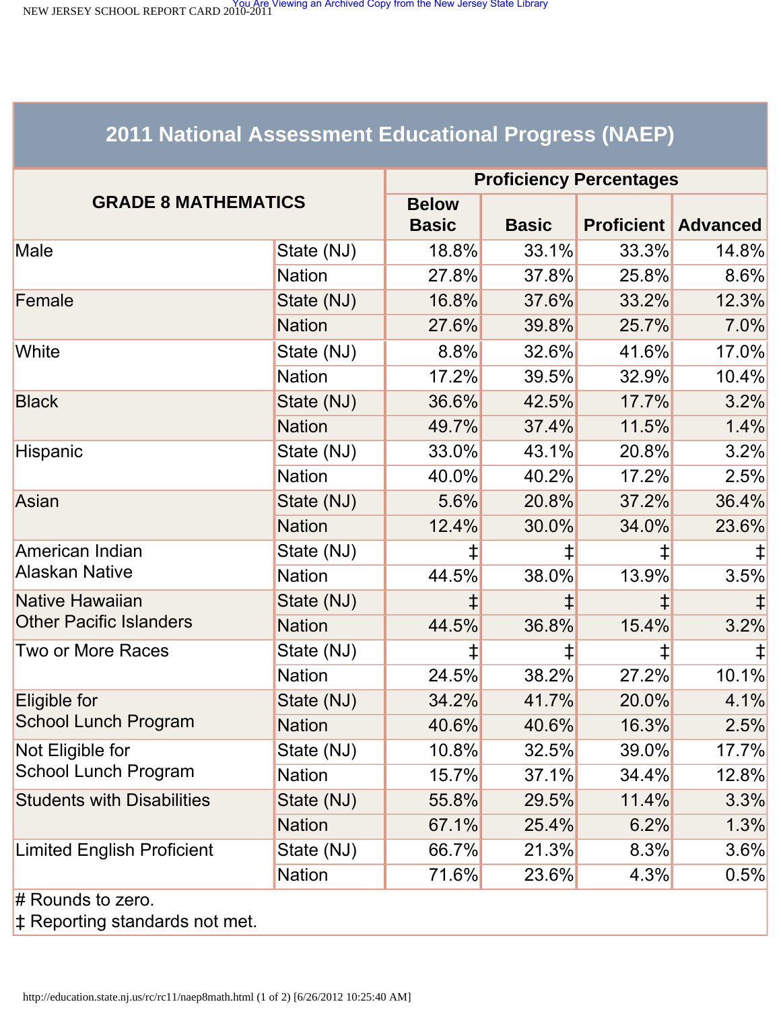<span id="page-69-0"></span>NEW JERSEY SCHOOL REPORT CARD 2010-2011<br>NEW JERSEY SCHOOL REPORT CARD 2010-2011

# **2011 National Assessment Educational Progress (NAEP)**

| <b>GRADE 8 MATHEMATICS</b>        |               | <b>Proficiency Percentages</b> |              |       |                            |  |  |
|-----------------------------------|---------------|--------------------------------|--------------|-------|----------------------------|--|--|
|                                   |               | <b>Below</b><br><b>Basic</b>   | <b>Basic</b> |       | <b>Proficient Advanced</b> |  |  |
| Male                              | State (NJ)    | 18.8%                          | 33.1%        | 33.3% | 14.8%                      |  |  |
|                                   | <b>Nation</b> | 27.8%                          | 37.8%        | 25.8% | $8.6\%$                    |  |  |
| Female                            | State (NJ)    | 16.8%                          | 37.6%        | 33.2% | 12.3%                      |  |  |
|                                   | <b>Nation</b> | 27.6%                          | 39.8%        | 25.7% | 7.0%                       |  |  |
| White                             | State (NJ)    | $8.8\%$                        | 32.6%        | 41.6% | 17.0%                      |  |  |
|                                   | <b>Nation</b> | 17.2%                          | 39.5%        | 32.9% | 10.4%                      |  |  |
| <b>Black</b>                      | State (NJ)    | 36.6%                          | 42.5%        | 17.7% | 3.2%                       |  |  |
|                                   | <b>Nation</b> | 49.7%                          | 37.4%        | 11.5% | 1.4%                       |  |  |
| Hispanic                          | State (NJ)    | 33.0%                          | 43.1%        | 20.8% | 3.2%                       |  |  |
|                                   | <b>Nation</b> | 40.0%                          | 40.2%        | 17.2% | 2.5%                       |  |  |
| Asian                             | State (NJ)    | 5.6%                           | 20.8%        | 37.2% | 36.4%                      |  |  |
|                                   | <b>Nation</b> | 12.4%                          | 30.0%        | 34.0% | 23.6%                      |  |  |
| American Indian                   | State (NJ)    | ⇟                              | $\ddagger$   | ‡     |                            |  |  |
| <b>Alaskan Native</b>             | <b>Nation</b> | 44.5%                          | 38.0%        | 13.9% | 3.5%                       |  |  |
| <b>Native Hawaiian</b>            | State (NJ)    |                                |              | ⇟     |                            |  |  |
| <b>Other Pacific Islanders</b>    | <b>Nation</b> | 44.5%                          | 36.8%        | 15.4% | 3.2%                       |  |  |
| <b>Two or More Races</b>          | State (NJ)    | ŧ                              |              | ‡     |                            |  |  |
|                                   | <b>Nation</b> | 24.5%                          | 38.2%        | 27.2% | 10.1%                      |  |  |
| Eligible for                      | State (NJ)    | 34.2%                          | 41.7%        | 20.0% | 4.1%                       |  |  |
| <b>School Lunch Program</b>       | <b>Nation</b> | 40.6%                          | 40.6%        | 16.3% | 2.5%                       |  |  |
| Not Eligible for                  | State (NJ)    | 10.8%                          | 32.5%        | 39.0% | 17.7%                      |  |  |
| <b>School Lunch Program</b>       | <b>Nation</b> | 15.7%                          | 37.1%        | 34.4% | 12.8%                      |  |  |
| <b>Students with Disabilities</b> | State (NJ)    | 55.8%                          | 29.5%        | 11.4% | 3.3%                       |  |  |
|                                   | <b>Nation</b> | 67.1%                          | 25.4%        | 6.2%  | 1.3%                       |  |  |
| <b>Limited English Proficient</b> | State (NJ)    | 66.7%                          | 21.3%        | 8.3%  | 3.6%                       |  |  |
|                                   | <b>Nation</b> | 71.6%                          | 23.6%        | 4.3%  | 0.5%                       |  |  |
| $#$ Rounds to zero.               |               |                                |              |       |                            |  |  |

‡ Reporting standards not met.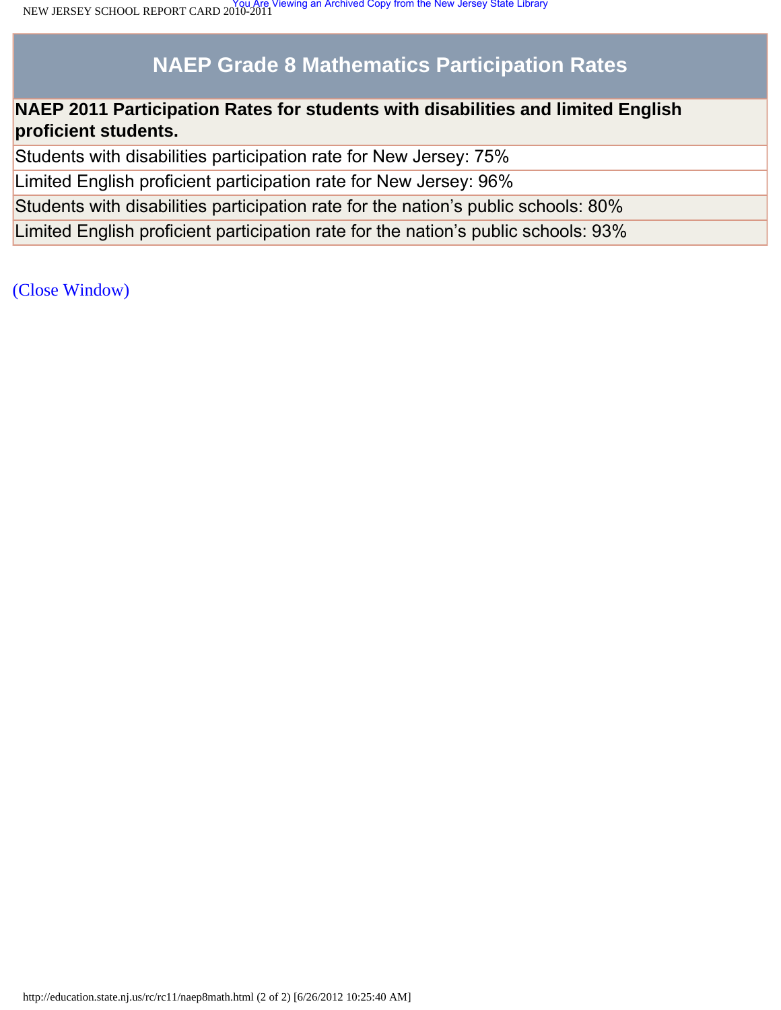# **NAEP Grade 8 Mathematics Participation Rates**

### **NAEP 2011 Participation Rates for students with disabilities and limited English proficient students.**

Students with disabilities participation rate for New Jersey: 75%

Limited English proficient participation rate for New Jersey: 96%

Students with disabilities participation rate for the nation's public schools: 80%

Limited English proficient participation rate for the nation's public schools: 93%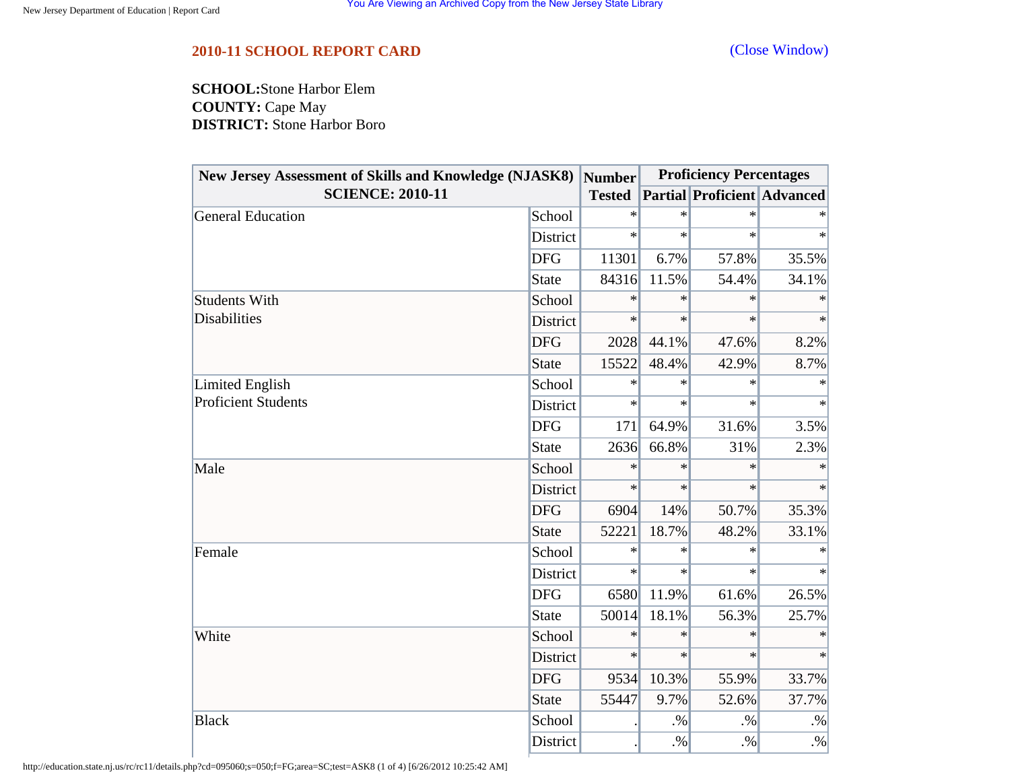<span id="page-71-0"></span>**SCHOOL:**Stone Harbor Elem **COUNTY:** Cape May **DISTRICT:** Stone Harbor Boro

| <b>New Jersey Assessment of Skills and Knowledge (NJASK8)</b><br><b>SCIENCE: 2010-11</b> |                 | <b>Number</b> |        | <b>Proficiency Percentages</b>     |        |  |
|------------------------------------------------------------------------------------------|-----------------|---------------|--------|------------------------------------|--------|--|
|                                                                                          |                 | <b>Tested</b> |        | <b>Partial Proficient Advanced</b> |        |  |
| <b>General Education</b>                                                                 | School          | $\ast$        | $\ast$ | $\ast$                             |        |  |
|                                                                                          | District        | $\ast$        | $\ast$ | $\ast$                             | $\ast$ |  |
|                                                                                          | <b>DFG</b>      | 11301         | 6.7%   | 57.8%                              | 35.5%  |  |
|                                                                                          | <b>State</b>    | 84316         | 11.5%  | 54.4%                              | 34.1%  |  |
| <b>Students With</b>                                                                     | School          | $\ast$        | $\ast$ | $\ast$                             | $\ast$ |  |
| <b>Disabilities</b>                                                                      | District        | $\ast$        | $\ast$ | $\ast$                             | $\ast$ |  |
|                                                                                          | <b>DFG</b>      | 2028          | 44.1%  | 47.6%                              | 8.2%   |  |
|                                                                                          | <b>State</b>    | 15522         | 48.4%  | 42.9%                              | 8.7%   |  |
| Limited English                                                                          | School          | ∗             | $\ast$ | $\ast$                             | $\ast$ |  |
| <b>Proficient Students</b>                                                               | District        | $\ast$        | $\ast$ | $\ast$                             | $\ast$ |  |
|                                                                                          | <b>DFG</b>      | 171           | 64.9%  | 31.6%                              | 3.5%   |  |
|                                                                                          | <b>State</b>    | 2636          | 66.8%  | 31%                                | 2.3%   |  |
| Male                                                                                     | School          | $\ast$        | $\ast$ | $\ast$                             | $\ast$ |  |
|                                                                                          | <b>District</b> | $\ast$        | $\ast$ | $\ast$                             | $\ast$ |  |
|                                                                                          | <b>DFG</b>      | 6904          | 14%    | 50.7%                              | 35.3%  |  |
|                                                                                          | <b>State</b>    | 52221         | 18.7%  | 48.2%                              | 33.1%  |  |
| Female                                                                                   | School          | $\ast$        | $\ast$ | $\ast$                             |        |  |
|                                                                                          | District        | $\ast$        | $\ast$ | $\ast$                             | $\ast$ |  |
|                                                                                          | <b>DFG</b>      | 6580          | 11.9%  | 61.6%                              | 26.5%  |  |
|                                                                                          | <b>State</b>    | 50014         | 18.1%  | 56.3%                              | 25.7%  |  |
| White                                                                                    | School          | $\ast$        | $\ast$ | $\ast$                             | $\ast$ |  |
|                                                                                          | District        | $\ast$        | $\ast$ | $\ast$                             | $\ast$ |  |
|                                                                                          | <b>DFG</b>      | 9534          | 10.3%  | 55.9%                              | 33.7%  |  |
|                                                                                          | <b>State</b>    | 55447         | 9.7%   | 52.6%                              | 37.7%  |  |
| <b>Black</b>                                                                             | School          |               | $. \%$ | $. \%$                             | $. \%$ |  |
|                                                                                          | District        |               | $. \%$ | $. \%$                             | $. \%$ |  |

http://education.state.nj.us/rc/rc11/details.php?cd=095060;s=050;f=FG;area=SC;test=ASK8 (1 of 4) [6/26/2012 10:25:42 AM]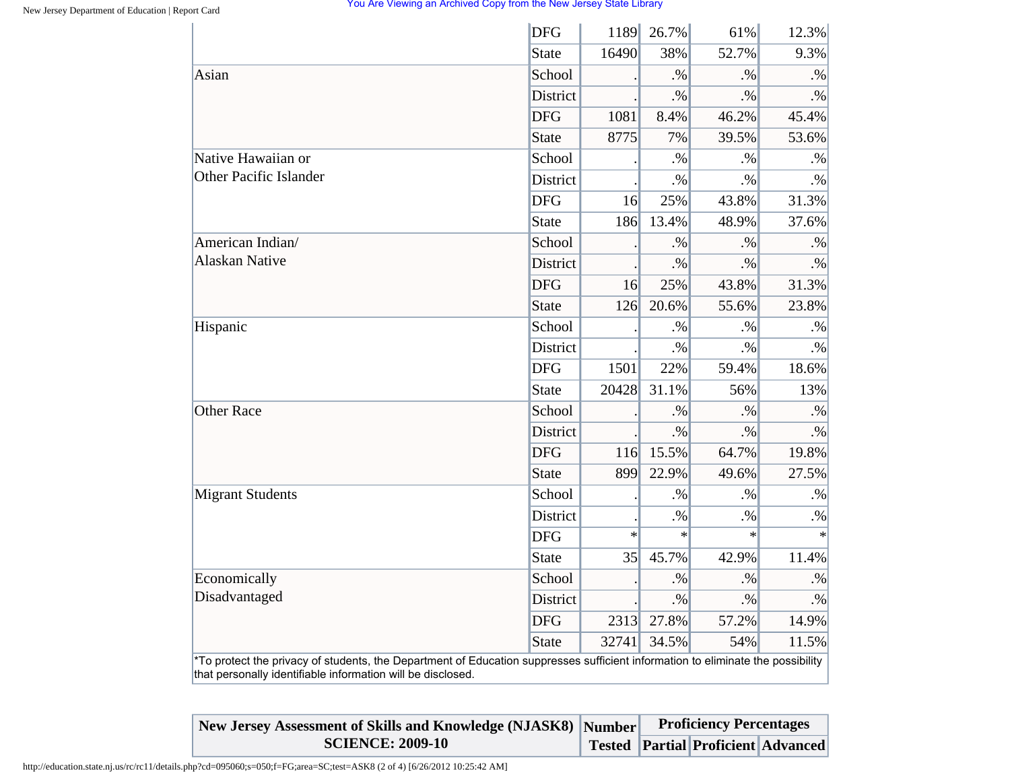## You Are Viewing an Archived Copy from the New Jersey State Library

| <b>DFG</b><br>1189<br>26.7%<br>61%                                                                                              | 12.3%            |
|---------------------------------------------------------------------------------------------------------------------------------|------------------|
| <b>State</b><br>16490<br>38%<br>52.7%                                                                                           | 9.3%             |
| School<br>$. \%$<br>$. \%$                                                                                                      | $. \%$           |
| <b>District</b><br>$. \%$<br>$. \%$                                                                                             | $\cdot\%$        |
| <b>DFG</b><br>1081<br>8.4%<br>46.2%                                                                                             | 45.4%            |
| 8775<br>7%<br>39.5%<br><b>State</b>                                                                                             | 53.6%            |
| School<br>$. \%$<br>$. \%$                                                                                                      | $. \%$           |
| <b>District</b><br>$. \%$<br>$. \%$                                                                                             | $. \%$           |
| <b>DFG</b><br>25%<br>43.8%<br>16                                                                                                | 31.3%            |
| 13.4%<br><b>State</b><br>186<br>48.9%                                                                                           | 37.6%            |
| School<br>$. \%$<br>$. \%$                                                                                                      | $. \%$           |
| <b>District</b><br>$. \%$<br>$. \%$                                                                                             | $. \%$           |
| <b>DFG</b><br>16<br>25%<br>43.8%                                                                                                | 31.3%            |
| 20.6%<br><b>State</b><br>126<br>55.6%                                                                                           | 23.8%            |
| School<br>$. \%$<br>$. \%$                                                                                                      | $. \%$           |
| <b>District</b><br>$. \%$<br>$. \%$                                                                                             | $. \%$           |
| <b>DFG</b><br>1501<br>22%<br>59.4%                                                                                              | 18.6%            |
| 20428<br>31.1%<br><b>State</b><br>56%                                                                                           | 13%              |
| School<br>$. \%$<br>$. \%$                                                                                                      | $. \%$           |
| <b>District</b><br>$. \%$<br>$. \%$                                                                                             | $. \%$           |
| <b>DFG</b><br>15.5%<br>116<br>64.7%                                                                                             | 19.8%            |
| <b>State</b><br>899<br>22.9%<br>49.6%                                                                                           | 27.5%            |
| School<br>.9/6<br>$. \%$                                                                                                        | $. \%$           |
| District<br>$. \%$<br>$. \%$                                                                                                    | $. \%$           |
| <b>DFG</b><br>$\ast$<br>$\ast$                                                                                                  | $\ast$<br>$\ast$ |
| 45.7%<br>35<br>42.9%<br><b>State</b>                                                                                            | 11.4%            |
| School<br>$. \%$<br>$. \%$                                                                                                      | $. \%$           |
| District<br>$. \%$<br>$. \%$                                                                                                    | $\cdot\%$        |
| <b>DFG</b><br>27.8%<br>57.2%<br>2313                                                                                            | 14.9%            |
| <b>State</b><br>32741<br>34.5%<br>54%                                                                                           | 11.5%            |
| *To protect the privacy of students, the Department of Education suppresses sufficient information to eliminate the possibility |                  |

| New Jersey Assessment of Skills and Knowledge (NJASK8) Number Proficiency Percentages |  |                                           |  |
|---------------------------------------------------------------------------------------|--|-------------------------------------------|--|
| <b>SCIENCE: 2009-10</b>                                                               |  | <b>Tested Partial Proficient Advanced</b> |  |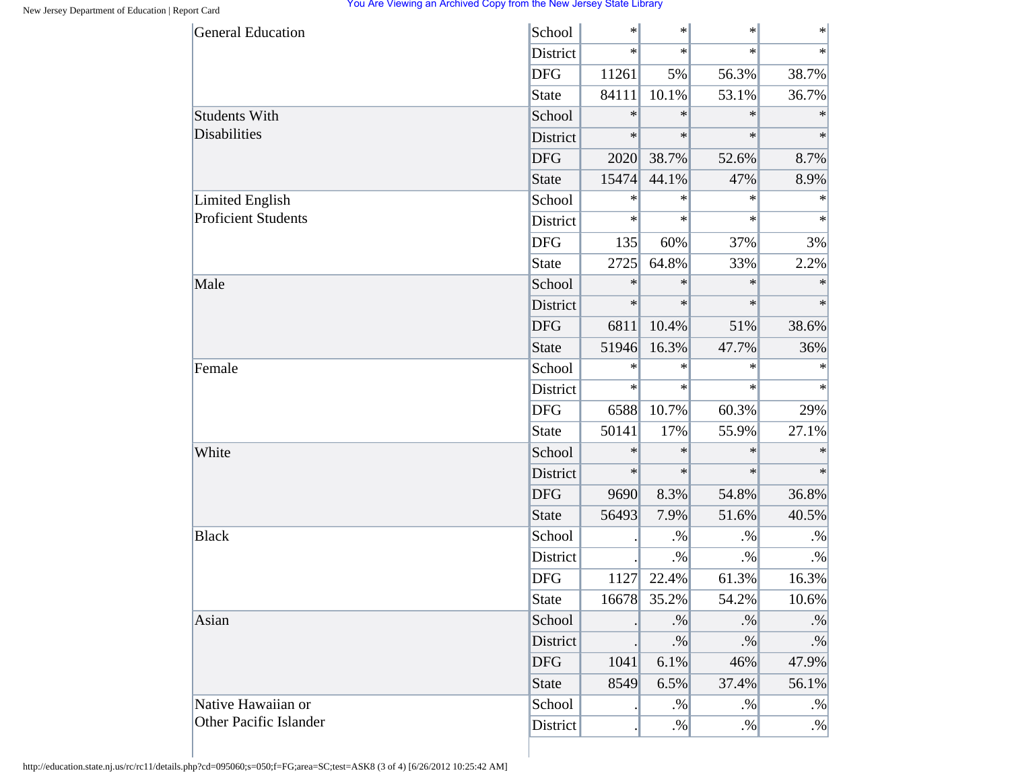## You Are Viewing an Archived Copy from the New Jersey State Library

| <b>General Education</b>                             | School          | $\ast$ | $\ast$    | $\ast$ | $\ast$    |
|------------------------------------------------------|-----------------|--------|-----------|--------|-----------|
|                                                      | District        | $\ast$ | $\ast$    | $\ast$ | $\ast$    |
|                                                      | <b>DFG</b>      | 11261  | 5%        | 56.3%  | 38.7%     |
|                                                      | <b>State</b>    | 84111  | 10.1%     | 53.1%  | 36.7%     |
| <b>Students With</b>                                 | School          | $\ast$ | $\ast$    | $\ast$ | $\ast$    |
| <b>Disabilities</b>                                  | District        | $\ast$ | $\ast$    | $\ast$ | $\ast$    |
|                                                      | <b>DFG</b>      | 2020   | 38.7%     | 52.6%  | 8.7%      |
|                                                      | <b>State</b>    | 15474  | 44.1%     | 47%    | 8.9%      |
| <b>Limited English</b><br><b>Proficient Students</b> | School          | $\ast$ | $\ast$    | $\ast$ | $\ast$    |
|                                                      | District        | $\ast$ | $\ast$    | $\ast$ | $\ast$    |
|                                                      | <b>DFG</b>      | 135    | 60%       | 37%    | 3%        |
|                                                      | State           | 2725   | 64.8%     | 33%    | 2.2%      |
| Male                                                 | School          | $\ast$ | $\ast$    | $\ast$ | $\ast$    |
|                                                      | District        | $\ast$ | $\ast$    | $\ast$ | $\ast$    |
|                                                      | <b>DFG</b>      | 6811   | 10.4%     | 51%    | 38.6%     |
|                                                      | <b>State</b>    | 51946  | 16.3%     | 47.7%  | 36%       |
| Female                                               | School          | $\ast$ | $\ast$    | $\ast$ | $\ast$    |
|                                                      | <b>District</b> | $\ast$ | $\ast$    | $\ast$ | $\ast$    |
|                                                      | <b>DFG</b>      | 6588   | 10.7%     | 60.3%  | 29%       |
|                                                      | <b>State</b>    | 50141  | 17%       | 55.9%  | 27.1%     |
| White                                                | School          | $\ast$ | $\ast$    | $\ast$ | $\ast$    |
|                                                      | District        | $\ast$ | $\ast$    | $\ast$ | $\ast$    |
|                                                      | <b>DFG</b>      | 9690   | 8.3%      | 54.8%  | 36.8%     |
|                                                      | <b>State</b>    | 56493  | 7.9%      | 51.6%  | 40.5%     |
| <b>Black</b>                                         | School          |        | $. \%$    | $. \%$ | $\cdot\%$ |
|                                                      | District        |        | $. \%$    | $. \%$ | $. \%$    |
|                                                      | <b>DFG</b>      | 1127   | 22.4%     | 61.3%  | 16.3%     |
|                                                      | <b>State</b>    | 16678  | 35.2%     | 54.2%  | 10.6%     |
| Asian                                                | School          |        | $\cdot\%$ | $. \%$ | $\cdot\%$ |
|                                                      | District        |        | $. \%$    | $. \%$ | $. \%$    |
|                                                      | <b>DFG</b>      | 1041   | 6.1%      | 46%    | 47.9%     |
|                                                      | <b>State</b>    | 8549   | 6.5%      | 37.4%  | 56.1%     |
| Native Hawaiian or                                   | School          |        | $. \%$    | $. \%$ | $. \%$    |
| Other Pacific Islander                               | District        |        | $. \%$    | $. \%$ | $. \%$    |

http://education.state.nj.us/rc/rc11/details.php?cd=095060;s=050;f=FG;area=SC;test=ASK8 (3 of 4) [6/26/2012 10:25:42 AM]